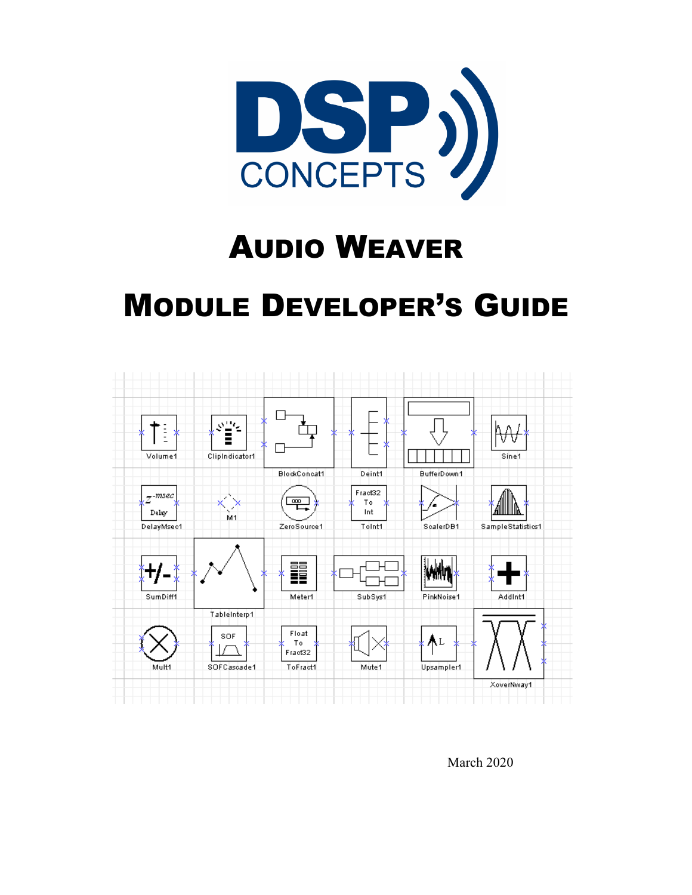

# AUDIO WEAVER

# MODULE DEVELOPER'S GUIDE



March 2020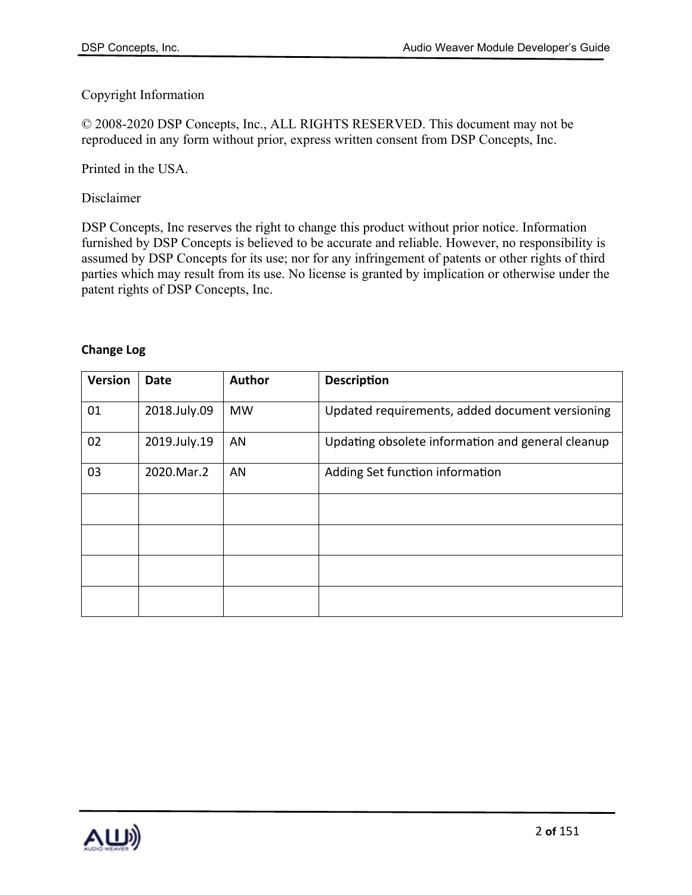## Copyright Information

© 2008-2020 DSP Concepts, Inc., ALL RIGHTS RESERVED. This document may not be reproduced in any form without prior, express written consent from DSP Concepts, Inc.

Printed in the USA.

Disclaimer

DSP Concepts, Inc reserves the right to change this product without prior notice. Information furnished by DSP Concepts is believed to be accurate and reliable. However, no responsibility is assumed by DSP Concepts for its use; nor for any infringement of patents or other rights of third parties which may result from its use. No license is granted by implication or otherwise under the patent rights of DSP Concepts, Inc.

#### **Change Log**

| <b>Version</b> | <b>Date</b>  | <b>Author</b> | <b>Description</b>                                |
|----------------|--------------|---------------|---------------------------------------------------|
| 01             | 2018.July.09 | <b>MW</b>     | Updated requirements, added document versioning   |
| 02             | 2019.July.19 | AN            | Updating obsolete information and general cleanup |
| 03             | 2020.Mar.2   | AN            | Adding Set function information                   |
|                |              |               |                                                   |
|                |              |               |                                                   |
|                |              |               |                                                   |
|                |              |               |                                                   |

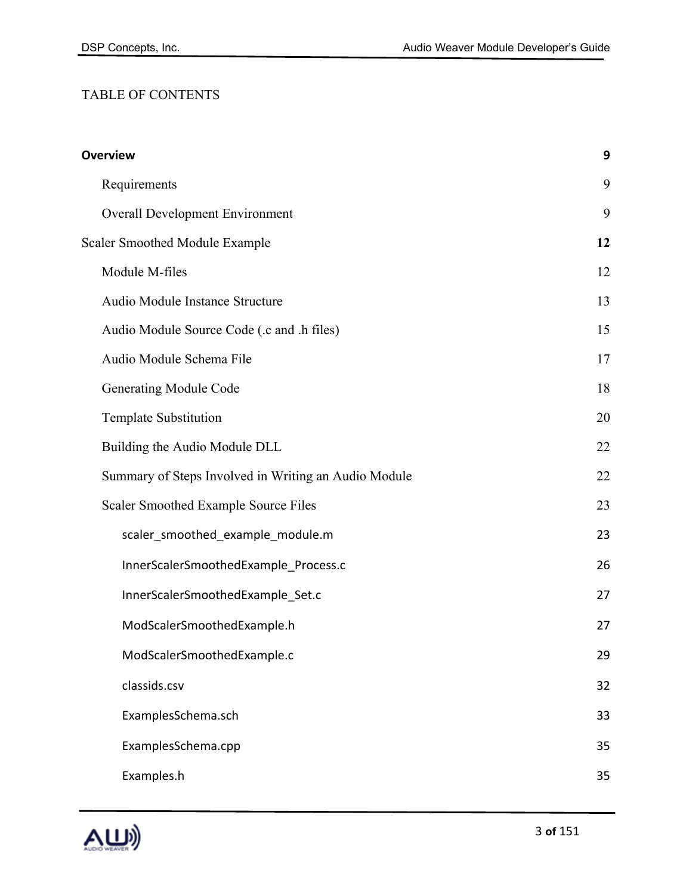# TABLE OF CONTENTS

| <b>Overview</b>                                      |    |
|------------------------------------------------------|----|
| Requirements                                         | 9  |
| <b>Overall Development Environment</b>               | 9  |
| Scaler Smoothed Module Example                       |    |
| Module M-files                                       | 12 |
| Audio Module Instance Structure                      | 13 |
| Audio Module Source Code (.c and .h files)           | 15 |
| Audio Module Schema File                             | 17 |
| Generating Module Code                               | 18 |
| Template Substitution                                | 20 |
| Building the Audio Module DLL                        | 22 |
| Summary of Steps Involved in Writing an Audio Module | 22 |
| Scaler Smoothed Example Source Files                 | 23 |
| scaler_smoothed_example_module.m                     | 23 |
| InnerScalerSmoothedExample_Process.c                 | 26 |
| InnerScalerSmoothedExample_Set.c                     | 27 |
| ModScalerSmoothedExample.h                           | 27 |
| ModScalerSmoothedExample.c                           | 29 |
| classids.csv                                         | 32 |
| ExamplesSchema.sch                                   | 33 |
| ExamplesSchema.cpp                                   | 35 |
| Examples.h                                           | 35 |
|                                                      |    |

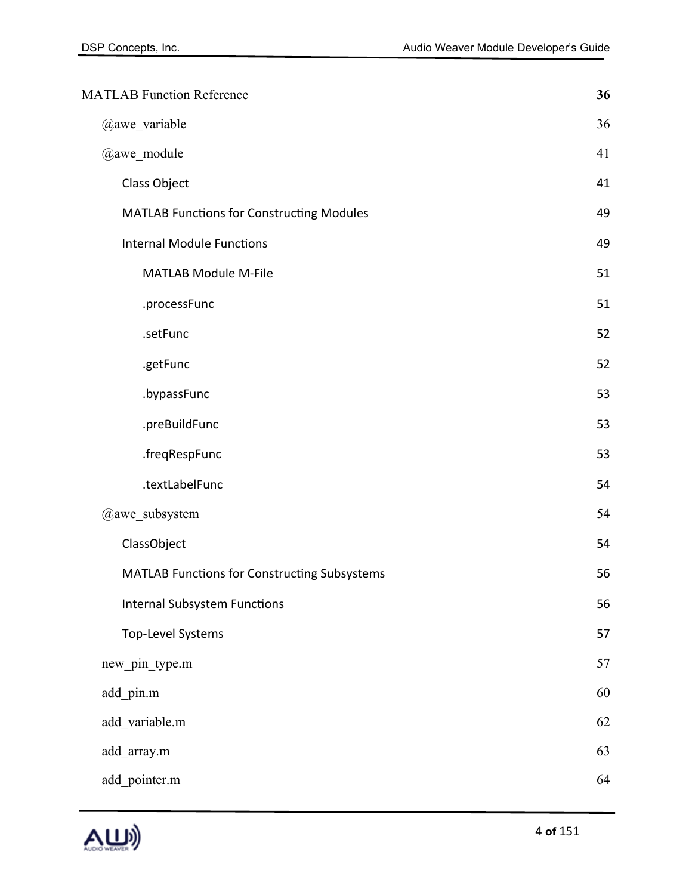| <b>MATLAB Function Reference</b>                 | 36 |
|--------------------------------------------------|----|
| @awe_variable                                    | 36 |
| @awe_module                                      | 41 |
| Class Object                                     | 41 |
| <b>MATLAB Functions for Constructing Modules</b> | 49 |
| <b>Internal Module Functions</b>                 | 49 |
| <b>MATLAB Module M-File</b>                      | 51 |
| .processFunc                                     | 51 |
| .setFunc                                         | 52 |
| .getFunc                                         | 52 |
| .bypassFunc                                      | 53 |
| .preBuildFunc                                    | 53 |
| .freqRespFunc                                    | 53 |
| .textLabelFunc                                   | 54 |
| @awe_subsystem                                   | 54 |
| ClassObject                                      | 54 |
| MATLAB Functions for Constructing Subsystems     | 56 |
| <b>Internal Subsystem Functions</b>              | 56 |
| Top-Level Systems                                | 57 |
| new_pin_type.m                                   | 57 |
| add_pin.m                                        | 60 |
| add_variable.m                                   | 62 |
| add array.m                                      | 63 |
| add_pointer.m                                    | 64 |

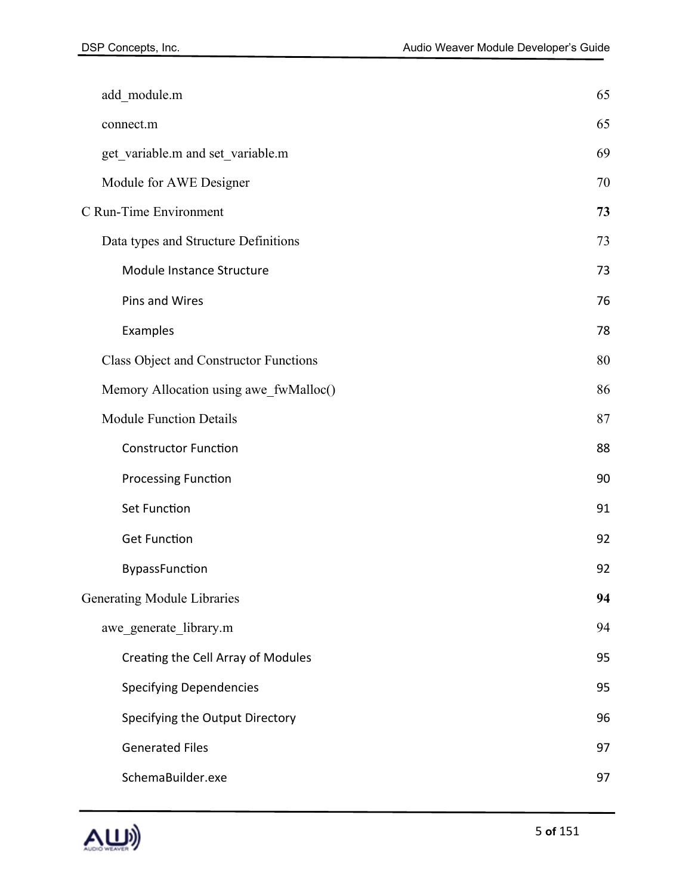| add module.m                                  | 65 |
|-----------------------------------------------|----|
| connect.m                                     | 65 |
| get_variable.m and set_variable.m             | 69 |
| Module for AWE Designer                       | 70 |
| <b>C</b> Run-Time Environment                 | 73 |
| Data types and Structure Definitions          | 73 |
| Module Instance Structure                     | 73 |
| Pins and Wires                                | 76 |
| Examples                                      | 78 |
| <b>Class Object and Constructor Functions</b> | 80 |
| Memory Allocation using awe fwMalloc()        | 86 |
| <b>Module Function Details</b>                | 87 |
| <b>Constructor Function</b>                   | 88 |
| <b>Processing Function</b>                    | 90 |
| <b>Set Function</b>                           | 91 |
| <b>Get Function</b>                           | 92 |
| BypassFunction                                | 92 |
| <b>Generating Module Libraries</b>            | 94 |
| awe_generate_library.m                        | 94 |
| Creating the Cell Array of Modules            | 95 |
| <b>Specifying Dependencies</b>                | 95 |
| Specifying the Output Directory               | 96 |
| <b>Generated Files</b>                        | 97 |
| SchemaBuilder.exe                             | 97 |
|                                               |    |

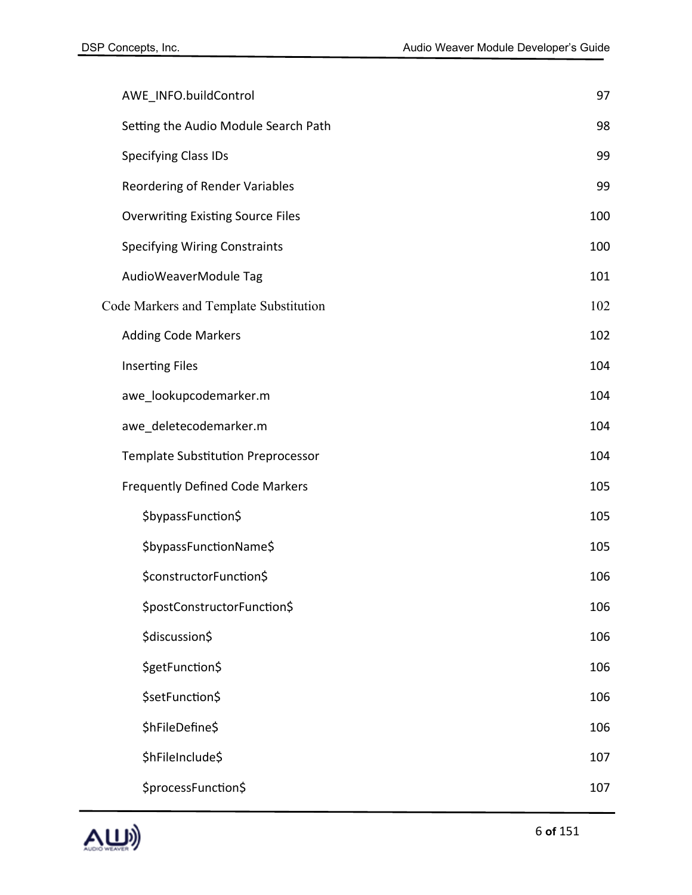| AWE_INFO.buildControl                     | 97  |
|-------------------------------------------|-----|
| Setting the Audio Module Search Path      | 98  |
| <b>Specifying Class IDs</b>               | 99  |
| Reordering of Render Variables            | 99  |
| <b>Overwriting Existing Source Files</b>  | 100 |
| <b>Specifying Wiring Constraints</b>      | 100 |
| AudioWeaverModule Tag                     | 101 |
| Code Markers and Template Substitution    | 102 |
| <b>Adding Code Markers</b>                | 102 |
| <b>Inserting Files</b>                    | 104 |
| awe lookupcodemarker.m                    | 104 |
| awe_deletecodemarker.m                    | 104 |
| <b>Template Substitution Preprocessor</b> | 104 |
| <b>Frequently Defined Code Markers</b>    | 105 |
| \$bypassFunction\$                        | 105 |
| \$bypassFunctionName\$                    | 105 |
| \$constructorFunction\$                   | 106 |
| \$postConstructorFunction\$               | 106 |
| \$discussion\$                            | 106 |
| \$getFunction\$                           | 106 |
| \$setFunction\$                           | 106 |
| \$hFileDefine\$                           | 106 |
| \$hFileInclude\$                          | 107 |
| \$processFunction\$                       | 107 |

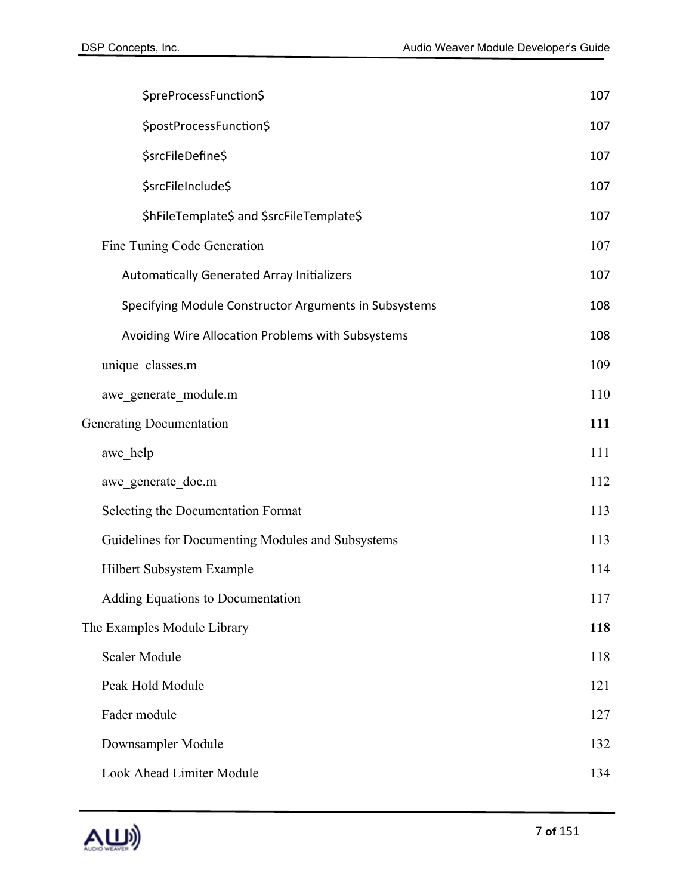|                                 | \$preProcessFunction\$                                | 107 |
|---------------------------------|-------------------------------------------------------|-----|
|                                 | \$postProcessFunction\$                               | 107 |
|                                 | \$srcFileDefine\$                                     | 107 |
|                                 | \$srcFileInclude\$                                    | 107 |
|                                 | \$hFileTemplate\$ and \$srcFileTemplate\$             | 107 |
|                                 | Fine Tuning Code Generation                           | 107 |
|                                 | Automatically Generated Array Initializers            | 107 |
|                                 | Specifying Module Constructor Arguments in Subsystems | 108 |
|                                 | Avoiding Wire Allocation Problems with Subsystems     | 108 |
|                                 | unique classes.m                                      | 109 |
|                                 | awe generate module.m                                 | 110 |
| <b>Generating Documentation</b> |                                                       | 111 |
|                                 | awe help                                              | 111 |
|                                 | awe generate doc.m                                    | 112 |
|                                 | Selecting the Documentation Format                    | 113 |
|                                 | Guidelines for Documenting Modules and Subsystems     | 113 |
|                                 | Hilbert Subsystem Example                             | 114 |
|                                 | Adding Equations to Documentation                     | 117 |
|                                 | The Examples Module Library                           | 118 |
|                                 | Scaler Module                                         | 118 |
|                                 | Peak Hold Module                                      | 121 |
|                                 | Fader module                                          | 127 |
|                                 | Downsampler Module                                    | 132 |
|                                 | Look Ahead Limiter Module                             | 134 |

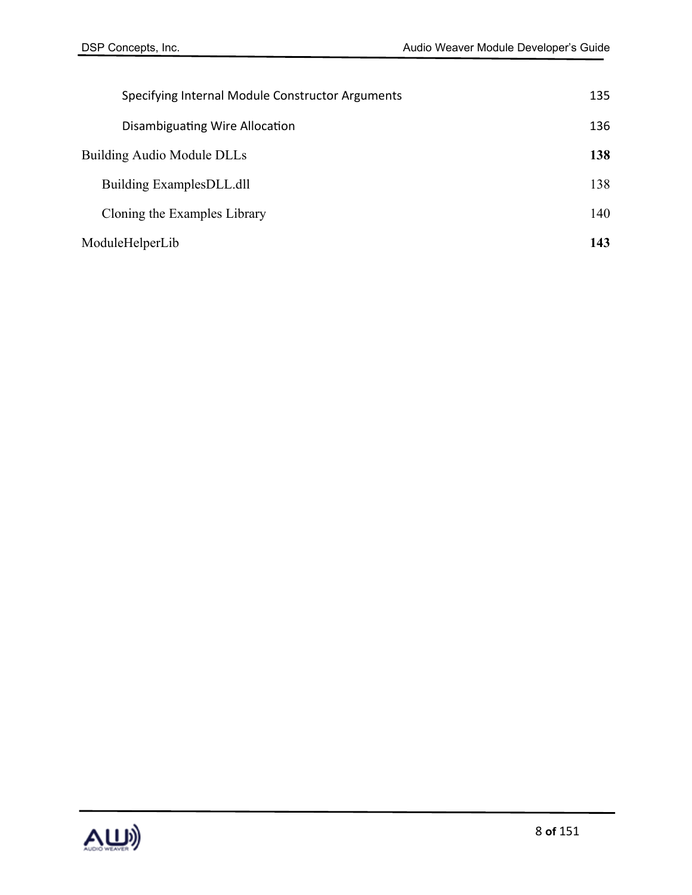| Specifying Internal Module Constructor Arguments |  | 135 |
|--------------------------------------------------|--|-----|
| Disambiguating Wire Allocation                   |  | 136 |
| <b>Building Audio Module DLLs</b>                |  | 138 |
| Building ExamplesDLL.dll                         |  | 138 |
| Cloning the Examples Library                     |  | 140 |
| ModuleHelperLib                                  |  | 143 |

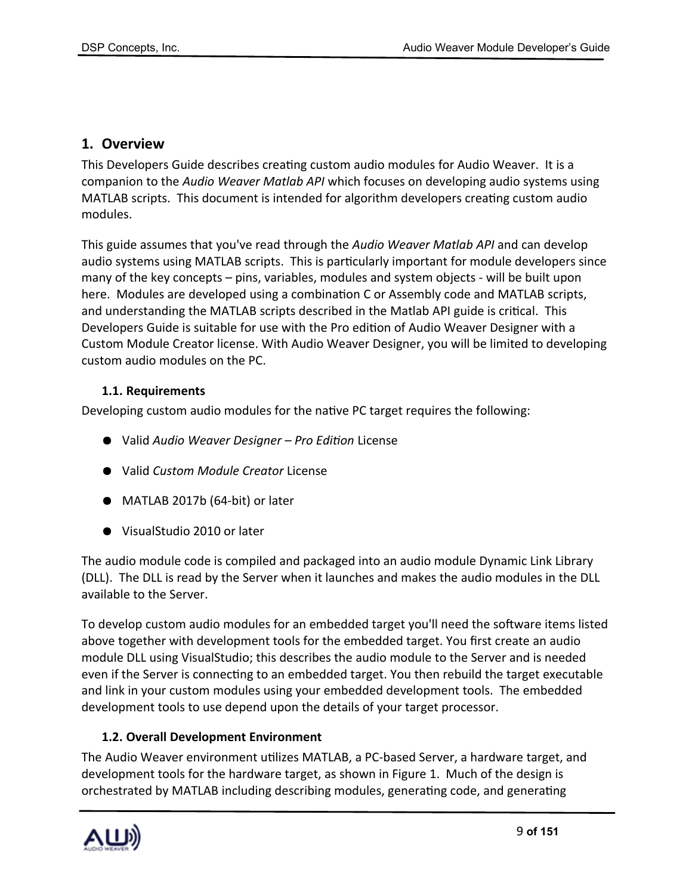# <span id="page-8-0"></span>**1. Overview**

This Developers Guide describes creating custom audio modules for Audio Weaver. It is a companion to the *Audio Weaver Matlab API* which focuses on developing audio systems using MATLAB scripts. This document is intended for algorithm developers creating custom audio modules.

This guide assumes that you've read through the *Audio Weaver Matlab API* and can develop audio systems using MATLAB scripts. This is particularly important for module developers since many of the key concepts – pins, variables, modules and system objects - will be built upon here. Modules are developed using a combination C or Assembly code and MATLAB scripts, and understanding the MATLAB scripts described in the Matlab API guide is critical. This Developers Guide is suitable for use with the Pro edition of Audio Weaver Designer with a Custom Module Creator license. With Audio Weaver Designer, you will be limited to developing custom audio modules on the PC.

## <span id="page-8-1"></span>**1.1. Requirements**

Developing custom audio modules for the native PC target requires the following:

- Valid *Audio Weaver Designer Pro Edition* License
- Valid *Custom Module Creator* License
- MATLAB 2017b (64-bit) or later
- VisualStudio 2010 or later

The audio module code is compiled and packaged into an audio module Dynamic Link Library (DLL). The DLL is read by the Server when it launches and makes the audio modules in the DLL available to the Server.

To develop custom audio modules for an embedded target you'll need the software items listed above together with development tools for the embedded target. You first create an audio module DLL using VisualStudio; this describes the audio module to the Server and is needed even if the Server is connecting to an embedded target. You then rebuild the target executable and link in your custom modules using your embedded development tools. The embedded development tools to use depend upon the details of your target processor.

## <span id="page-8-2"></span>**1.2. Overall Development Environment**

The Audio Weaver environment utilizes MATLAB, a PC-based Server, a hardware target, and development tools for the hardware target, as shown in Figure 1. Much of the design is orchestrated by MATLAB including describing modules, generating code, and generating

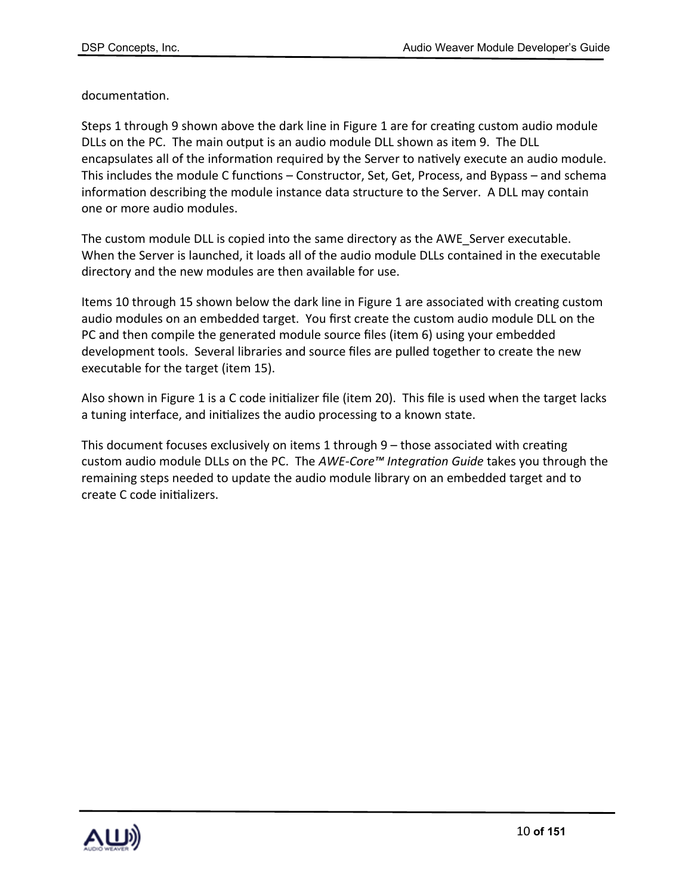documentation.

Steps 1 through 9 shown above the dark line in Figure 1 are for creating custom audio module DLLs on the PC. The main output is an audio module DLL shown as item 9. The DLL encapsulates all of the information required by the Server to natively execute an audio module. This includes the module C functions – Constructor, Set, Get, Process, and Bypass – and schema information describing the module instance data structure to the Server. A DLL may contain one or more audio modules.

The custom module DLL is copied into the same directory as the AWE\_Server executable. When the Server is launched, it loads all of the audio module DLLs contained in the executable directory and the new modules are then available for use.

Items 10 through 15 shown below the dark line in Figure 1 are associated with creating custom audio modules on an embedded target. You first create the custom audio module DLL on the PC and then compile the generated module source files (item 6) using your embedded development tools. Several libraries and source files are pulled together to create the new executable for the target (item 15).

Also shown in Figure 1 is a C code initializer file (item 20). This file is used when the target lacks a tuning interface, and initializes the audio processing to a known state.

This document focuses exclusively on items 1 through 9 – those associated with creating custom audio module DLLs on the PC. The *AWE-Core™ Integration Guide* takes you through the remaining steps needed to update the audio module library on an embedded target and to create C code initializers.

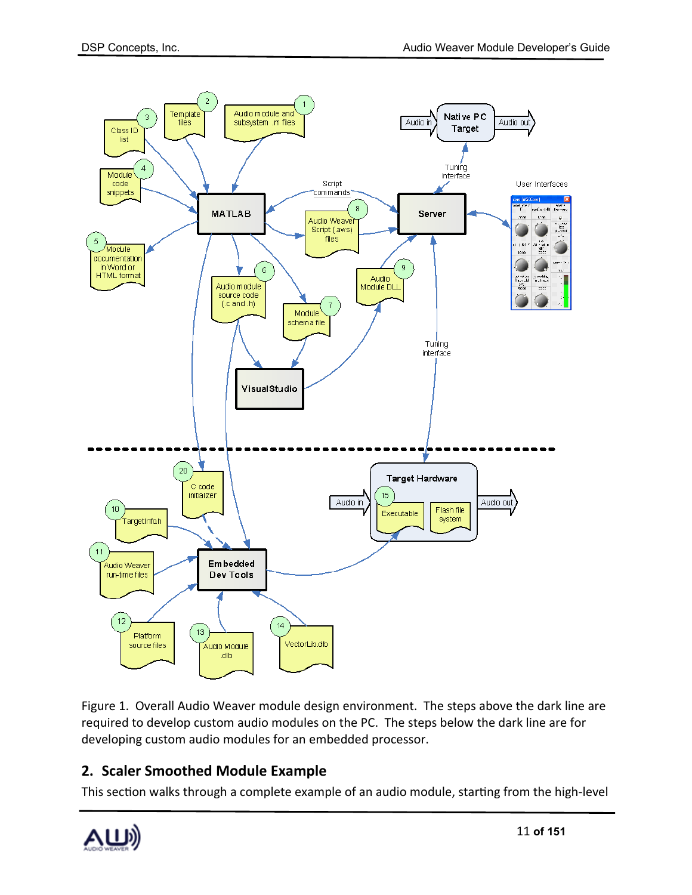

Figure 1. Overall Audio Weaver module design environment. The steps above the dark line are required to develop custom audio modules on the PC. The steps below the dark line are for developing custom audio modules for an embedded processor.

# <span id="page-10-0"></span>**2. Scaler Smoothed Module Example**

This section walks through a complete example of an audio module, starting from the high-level

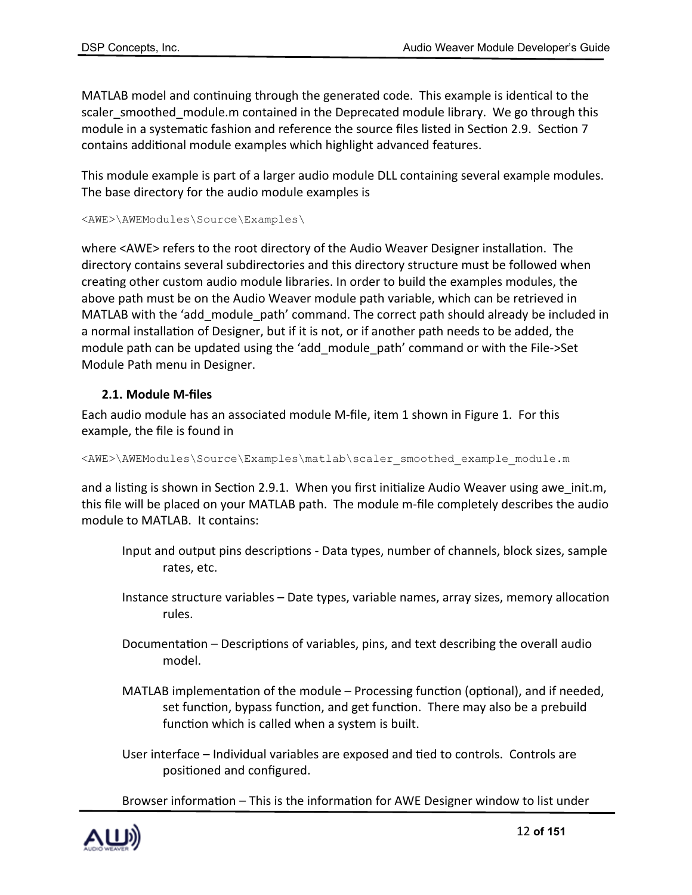MATLAB model and continuing through the generated code. This example is identical to the scaler\_smoothed\_module.m contained in the Deprecated module library. We go through this module in a systematic fashion and reference the source files listed in Section 2.9. Section 7 contains additional module examples which highlight advanced features.

This module example is part of a larger audio module DLL containing several example modules. The base directory for the audio module examples is

<AWE>\AWEModules\Source\Examples\

where <AWE> refers to the root directory of the Audio Weaver Designer installation. The directory contains several subdirectories and this directory structure must be followed when creating other custom audio module libraries. In order to build the examples modules, the above path must be on the Audio Weaver module path variable, which can be retrieved in MATLAB with the 'add module path' command. The correct path should already be included in a normal installation of Designer, but if it is not, or if another path needs to be added, the module path can be updated using the 'add\_module\_path' command or with the File->Set Module Path menu in Designer.

## <span id="page-11-0"></span>**2.1. Module M-files**

Each audio module has an associated module M-file, item 1 shown in Figure 1. For this example, the file is found in

<AWE>\AWEModules\Source\Examples\matlab\scaler\_smoothed\_example\_module.m

and a listing is shown in Section 2.9.1. When you first initialize Audio Weaver using awe init.m, this file will be placed on your MATLAB path. The module m-file completely describes the audio module to MATLAB. It contains:

- Input and output pins descriptions Data types, number of channels, block sizes, sample rates, etc.
- Instance structure variables Date types, variable names, array sizes, memory allocation rules.
- Documentation Descriptions of variables, pins, and text describing the overall audio model.
- MATLAB implementation of the module Processing function (optional), and if needed, set function, bypass function, and get function. There may also be a prebuild function which is called when a system is built.
- User interface Individual variables are exposed and tied to controls. Controls are positioned and configured.

Browser information – This is the information for AWE Designer window to list under

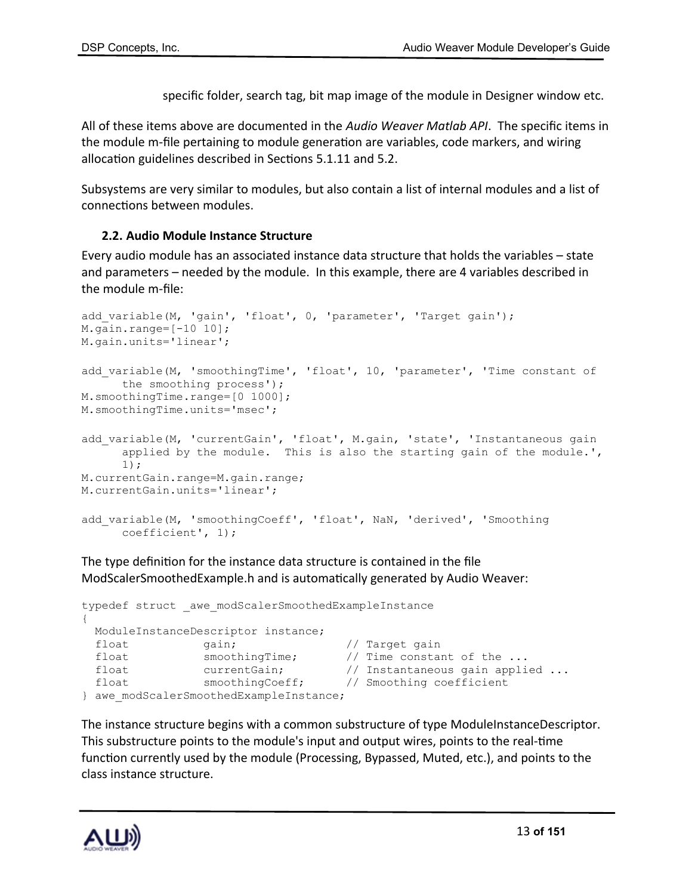specific folder, search tag, bit map image of the module in Designer window etc.

All of these items above are documented in the *Audio Weaver Matlab API*. The specific items in the module m-file pertaining to module generation are variables, code markers, and wiring allocation guidelines described in Sections 5.1.11 and 5.2.

Subsystems are very similar to modules, but also contain a list of internal modules and a list of connections between modules.

# <span id="page-12-0"></span>**2.2. Audio Module Instance Structure**

Every audio module has an associated instance data structure that holds the variables – state and parameters – needed by the module. In this example, there are 4 variables described in the module m-file:

```
add variable(M, 'gain', 'float', 0, 'parameter', 'Target gain');
M.gain.range=[-10 10];
M.gain.units='linear';
add variable(M, 'smoothingTime', 'float', 10, 'parameter', 'Time constant of
      the smoothing process');
M.smoothingTime.range=[0 1000];
M.smoothingTime.units='msec';
add_variable(M, 'currentGain', 'float', M.gain, 'state', 'Instantaneous gain 
      applied by the module. This is also the starting gain of the module.', 
      1);
M.currentGain.range=M.gain.range;
M.currentGain.units='linear';
add variable(M, 'smoothingCoeff', 'float', NaN, 'derived', 'Smoothing
      coefficient', 1);
```
The type definition for the instance data structure is contained in the file ModScalerSmoothedExample.h and is automatically generated by Audio Weaver:

```
typedef struct _awe_modScalerSmoothedExampleInstance
{
   ModuleInstanceDescriptor instance;
  float gain; \frac{1}{2} gain; \frac{1}{2} \frac{1}{2} \frac{1}{2} \frac{1}{2} \frac{1}{2} \frac{1}{2} \frac{1}{2} \frac{1}{2} \frac{1}{2} \frac{1}{2} \frac{1}{2} \frac{1}{2} \frac{1}{2} \frac{1}{2} \frac{1}{2} \frac{1}{2} \frac{1}{2} \frac{1}{2} \frac{1}{2} \frac{float smoothingTime; // Time constant of the ...
float currentGain; \frac{1}{1} Instantaneous gain applied ...
  float smoothingCoeff; // Smoothing coefficient
} awe modScalerSmoothedExampleInstance;
```
The instance structure begins with a common substructure of type ModuleInstanceDescriptor. This substructure points to the module's input and output wires, points to the real-time function currently used by the module (Processing, Bypassed, Muted, etc.), and points to the class instance structure.

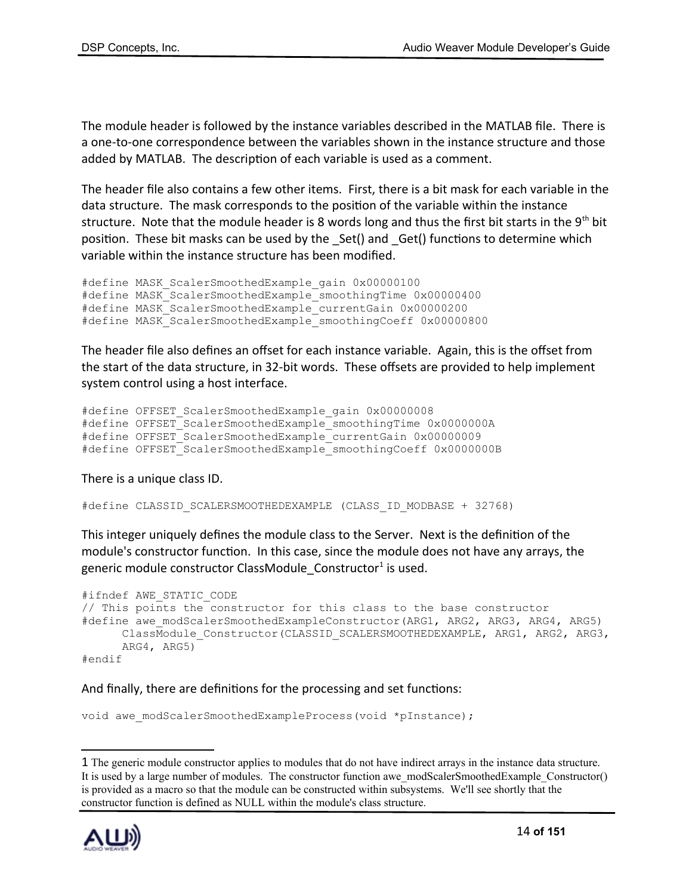The module header is followed by the instance variables described in the MATLAB file. There is a one-to-one correspondence between the variables shown in the instance structure and those added by MATLAB. The description of each variable is used as a comment.

The header file also contains a few other items. First, there is a bit mask for each variable in the data structure. The mask corresponds to the position of the variable within the instance structure. Note that the module header is 8 words long and thus the first bit starts in the 9<sup>th</sup> bit position. These bit masks can be used by the \_Set() and \_Get() functions to determine which variable within the instance structure has been modified.

```
#define MASK_ScalerSmoothedExample_gain 0x00000100
#define MASK ScalerSmoothedExample smoothingTime 0x00000400
#define MASK ScalerSmoothedExample currentGain 0x00000200
#define MASK_ScalerSmoothedExample_smoothingCoeff 0x00000800
```
The header file also defines an offset for each instance variable. Again, this is the offset from the start of the data structure, in 32-bit words. These offsets are provided to help implement system control using a host interface.

```
#define OFFSET ScalerSmoothedExample gain 0x00000008
#define OFFSET_ScalerSmoothedExample_smoothingTime 0x0000000A
#define OFFSET_ScalerSmoothedExample_currentGain 0x00000009
#define OFFSET_ScalerSmoothedExample_smoothingCoeff 0x0000000B
```
There is a unique class ID.

#define CLASSID\_SCALERSMOOTHEDEXAMPLE (CLASS\_ID\_MODBASE + 32768)

This integer uniquely defines the module class to the Server. Next is the definition of the module's constructor function. In this case, since the module does not have any arrays, the generic module constructor ClassModule\_Constructor<sup>[1](#page-13-0)</sup> is used.

```
#ifndef AWE_STATIC_CODE
// This points the constructor for this class to the base constructor
#define awe modScalerSmoothedExampleConstructor(ARG1, ARG2, ARG3, ARG4, ARG5)
     ClassModule Constructor(CLASSID SCALERSMOOTHEDEXAMPLE, ARG1, ARG2, ARG3,
     ARG4, ARG5)
#endif
```
## And finally, there are definitions for the processing and set functions:

```
void awe modScalerSmoothedExampleProcess(void *pInstance);
```
<span id="page-13-0"></span><sup>1</sup> The generic module constructor applies to modules that do not have indirect arrays in the instance data structure. It is used by a large number of modules. The constructor function awe\_modScalerSmoothedExample\_Constructor() is provided as a macro so that the module can be constructed within subsystems. We'll see shortly that the constructor function is defined as NULL within the module's class structure.

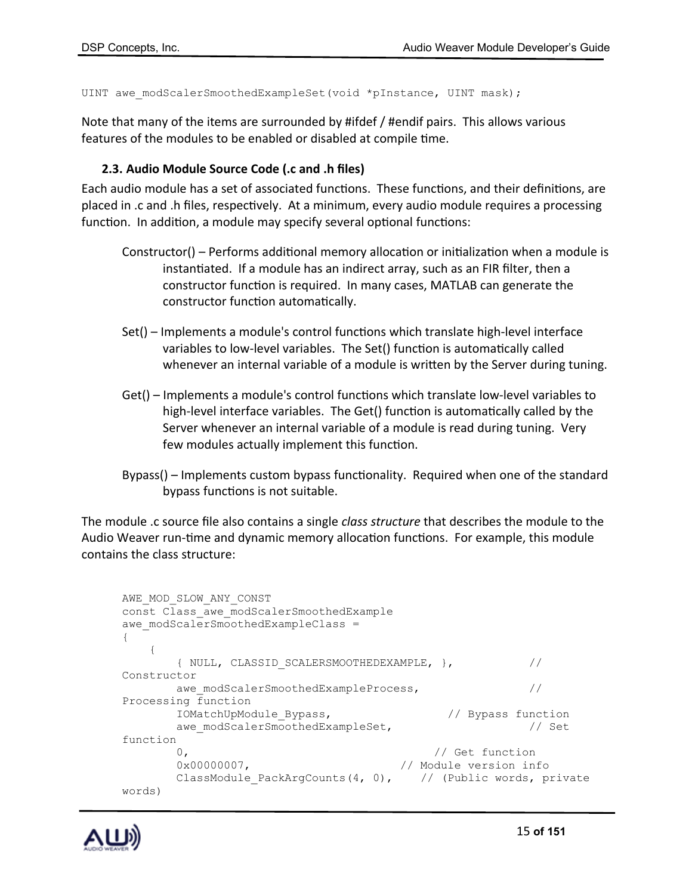UINT awe modScalerSmoothedExampleSet(void \*pInstance, UINT mask);

Note that many of the items are surrounded by #ifdef / #endif pairs. This allows various features of the modules to be enabled or disabled at compile time.

## <span id="page-14-0"></span>**2.3. Audio Module Source Code (.c and .h files)**

Each audio module has a set of associated functions. These functions, and their definitions, are placed in .c and .h files, respectively. At a minimum, every audio module requires a processing function. In addition, a module may specify several optional functions:

- Constructor() Performs additional memory allocation or initialization when a module is instantiated. If a module has an indirect array, such as an FIR filter, then a constructor function is required. In many cases, MATLAB can generate the constructor function automatically.
- Set() Implements a module's control functions which translate high-level interface variables to low-level variables. The Set() function is automatically called whenever an internal variable of a module is written by the Server during tuning.
- Get() Implements a module's control functions which translate low-level variables to high-level interface variables. The Get() function is automatically called by the Server whenever an internal variable of a module is read during tuning. Very few modules actually implement this function.
- Bypass() Implements custom bypass functionality. Required when one of the standard bypass functions is not suitable.

The module .c source file also contains a single *class structure* that describes the module to the Audio Weaver run-time and dynamic memory allocation functions. For example, this module contains the class structure:

```
AWE_MOD_SLOW_ANY_CONST
const Class_awe_modScalerSmoothedExample 
awe modScalerSmoothedExampleClass =
{
       {
            { NULL, CLASSID_SCALERSMOOTHEDEXAMPLE, }, // 
Constructor
           awe_modScalerSmoothedExampleProcess, //Processing function
           IOMatchUpModule_Bypass, \frac{1}{10} Bypass function<br>awe modScalerSmoothedExampleSet, \frac{1}{10} Set
           awe_modScalerSmoothedExampleSet,
function
           0, \sqrt{2} and \sqrt{2} of \sqrt{2} and \sqrt{2} are \sqrt{2} of \sqrt{2} and \sqrt{2} are \sqrt{2} and \sqrt{2} are \sqrt{2} and \sqrt{2} are \sqrt{2} and \sqrt{2} are \sqrt{2} and \sqrt{2} are \sqrt{2} and \sqrt{2} are \sqrt{2} and \sqrt{20x00000007, \frac{1}{\sqrt{1-\frac{1}{n}}} // Module version info
           ClassModule PackArgCounts(4, 0), // (Public words, private
words)
```
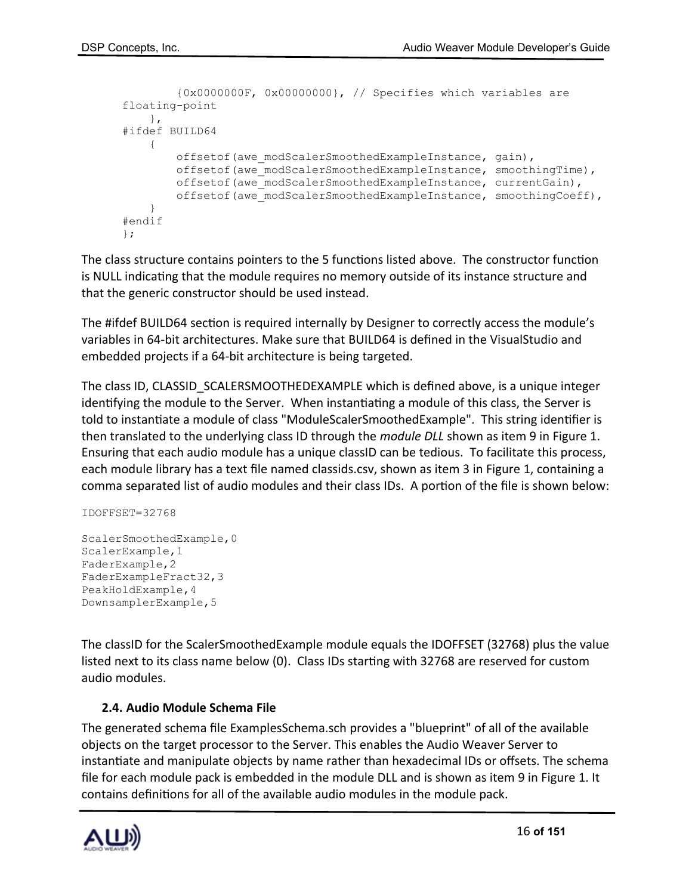```
 {0x0000000F, 0x00000000}, // Specifies which variables are 
floating-point
    },
#ifdef BUILD64
     {
         offsetof(awe_modScalerSmoothedExampleInstance, gain),
        offsetof(awe_modScalerSmoothedExampleInstance, smoothingTime),
        offsetof(awe_modScalerSmoothedExampleInstance, currentGain),
        offsetof(awe_modScalerSmoothedExampleInstance, smoothingCoeff),
     }
#endif
};
```
The class structure contains pointers to the 5 functions listed above. The constructor function is NULL indicating that the module requires no memory outside of its instance structure and that the generic constructor should be used instead.

The #ifdef BUILD64 section is required internally by Designer to correctly access the module's variables in 64-bit architectures. Make sure that BUILD64 is defined in the VisualStudio and embedded projects if a 64-bit architecture is being targeted.

The class ID, CLASSID\_SCALERSMOOTHEDEXAMPLE which is defined above, is a unique integer identifying the module to the Server. When instantiating a module of this class, the Server is told to instantiate a module of class "ModuleScalerSmoothedExample". This string identifier is then translated to the underlying class ID through the *module DLL* shown as item 9 in Figure 1. Ensuring that each audio module has a unique classID can be tedious. To facilitate this process, each module library has a text file named classids.csv, shown as item 3 in Figure 1, containing a comma separated list of audio modules and their class IDs. A portion of the file is shown below:

```
IDOFFSET=32768
ScalerSmoothedExample,0
ScalerExample,1
FaderExample,2
FaderExampleFract32,3
PeakHoldExample,4
```
DownsamplerExample,5

The classID for the ScalerSmoothedExample module equals the IDOFFSET (32768) plus the value listed next to its class name below (0). Class IDs starting with 32768 are reserved for custom audio modules.

## <span id="page-15-0"></span>**2.4. Audio Module Schema File**

The generated schema file ExamplesSchema.sch provides a "blueprint" of all of the available objects on the target processor to the Server. This enables the Audio Weaver Server to instantiate and manipulate objects by name rather than hexadecimal IDs or offsets. The schema file for each module pack is embedded in the module DLL and is shown as item 9 in Figure 1. It contains definitions for all of the available audio modules in the module pack.

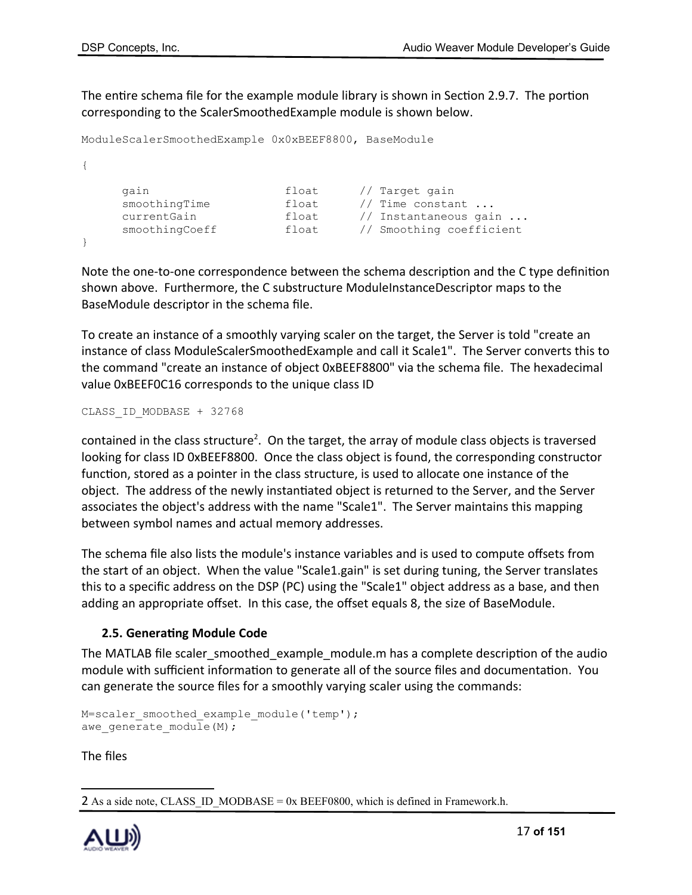The entire schema file for the example module library is shown in Section 2.9.7. The portion corresponding to the ScalerSmoothedExample module is shown below.

```
ModuleScalerSmoothedExample 0x0xBEEF8800, BaseModule
{
      gain float // Target gain<br>smoothingTime float // Time constar
      smoothingTime float // Time constant ...
      currentGain float // Instantaneous gain ...<br>smoothingCoeff float // Smoothing coefficient
      smoothingCoeff float // Smoothing coefficient
}
```
Note the one-to-one correspondence between the schema description and the C type definition shown above. Furthermore, the C substructure ModuleInstanceDescriptor maps to the BaseModule descriptor in the schema file.

To create an instance of a smoothly varying scaler on the target, the Server is told "create an instance of class ModuleScalerSmoothedExample and call it Scale1". The Server converts this to the command "create an instance of object 0xBEEF8800" via the schema file. The hexadecimal value 0xBEEF0C16 corresponds to the unique class ID

CLASS\_ID\_MODBASE + 32768

contained in the class structure<sup>[2](#page-16-1)</sup>. On the target, the array of module class objects is traversed looking for class ID 0xBEEF8800. Once the class object is found, the corresponding constructor function, stored as a pointer in the class structure, is used to allocate one instance of the object. The address of the newly instantiated object is returned to the Server, and the Server associates the object's address with the name "Scale1". The Server maintains this mapping between symbol names and actual memory addresses.

The schema file also lists the module's instance variables and is used to compute offsets from the start of an object. When the value "Scale1.gain" is set during tuning, the Server translates this to a specific address on the DSP (PC) using the "Scale1" object address as a base, and then adding an appropriate offset. In this case, the offset equals 8, the size of BaseModule.

# <span id="page-16-0"></span>**2.5. Generating Module Code**

The MATLAB file scaler smoothed example module.m has a complete description of the audio module with sufficient information to generate all of the source files and documentation. You can generate the source files for a smoothly varying scaler using the commands:

```
M=scaler_smoothed_example_module('temp');
awe generate module(M);
```
The files

<span id="page-16-1"></span><sup>2</sup> As a side note, CLASS ID MODBASE = 0x BEEF0800, which is defined in Framework.h.

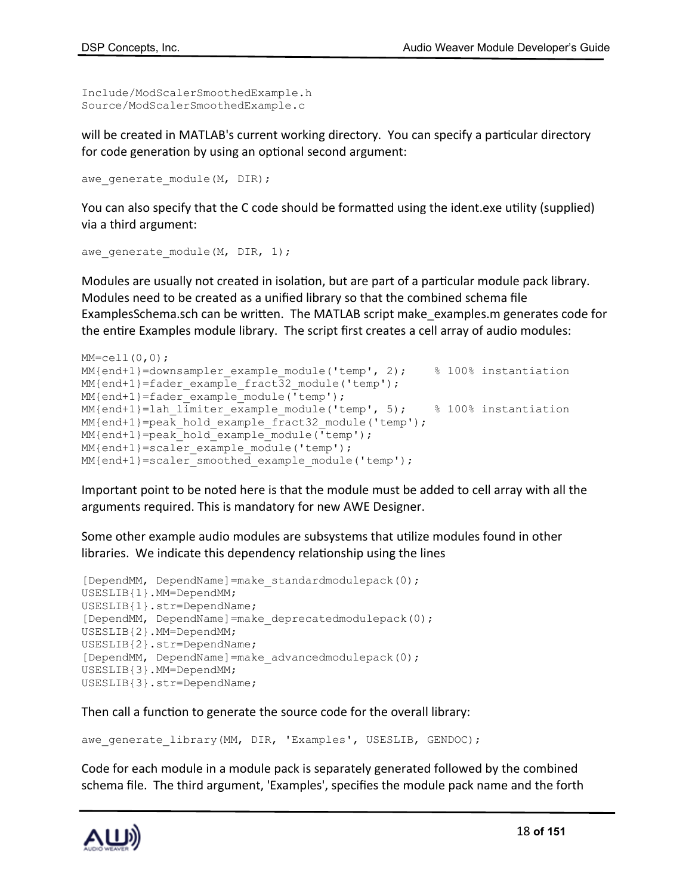```
Include/ModScalerSmoothedExample.h
Source/ModScalerSmoothedExample.c
```
will be created in MATLAB's current working directory. You can specify a particular directory for code generation by using an optional second argument:

```
awe generate module(M, DIR);
```
You can also specify that the C code should be formatted using the ident.exe utility (supplied) via a third argument:

```
awe generate module(M, DIR, 1);
```
Modules are usually not created in isolation, but are part of a particular module pack library. Modules need to be created as a unified library so that the combined schema file ExamplesSchema.sch can be written. The MATLAB script make\_examples.m generates code for the entire Examples module library. The script first creates a cell array of audio modules:

```
MM=cell(0,0);MM{end+1}=downsampler example module('temp', 2); % 100% instantiation
MM{end+1}=fader example fract32 module('temp');
MM{end+1}=fader_example_module('temp');
MM{end+1}=lah limiter example module('temp', 5); % 100% instantiation
MM{end+1}=peak hold example fract32 module('temp');
MM{end+1}=peak hold example module('temp');
MM{end+1}=scaler example module('temp');
MM{end+1}=scaler_smoothed_example_module('temp');
```
Important point to be noted here is that the module must be added to cell array with all the arguments required. This is mandatory for new AWE Designer.

Some other example audio modules are subsystems that utilize modules found in other libraries. We indicate this dependency relationship using the lines

```
[DependMM, DependName]=make_standardmodulepack(0);
USESLIB{1}.MM=DependMM;
USESLIB{1}.str=DependName;
[DependMM, DependName]=make_deprecatedmodulepack(0);
USESLIB{2}.MM=DependMM;
USESLIB{2}.str=DependName;
[DependMM, DependName]=make advancedmodulepack(0);
USESLIB{3}.MM=DependMM;
USESLIB{3}.str=DependName;
```
Then call a function to generate the source code for the overall library:

awe\_generate\_library(MM, DIR, 'Examples', USESLIB, GENDOC);

Code for each module in a module pack is separately generated followed by the combined schema file. The third argument, 'Examples', specifies the module pack name and the forth

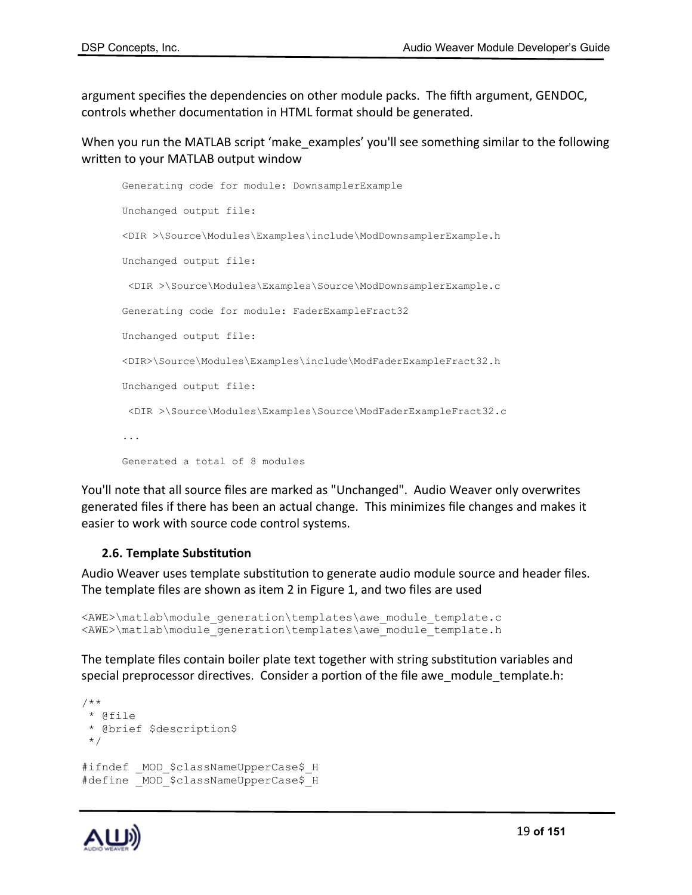argument specifies the dependencies on other module packs. The fifth argument, GENDOC, controls whether documentation in HTML format should be generated.

When you run the MATLAB script 'make examples' you'll see something similar to the following written to your MATLAB output window

```
Generating code for module: DownsamplerExample
Unchanged output file: 
<DIR >\Source\Modules\Examples\include\ModDownsamplerExample.h
Unchanged output file:
 <DIR >\Source\Modules\Examples\Source\ModDownsamplerExample.c
Generating code for module: FaderExampleFract32
Unchanged output file: 
<DIR>\Source\Modules\Examples\include\ModFaderExampleFract32.h
Unchanged output file:
 <DIR >\Source\Modules\Examples\Source\ModFaderExampleFract32.c
...
Generated a total of 8 modules
```
You'll note that all source files are marked as "Unchanged". Audio Weaver only overwrites generated files if there has been an actual change. This minimizes file changes and makes it easier to work with source code control systems.

# <span id="page-18-0"></span>**2.6. Template Substitution**

Audio Weaver uses template substitution to generate audio module source and header files. The template files are shown as item 2 in Figure 1, and two files are used

```
<AWE>\matlab\module_generation\templates\awe_module_template.c
<AWE>\matlab\module_generation\templates\awe_module_template.h
```
The template files contain boiler plate text together with string substitution variables and special preprocessor directives. Consider a portion of the file awe module template.h:

```
/**
  * @file
  * @brief $description$
 */
#ifndef _MOD_$classNameUpperCase$_H
#define MOD $classNameUpperCase$ H
```
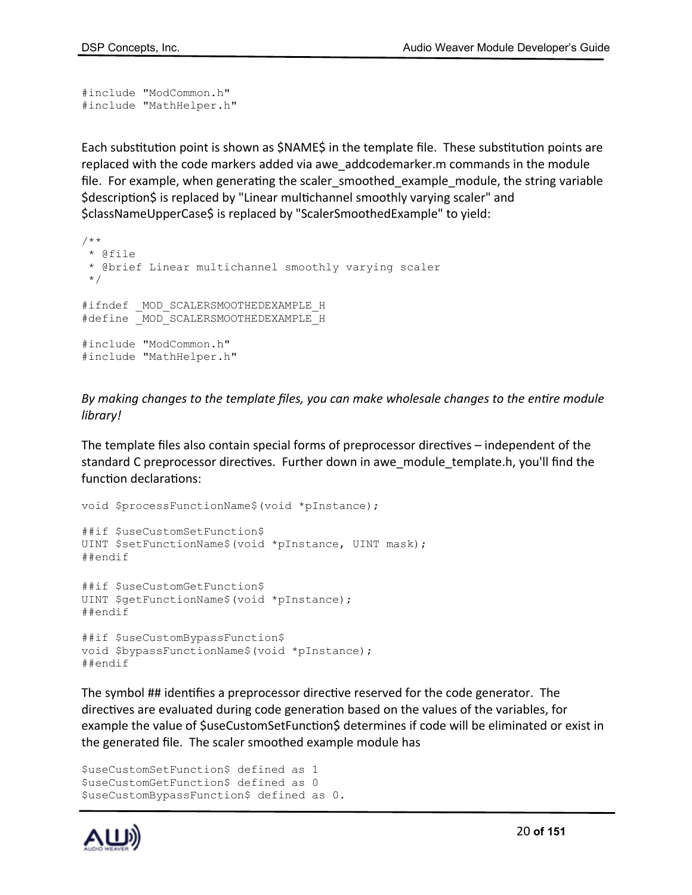#include "ModCommon.h" #include "MathHelper.h"

Each substitution point is shown as \$NAME\$ in the template file. These substitution points are replaced with the code markers added via awe\_addcodemarker.m commands in the module file. For example, when generating the scaler smoothed example module, the string variable \$description\$ is replaced by "Linear multichannel smoothly varying scaler" and \$classNameUpperCase\$ is replaced by "ScalerSmoothedExample" to yield:

```
/**
 * @file
  * @brief Linear multichannel smoothly varying scaler
 */
#ifndef _ MOD_SCALERSMOOTHEDEXAMPLE_H
#define _MOD_SCALERSMOOTHEDEXAMPLE_H
#include "ModCommon.h"
#include "MathHelper.h"
```
*By making changes to the template files, you can make wholesale changes to the entire module library!*

The template files also contain special forms of preprocessor directives – independent of the standard C preprocessor directives. Further down in awe\_module\_template.h, you'll find the function declarations:

```
void $processFunctionName$(void *pInstance);
##if $useCustomSetFunction$
UINT $setFunctionName$(void *pInstance, UINT mask);
##endif
##if $useCustomGetFunction$
UINT $getFunctionName$(void *pInstance);
##endif
##if $useCustomBypassFunction$
void $bypassFunctionName$(void *pInstance);
##endif
```
The symbol ## identifies a preprocessor directive reserved for the code generator. The directives are evaluated during code generation based on the values of the variables, for example the value of \$useCustomSetFunction\$ determines if code will be eliminated or exist in the generated file. The scaler smoothed example module has

```
$useCustomSetFunction$ defined as 1
$useCustomGetFunction$ defined as 0
$useCustomBypassFunction$ defined as 0.
```
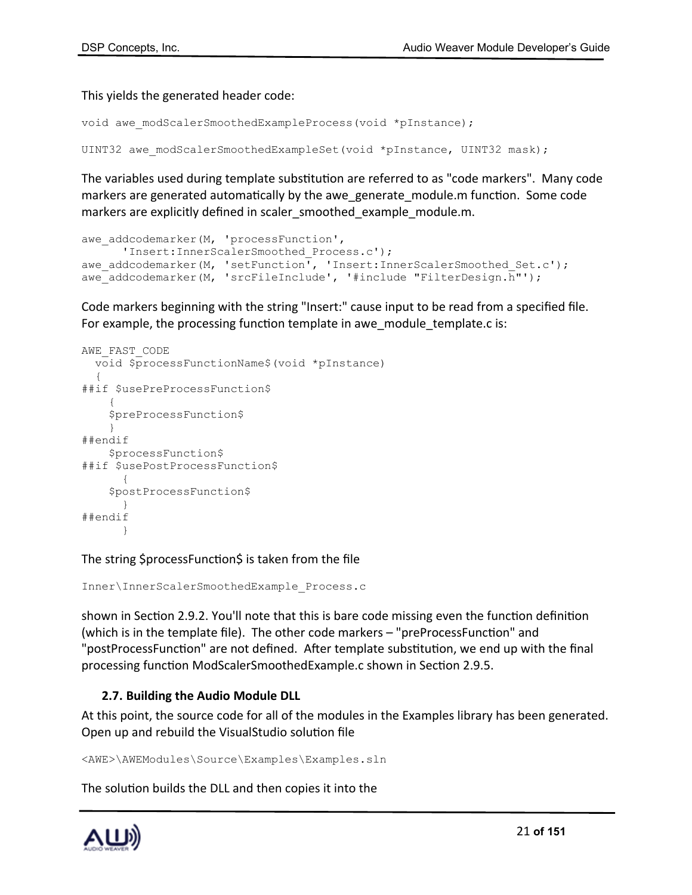This yields the generated header code:

```
void awe modScalerSmoothedExampleProcess(void *pInstance);
```

```
UINT32 awe modScalerSmoothedExampleSet(void *pInstance, UINT32 mask);
```
The variables used during template substitution are referred to as "code markers". Many code markers are generated automatically by the awe generate module.m function. Some code markers are explicitly defined in scaler smoothed example module.m.

```
awe_addcodemarker(M, 'processFunction',
      'Insert:InnerScalerSmoothed Process.c');
awe_addcodemarker(M, 'setFunction', 'Insert:InnerScalerSmoothed_Set.c');
awe_addcodemarker(M, 'srcFileInclude', '#include "FilterDesign.h"');
```
Code markers beginning with the string "Insert:" cause input to be read from a specified file. For example, the processing function template in awe module template.c is:

```
AWE_FAST_CODE
   void $processFunctionName$(void *pInstance)
 {
##if $usePreProcessFunction$
     {
     $preProcessFunction$
     }
##endif
     $processFunction$
##if $usePostProcessFunction$
       {
     $postProcessFunction$
      }
##endif
 }
```
The string \$processFunction\$ is taken from the file

```
Inner\InnerScalerSmoothedExample_Process.c
```
shown in Section 2.9.2. You'll note that this is bare code missing even the function definition (which is in the template file). The other code markers – "preProcessFunction" and "postProcessFunction" are not defined. After template substitution, we end up with the final processing function ModScalerSmoothedExample.c shown in Section 2.9.5.

# <span id="page-20-0"></span>**2.7. Building the Audio Module DLL**

At this point, the source code for all of the modules in the Examples library has been generated. Open up and rebuild the VisualStudio solution file

<AWE>\AWEModules\Source\Examples\Examples.sln

The solution builds the DLL and then copies it into the

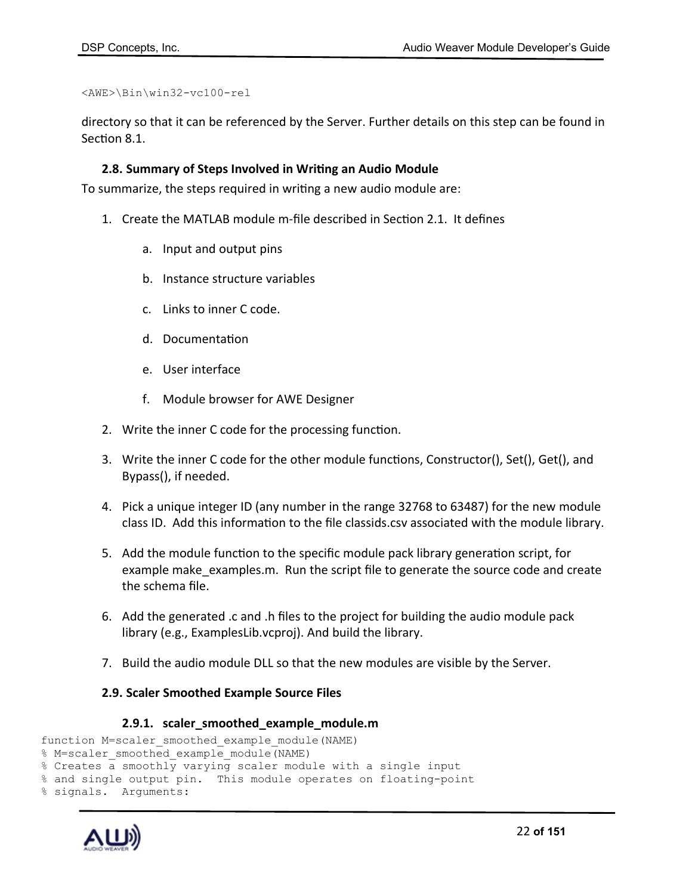#### <AWE>\Bin\win32-vc100-rel

directory so that it can be referenced by the Server. Further details on this step can be found in Section 8.1.

## <span id="page-21-0"></span>**2.8. Summary of Steps Involved in Writing an Audio Module**

To summarize, the steps required in writing a new audio module are:

- 1. Create the MATLAB module m-file described in Section 2.1. It defines
	- a. Input and output pins
	- b. Instance structure variables
	- c. Links to inner C code.
	- d. Documentation
	- e. User interface
	- f. Module browser for AWE Designer
- 2. Write the inner C code for the processing function.
- 3. Write the inner C code for the other module functions, Constructor(), Set(), Get(), and Bypass(), if needed.
- 4. Pick a unique integer ID (any number in the range 32768 to 63487) for the new module class ID. Add this information to the file classids.csv associated with the module library.
- 5. Add the module function to the specific module pack library generation script, for example make examples.m. Run the script file to generate the source code and create the schema file.
- 6. Add the generated .c and .h files to the project for building the audio module pack library (e.g., ExamplesLib.vcproj). And build the library.
- 7. Build the audio module DLL so that the new modules are visible by the Server.

#### <span id="page-21-1"></span>**2.9. Scaler Smoothed Example Source Files**

#### <span id="page-21-2"></span>**2.9.1. scaler\_smoothed\_example\_module.m**

```
function M=scaler_smoothed_example_module(NAME)
% M=scaler smoothed example module(NAME)
% Creates a smoothly varying scaler module with a single input
% and single output pin. This module operates on floating-point
% signals. Arguments:
```
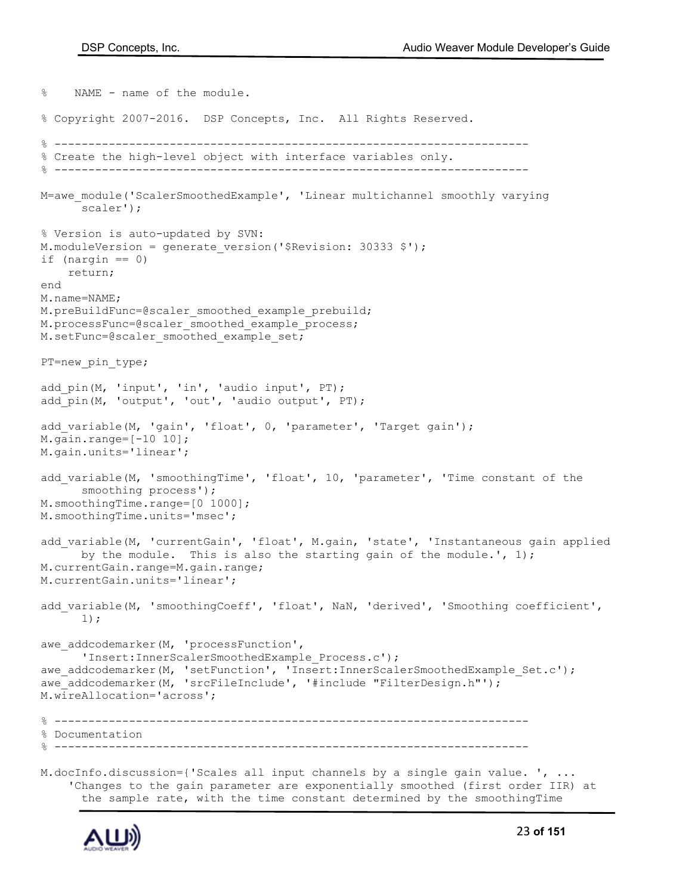% NAME - name of the module. % Copyright 2007-2016. DSP Concepts, Inc. All Rights Reserved. % ---------------------------------------------------------------------- % Create the high-level object with interface variables only. % ---------------------------------------------------------------------- M=awe module('ScalerSmoothedExample', 'Linear multichannel smoothly varying scaler'); % Version is auto-updated by SVN: M.moduleVersion = qenerate version('\$Revision: 30333 \$'); if (nargin  $== 0$ ) return; end M.name=NAME; M.preBuildFunc=@scaler smoothed example prebuild; M.processFunc=@scaler\_smoothed\_example\_process; M.setFunc=@scaler\_smoothed\_example\_set; PT=new pin type; add\_pin(M, 'input', 'in', 'audio input', PT); add pin(M, 'output', 'out', 'audio output', PT); add variable(M, 'gain', 'float', 0, 'parameter', 'Target gain');  $M.\gamma$ ain.range= $[-10 10]$ ; M.gain.units='linear'; add\_variable(M, 'smoothingTime', 'float', 10, 'parameter', 'Time constant of the smoothing process'); M.smoothingTime.range=[0 1000]; M.smoothingTime.units='msec'; add variable(M, 'currentGain', 'float', M.gain, 'state', 'Instantaneous gain applied by the module. This is also the starting gain of the module.',  $1$ ); M.currentGain.range=M.gain.range; M.currentGain.units='linear'; add variable(M, 'smoothingCoeff', 'float', NaN, 'derived', 'Smoothing coefficient', 1); awe\_addcodemarker(M, 'processFunction', 'Insert:InnerScalerSmoothedExample\_Process.c'); awe\_addcodemarker(M, 'setFunction', 'Insert:InnerScalerSmoothedExample\_Set.c'); awe\_addcodemarker(M, 'srcFileInclude', '#include "FilterDesign.h"'); M.wireAllocation='across'; % ---------------------------------------------------------------------- % Documentation % ---------------------------------------------------------------------- M.docInfo.discussion={'Scales all input channels by a single gain value. ', ... 'Changes to the gain parameter are exponentially smoothed (first order IIR) at

the sample rate, with the time constant determined by the smoothingTime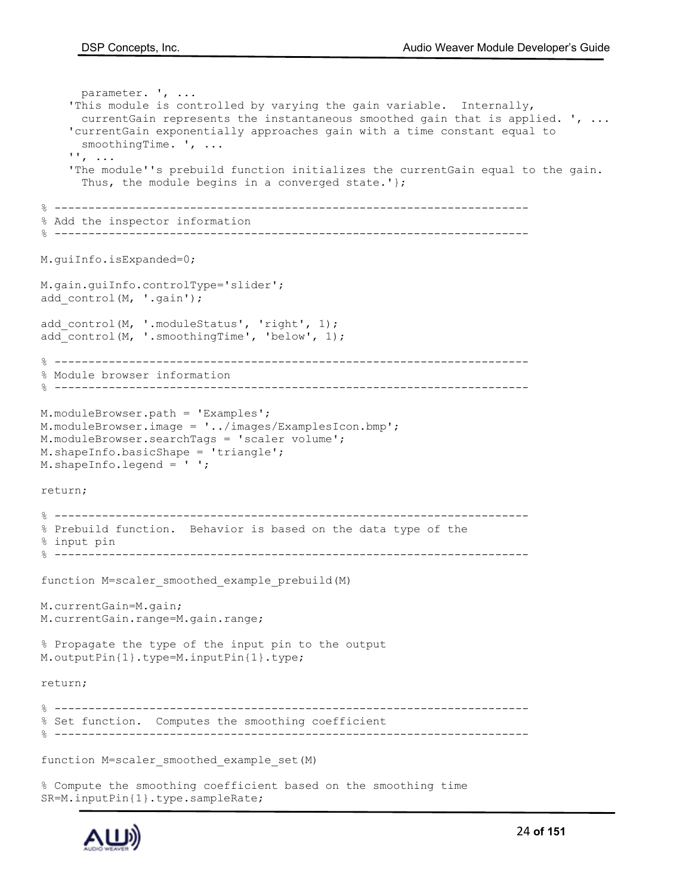parameter. ', ... 'This module is controlled by varying the gain variable. Internally, currentGain represents the instantaneous smoothed gain that is applied. ', ... 'currentGain exponentially approaches gain with a time constant equal to smoothingTime. ', ... '', ... 'The module''s prebuild function initializes the currentGain equal to the gain. Thus, the module begins in a converged state.'}; % ---------------------------------------------------------------------- % Add the inspector information % ---------------------------------------------------------------------- M.guiInfo.isExpanded=0; M.gain.guiInfo.controlType='slider'; add\_control(M, '.gain'); add control(M, '.moduleStatus', 'right', 1); add control(M, '.smoothingTime', 'below', 1); % ---------------------------------------------------------------------- % Module browser information % ---------------------------------------------------------------------- M.moduleBrowser.path = 'Examples'; M.moduleBrowser.image = '../images/ExamplesIcon.bmp'; M.moduleBrowser.searchTags = 'scaler volume'; M.shapeInfo.basicShape = 'triangle'; M.shapeInfo.legend = ' '; return; % ---------------------------------------------------------------------- % Prebuild function. Behavior is based on the data type of the % input pin % --------------------------------------------------------------------- function M=scaler\_smoothed\_example\_prebuild(M) M.currentGain=M.gain; M.currentGain.range=M.gain.range; % Propagate the type of the input pin to the output M.outputPin{1}.type=M.inputPin{1}.type; return; % ---------------------------------------------------------------------- % Set function. Computes the smoothing coefficient % --------------------------------------------------------------------- function M=scaler\_smoothed\_example\_set(M) % Compute the smoothing coefficient based on the smoothing time



SR=M.inputPin{1}.type.sampleRate;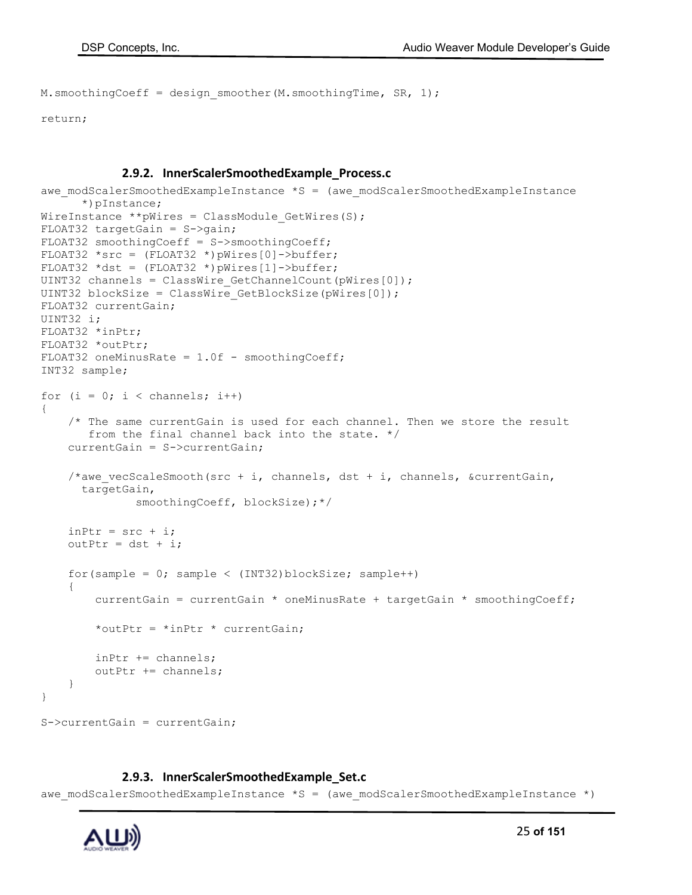M.smoothingCoeff = design\_smoother(M.smoothingTime, SR, 1);

return;

#### <span id="page-24-0"></span>**2.9.2. InnerScalerSmoothedExample\_Process.c**

```
awe modScalerSmoothedExampleInstance *S = (awe_modScalerSmoothedExampleInstance*)pInstance;
WireInstance **pWires = ClassModule GetWires(S);
FLOAT32 targetGain = S->gain;
FLOAT32 smoothingCoeff = S->smoothingCoeff;
FLOAT32 *src = (FLOAT32 *)pWires[0]->buffer;
FLOAT32 *dst = (FLOAT32 *)pWires[1]->buffer;
UINT32 channels = ClassWire GetChannelCount(pWires[0]);
UINT32 blockSize = ClassWire GetBlockSize(pWires[0]);
FLOAT32 currentGain;
UINT32 i;
FLOAT32 *inPtr;
FLOAT32 *outPtr;
FLOAT32 oneMinusRate = 1.0f - smoothingCoeff;
INT32 sample;
for (i = 0; i < channels; i++){
     /* The same currentGain is used for each channel. Then we store the result
        from the final channel back into the state. */
     currentGain = S->currentGain;
    /*awe vecScaleSmooth(src + i, channels, dst + i, channels, &currentGain,
      targetGain,
               smoothingCoeff, blockSize);*/
    in Ptr = src + i;
    outPtr = dist + i;for(sample = 0; sample < (INT32)blockSize; sample++)
     {
         currentGain = currentGain * oneMinusRate + targetGain * smoothingCoeff;
        *outPtr = *inPtr * currentGain; inPtr += channels;
         outPtr += channels;
     }
}
S->currentGain = currentGain;
```
#### <span id="page-24-1"></span>**2.9.3. InnerScalerSmoothedExample\_Set.c**

awe modScalerSmoothedExampleInstance \*S = (awe modScalerSmoothedExampleInstance \*)

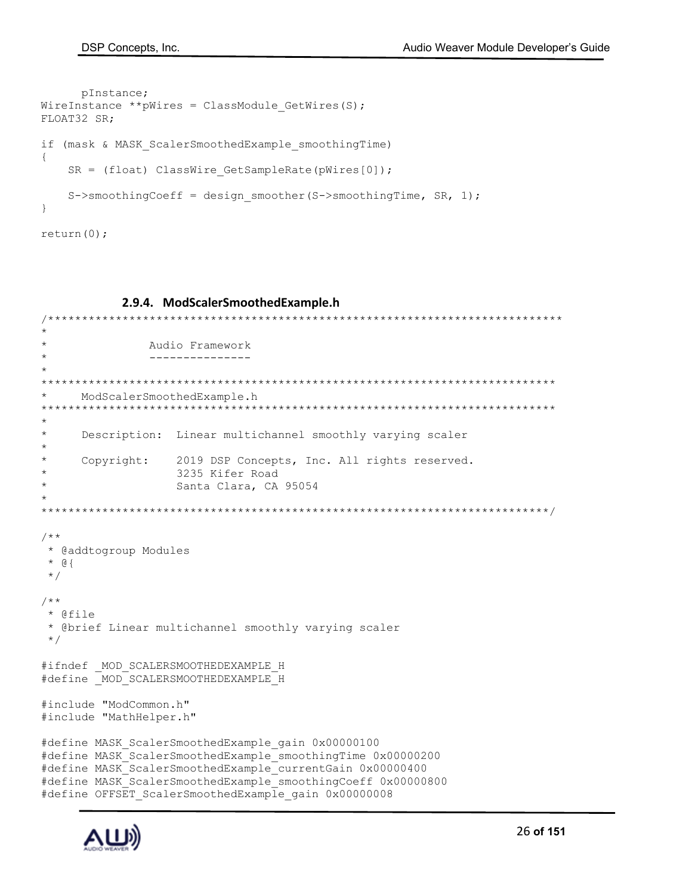```
pInstance;
WireInstance ** pWires = ClassModule GetWires(S);
FLOAT32 SR;
if (mask & MASK_ScalerSmoothedExample_smoothingTime)
{
    SR = (float) ClassWire GetSampleRate(pWires[0]);
    S->smoothingCoeff = design smoother(S->smoothingTime, SR, 1);
}
return(0);
```
## <span id="page-25-0"></span>**2.9.4. ModScalerSmoothedExample.h**

```
/****************************************************************************
*
               Audio Framework
* ---------------
*
****************************************************************************
* ModScalerSmoothedExample.h
****************************************************************************
*
* Description: Linear multichannel smoothly varying scaler
*
* Copyright: 2019 DSP Concepts, Inc. All rights reserved.<br>* 3235 Fifor Boad
                   3235 Kifer Road
* Santa Clara, CA 95054
*
***************************************************************************/
/**
 * @addtogroup Modules
 * @{
 */
/**
 * @file
  * @brief Linear multichannel smoothly varying scaler
 */
#ifndef _ MOD_SCALERSMOOTHEDEXAMPLE_H
#define _MOD_SCALERSMOOTHEDEXAMPLE_H
#include "ModCommon.h"
#include "MathHelper.h"
#define MASK_ScalerSmoothedExample_gain 0x00000100
#define MASK_ScalerSmoothedExample_smoothingTime 0x00000200
#define MASK_ScalerSmoothedExample_currentGain 0x00000400
#define MASK_ScalerSmoothedExample_smoothingCoeff 0x00000800
#define OFFSET_ScalerSmoothedExample_gain 0x00000008
```
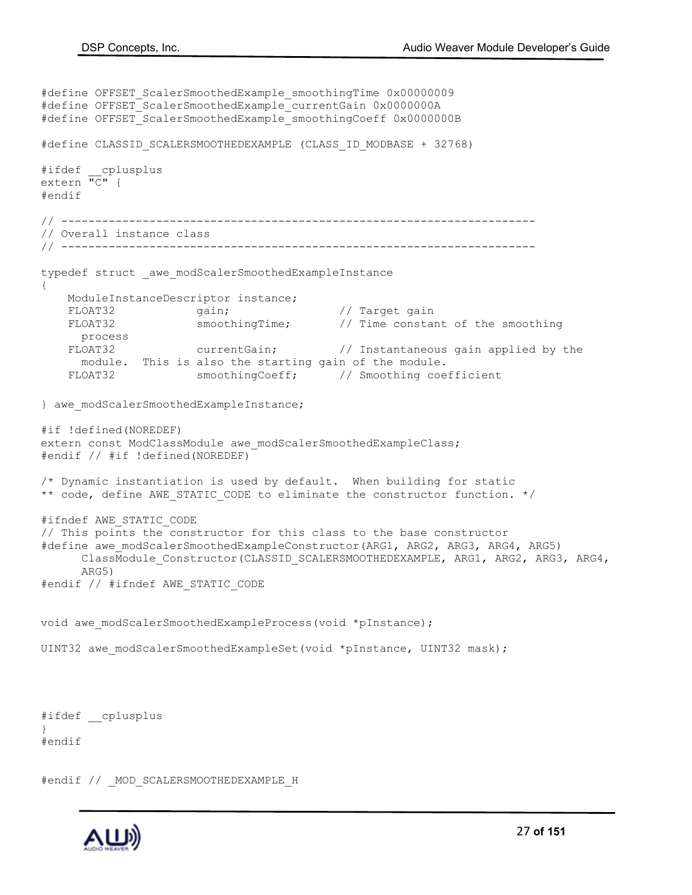```
#define OFFSET_ScalerSmoothedExample_smoothingTime 0x00000009
#define OFFSET_ScalerSmoothedExample_currentGain 0x0000000A
#define OFFSET_ScalerSmoothedExample_smoothingCoeff 0x0000000B
#define CLASSID_SCALERSMOOTHEDEXAMPLE (CLASS_ID_MODBASE + 32768)
#ifdef __cplusplus
extern "C" {
#endif
// ----------------------------------------------------------------------
// Overall instance class
// ----------------------------------------------------------------------
typedef struct _awe_modScalerSmoothedExampleInstance
{
    ModuleInstanceDescriptor instance;
   FLOAT32 gain; \sqrt{2} gain; \sqrt{2} Target gain
    FLOAT32 smoothingTime; // Time constant of the smoothing 
     process
    FLOAT32 currentGain; // Instantaneous gain applied by the 
    module. This is also the starting gain of the module.
   FLOAT32 smoothingCoeff; // Smoothing coefficient
} awe modScalerSmoothedExampleInstance;
#if !defined(NOREDEF)
extern const ModClassModule awe modScalerSmoothedExampleClass;
#endif // #if !defined(NOREDEF)
/* Dynamic instantiation is used by default. When building for static
** code, define AWE STATIC CODE to eliminate the constructor function. */
#ifndef AWE_STATIC_CODE
// This points the constructor for this class to the base constructor
#define awe modScalerSmoothedExampleConstructor(ARG1, ARG2, ARG3, ARG4, ARG5)
     ClassModule Constructor(CLASSID SCALERSMOOTHEDEXAMPLE, ARG1, ARG2, ARG3, ARG4,
     ARG5)
#endif // #ifndef AWE_STATIC_CODE
void awe modScalerSmoothedExampleProcess(void *pInstance);
UINT32 awe modScalerSmoothedExampleSet(void *pInstance, UINT32 mask);
#ifdef __cplusplus
}
```
#endif

#endif // \_MOD\_SCALERSMOOTHEDEXAMPLE\_H

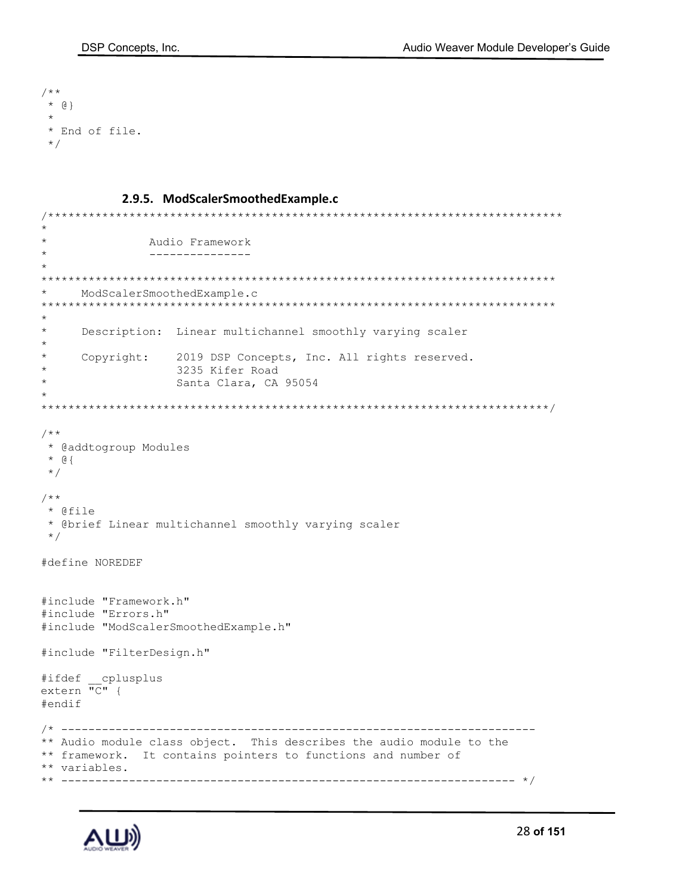```
/**
 * @}
 *
  * End of file.
  */
```
#### <span id="page-27-0"></span>**2.9.5. ModScalerSmoothedExample.c**

```
/****************************************************************************
*
* Audio Framework
               * ---------------
*
****************************************************************************
* ModScalerSmoothedExample.c
****************************************************************************
*
* Description: Linear multichannel smoothly varying scaler
*
     Copyright: 2019 DSP Concepts, Inc. All rights reserved.
* 3235 Kifer Road
* Santa Clara, CA 95054
*
***************************************************************************/
/**
 * @addtogroup Modules
 * @{
 */
/**
 * @file
 * @brief Linear multichannel smoothly varying scaler
 */
#define NOREDEF
#include "Framework.h"
#include "Errors.h"
#include "ModScalerSmoothedExample.h"
#include "FilterDesign.h"
#ifdef __cplusplus
extern "C" {
#endif
/* ----------------------------------------------------------------------
** Audio module class object. This describes the audio module to the
** framework. It contains pointers to functions and number of
** variables.
** ------------------------------------------------------------------- */
```
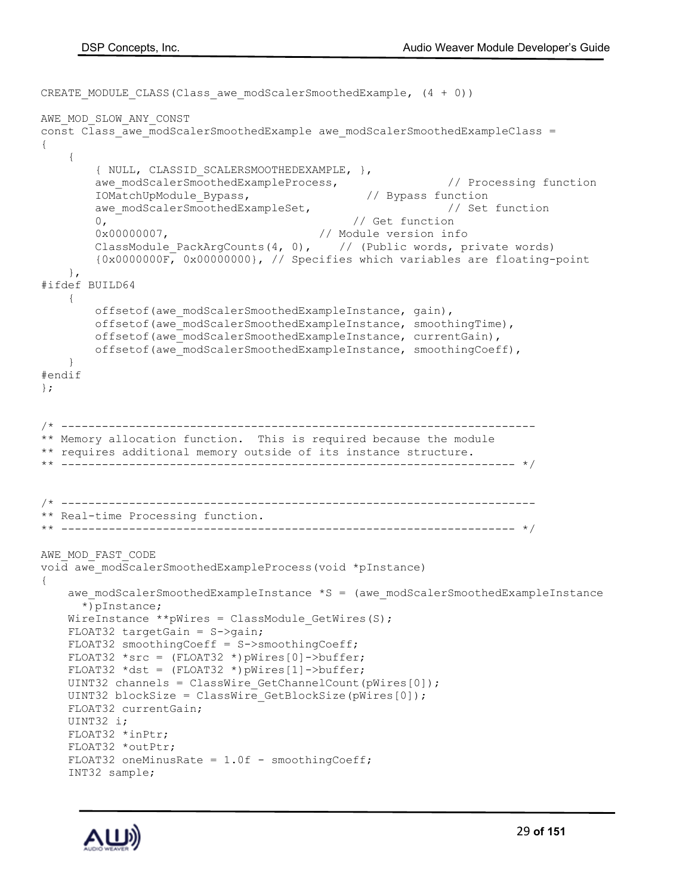```
CREATE_MODULE_CLASS(Class_awe_modScalerSmoothedExample, (4 + 0))
AWE_MOD_SLOW_ANY_CONST
const Class awe modScalerSmoothedExample awe modScalerSmoothedExampleClass =
{
     {
        { NULL, CLASSID_SCALERSMOOTHEDEXAMPLE, },
       awe modScalerSmoothedExampleProcess, // Processing function
        IOMatchUpModule_Bypass, // Bypass function
       awe_modScalerSmoothedExampleSet, // Set function
        0, // Get function
        0x00000007, // Module version info
       ClassModule PackArgCounts(4, 0), // (Public words, private words)
        {0x0000000F, 0x00000000}, // Specifies which variables are floating-point
    },
#ifdef BUILD64
    {
       offsetof(awe_modScalerSmoothedExampleInstance, gain),
       offsetof(awe_modScalerSmoothedExampleInstance, smoothingTime),
       offsetof(awe_modScalerSmoothedExampleInstance, currentGain),
       offsetof(awe_modScalerSmoothedExampleInstance, smoothingCoeff),
    }
#endif
};
/* ----------------------------------------------------------------------
** Memory allocation function. This is required because the module
** requires additional memory outside of its instance structure.
** ------------------------------------------------------------------- */
/* ----------------------------------------------------------------------
** Real-time Processing function.
** ------------------------------------------------------------------- */
AWE_MOD_FAST_CODE
void awe modScalerSmoothedExampleProcess(void *pInstance)
{
   awe modScalerSmoothedExampleInstance *S = (awe modScalerSmoothedExampleInstance
     *)pInstance;
   WireInstance **pWires = ClassModule GetWires(S);
    FLOAT32 targetGain = S->gain;
    FLOAT32 smoothingCoeff = S->smoothingCoeff;
    FLOAT32 *src = (FLOAT32 *)pWires[0]->buffer;
    FLOAT32 *dst = (FLOAT32 *)pWires[1]->buffer;
   UINT32 channels = ClassWire GetChannelCount(pWires[0]);
   UINT32 blockSize = ClassWire GetBlockSize(pWires[0]);
    FLOAT32 currentGain;
    UINT32 i;
    FLOAT32 *inPtr;
    FLOAT32 *outPtr;
   FLOAT32 oneMinusRate = 1.0f - smoothingCoeff;
    INT32 sample;
```
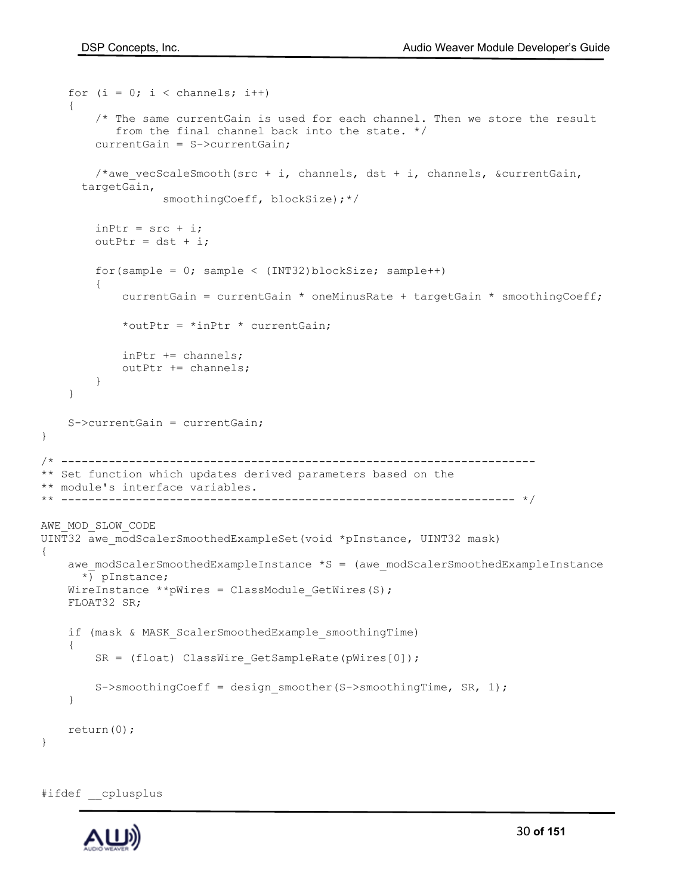```
for (i = 0; i < channels; i++)\left\{\begin{array}{ccc} \end{array}\right\} /* The same currentGain is used for each channel. Then we store the result
            from the final channel back into the state. */
         currentGain = S->currentGain;
        /*awe vecScaleSmooth(src + i, channels, dst + i, channels, &currentGain,
      targetGain,
                    smoothingCoeff, blockSize);*/
        inPtr = src + i;outPtr = dist + i;for(sample = 0; sample < (INT32)blockSize; sample++)
 {
             currentGain = currentGain * oneMinusRate + targetGain * smoothingCoeff;
             *outPtr = *inPtr * currentGain;
             inPtr += channels;
             outPtr += channels;
         }
     }
     S->currentGain = currentGain;
/* ----------------------------------------------------------------------
** Set function which updates derived parameters based on the
** module's interface variables.
** ------------------------------------------------------------------- */
AWE_MOD_SLOW_CODE
UINT32 awe modScalerSmoothedExampleSet(void *pInstance, UINT32 mask)
    awe_modScalerSmoothedExampleInstance *S = (awe_modScalerSmoothedExampleInstance
      *) pInstance;
    WireInstance ** pWires = ClassModule GetWires(S);
     FLOAT32 SR;
     if (mask & MASK_ScalerSmoothedExample_smoothingTime)
     {
        SR = (float) ClassWire GetSampleRate(pWires[0]);
        S->smoothingCoeff = design smoother(S->smoothingTime, SR, 1);
     }
     return(0);
```
#ifdef cplusplus

}

{

}

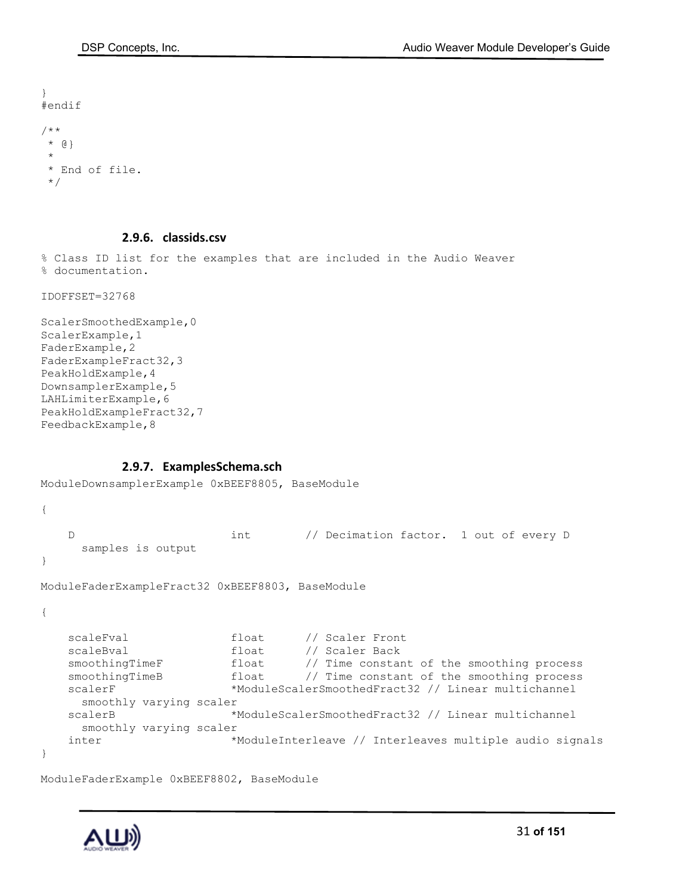```
}
#endif
/**
  * @}
  *
  * End of file.
  */
```
#### <span id="page-30-0"></span>**2.9.6. classids.csv**

% Class ID list for the examples that are included in the Audio Weaver % documentation.

IDOFFSET=32768

```
ScalerSmoothedExample,0
ScalerExample,1
FaderExample,2
FaderExampleFract32,3
PeakHoldExample,4
DownsamplerExample,5
LAHLimiterExample,6
PeakHoldExampleFract32,7
FeedbackExample,8
```
## <span id="page-30-1"></span>**2.9.7. ExamplesSchema.sch**

```
ModuleDownsamplerExample 0xBEEF8805, BaseModule
{
   D int // Decimation factor. 1 out of every D
     samples is output
}
ModuleFaderExampleFract32 0xBEEF8803, BaseModule
{
   scaleFval float // Scaler Front
   scaleBval float // Scaler Back<br>smoothingTimeF float // Time consta
   smoothingTimeF float // Time constant of the smoothing process
    smoothingTimeB float // Time constant of the smoothing process
    scalerF *ModuleScalerSmoothedFract32 // Linear multichannel 
     smoothly varying scaler
   scalerB *ModuleScalerSmoothedFract32 // Linear multichannel
     smoothly varying scaler
    inter *ModuleInterleave // Interleaves multiple audio signals
}
ModuleFaderExample 0xBEEF8802, BaseModule
```
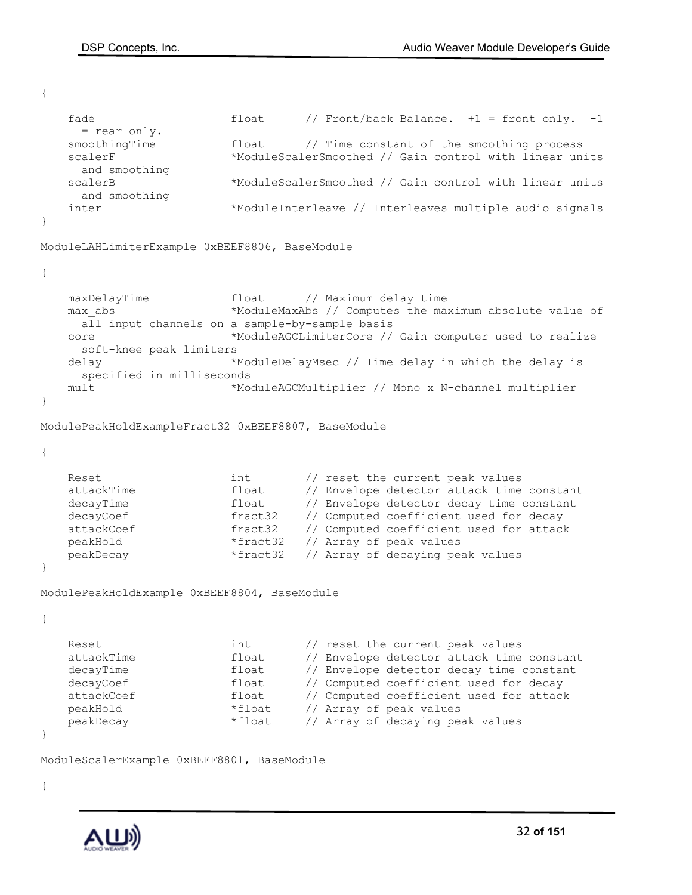{

```
fade float // Front/back Balance. +1 = front only. -1
    = rear only.
    smoothingTime float // Time constant of the smoothing process
   scalerF *ModuleScalerSmoothed // Gain control with linear units
    and smoothing
   scalerB *ModuleScalerSmoothed // Gain control with linear units
    and smoothing
   inter *ModuleInterleave // Interleaves multiple audio signals
}
ModuleLAHLimiterExample 0xBEEF8806, BaseModule
{
   maxDelayTime float // Maximum delay time
   max abs *ModuleMaxAbs // Computes the maximum absolute value of
    all input channels on a sample-by-sample basis
    core *ModuleAGCLimiterCore // Gain computer used to realize 
    soft-knee peak limiters
   delay *ModuleDelayMsec // Time delay in which the delay is
    specified in milliseconds
    mult *ModuleAGCMultiplier // Mono x N-channel multiplier
}
ModulePeakHoldExampleFract32 0xBEEF8807, BaseModule
{
   Reset int // reset the current peak values
    attackTime float // Envelope detector attack time constant
    decayTime float // Envelope detector decay time constant
    decayCoef fract32 // Computed coefficient used for decay
   attackCoef fract32 // Computed coefficient used for attack
    peakHold *fract32 // Array of peak values
    peakDecay *fract32 // Array of decaying peak values
}
ModulePeakHoldExample 0xBEEF8804, BaseModule
{
   Reset int // reset the current peak values
    attackTime float // Envelope detector attack time constant
    decayTime float // Envelope detector decay time constant
    decayCoef float // Computed coefficient used for decay
    attackCoef float // Computed coefficient used for attack
    peakHold *float // Array of peak values
    peakDecay *float // Array of decaying peak values
}
ModuleScalerExample 0xBEEF8801, BaseModule
{
```
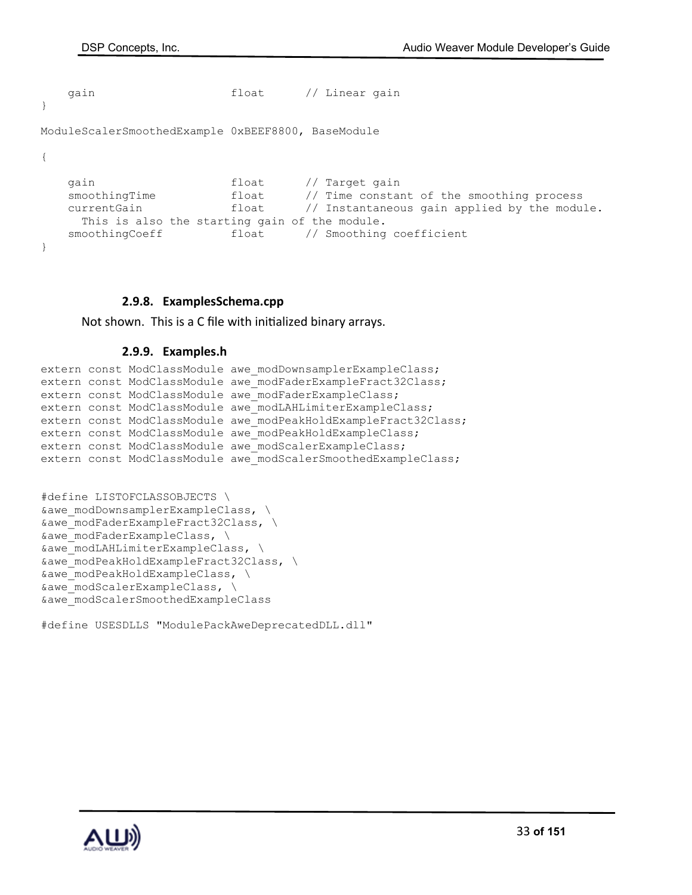```
gain float // Linear gain
```
}

ModuleScalerSmoothedExample 0xBEEF8800, BaseModule

```
{
```
}

```
gain float // Target gain
 smoothingTime float // Time constant of the smoothing process
currentGain float // Instantaneous gain applied by the module.
 This is also the starting gain of the module.
smoothingCoeff float // Smoothing coefficient
```
#### <span id="page-32-0"></span>**2.9.8. ExamplesSchema.cpp**

Not shown. This is a C file with initialized binary arrays.

#### <span id="page-32-1"></span>**2.9.9. Examples.h**

```
extern const ModClassModule awe modDownsamplerExampleClass;
extern const ModClassModule awe_modFaderExampleFract32Class;
extern const ModClassModule awe modFaderExampleClass;
extern const ModClassModule awe modLAHLimiterExampleClass;
extern const ModClassModule awe modPeakHoldExampleFract32Class;
extern const ModClassModule awe modPeakHoldExampleClass;
extern const ModClassModule awe modScalerExampleClass;
extern const ModClassModule awe modScalerSmoothedExampleClass;
```

```
#define LISTOFCLASSOBJECTS \
&awe_modDownsamplerExampleClass, \
&awe_modFaderExampleFract32Class, \
&awe_modFaderExampleClass, \
&awe_modLAHLimiterExampleClass, \
&awe_modPeakHoldExampleFract32Class, \
&awe_modPeakHoldExampleClass, \
\&awe modScalerExampleClass, \
&awe_modScalerSmoothedExampleClass
```
#define USESDLLS "ModulePackAweDeprecatedDLL.dll"

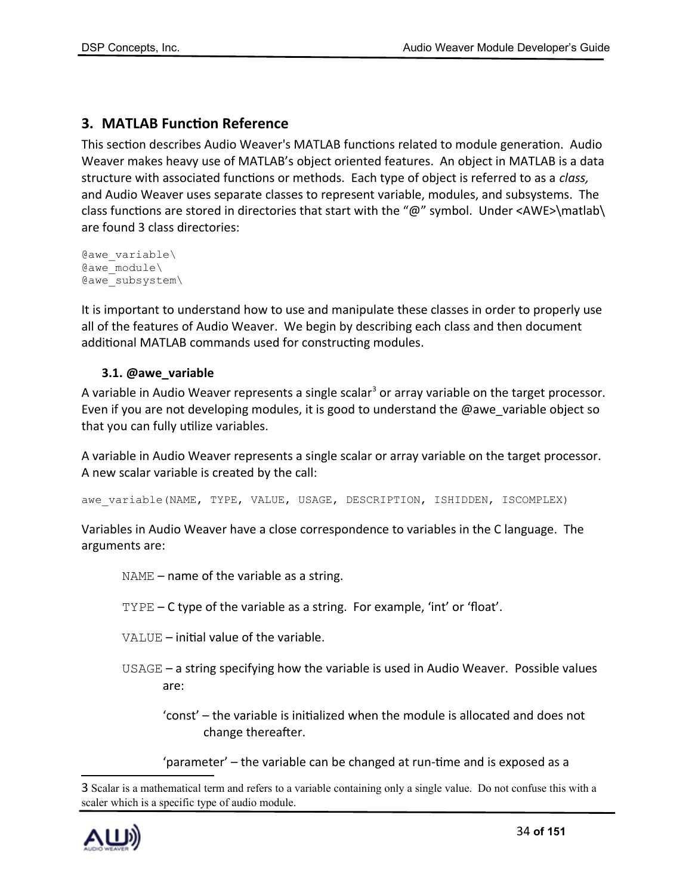# <span id="page-33-0"></span>**3. MATLAB Function Reference**

This section describes Audio Weaver's MATLAB functions related to module generation. Audio Weaver makes heavy use of MATLAB's object oriented features. An object in MATLAB is a data structure with associated functions or methods. Each type of object is referred to as a *class,*  and Audio Weaver uses separate classes to represent variable, modules, and subsystems. The class functions are stored in directories that start with the "@" symbol. Under <AWE>\matlab\ are found 3 class directories:

```
@awe_variable\
@awe_module\
@awe_subsystem\
```
It is important to understand how to use and manipulate these classes in order to properly use all of the features of Audio Weaver. We begin by describing each class and then document additional MATLAB commands used for constructing modules.

## <span id="page-33-1"></span>**3.1. @awe\_variable**

A variable in Audio Weaver represents a single scalar<sup>[3](#page-33-2)</sup> or array variable on the target processor. Even if you are not developing modules, it is good to understand the @awe\_variable object so that you can fully utilize variables.

A variable in Audio Weaver represents a single scalar or array variable on the target processor. A new scalar variable is created by the call:

awe\_variable(NAME, TYPE, VALUE, USAGE, DESCRIPTION, ISHIDDEN, ISCOMPLEX)

Variables in Audio Weaver have a close correspondence to variables in the C language. The arguments are:

NAME – name of the variable as a string.

- $TYPE C$  type of the variable as a string. For example, 'int' or 'float'.
- VALUE initial value of the variable.
- USAGE a string specifying how the variable is used in Audio Weaver. Possible values are:

'const' – the variable is initialized when the module is allocated and does not change thereafter.

'parameter' – the variable can be changed at run-time and is exposed as a

<span id="page-33-2"></span><sup>3</sup> Scalar is a mathematical term and refers to a variable containing only a single value. Do not confuse this with a scaler which is a specific type of audio module.

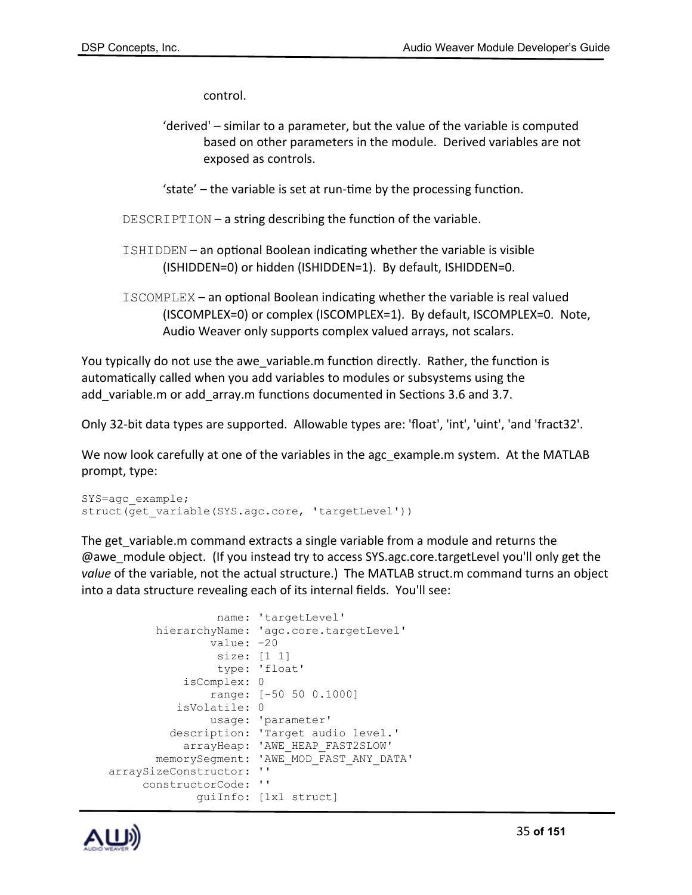control.

'derived' – similar to a parameter, but the value of the variable is computed based on other parameters in the module. Derived variables are not exposed as controls.

'state' – the variable is set at run-time by the processing function.

 $$ 

ISHIDDEN – an optional Boolean indicating whether the variable is visible (ISHIDDEN=0) or hidden (ISHIDDEN=1). By default, ISHIDDEN=0.

ISCOMPLEX – an optional Boolean indicating whether the variable is real valued (ISCOMPLEX=0) or complex (ISCOMPLEX=1). By default, ISCOMPLEX=0. Note, Audio Weaver only supports complex valued arrays, not scalars.

You typically do not use the awe\_variable.m function directly. Rather, the function is automatically called when you add variables to modules or subsystems using the add variable.m or add array.m functions documented in Sections 3.6 and 3.7.

Only 32-bit data types are supported. Allowable types are: 'float', 'int', 'uint', 'and 'fract32'.

We now look carefully at one of the variables in the agc example.m system. At the MATLAB prompt, type:

```
SYS=agc_example;
struct(get variable(SYS.agc.core, 'targetLevel'))
```
The get variable.m command extracts a single variable from a module and returns the @awe\_module object. (If you instead try to access SYS.agc.core.targetLevel you'll only get the *value* of the variable, not the actual structure.) The MATLAB struct.m command turns an object into a data structure revealing each of its internal fields. You'll see:

```
 name: 'targetLevel'
        hierarchyName: 'agc.core.targetLevel'
                value: -20
                 size: [1 1]
                 type: 'float'
            isComplex: 0
                range: [-50 50 0.1000]
           isVolatile: 0
                usage: 'parameter'
          description: 'Target audio level.'
            arrayHeap: 'AWE_HEAP_FAST2SLOW'
        memorySegment: 'AWE_MOD_FAST_ANY_DATA'
 arraySizeConstructor: ''
     constructorCode: ''
              guiInfo: [1x1 struct]
```
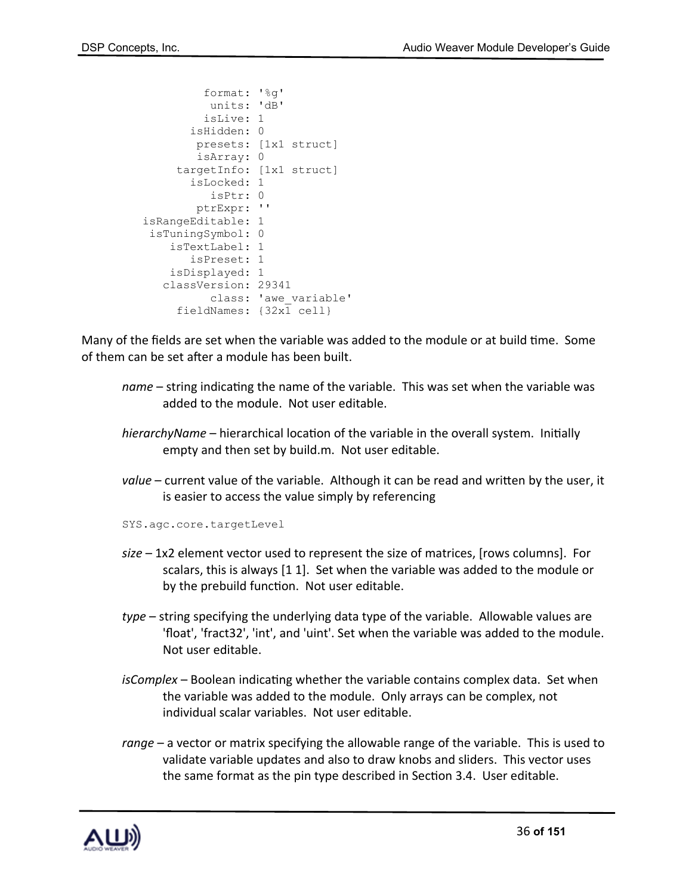```
 format: '%g'
           units: 'dB'
          isLive: 1
        isHidden: 0
         presets: [1x1 struct]
         isArray: 0
      targetInfo: [1x1 struct]
        isLocked: 1
           isPtr: 0
         ptrExpr: ''
 isRangeEditable: 1
 isTuningSymbol: 0
    isTextLabel: 1
        isPreset: 1
    isDisplayed: 1
    classVersion: 29341
          class: 'awe_variable'
      fieldNames: {32x1 cell}
```
Many of the fields are set when the variable was added to the module or at build time. Some of them can be set after a module has been built.

- *name* string indicating the name of the variable. This was set when the variable was added to the module. Not user editable.
- *hierarchyName* hierarchical location of the variable in the overall system. Initially empty and then set by build.m. Not user editable.
- *value* current value of the variable. Although it can be read and written by the user, it is easier to access the value simply by referencing
- SYS.agc.core.targetLevel
- *size* 1x2 element vector used to represent the size of matrices, [rows columns]. For scalars, this is always [1 1]. Set when the variable was added to the module or by the prebuild function. Not user editable.
- *type* string specifying the underlying data type of the variable. Allowable values are 'float', 'fract32', 'int', and 'uint'. Set when the variable was added to the module. Not user editable.
- *isComplex* Boolean indicating whether the variable contains complex data. Set when the variable was added to the module. Only arrays can be complex, not individual scalar variables. Not user editable.
- *range* a vector or matrix specifying the allowable range of the variable. This is used to validate variable updates and also to draw knobs and sliders. This vector uses the same format as the pin type described in Section 3.4. User editable.

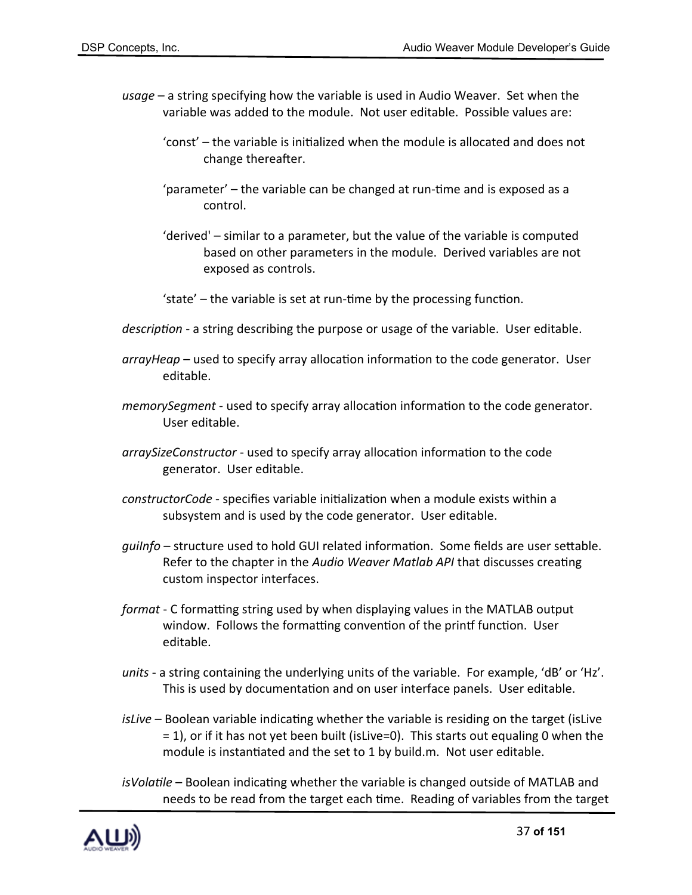- *usage* a string specifying how the variable is used in Audio Weaver. Set when the variable was added to the module. Not user editable. Possible values are:
	- 'const' the variable is initialized when the module is allocated and does not change thereafter.
	- 'parameter' the variable can be changed at run-time and is exposed as a control.
	- 'derived' similar to a parameter, but the value of the variable is computed based on other parameters in the module. Derived variables are not exposed as controls.
	- 'state' the variable is set at run-time by the processing function.
- *description* a string describing the purpose or usage of the variable. User editable.
- *arrayHeap* used to specify array allocation information to the code generator. User editable.
- *memorySegment* used to specify array allocation information to the code generator. User editable.
- *arraySizeConstructor* used to specify array allocation information to the code generator. User editable.
- *constructorCode* specifies variable initialization when a module exists within a subsystem and is used by the code generator. User editable.
- *guiInfo* structure used to hold GUI related information. Some fields are user settable. Refer to the chapter in the *Audio Weaver Matlab API* that discusses creating custom inspector interfaces.
- *format* C formatting string used by when displaying values in the MATLAB output window. Follows the formatting convention of the printf function. User editable.
- *units* a string containing the underlying units of the variable. For example, 'dB' or 'Hz'. This is used by documentation and on user interface panels. User editable.
- *isLive* Boolean variable indicating whether the variable is residing on the target (isLive = 1), or if it has not yet been built (isLive=0). This starts out equaling 0 when the module is instantiated and the set to 1 by build.m. Not user editable.

*isVolatile* – Boolean indicating whether the variable is changed outside of MATLAB and needs to be read from the target each time. Reading of variables from the target

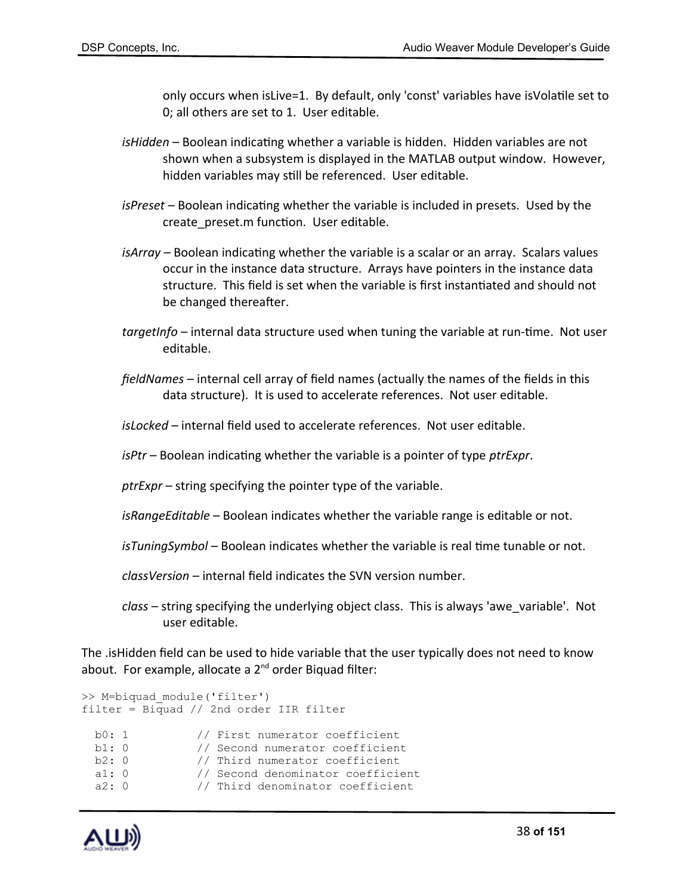only occurs when isLive=1. By default, only 'const' variables have isVolatile set to 0; all others are set to 1. User editable.

- *isHidden* Boolean indicating whether a variable is hidden. Hidden variables are not shown when a subsystem is displayed in the MATLAB output window. However, hidden variables may still be referenced. User editable.
- *isPreset* Boolean indicating whether the variable is included in presets. Used by the create\_preset.m function. User editable.
- *isArray* Boolean indicating whether the variable is a scalar or an array. Scalars values occur in the instance data structure. Arrays have pointers in the instance data structure. This field is set when the variable is first instantiated and should not be changed thereafter.
- *targetInfo* internal data structure used when tuning the variable at run-time. Not user editable.
- *fieldNames* internal cell array of field names (actually the names of the fields in this data structure). It is used to accelerate references. Not user editable.
- *isLocked* internal field used to accelerate references. Not user editable.
- *isPtr* Boolean indicating whether the variable is a pointer of type *ptrExpr*.
- *ptrExpr* string specifying the pointer type of the variable.
- *isRangeEditable* Boolean indicates whether the variable range is editable or not.
- *isTuningSymbol* Boolean indicates whether the variable is real time tunable or not.
- *classVersion* internal field indicates the SVN version number.
- *class* string specifying the underlying object class. This is always 'awe\_variable'. Not user editable.

The .isHidden field can be used to hide variable that the user typically does not need to know about. For example, allocate a  $2^{nd}$  order Biquad filter:

```
>> M=biquad_module('filter')
filter = Biquad // 2nd order IIR filter
   b0: 1 // First numerator coefficient
  b1: 0 // Second numerator coefficient
  b2: 0 \frac{1}{2} // Third numerator coefficient<br>a1: 0 \frac{1}{2} Second denominator coeffici
  a1: 0 \frac{1}{2} // Second denominator coefficient<br>a2: 0 \frac{1}{2} Third denominator coefficient
                     // Third denominator coefficient
```
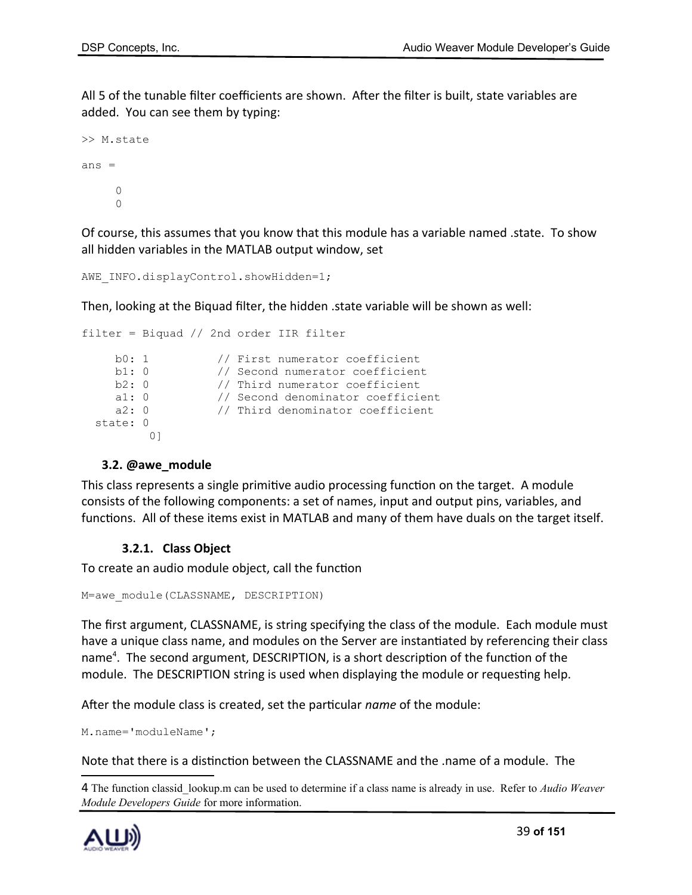All 5 of the tunable filter coefficients are shown. After the filter is built, state variables are added. You can see them by typing:

```
>> M.state
ans =\Omega\Omega
```
Of course, this assumes that you know that this module has a variable named .state. To show all hidden variables in the MATLAB output window, set

```
AWE INFO.displayControl.showHidden=1;
```
Then, looking at the Biquad filter, the hidden .state variable will be shown as well:

```
filter = Biquad // 2nd order IIR filter
     b0: 1 // First numerator coefficient
     b1: 0 // Second numerator coefficient
     b2: 0 // Third numerator coefficient
     a1: 0 \frac{1}{2} // Second denominator coefficient<br>a2: 0 \frac{1}{2} // Third denominator coefficient
                      // Third denominator coefficient
   state: 0
            0]
```
#### <span id="page-38-1"></span>**3.2. @awe\_module**

This class represents a single primitive audio processing function on the target. A module consists of the following components: a set of names, input and output pins, variables, and functions. All of these items exist in MATLAB and many of them have duals on the target itself.

#### **3.2.1. Class Object**

To create an audio module object, call the function

```
M=awe_module(CLASSNAME, DESCRIPTION)
```
The first argument, CLASSNAME, is string specifying the class of the module. Each module must have a unique class name, and modules on the Server are instantiated by referencing their class name<sup>[4](#page-38-0)</sup>. The second argument, DESCRIPTION, is a short description of the function of the module. The DESCRIPTION string is used when displaying the module or requesting help.

After the module class is created, set the particular *name* of the module:

M.name='moduleName';

Note that there is a distinction between the CLASSNAME and the .name of a module. The

<span id="page-38-0"></span><sup>4</sup> The function classid\_lookup.m can be used to determine if a class name is already in use. Refer to *Audio Weaver Module Developers Guide* for more information.

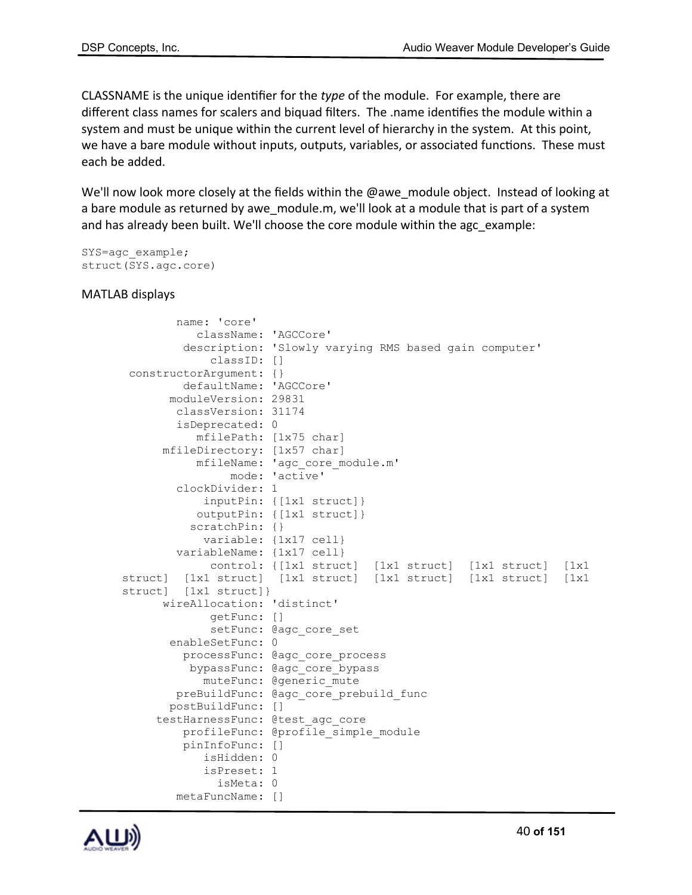CLASSNAME is the unique identifier for the *type* of the module. For example, there are different class names for scalers and biquad filters. The .name identifies the module within a system and must be unique within the current level of hierarchy in the system. At this point, we have a bare module without inputs, outputs, variables, or associated functions. These must each be added.

We'll now look more closely at the fields within the @awe\_module object. Instead of looking at a bare module as returned by awe module.m, we'll look at a module that is part of a system and has already been built. We'll choose the core module within the agc\_example:

```
SYS=agc_example;
struct(SYS.agc.core)
```
## MATLAB displays

```
 name: 'core'
            className: 'AGCCore'
          description: 'Slowly varying RMS based gain computer'
              classID: []
 constructorArgument: {}
          defaultName: 'AGCCore'
        moduleVersion: 29831
         classVersion: 31174
         isDeprecated: 0
           mfilePath: [1x75 char]
       mfileDirectory: [1x57 char]
            mfileName: 'agc_core_module.m'
                 mode: 'active'
         clockDivider: 1
             inputPin: {[1x1 struct]}
            outputPin: {[1x1 struct]}
           scratchPin: {}
             variable: {1x17 cell}
         variableName: {1x17 cell}
              control: {[1x1 struct] [1x1 struct] [1x1 struct] [1x1 
struct] [1x1 struct] [1x1 struct] [1x1 struct] [1x1 struct] [1x1 
struct] [1x1 struct]}
       wireAllocation: 'distinct'
              getFunc: []
              setFunc: @agc_core_set
        enableSetFunc: 0
          processFunc: @agc_core_process
           bypassFunc: @agc_core_bypass
             muteFunc: @generic_mute
         preBuildFunc: @agc_core_prebuild_func
        postBuildFunc: []
      testHarnessFunc: @test_agc_core
          profileFunc: @profile_simple_module
          pinInfoFunc: []
             isHidden: 0
             isPreset: 1
               isMeta: 0
         metaFuncName: []
```
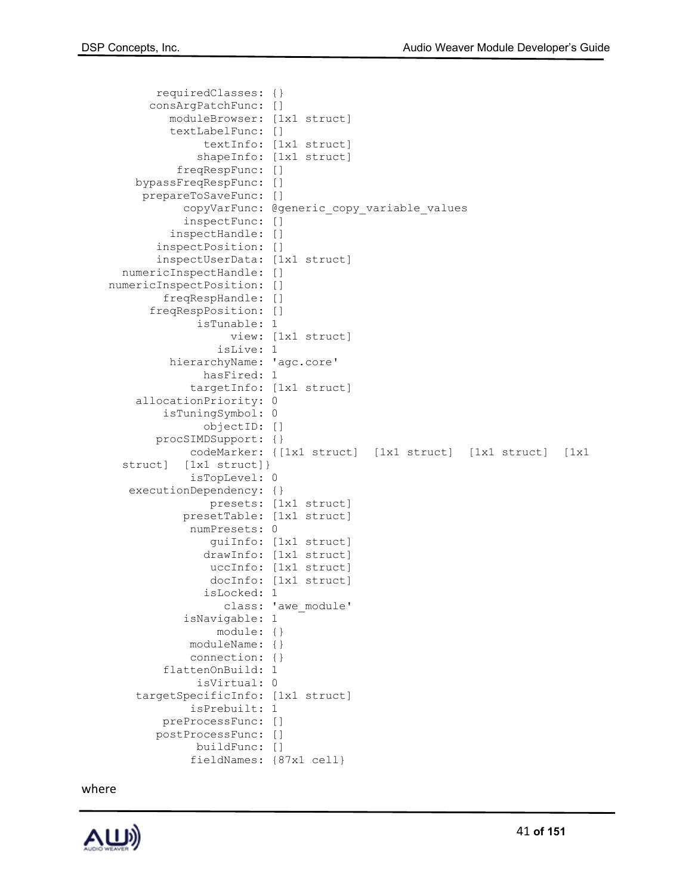

where

| consArgPatchFunc: []                     |                                                             |
|------------------------------------------|-------------------------------------------------------------|
| moduleBrowser: [1x1 struct]              |                                                             |
| textLabelFunc: []                        |                                                             |
|                                          | textInfo: [1x1 struct]                                      |
|                                          | shapeInfo: [1x1 struct]                                     |
| freqRespFunc: []                         |                                                             |
| bypassFreqRespFunc: []                   |                                                             |
| prepareToSaveFunc: []                    |                                                             |
|                                          | copyVarFunc: @generic copy variable values                  |
| inspectFunc: []                          |                                                             |
| inspectHandle: []                        |                                                             |
| inspectPosition: []                      |                                                             |
| inspectUserData: [1x1 struct]            |                                                             |
| numericInspectHandle: []                 |                                                             |
| numericInspectPosition: []               |                                                             |
| freqRespHandle: []                       |                                                             |
| freqRespPosition: []                     |                                                             |
| isTunable: 1                             |                                                             |
|                                          | view: [1x1 struct]                                          |
| isLive: 1                                |                                                             |
| hierarchyName: 'agc.core'                |                                                             |
| hasFired: 1                              |                                                             |
|                                          | targetInfo: [1x1 struct]                                    |
| allocationPriority: 0                    |                                                             |
| isTuningSymbol: 0                        |                                                             |
| objectID: []                             |                                                             |
|                                          |                                                             |
|                                          |                                                             |
| procSIMDSupport: {}                      |                                                             |
|                                          | codeMarker: {[1x1 struct] [1x1 struct] [1x1 struct]<br> 1x1 |
| struct] [1x1 struct]}                    |                                                             |
| isTopLevel: 0                            |                                                             |
| executionDependency: {}                  |                                                             |
|                                          | presets: [1x1 struct]                                       |
| presetTable: [1x1 struct]                |                                                             |
| numPresets: 0                            |                                                             |
|                                          | quiInfo: [1x1 struct]                                       |
|                                          | drawInfo: [1x1 struct]                                      |
|                                          | uccInfo: [1x1 struct]                                       |
|                                          | docInfo: [1x1 struct]                                       |
| isLocked: 1                              |                                                             |
|                                          | class: 'awe_module'                                         |
| isNavigable: 1                           |                                                             |
| $module: {}\$                            |                                                             |
| moduleName: {}                           |                                                             |
| connection: {}                           |                                                             |
| flattenOnBuild: 1                        |                                                             |
| isVirtual: 0                             |                                                             |
| targetSpecificInfo: [1x1 struct]         |                                                             |
| isPrebuilt: 1                            |                                                             |
| preProcessFunc: []                       |                                                             |
| postProcessFunc: []                      |                                                             |
| buildFunc: []<br>fieldNames: {87x1 cell} |                                                             |

requiredClasses: {}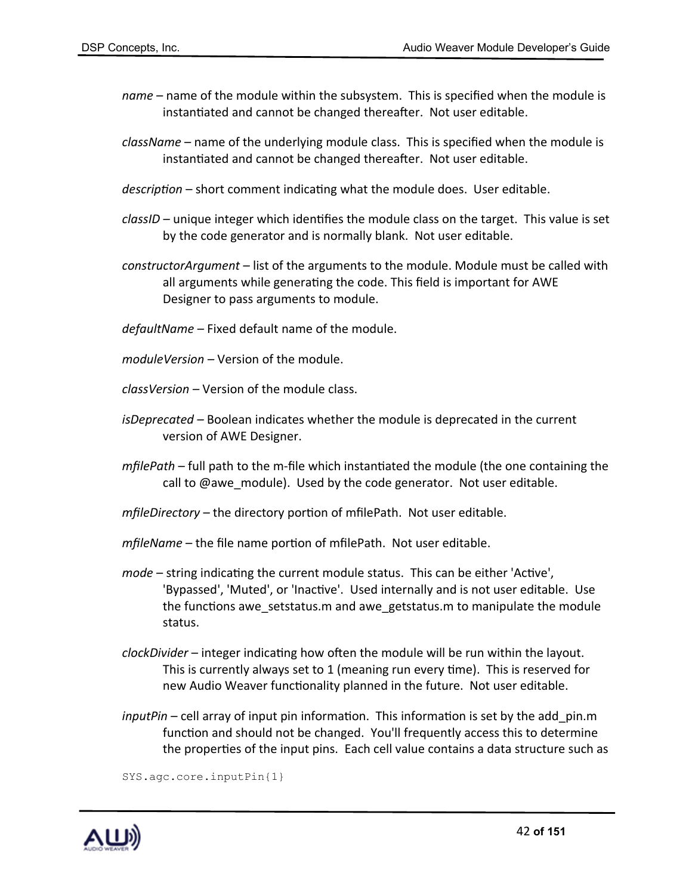- *name* name of the module within the subsystem. This is specified when the module is instantiated and cannot be changed thereafter. Not user editable.
- *className* name of the underlying module class. This is specified when the module is instantiated and cannot be changed thereafter. Not user editable.
- *description* short comment indicating what the module does. User editable.
- *classID* unique integer which identifies the module class on the target. This value is set by the code generator and is normally blank. Not user editable.
- *constructorArgument* list of the arguments to the module. Module must be called with all arguments while generating the code. This field is important for AWE Designer to pass arguments to module.
- *defaultName –* Fixed default name of the module.
- *moduleVersion –* Version of the module.
- *classVersion –* Version of the module class.
- *isDeprecated –* Boolean indicates whether the module is deprecated in the current version of AWE Designer.
- *mfilePath* full path to the m-file which instantiated the module (the one containing the call to @awe\_module). Used by the code generator. Not user editable.
- *mfileDirectory* the directory portion of mfilePath. Not user editable.
- *mfileName* the file name portion of mfilePath. Not user editable.
- *mode* string indicating the current module status. This can be either 'Active', 'Bypassed', 'Muted', or 'Inactive'. Used internally and is not user editable. Use the functions awe\_setstatus.m and awe\_getstatus.m to manipulate the module status.
- *clockDivider* integer indicating how often the module will be run within the layout. This is currently always set to 1 (meaning run every time). This is reserved for new Audio Weaver functionality planned in the future. Not user editable.
- *inputPin* cell array of input pin information. This information is set by the add\_pin.m function and should not be changed. You'll frequently access this to determine the properties of the input pins. Each cell value contains a data structure such as

SYS.agc.core.inputPin{1}

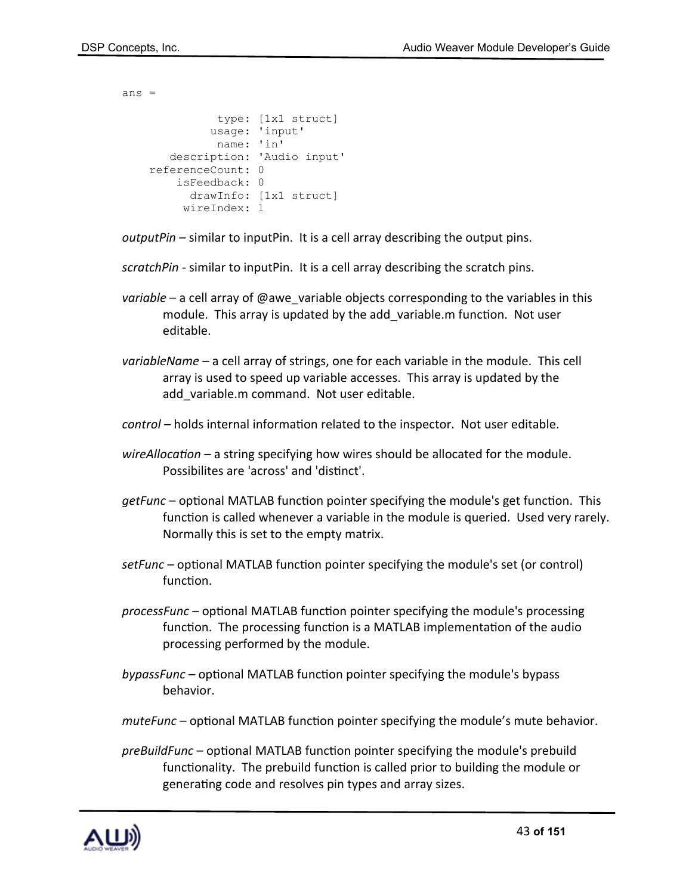```
ans = type: [1x1 struct]
              usage: 'input'
               name: 'in'
        description: 'Audio input'
     referenceCount: 0
         isFeedback: 0
           drawInfo: [1x1 struct]
          wireIndex: 1
```
*outputPin* – similar to inputPin. It is a cell array describing the output pins.

*scratchPin* - similar to inputPin. It is a cell array describing the scratch pins.

- *variable* a cell array of @awe\_variable objects corresponding to the variables in this module. This array is updated by the add variable.m function. Not user editable.
- *variableName* a cell array of strings, one for each variable in the module. This cell array is used to speed up variable accesses. This array is updated by the add variable.m command. Not user editable.
- *control* holds internal information related to the inspector. Not user editable.
- *wireAllocation* a string specifying how wires should be allocated for the module. Possibilites are 'across' and 'distinct'.
- *getFunc* optional MATLAB function pointer specifying the module's get function. This function is called whenever a variable in the module is queried. Used very rarely. Normally this is set to the empty matrix.
- *setFunc* optional MATLAB function pointer specifying the module's set (or control) function.
- *processFunc* optional MATLAB function pointer specifying the module's processing function. The processing function is a MATLAB implementation of the audio processing performed by the module.
- *bypassFunc* optional MATLAB function pointer specifying the module's bypass behavior.
- *muteFunc*  optional MATLAB function pointer specifying the module's mute behavior.
- *preBuildFunc* optional MATLAB function pointer specifying the module's prebuild functionality. The prebuild function is called prior to building the module or generating code and resolves pin types and array sizes.

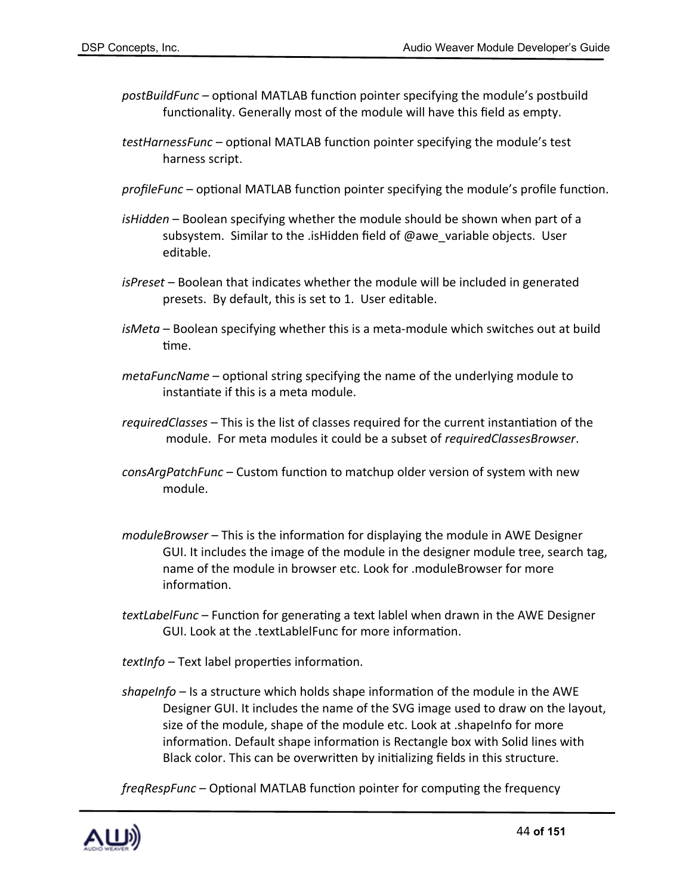- *postBuildFunc* optional MATLAB function pointer specifying the module's postbuild functionality. Generally most of the module will have this field as empty.
- *testHarnessFunc* optional MATLAB function pointer specifying the module's test harness script.
- *profileFunc* optional MATLAB function pointer specifying the module's profile function.
- *isHidden* Boolean specifying whether the module should be shown when part of a subsystem. Similar to the .isHidden field of @awe\_variable objects. User editable.
- *isPreset* Boolean that indicates whether the module will be included in generated presets. By default, this is set to 1. User editable.
- *isMeta* Boolean specifying whether this is a meta-module which switches out at build time.
- *metaFuncName* optional string specifying the name of the underlying module to instantiate if this is a meta module.
- *requiredClasses* This is the list of classes required for the current instantiation of the module. For meta modules it could be a subset of *requiredClassesBrowser*.
- *consArgPatchFunc* Custom function to matchup older version of system with new module.
- *moduleBrowser* This is the information for displaying the module in AWE Designer GUI. It includes the image of the module in the designer module tree, search tag, name of the module in browser etc. Look for .moduleBrowser for more information.
- *textLabelFunc* Function for generating a text lablel when drawn in the AWE Designer GUI. Look at the .textLablelFunc for more information.
- *textInfo* Text label properties information.
- *shapeInfo* Is a structure which holds shape information of the module in the AWE Designer GUI. It includes the name of the SVG image used to draw on the layout, size of the module, shape of the module etc. Look at .shapeInfo for more information. Default shape information is Rectangle box with Solid lines with Black color. This can be overwritten by initializing fields in this structure.

*freqRespFunc* – Optional MATLAB function pointer for computing the frequency

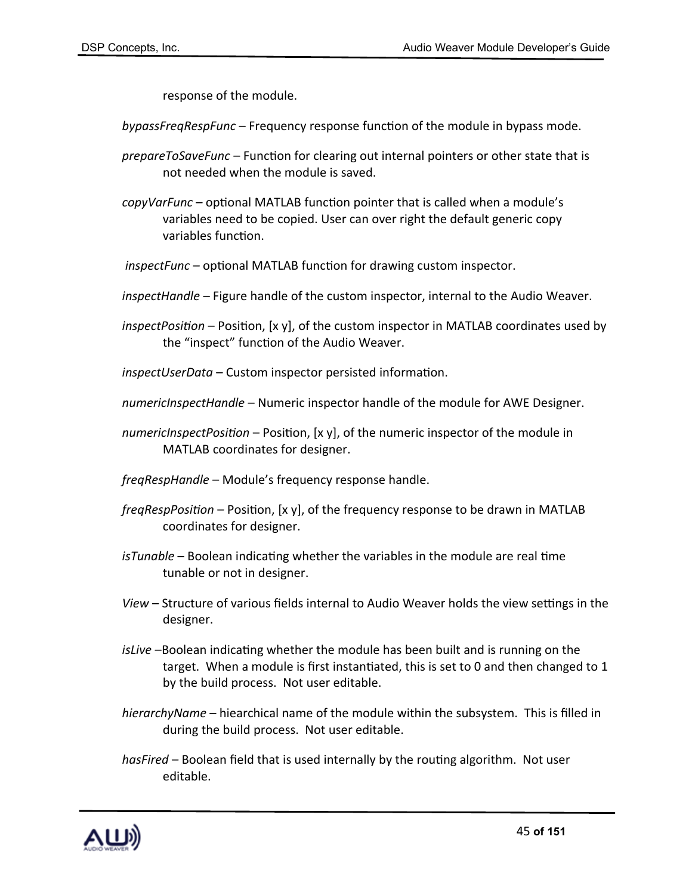response of the module.

*bypassFreqRespFunc* – Frequency response function of the module in bypass mode.

- *prepareToSaveFunc* Function for clearing out internal pointers or other state that is not needed when the module is saved.
- *copyVarFunc* optional MATLAB function pointer that is called when a module's variables need to be copied. User can over right the default generic copy variables function.

*inspectFunc* – optional MATLAB function for drawing custom inspector.

- *inspectHandle* Figure handle of the custom inspector, internal to the Audio Weaver.
- *inspectPosition* Position, [x y], of the custom inspector in MATLAB coordinates used by the "inspect" function of the Audio Weaver.

*inspectUserData* – Custom inspector persisted information.

- *numericInspectHandle* Numeric inspector handle of the module for AWE Designer.
- *numericInspectPosition* Position, [x y], of the numeric inspector of the module in MATLAB coordinates for designer.

*freqRespHandle* – Module's frequency response handle.

- *freqRespPosition* Position, [x y], of the frequency response to be drawn in MATLAB coordinates for designer.
- *isTunable* Boolean indicating whether the variables in the module are real time tunable or not in designer.
- *View* Structure of various fields internal to Audio Weaver holds the view settings in the designer.
- *isLive* –Boolean indicating whether the module has been built and is running on the target. When a module is first instantiated, this is set to 0 and then changed to 1 by the build process. Not user editable.
- *hierarchyName* hiearchical name of the module within the subsystem. This is filled in during the build process. Not user editable.
- *hasFired* Boolean field that is used internally by the routing algorithm. Not user editable.

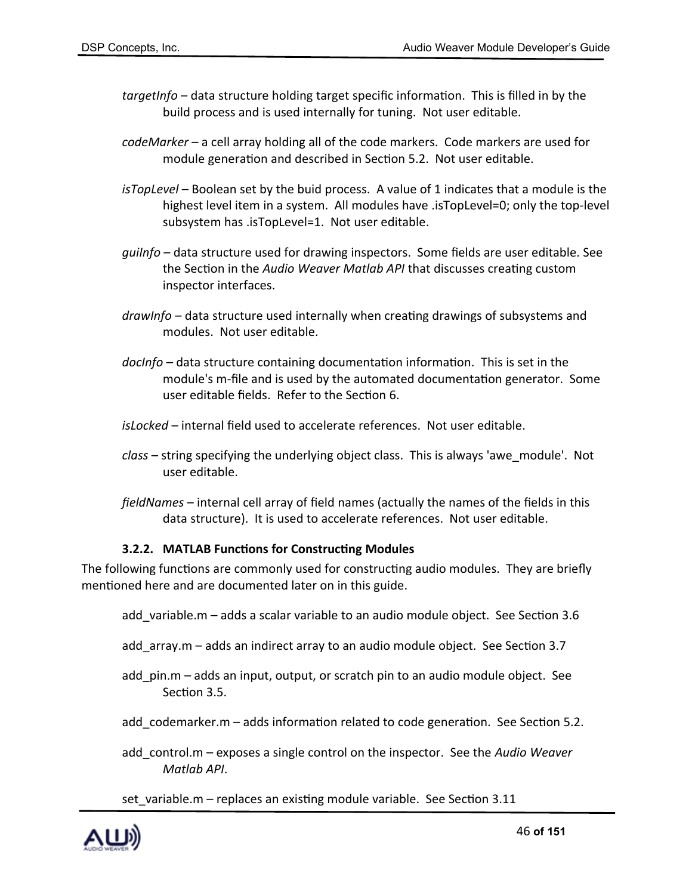- *targetInfo* data structure holding target specific information. This is filled in by the build process and is used internally for tuning. Not user editable.
- *codeMarker* a cell array holding all of the code markers. Code markers are used for module generation and described in Section 5.2. Not user editable.
- *isTopLevel* Boolean set by the buid process. A value of 1 indicates that a module is the highest level item in a system. All modules have .isTopLevel=0; only the top-level subsystem has .isTopLevel=1. Not user editable.
- *guiInfo* data structure used for drawing inspectors. Some fields are user editable. See the Section in the *Audio Weaver Matlab API* that discusses creating custom inspector interfaces.
- *drawInfo* data structure used internally when creating drawings of subsystems and modules. Not user editable.
- *docInfo* data structure containing documentation information. This is set in the module's m-file and is used by the automated documentation generator. Some user editable fields. Refer to the Section 6.
- *isLocked* internal field used to accelerate references. Not user editable.
- *class* string specifying the underlying object class. This is always 'awe\_module'. Not user editable.
- *fieldNames* internal cell array of field names (actually the names of the fields in this data structure). It is used to accelerate references. Not user editable.

#### **3.2.2. MATLAB Functions for Constructing Modules**

The following functions are commonly used for constructing audio modules. They are briefly mentioned here and are documented later on in this guide.

- add variable.m adds a scalar variable to an audio module object. See Section 3.6
- add array.m adds an indirect array to an audio module object. See Section 3.7
- add pin.m adds an input, output, or scratch pin to an audio module object. See Section 3.5.
- add\_codemarker.m adds information related to code generation. See Section 5.2.
- add\_control.m exposes a single control on the inspector. See the *Audio Weaver Matlab API*.
- set variable.m replaces an existing module variable. See Section 3.11

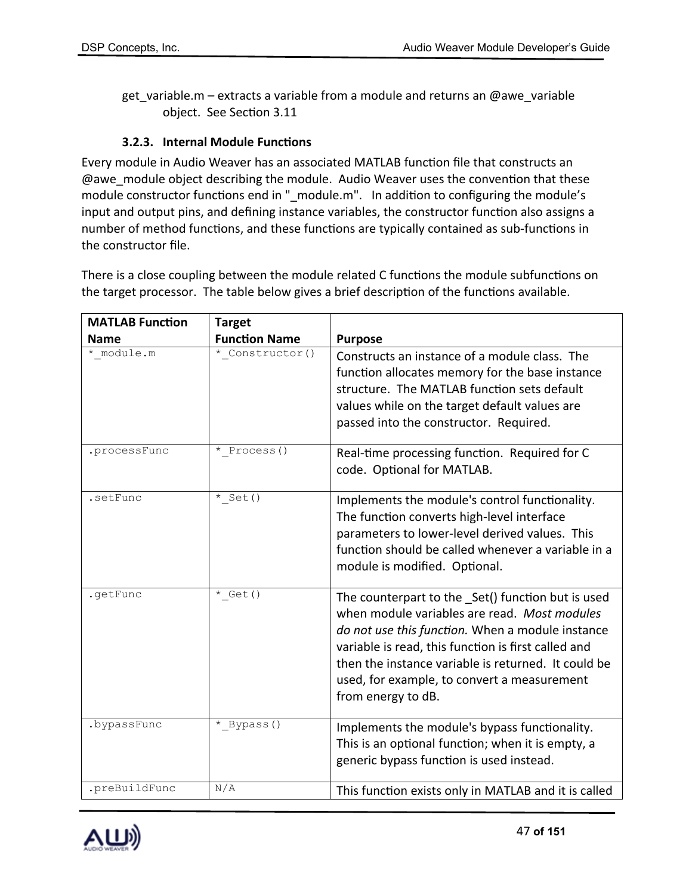get variable.m – extracts a variable from a module and returns an @awe\_variable object. See Section 3.11

#### **3.2.3. Internal Module Functions**

Every module in Audio Weaver has an associated MATLAB function file that constructs an @awe\_module object describing the module. Audio Weaver uses the convention that these module constructor functions end in "\_module.m". In addition to configuring the module's input and output pins, and defining instance variables, the constructor function also assigns a number of method functions, and these functions are typically contained as sub-functions in the constructor file.

There is a close coupling between the module related C functions the module subfunctions on the target processor. The table below gives a brief description of the functions available.

| <b>MATLAB Function</b> | <b>Target</b>        |                                                                                                                                                                                                                                                                                                                                           |
|------------------------|----------------------|-------------------------------------------------------------------------------------------------------------------------------------------------------------------------------------------------------------------------------------------------------------------------------------------------------------------------------------------|
| <b>Name</b>            | <b>Function Name</b> | <b>Purpose</b>                                                                                                                                                                                                                                                                                                                            |
| * module.m             | * Constructor()      | Constructs an instance of a module class. The<br>function allocates memory for the base instance<br>structure. The MATLAB function sets default<br>values while on the target default values are<br>passed into the constructor. Required.                                                                                                |
| .processFunc           | * Process()          | Real-time processing function. Required for C<br>code. Optional for MATLAB.                                                                                                                                                                                                                                                               |
| .setFunc               | $*$ Set()            | Implements the module's control functionality.<br>The function converts high-level interface<br>parameters to lower-level derived values. This<br>function should be called whenever a variable in a<br>module is modified. Optional.                                                                                                     |
| .getFunc               | $*$ Get ()           | The counterpart to the _Set() function but is used<br>when module variables are read. Most modules<br>do not use this function. When a module instance<br>variable is read, this function is first called and<br>then the instance variable is returned. It could be<br>used, for example, to convert a measurement<br>from energy to dB. |
| .bypassFunc            | * Bypass()           | Implements the module's bypass functionality.<br>This is an optional function; when it is empty, a<br>generic bypass function is used instead.                                                                                                                                                                                            |
| .preBuildFunc          | N/A                  | This function exists only in MATLAB and it is called                                                                                                                                                                                                                                                                                      |

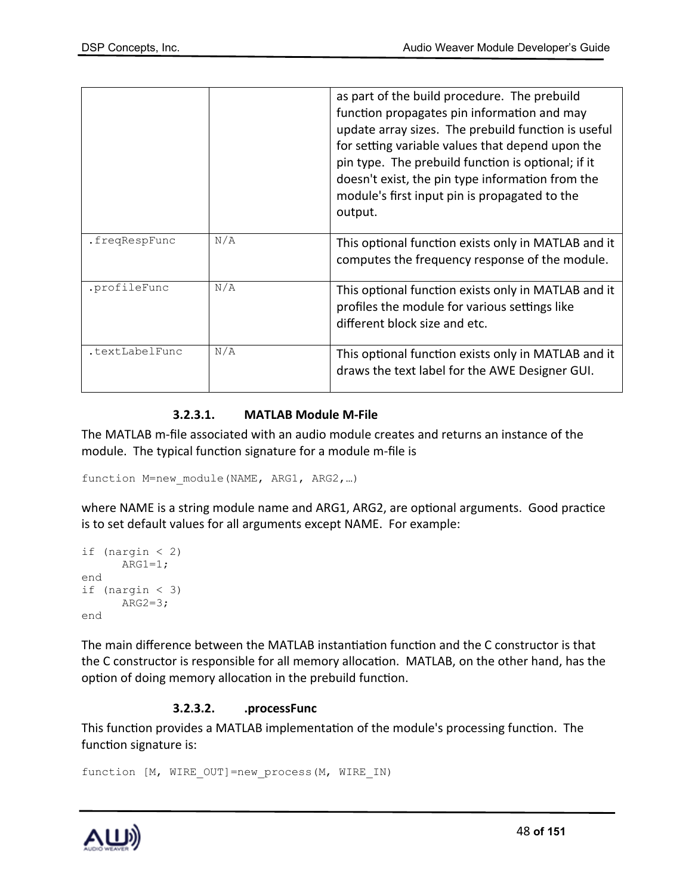|                |     | as part of the build procedure. The prebuild<br>function propagates pin information and may<br>update array sizes. The prebuild function is useful<br>for setting variable values that depend upon the<br>pin type. The prebuild function is optional; if it<br>doesn't exist, the pin type information from the<br>module's first input pin is propagated to the<br>output. |
|----------------|-----|------------------------------------------------------------------------------------------------------------------------------------------------------------------------------------------------------------------------------------------------------------------------------------------------------------------------------------------------------------------------------|
| .freqRespFunc  | N/A | This optional function exists only in MATLAB and it<br>computes the frequency response of the module.                                                                                                                                                                                                                                                                        |
| .profileFunc   | N/A | This optional function exists only in MATLAB and it<br>profiles the module for various settings like<br>different block size and etc.                                                                                                                                                                                                                                        |
| .textLabelFunc | N/A | This optional function exists only in MATLAB and it<br>draws the text label for the AWE Designer GUI.                                                                                                                                                                                                                                                                        |

#### **3.2.3.1. MATLAB Module M-File**

The MATLAB m-file associated with an audio module creates and returns an instance of the module. The typical function signature for a module m-file is

```
function M=new module(NAME, ARG1, ARG2, ...)
```
where NAME is a string module name and ARG1, ARG2, are optional arguments. Good practice is to set default values for all arguments except NAME. For example:

```
if (nargin < 2)
     ARG1=1;end
if (nargin < 3)
     ARG2=3;end
```
The main difference between the MATLAB instantiation function and the C constructor is that the C constructor is responsible for all memory allocation. MATLAB, on the other hand, has the option of doing memory allocation in the prebuild function.

## **3.2.3.2. .processFunc**

This function provides a MATLAB implementation of the module's processing function. The function signature is:

```
function [M, WIRE OUT]=new process(M, WIRE IN)
```
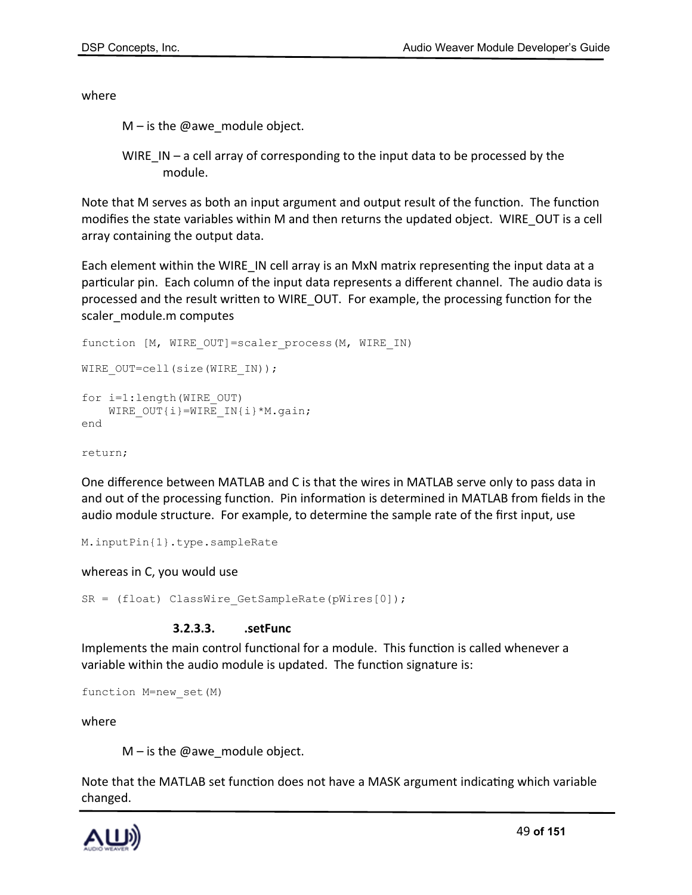where

```
M – is the @awe_module object.
```
WIRE  $IN - a$  cell array of corresponding to the input data to be processed by the module.

Note that M serves as both an input argument and output result of the function. The function modifies the state variables within M and then returns the updated object. WIRE\_OUT is a cell array containing the output data.

Each element within the WIRE IN cell array is an MxN matrix representing the input data at a particular pin. Each column of the input data represents a different channel. The audio data is processed and the result written to WIRE\_OUT. For example, the processing function for the scaler\_module.m computes

```
function [M, WIRE OUT]=scaler process(M, WIRE IN)
WIRE OUT=cell(size(WIRE IN));
for i=1:length(WIRE_OUT)
    WIRE OUT\{i\}=WIRE IN\{i\}*M.gain;
end
return;
```
One difference between MATLAB and C is that the wires in MATLAB serve only to pass data in and out of the processing function. Pin information is determined in MATLAB from fields in the audio module structure. For example, to determine the sample rate of the first input, use

```
M.inputPin{1}.type.sampleRate
```
whereas in C, you would use

 $SR = (float) ClassWire GetSampleRate(pWires[0]);$ 

#### **3.2.3.3. .setFunc**

Implements the main control functional for a module. This function is called whenever a variable within the audio module is updated. The function signature is:

```
function M=new_set(M)
```
where

 $M$  – is the @awe\_module object.

Note that the MATLAB set function does not have a MASK argument indicating which variable changed.

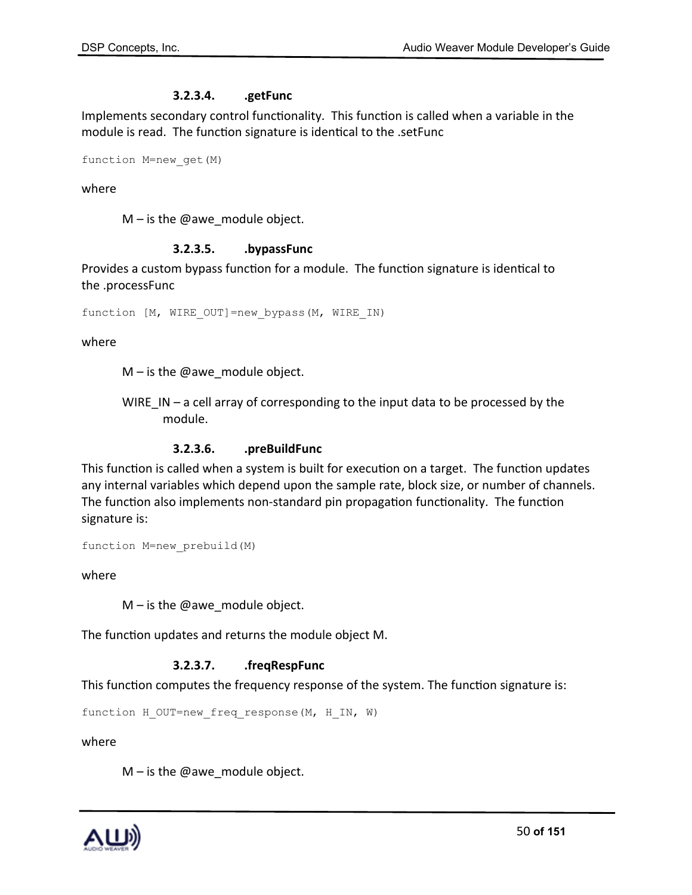## **3.2.3.4. .getFunc**

Implements secondary control functionality. This function is called when a variable in the module is read. The function signature is identical to the .setFunc

function M=new\_get(M)

where

 $M$  – is the @awe\_module object.

# **3.2.3.5. .bypassFunc**

Provides a custom bypass function for a module. The function signature is identical to the .processFunc

function [M, WIRE OUT]=new bypass(M, WIRE IN)

where

 $M$  – is the @awe\_module object.

WIRE\_IN – a cell array of corresponding to the input data to be processed by the module.

#### **3.2.3.6. .preBuildFunc**

This function is called when a system is built for execution on a target. The function updates any internal variables which depend upon the sample rate, block size, or number of channels. The function also implements non-standard pin propagation functionality. The function signature is:

```
function M=new_prebuild(M)
```
where

 $M$  – is the @awe\_module object.

The function updates and returns the module object M.

#### **3.2.3.7. .freqRespFunc**

This function computes the frequency response of the system. The function signature is:

function H\_OUT=new freq response(M, H\_IN, W)

where

 $M$  – is the @awe\_module object.

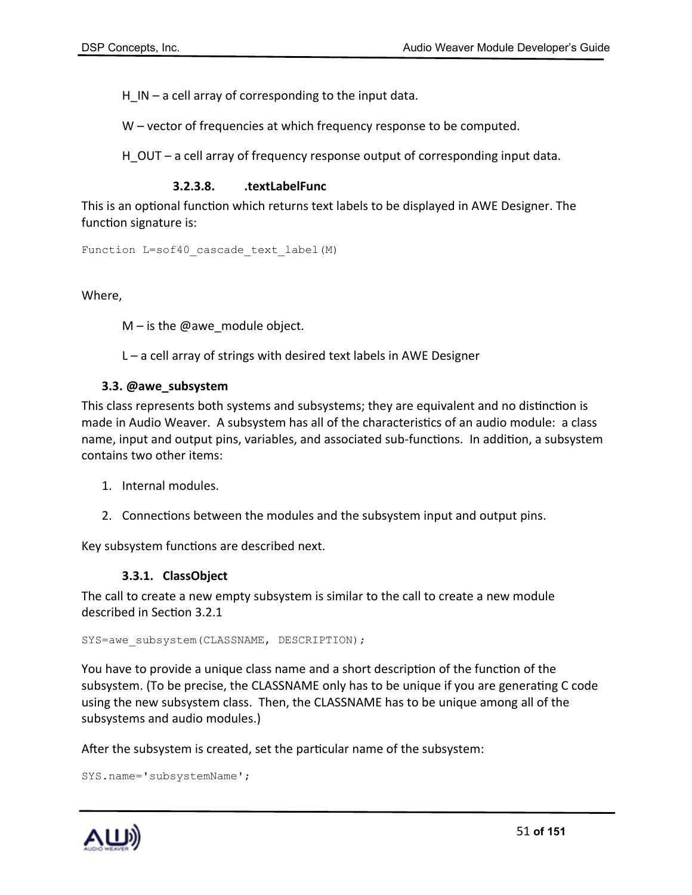$H$  IN – a cell array of corresponding to the input data.

W – vector of frequencies at which frequency response to be computed.

H OUT – a cell array of frequency response output of corresponding input data.

# **3.2.3.8. .textLabelFunc**

This is an optional function which returns text labels to be displayed in AWE Designer. The function signature is:

Function L=sof40 cascade text label(M)

Where,

 $M$  – is the @awe\_module object.

 $L - a$  cell array of strings with desired text labels in AWE Designer

#### **3.3. @awe\_subsystem**

This class represents both systems and subsystems; they are equivalent and no distinction is made in Audio Weaver. A subsystem has all of the characteristics of an audio module: a class name, input and output pins, variables, and associated sub-functions. In addition, a subsystem contains two other items:

- 1. Internal modules.
- 2. Connections between the modules and the subsystem input and output pins.

Key subsystem functions are described next.

#### **3.3.1. ClassObject**

The call to create a new empty subsystem is similar to the call to create a new module described in Section 3.2.1

SYS=awe\_subsystem(CLASSNAME, DESCRIPTION);

You have to provide a unique class name and a short description of the function of the subsystem. (To be precise, the CLASSNAME only has to be unique if you are generating C code using the new subsystem class. Then, the CLASSNAME has to be unique among all of the subsystems and audio modules.)

After the subsystem is created, set the particular name of the subsystem:

```
SYS.name='subsystemName';
```
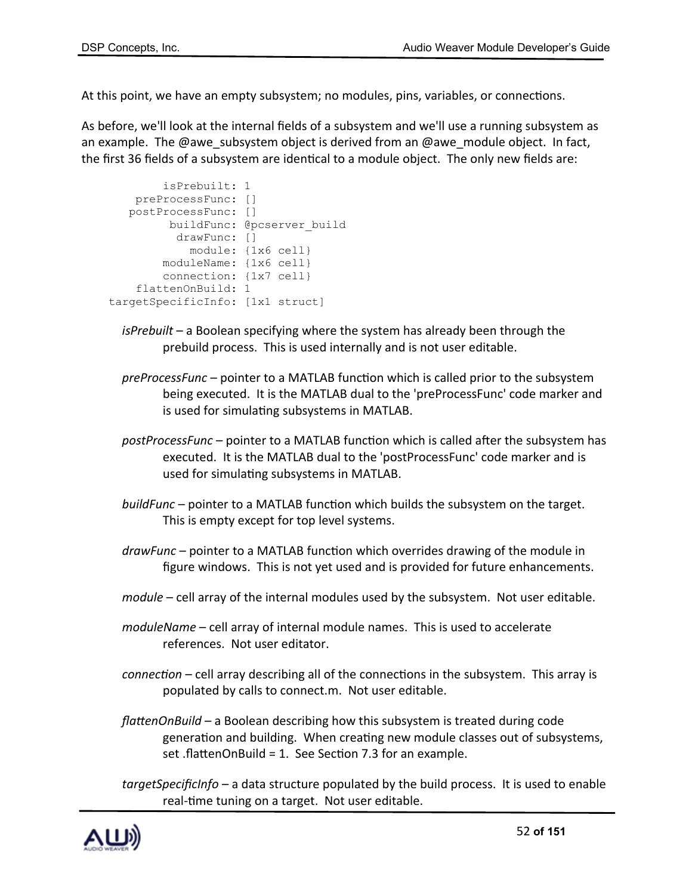At this point, we have an empty subsystem; no modules, pins, variables, or connections.

As before, we'll look at the internal fields of a subsystem and we'll use a running subsystem as an example. The @awe\_subsystem object is derived from an @awe\_module object. In fact, the first 36 fields of a subsystem are identical to a module object. The only new fields are:

```
 isPrebuilt: 1
    preProcessFunc: []
    postProcessFunc: []
          buildFunc: @pcserver_build
           drawFunc: []
             module: {1x6 cell}
         moduleName: {1x6 cell}
         connection: {1x7 cell}
     flattenOnBuild: 1
 targetSpecificInfo: [1x1 struct]
```
- *isPrebuilt* a Boolean specifying where the system has already been through the prebuild process. This is used internally and is not user editable.
- *preProcessFunc* pointer to a MATLAB function which is called prior to the subsystem being executed. It is the MATLAB dual to the 'preProcessFunc' code marker and is used for simulating subsystems in MATLAB.
- *postProcessFunc* pointer to a MATLAB function which is called after the subsystem has executed. It is the MATLAB dual to the 'postProcessFunc' code marker and is used for simulating subsystems in MATLAB.
- *buildFunc* pointer to a MATLAB function which builds the subsystem on the target. This is empty except for top level systems.
- *drawFunc* pointer to a MATLAB function which overrides drawing of the module in figure windows. This is not yet used and is provided for future enhancements.
- *module* cell array of the internal modules used by the subsystem. Not user editable.
- *moduleName* cell array of internal module names. This is used to accelerate references. Not user editator.
- *connection* cell array describing all of the connections in the subsystem. This array is populated by calls to connect.m. Not user editable.
- *flattenOnBuild* a Boolean describing how this subsystem is treated during code generation and building. When creating new module classes out of subsystems, set .flattenOnBuild = 1. See Section 7.3 for an example.

*targetSpecificInfo* – a data structure populated by the build process. It is used to enable real-time tuning on a target. Not user editable.

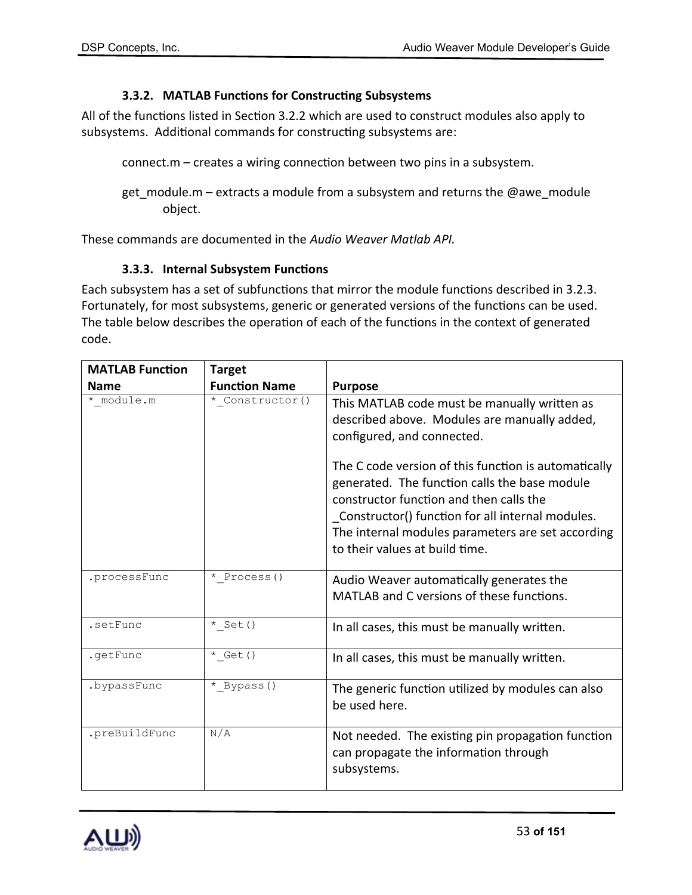### **3.3.2. MATLAB Functions for Constructing Subsystems**

All of the functions listed in Section 3.2.2 which are used to construct modules also apply to subsystems. Additional commands for constructing subsystems are:

connect.m – creates a wiring connection between two pins in a subsystem.

get module.m – extracts a module from a subsystem and returns the @awe module object.

These commands are documented in the *Audio Weaver Matlab API.*

### **3.3.3. Internal Subsystem Functions**

Each subsystem has a set of subfunctions that mirror the module functions described in 3.2.3. Fortunately, for most subsystems, generic or generated versions of the functions can be used. The table below describes the operation of each of the functions in the context of generated code.

| <b>MATLAB Function</b> | <b>Target</b>        |                                                                                                                                                                                                                                                                                             |
|------------------------|----------------------|---------------------------------------------------------------------------------------------------------------------------------------------------------------------------------------------------------------------------------------------------------------------------------------------|
| <b>Name</b>            | <b>Function Name</b> | <b>Purpose</b>                                                                                                                                                                                                                                                                              |
| * module.m             | * Constructor()      | This MATLAB code must be manually written as<br>described above. Modules are manually added,<br>configured, and connected.                                                                                                                                                                  |
|                        |                      | The C code version of this function is automatically<br>generated. The function calls the base module<br>constructor function and then calls the<br>Constructor() function for all internal modules.<br>The internal modules parameters are set according<br>to their values at build time. |
| .processFunc           | * Process()          | Audio Weaver automatically generates the<br>MATLAB and C versions of these functions.                                                                                                                                                                                                       |
| .setFunc               | $*$ Set()            | In all cases, this must be manually written.                                                                                                                                                                                                                                                |
| .getFunc               | $*$ Get ()           | In all cases, this must be manually written.                                                                                                                                                                                                                                                |
| .bypassFunc            | * Bypass()           | The generic function utilized by modules can also<br>be used here.                                                                                                                                                                                                                          |
| .preBuildFunc          | N/A                  | Not needed. The existing pin propagation function<br>can propagate the information through<br>subsystems.                                                                                                                                                                                   |

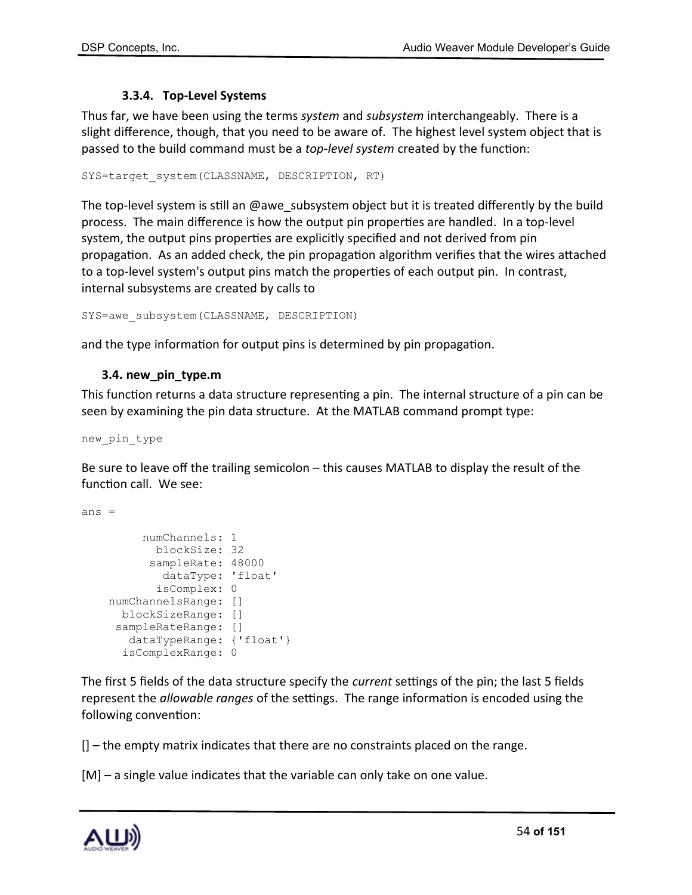# **3.3.4. Top-Level Systems**

Thus far, we have been using the terms *system* and *subsystem* interchangeably. There is a slight difference, though, that you need to be aware of. The highest level system object that is passed to the build command must be a *top-level system* created by the function:

```
SYS=target system(CLASSNAME, DESCRIPTION, RT)
```
The top-level system is still an @awe\_subsystem object but it is treated differently by the build process. The main difference is how the output pin properties are handled. In a top-level system, the output pins properties are explicitly specified and not derived from pin propagation. As an added check, the pin propagation algorithm verifies that the wires attached to a top-level system's output pins match the properties of each output pin. In contrast, internal subsystems are created by calls to

```
SYS=awe_subsystem(CLASSNAME, DESCRIPTION)
```
and the type information for output pins is determined by pin propagation.

# **3.4. new\_pin\_type.m**

This function returns a data structure representing a pin. The internal structure of a pin can be seen by examining the pin data structure. At the MATLAB command prompt type:

new\_pin\_type

Be sure to leave off the trailing semicolon – this causes MATLAB to display the result of the function call. We see:

ans  $=$ 

```
 numChannels: 1
       blockSize: 32
       sampleRate: 48000
         dataType: 'float'
        isComplex: 0
 numChannelsRange: []
  blockSizeRange: []
  sampleRateRange: []
    dataTypeRange: {'float'}
   isComplexRange: 0
```
The first 5 fields of the data structure specify the *current* settings of the pin; the last 5 fields represent the *allowable ranges* of the settings. The range information is encoded using the following convention:

 $[$ ] – the empty matrix indicates that there are no constraints placed on the range.

[M] – a single value indicates that the variable can only take on one value.

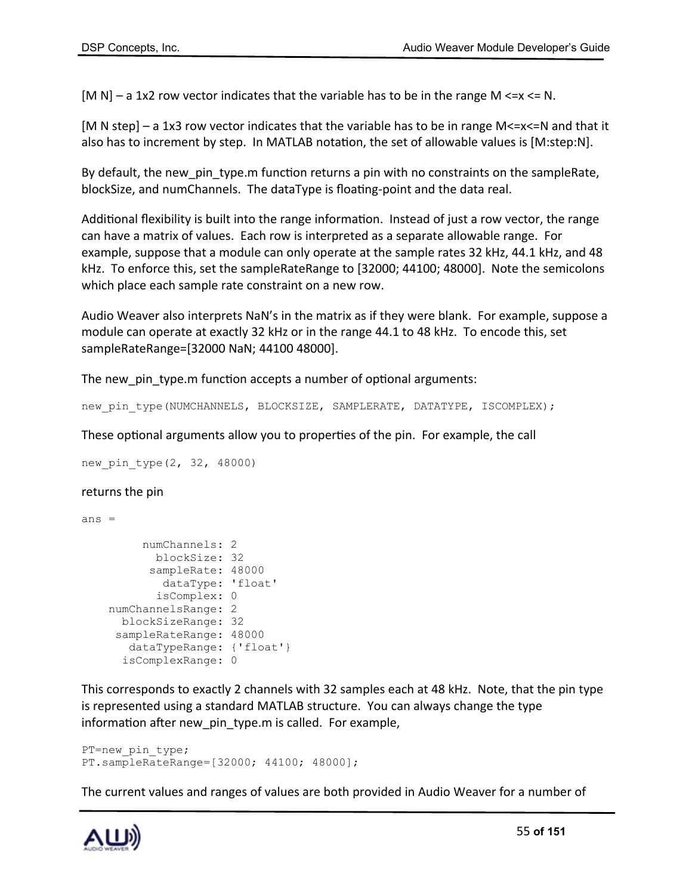$[M N]$  – a 1x2 row vector indicates that the variable has to be in the range M <= x <= N.

[M N step] – a 1x3 row vector indicates that the variable has to be in range M<=x<=N and that it also has to increment by step. In MATLAB notation, the set of allowable values is [M:step:N].

By default, the new\_pin\_type.m function returns a pin with no constraints on the sampleRate, blockSize, and numChannels. The dataType is floating-point and the data real.

Additional flexibility is built into the range information. Instead of just a row vector, the range can have a matrix of values. Each row is interpreted as a separate allowable range. For example, suppose that a module can only operate at the sample rates 32 kHz, 44.1 kHz, and 48 kHz. To enforce this, set the sampleRateRange to [32000; 44100; 48000]. Note the semicolons which place each sample rate constraint on a new row.

Audio Weaver also interprets NaN's in the matrix as if they were blank. For example, suppose a module can operate at exactly 32 kHz or in the range 44.1 to 48 kHz. To encode this, set sampleRateRange=[32000 NaN; 44100 48000].

The new pin type.m function accepts a number of optional arguments:

new pin type(NUMCHANNELS, BLOCKSIZE, SAMPLERATE, DATATYPE, ISCOMPLEX);

These optional arguments allow you to properties of the pin. For example, the call

```
new pin type(2, 32, 48000)
```
#### returns the pin

ans =

```
 numChannels: 2
       blockSize: 32
       sampleRate: 48000
         dataType: 'float'
        isComplex: 0
 numChannelsRange: 2
  blockSizeRange: 32
  sampleRateRange: 48000
    dataTypeRange: {'float'}
   isComplexRange: 0
```
This corresponds to exactly 2 channels with 32 samples each at 48 kHz. Note, that the pin type is represented using a standard MATLAB structure. You can always change the type information after new\_pin\_type.m is called. For example,

```
PT=new pin type;
PT.sampleRateRange=[32000; 44100; 48000];
```
The current values and ranges of values are both provided in Audio Weaver for a number of

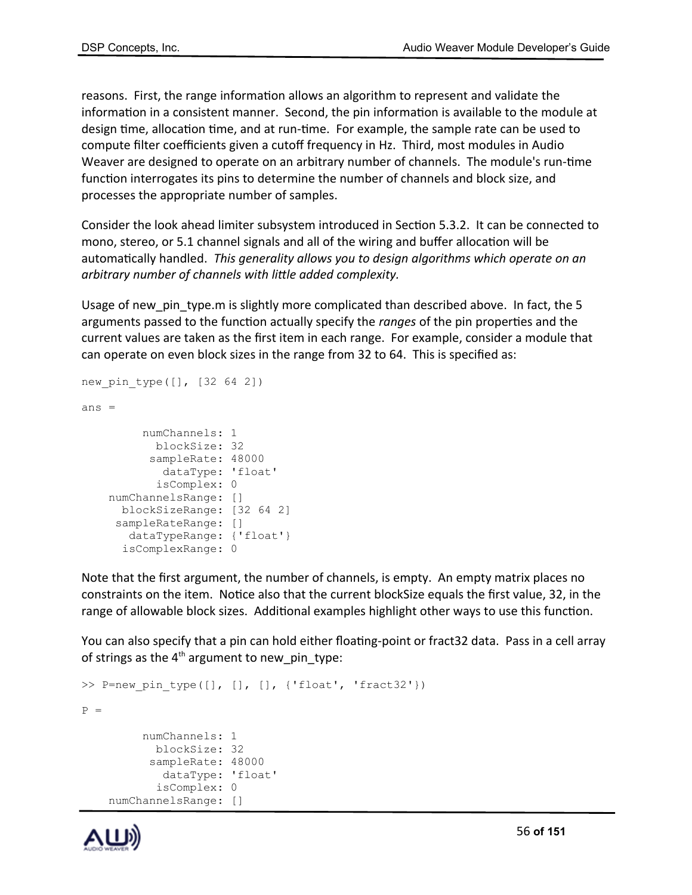reasons. First, the range information allows an algorithm to represent and validate the information in a consistent manner. Second, the pin information is available to the module at design time, allocation time, and at run-time. For example, the sample rate can be used to compute filter coefficients given a cutoff frequency in Hz. Third, most modules in Audio Weaver are designed to operate on an arbitrary number of channels. The module's run-time function interrogates its pins to determine the number of channels and block size, and processes the appropriate number of samples.

Consider the look ahead limiter subsystem introduced in Section 5.3.2. It can be connected to mono, stereo, or 5.1 channel signals and all of the wiring and buffer allocation will be automatically handled. *This generality allows you to design algorithms which operate on an arbitrary number of channels with little added complexity.*

Usage of new\_pin\_type.m is slightly more complicated than described above. In fact, the 5 arguments passed to the function actually specify the *ranges* of the pin properties and the current values are taken as the first item in each range. For example, consider a module that can operate on even block sizes in the range from 32 to 64. This is specified as:

```
new_pin_type([], [32 64 2])
ans = numChannels: 1
           blockSize: 32
           sampleRate: 48000
             dataType: 'float'
            isComplex: 0
     numChannelsRange: []
       blockSizeRange: [32 64 2]
      sampleRateRange: []
        dataTypeRange: {'float'}
       isComplexRange: 0
```
Note that the first argument, the number of channels, is empty. An empty matrix places no constraints on the item. Notice also that the current blockSize equals the first value, 32, in the range of allowable block sizes. Additional examples highlight other ways to use this function.

You can also specify that a pin can hold either floating-point or fract32 data. Pass in a cell array of strings as the  $4<sup>th</sup>$  argument to new pin type:

```
>> P=new pin type([], [], [], {ifloat', 'fract32'}P = numChannels: 1
           blockSize: 32
           sampleRate: 48000
             dataType: 'float'
            isComplex: 0
     numChannelsRange: []
```
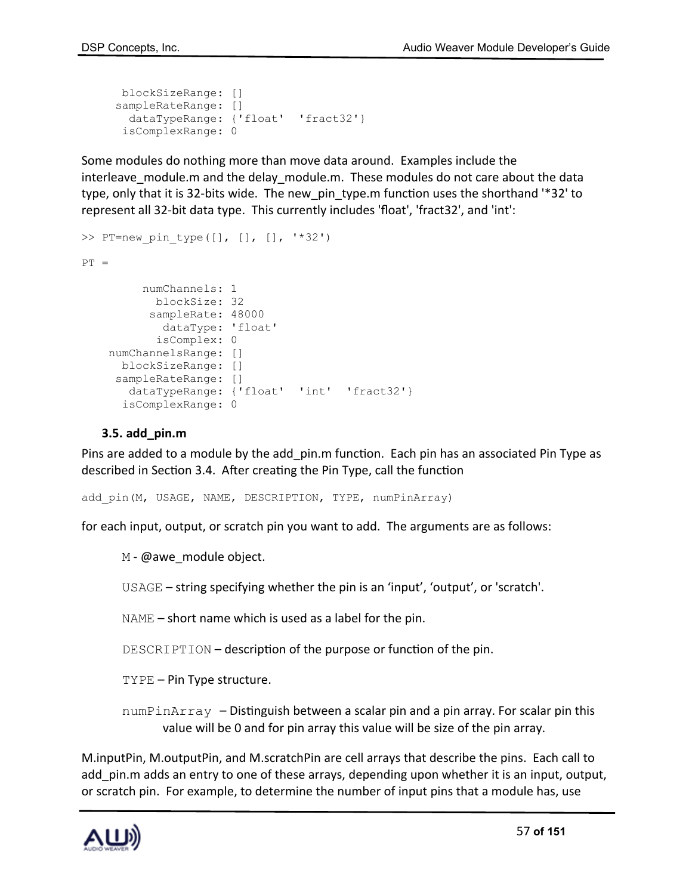```
 blockSizeRange: []
 sampleRateRange: []
  dataTypeRange: {'float' 'fract32'}
  isComplexRange: 0
```
Some modules do nothing more than move data around. Examples include the interleave module.m and the delay module.m. These modules do not care about the data type, only that it is 32-bits wide. The new\_pin\_type.m function uses the shorthand '\*32' to represent all 32-bit data type. This currently includes 'float', 'fract32', and 'int':

```
>> PT=new pin type([], [], [], ' * 32')
PT = numChannels: 1
            blockSize: 32
           sampleRate: 48000
             dataType: 'float'
            isComplex: 0
     numChannelsRange: []
       blockSizeRange: []
      sampleRateRange: []
        dataTypeRange: {'float' 'int' 'fract32'}
       isComplexRange: 0
```
#### **3.5. add\_pin.m**

Pins are added to a module by the add\_pin.m function. Each pin has an associated Pin Type as described in Section 3.4. After creating the Pin Type, call the function

add pin(M, USAGE, NAME, DESCRIPTION, TYPE, numPinArray)

for each input, output, or scratch pin you want to add. The arguments are as follows:

 $M - \mathcal{Q}$ awe module object.

USAGE – string specifying whether the pin is an 'input', 'output', or 'scratch'.

NAME – short name which is used as a label for the pin.

DESCRIPTION – description of the purpose or function of the pin.

TYPE – Pin Type structure.

numPinArray – Distinguish between a scalar pin and a pin array. For scalar pin this value will be 0 and for pin array this value will be size of the pin array.

M.inputPin, M.outputPin, and M.scratchPin are cell arrays that describe the pins. Each call to add pin.m adds an entry to one of these arrays, depending upon whether it is an input, output, or scratch pin. For example, to determine the number of input pins that a module has, use

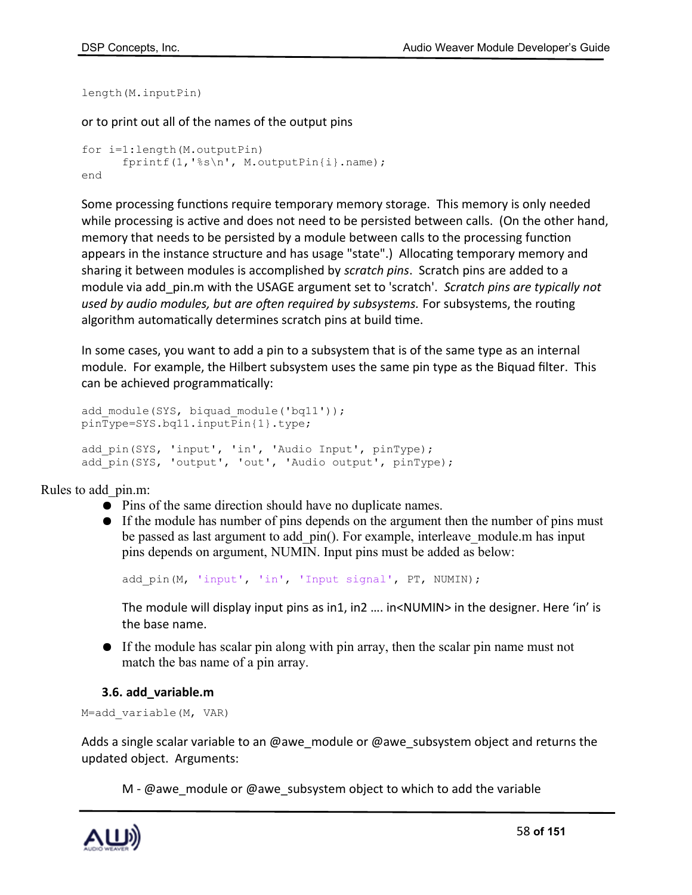```
length(M.inputPin)
```
or to print out all of the names of the output pins

```
for i=1:length(M.outputPin)
      fprintf(1,'%s\n', M.outputPin{i}.name);
end
```
Some processing functions require temporary memory storage. This memory is only needed while processing is active and does not need to be persisted between calls. (On the other hand, memory that needs to be persisted by a module between calls to the processing function appears in the instance structure and has usage "state".) Allocating temporary memory and sharing it between modules is accomplished by *scratch pins*. Scratch pins are added to a module via add\_pin.m with the USAGE argument set to 'scratch'. *Scratch pins are typically not used by audio modules, but are often required by subsystems.* For subsystems, the routing algorithm automatically determines scratch pins at build time.

In some cases, you want to add a pin to a subsystem that is of the same type as an internal module. For example, the Hilbert subsystem uses the same pin type as the Biquad filter. This can be achieved programmatically:

```
add_module(SYS, biquad_module('bq11'));
pinType=SYS.bq11.inputPin{1}.type;
add pin(SYS, 'input', 'in', 'Audio Input', pinType);
add pin(SYS, 'output', 'out', 'Audio output', pinType);
```
Rules to add\_pin.m:

- Pins of the same direction should have no duplicate names.
- If the module has number of pins depends on the argument then the number of pins must be passed as last argument to add pin(). For example, interleave module.m has input pins depends on argument, NUMIN. Input pins must be added as below:

add pin(M, 'input', 'in', 'Input signal', PT, NUMIN);

The module will display input pins as in1, in2 …. in<NUMIN> in the designer. Here 'in' is the base name.

● If the module has scalar pin along with pin array, then the scalar pin name must not match the bas name of a pin array.

#### **3.6. add\_variable.m**

```
M=add_variable(M, VAR)
```
Adds a single scalar variable to an @awe\_module or @awe\_subsystem object and returns the updated object. Arguments:

M - @awe\_module or @awe\_subsystem object to which to add the variable

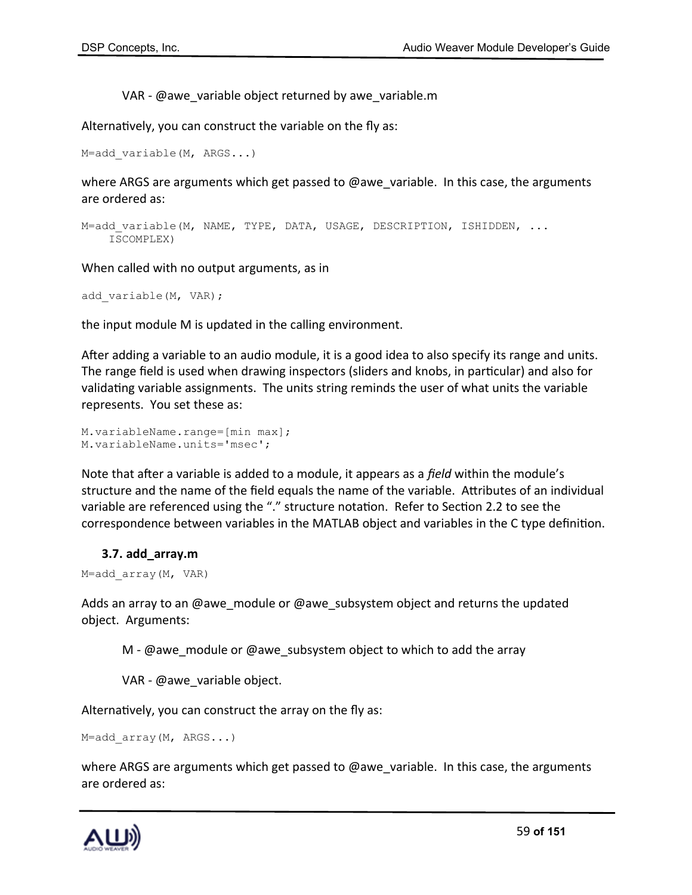# VAR - @awe\_variable object returned by awe\_variable.m

Alternatively, you can construct the variable on the fly as:

```
M=add_variable(M, ARGS...)
```
where ARGS are arguments which get passed to  $@$  awe variable. In this case, the arguments are ordered as:

```
M=add variable(M, NAME, TYPE, DATA, USAGE, DESCRIPTION, ISHIDDEN, ...
     ISCOMPLEX)
```
When called with no output arguments, as in

```
add_variable(M, VAR);
```
the input module M is updated in the calling environment.

After adding a variable to an audio module, it is a good idea to also specify its range and units. The range field is used when drawing inspectors (sliders and knobs, in particular) and also for validating variable assignments. The units string reminds the user of what units the variable represents. You set these as:

```
M.variableName.range=[min max];
M.variableName.units='msec';
```
Note that after a variable is added to a module, it appears as a *field* within the module's structure and the name of the field equals the name of the variable. Attributes of an individual variable are referenced using the "." structure notation. Refer to Section 2.2 to see the correspondence between variables in the MATLAB object and variables in the C type definition.

# **3.7. add\_array.m**

```
M=add_array(M, VAR)
```
Adds an array to an @awe\_module or @awe\_subsystem object and returns the updated object. Arguments:

M - @awe\_module or @awe\_subsystem object to which to add the array

VAR - @awe\_variable object.

Alternatively, you can construct the array on the fly as:

M=add array(M, ARGS...)

where ARGS are arguments which get passed to  $@$  awe variable. In this case, the arguments are ordered as:

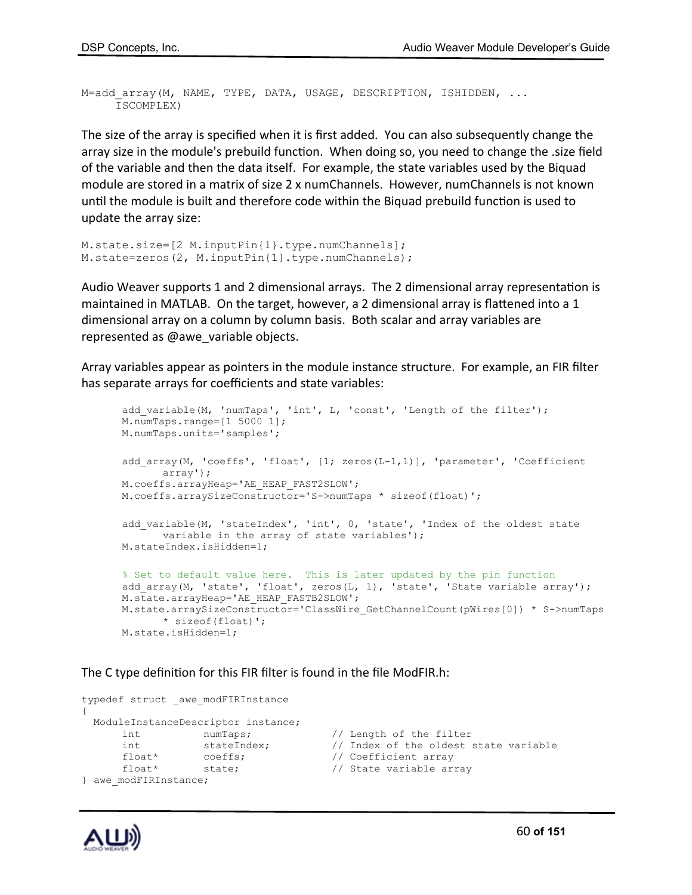M=add array(M, NAME, TYPE, DATA, USAGE, DESCRIPTION, ISHIDDEN, ... ISCOMPLEX)

The size of the array is specified when it is first added. You can also subsequently change the array size in the module's prebuild function. When doing so, you need to change the .size field of the variable and then the data itself. For example, the state variables used by the Biquad module are stored in a matrix of size 2 x numChannels. However, numChannels is not known until the module is built and therefore code within the Biquad prebuild function is used to update the array size:

```
M.state.size=[2 M.inputPin{1}.type.numChannels];
M.state=zeros(2, M.inputPin{1}.type.numChannels);
```
Audio Weaver supports 1 and 2 dimensional arrays. The 2 dimensional array representation is maintained in MATLAB. On the target, however, a 2 dimensional array is flattened into a 1 dimensional array on a column by column basis. Both scalar and array variables are represented as @awe\_variable objects.

Array variables appear as pointers in the module instance structure. For example, an FIR filter has separate arrays for coefficients and state variables:

```
add variable(M, 'numTaps', 'int', L, 'const', 'Length of the filter');
M.\overline{numTaps.random} [1 5000 1];
M.numTaps.units='samples';
add array(M, 'coeffs', 'float', [1; zeros(L-1,1)], 'parameter', 'Coefficient
      array');
M.coeffs.arrayHeap='AE_HEAP_FAST2SLOW';
M.coeffs.arraySizeConstructor='S->numTaps * sizeof(float)';
add variable(M, 'stateIndex', 'int', 0, 'state', 'Index of the oldest state
      variable in the array of state variables');
M.stateIndex.isHidden=1;
% Set to default value here. This is later updated by the pin function
add array(M, 'state', 'float', zeros(L, 1), 'state', 'State variable array');
M.state.arrayHeap='AE_HEAP_FASTB2SLOW';
M.state.arraySizeConstructor='ClassWire_GetChannelCount(pWires[0]) * S->numTaps 
      * sizeof(float)';
M.state.isHidden=1;
```
The C type definition for this FIR filter is found in the file ModFIR.h:

```
typedef struct _awe_modFIRInstance
{
   ModuleInstanceDescriptor instance;
       int numTaps; \frac{1}{2} // Length of the filter<br>int stateIndex; \frac{1}{2} // Index of the oldest:
       int stateIndex; // Index of the oldest state variable<br>float* coeffs; // Coefficient array
float* coeffs; \sqrt{2} // Coefficient array
float* state; \frac{1}{2} state; \frac{1}{2} state variable array
} awe modFIRInstance;
```
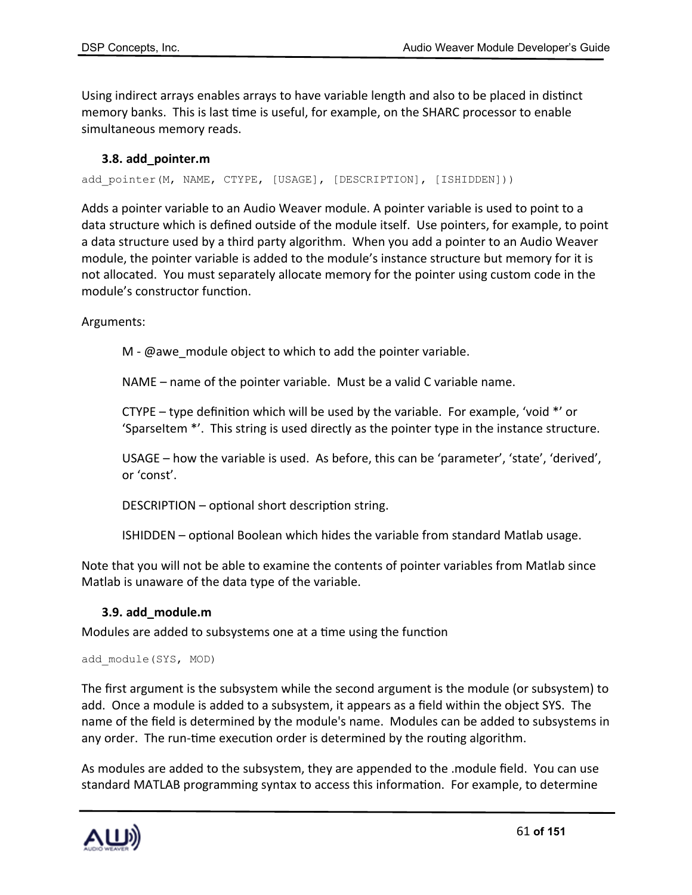Using indirect arrays enables arrays to have variable length and also to be placed in distinct memory banks. This is last time is useful, for example, on the SHARC processor to enable simultaneous memory reads.

#### **3.8. add\_pointer.m**

add pointer(M, NAME, CTYPE, [USAGE], [DESCRIPTION], [ISHIDDEN]))

Adds a pointer variable to an Audio Weaver module. A pointer variable is used to point to a data structure which is defined outside of the module itself. Use pointers, for example, to point a data structure used by a third party algorithm. When you add a pointer to an Audio Weaver module, the pointer variable is added to the module's instance structure but memory for it is not allocated. You must separately allocate memory for the pointer using custom code in the module's constructor function.

Arguments:

 $M$  - @awe module object to which to add the pointer variable.

NAME – name of the pointer variable. Must be a valid C variable name.

CTYPE – type definition which will be used by the variable. For example, 'void \*' or 'SparseItem \*'. This string is used directly as the pointer type in the instance structure.

USAGE – how the variable is used. As before, this can be 'parameter', 'state', 'derived', or 'const'.

DESCRIPTION – optional short description string.

ISHIDDEN – optional Boolean which hides the variable from standard Matlab usage.

Note that you will not be able to examine the contents of pointer variables from Matlab since Matlab is unaware of the data type of the variable.

#### **3.9. add\_module.m**

Modules are added to subsystems one at a time using the function

add module(SYS, MOD)

The first argument is the subsystem while the second argument is the module (or subsystem) to add. Once a module is added to a subsystem, it appears as a field within the object SYS. The name of the field is determined by the module's name. Modules can be added to subsystems in any order. The run-time execution order is determined by the routing algorithm.

As modules are added to the subsystem, they are appended to the .module field. You can use standard MATLAB programming syntax to access this information. For example, to determine

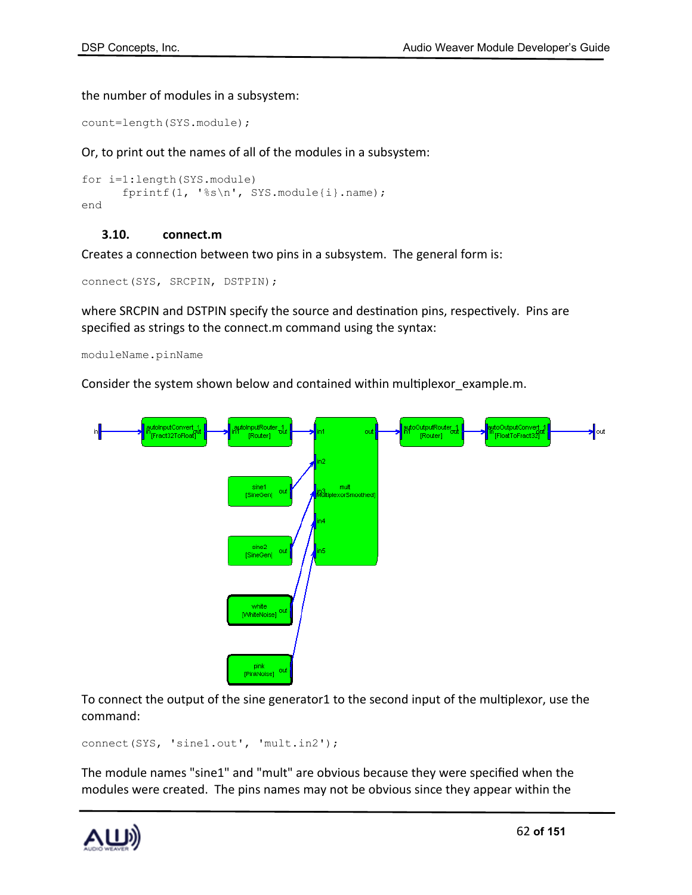the number of modules in a subsystem:

count=length(SYS.module);

Or, to print out the names of all of the modules in a subsystem:

```
for i=1:length(SYS.module)
      fprintf(1, '%s\n', SYS.module{i}.name);
end
```
# **3.10. connect.m**

Creates a connection between two pins in a subsystem. The general form is:

connect(SYS, SRCPIN, DSTPIN);

where SRCPIN and DSTPIN specify the source and destination pins, respectively. Pins are specified as strings to the connect.m command using the syntax:

moduleName.pinName

Consider the system shown below and contained within multiplexor example.m.



To connect the output of the sine generator1 to the second input of the multiplexor, use the command:

connect(SYS, 'sine1.out', 'mult.in2');

The module names "sine1" and "mult" are obvious because they were specified when the modules were created. The pins names may not be obvious since they appear within the

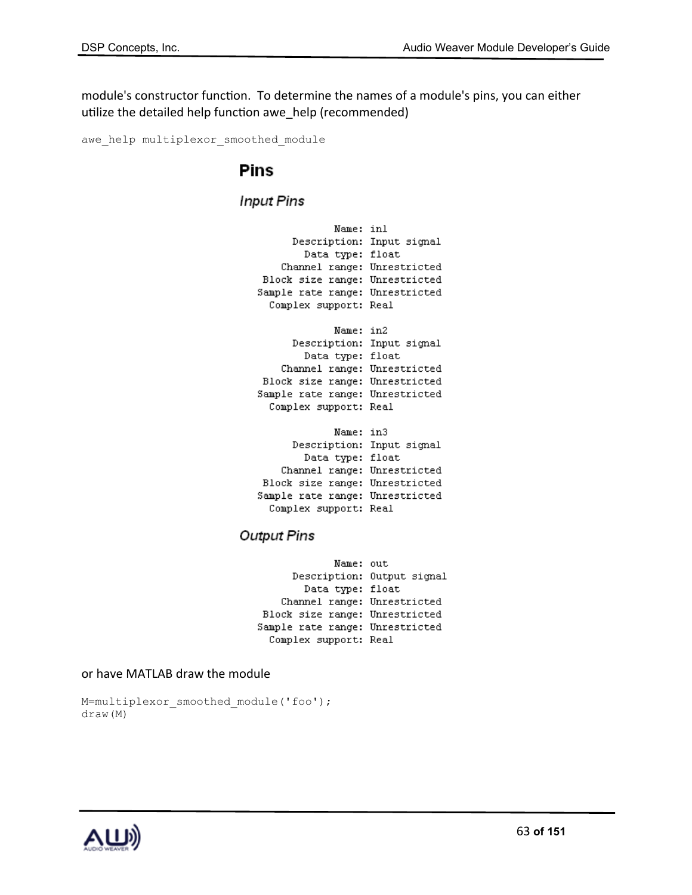module's constructor function. To determine the names of a module's pins, you can either utilize the detailed help function awe\_help (recommended)

awe help multiplexor smoothed module

# Pins

# **Input Pins**

Name: inl Description: Input signal Data type: float Channel range: Unrestricted Block size range: Unrestricted Sample rate range: Unrestricted Complex support: Real

#### Name: in2

Description: Input signal Data type: float Channel range: Unrestricted Block size range: Unrestricted Sample rate range: Unrestricted Complex support: Real

| Name: in3                       |                           |
|---------------------------------|---------------------------|
|                                 | Description: Input signal |
| Data type: float                |                           |
| Channel range: Unrestricted     |                           |
| Block size range: Unrestricted  |                           |
| Sample rate range: Unrestricted |                           |
| Complex support: Real           |                           |

## **Output Pins**

Name: out Description: Output signal Data type: float Channel range: Unrestricted Block size range: Unrestricted Sample rate range: Unrestricted Complex support: Real

#### or have MATLAB draw the module

M=multiplexor smoothed module('foo'); draw(M)

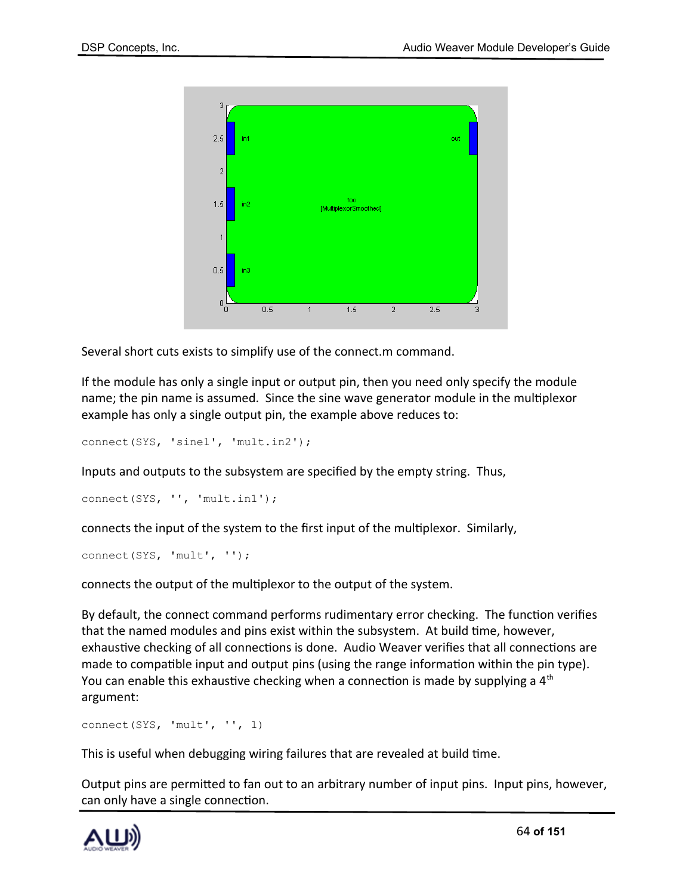

Several short cuts exists to simplify use of the connect.m command.

If the module has only a single input or output pin, then you need only specify the module name; the pin name is assumed. Since the sine wave generator module in the multiplexor example has only a single output pin, the example above reduces to:

connect(SYS, 'sine1', 'mult.in2');

Inputs and outputs to the subsystem are specified by the empty string. Thus,

```
connect(SYS, '', 'mult.in1');
```
connects the input of the system to the first input of the multiplexor. Similarly,

```
connect(SYS, 'mult', '');
```
connects the output of the multiplexor to the output of the system.

By default, the connect command performs rudimentary error checking. The function verifies that the named modules and pins exist within the subsystem. At build time, however, exhaustive checking of all connections is done. Audio Weaver verifies that all connections are made to compatible input and output pins (using the range information within the pin type). You can enable this exhaustive checking when a connection is made by supplying a  $4<sup>th</sup>$ argument:

```
connect(SYS, 'mult', '', 1)
```
This is useful when debugging wiring failures that are revealed at build time.

Output pins are permitted to fan out to an arbitrary number of input pins. Input pins, however, can only have a single connection.

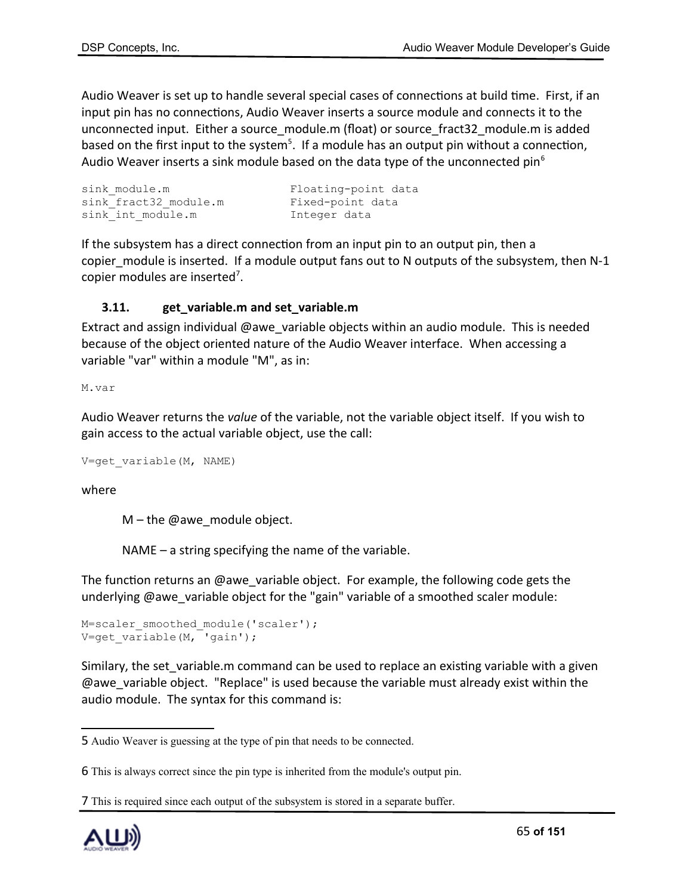Audio Weaver is set up to handle several special cases of connections at build time. First, if an input pin has no connections, Audio Weaver inserts a source module and connects it to the unconnected input. Either a source\_module.m (float) or source\_fract32\_module.m is added based on the first input to the system<sup>[5](#page-64-0)</sup>. If a module has an output pin without a connection, Audio Weaver inserts a sink module based on the data type of the unconnected pin $<sup>6</sup>$  $<sup>6</sup>$  $<sup>6</sup>$ </sup>

```
sink module.m Floating-point data
sink fract32 module.m Fixed-point data
sink_int_module.m Integer data
```
If the subsystem has a direct connection from an input pin to an output pin, then a copier\_module is inserted. If a module output fans out to N outputs of the subsystem, then N-1 copier modules are inserted<sup>[7](#page-64-2)</sup>.

#### **3.11. get\_variable.m and set\_variable.m**

Extract and assign individual @awe\_variable objects within an audio module. This is needed because of the object oriented nature of the Audio Weaver interface. When accessing a variable "var" within a module "M", as in:

M.var

Audio Weaver returns the *value* of the variable, not the variable object itself. If you wish to gain access to the actual variable object, use the call:

V=get variable(M, NAME)

where

 $M$  – the @awe\_module object.

NAME – a string specifying the name of the variable.

The function returns an @awe\_variable object. For example, the following code gets the underlying @awe\_variable object for the "gain" variable of a smoothed scaler module:

```
M=scaler smoothed module('scaler');
V=get variable(M, 'gain');
```
Similary, the set variable.m command can be used to replace an existing variable with a given @awe\_variable object. "Replace" is used because the variable must already exist within the audio module. The syntax for this command is:

<span id="page-64-2"></span><sup>7</sup> This is required since each output of the subsystem is stored in a separate buffer.



<span id="page-64-0"></span><sup>5</sup> Audio Weaver is guessing at the type of pin that needs to be connected.

<span id="page-64-1"></span><sup>6</sup> This is always correct since the pin type is inherited from the module's output pin.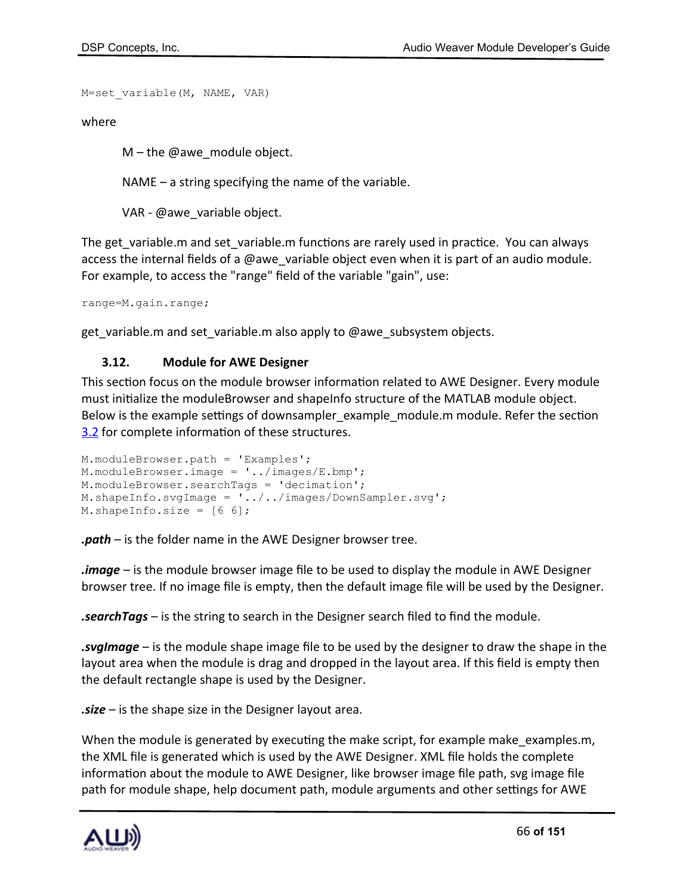```
M=set_variable(M, NAME, VAR)
```
where

 $M$  – the @awe\_module object.

NAME – a string specifying the name of the variable.

VAR - @awe\_variable object.

The get variable.m and set variable.m functions are rarely used in practice. You can always access the internal fields of a @awe\_variable object even when it is part of an audio module. For example, to access the "range" field of the variable "gain", use:

```
range=M.gain.range;
```
get variable.m and set variable.m also apply to @awe subsystem objects.

#### **3.12. Module for AWE Designer**

This section focus on the module browser information related to AWE Designer. Every module must initialize the moduleBrowser and shapeInfo structure of the MATLAB module object. Below is the example settings of downsampler example module.m module. Refer the section [3.2](#page-38-1) for complete information of these structures.

```
M.moduleBrowser.path = 'Examples';
M.moduleBrowser.image = '../images/E.bmp';
M.moduleBrowser.searchTags = 'decimation';
M.shapeInfo.svgImage = '../../images/DownSampler.svg';
M.shapeInfo.size = [6 6];
```
*.path* – is the folder name in the AWE Designer browser tree.

*.image* – is the module browser image file to be used to display the module in AWE Designer browser tree. If no image file is empty, then the default image file will be used by the Designer.

*.searchTags* – is the string to search in the Designer search filed to find the module.

*.svgImage* – is the module shape image file to be used by the designer to draw the shape in the layout area when the module is drag and dropped in the layout area. If this field is empty then the default rectangle shape is used by the Designer.

*.size* – is the shape size in the Designer layout area.

When the module is generated by executing the make script, for example make examples.m, the XML file is generated which is used by the AWE Designer. XML file holds the complete information about the module to AWE Designer, like browser image file path, svg image file path for module shape, help document path, module arguments and other settings for AWE

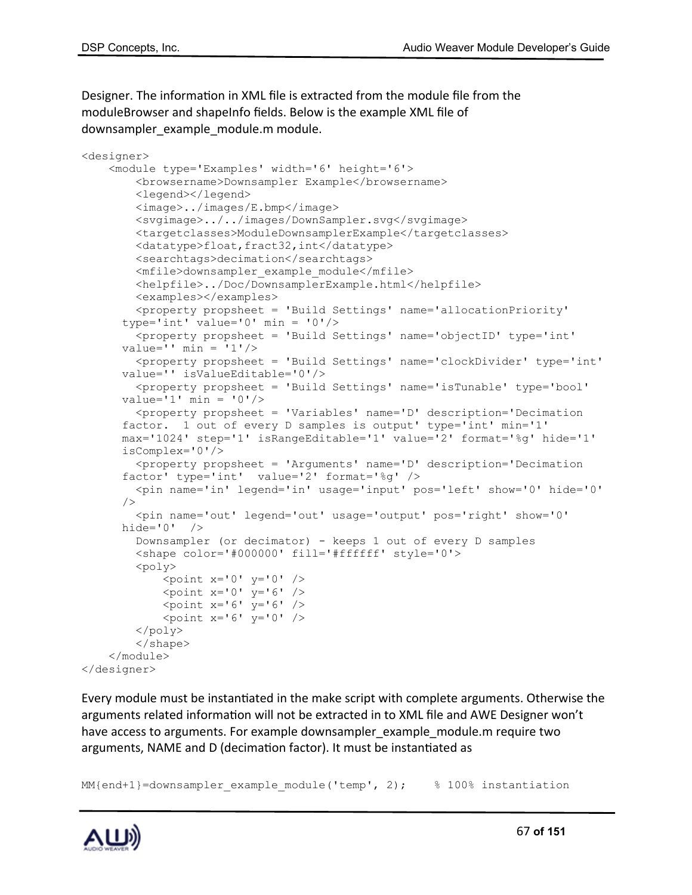Designer. The information in XML file is extracted from the module file from the moduleBrowser and shapeInfo fields. Below is the example XML file of downsampler\_example\_module.m module.

```
<designer>
     <module type='Examples' width='6' height='6'>
         <browsername>Downsampler Example</browsername>
         <legend></legend>
         <image>../images/E.bmp</image>
         <svgimage>../../images/DownSampler.svg</svgimage>
         <targetclasses>ModuleDownsamplerExample</targetclasses>
        <datatype>float, fract32, int</datatype>
         <searchtags>decimation</searchtags>
         <mfile>downsampler_example_module</mfile>
         <helpfile>../Doc/DownsamplerExample.html</helpfile>
         <examples></examples>
         <property propsheet = 'Build Settings' name='allocationPriority' 
      type='int' value='0' min = '0'/>
         <property propsheet = 'Build Settings' name='objectID' type='int' 
      value='' min = '1'/ <property propsheet = 'Build Settings' name='clockDivider' type='int' 
      value='' isValueEditable='0'/>
         <property propsheet = 'Build Settings' name='isTunable' type='bool' 
      value='1' min = '0'/ <property propsheet = 'Variables' name='D' description='Decimation 
      factor. 1 out of every D samples is output' type='int' min='1' 
      max='1024' step='1' isRangeEditable='1' value='2' format='%g' hide='1' 
      isComplex='0'/>
         <property propsheet = 'Arguments' name='D' description='Decimation 
      factor' type='int' value='2' format='%g' />
         <pin name='in' legend='in' usage='input' pos='left' show='0' hide='0' 
      />
         <pin name='out' legend='out' usage='output' pos='right' show='0' 
      hide='0' />
         Downsampler (or decimator) - keeps 1 out of every D samples
         <shape color='#000000' fill='#ffffff' style='0'>
        <poly>\text{Ypoint} x= '0' y= '0' / \text{?}\text{Ypoint} x=10' y=16' />
             <point x='6' y='6' />
            \pi <point x='6' y='0' />
         </poly>
         </shape>
     </module>
</designer>
```
Every module must be instantiated in the make script with complete arguments. Otherwise the arguments related information will not be extracted in to XML file and AWE Designer won't have access to arguments. For example downsampler\_example\_module.m require two arguments, NAME and D (decimation factor). It must be instantiated as

 $MM{end+1}$ =downsampler example module('temp', 2); % 100% instantiation

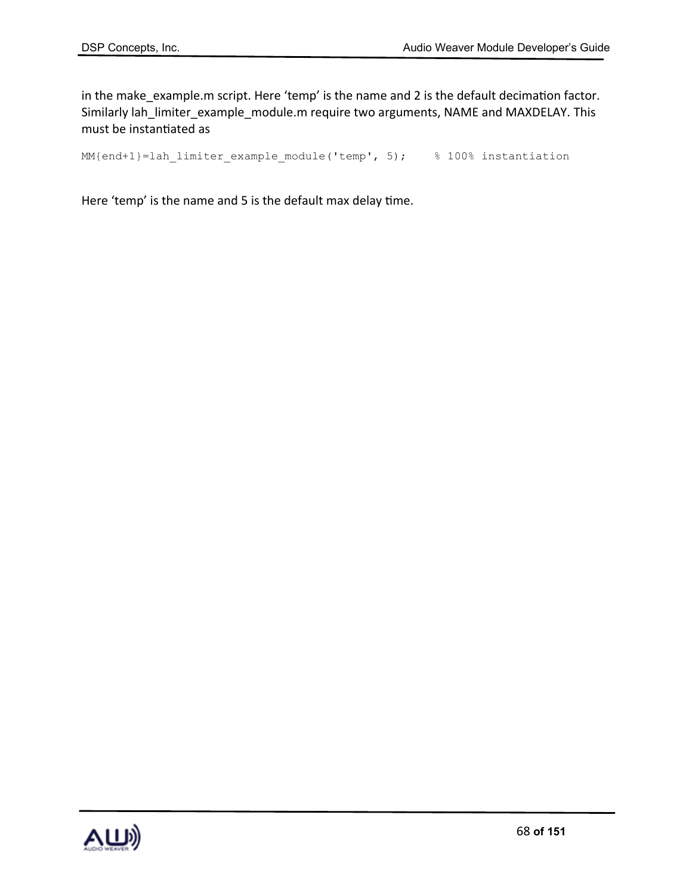in the make\_example.m script. Here 'temp' is the name and 2 is the default decimation factor. Similarly lah\_limiter\_example\_module.m require two arguments, NAME and MAXDELAY. This must be instantiated as

MM{end+1}=lah limiter example module('temp', 5); % 100% instantiation

Here 'temp' is the name and 5 is the default max delay time.

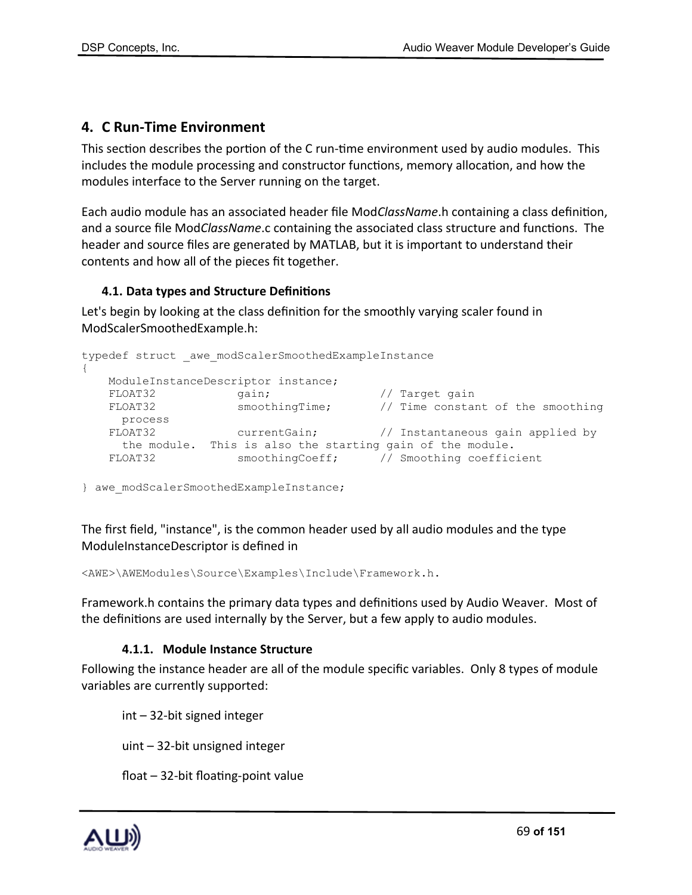# **4. C Run-Time Environment**

This section describes the portion of the C run-time environment used by audio modules. This includes the module processing and constructor functions, memory allocation, and how the modules interface to the Server running on the target.

Each audio module has an associated header file Mod*ClassName*.h containing a class definition, and a source file Mod*ClassName*.c containing the associated class structure and functions. The header and source files are generated by MATLAB, but it is important to understand their contents and how all of the pieces fit together.

# **4.1. Data types and Structure Definitions**

Let's begin by looking at the class definition for the smoothly varying scaler found in ModScalerSmoothedExample.h:

```
typedef struct _awe_modScalerSmoothedExampleInstance
{
    ModuleInstanceDescriptor instance;
   FLOAT32 gain; \sqrt{2} gain; \sqrt{2} Target gain
    FLOAT32 smoothingTime; // Time constant of the smoothing 
   process<br>FLOAT32
                   currentGain; \frac{1}{2} Instantaneous gain applied by
    the module. This is also the starting gain of the module.
   FLOAT32 smoothingCoeff; // Smoothing coefficient
```
} awe modScalerSmoothedExampleInstance;

The first field, "instance", is the common header used by all audio modules and the type ModuleInstanceDescriptor is defined in

<AWE>\AWEModules\Source\Examples\Include\Framework.h.

Framework.h contains the primary data types and definitions used by Audio Weaver. Most of the definitions are used internally by the Server, but a few apply to audio modules.

# **4.1.1. Module Instance Structure**

Following the instance header are all of the module specific variables. Only 8 types of module variables are currently supported:

int – 32-bit signed integer

uint – 32-bit unsigned integer

float – 32-bit floating-point value

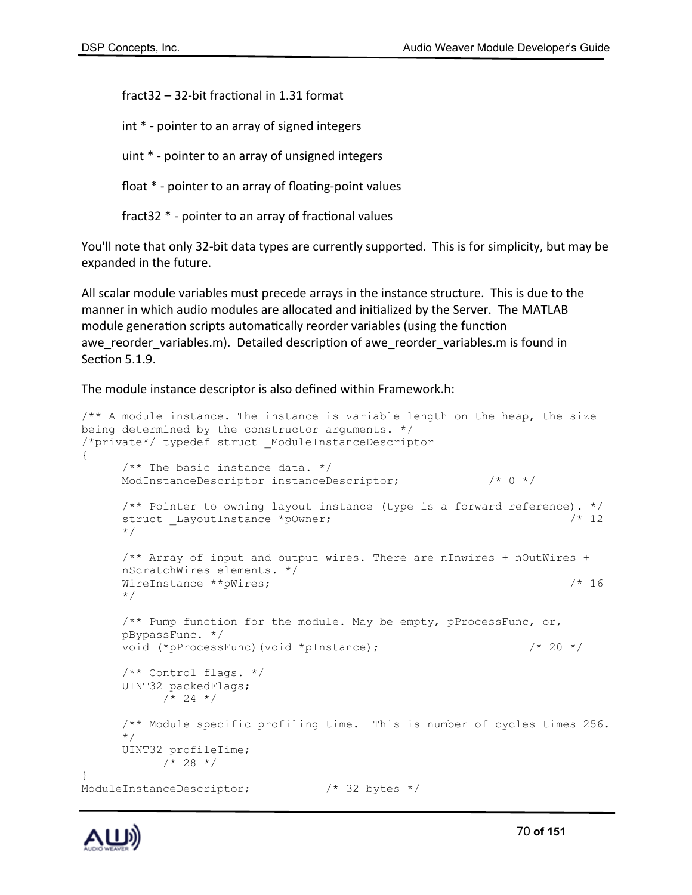fract32 – 32-bit fractional in 1.31 format

int \* - pointer to an array of signed integers

uint \* - pointer to an array of unsigned integers

float \* - pointer to an array of floating-point values

fract32 \* - pointer to an array of fractional values

You'll note that only 32-bit data types are currently supported. This is for simplicity, but may be expanded in the future.

All scalar module variables must precede arrays in the instance structure. This is due to the manner in which audio modules are allocated and initialized by the Server. The MATLAB module generation scripts automatically reorder variables (using the function awe reorder variables.m). Detailed description of awe reorder variables.m is found in Section 5.1.9.

The module instance descriptor is also defined within Framework.h:

```
/** A module instance. The instance is variable length on the heap, the size
being determined by the constructor arguments. */
/*private*/ typedef struct _ModuleInstanceDescriptor
{
     /** The basic instance data. */ModInstanceDescriptor instanceDescriptor; /* 0 */
     /** Pointer to owning layout instance (type is a forward reference). */
     struct LayoutInstance *pOwner; \frac{1}{2} /* 12
     */
     /** Array of input and output wires. There are nInwires + nOutWires +
     nScratchWires elements. */
     WireInstance **pWires; \frac{1}{6} /* 16
     */
     /** Pump function for the module. May be empty, pProcessFunc, or, 
     pBypassFunc. */
     void (*pProcessFunc)(void *pInstance); /* 20 */
     /** Control flags. */
     UINT32 packedFlags;
          /* 24 *//** Module specific profiling time. This is number of cycles times 256.
     */
     UINT32 profileTime;
          /* 28 * /}
ModuleInstanceDescriptor; /* 32 bytes */
```
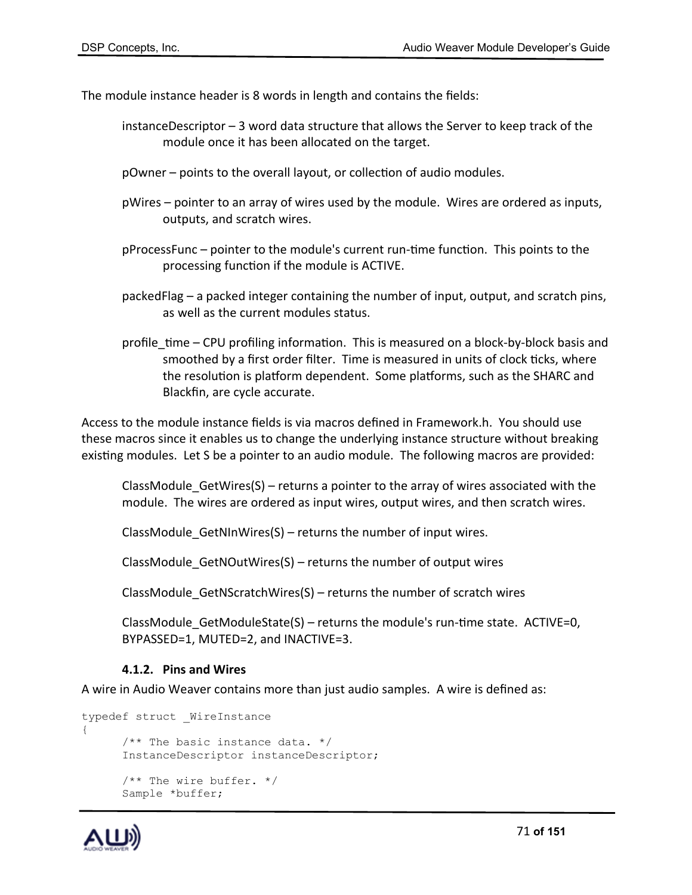The module instance header is 8 words in length and contains the fields:

- instanceDescriptor 3 word data structure that allows the Server to keep track of the module once it has been allocated on the target.
- pOwner points to the overall layout, or collection of audio modules.
- pWires pointer to an array of wires used by the module. Wires are ordered as inputs, outputs, and scratch wires.
- pProcessFunc pointer to the module's current run-time function. This points to the processing function if the module is ACTIVE.
- packedFlag a packed integer containing the number of input, output, and scratch pins, as well as the current modules status.
- profile time CPU profiling information. This is measured on a block-by-block basis and smoothed by a first order filter. Time is measured in units of clock ticks, where the resolution is platform dependent. Some platforms, such as the SHARC and Blackfin, are cycle accurate.

Access to the module instance fields is via macros defined in Framework.h. You should use these macros since it enables us to change the underlying instance structure without breaking existing modules. Let S be a pointer to an audio module. The following macros are provided:

ClassModule  $G$ etWires(S) – returns a pointer to the array of wires associated with the module. The wires are ordered as input wires, output wires, and then scratch wires.

ClassModule GetNInWires(S) – returns the number of input wires.

ClassModule GetNOutWires(S) – returns the number of output wires

ClassModule\_GetNScratchWires(S) – returns the number of scratch wires

ClassModule GetModuleState(S) – returns the module's run-time state. ACTIVE=0, BYPASSED=1, MUTED=2, and INACTIVE=3.

#### **4.1.2. Pins and Wires**

A wire in Audio Weaver contains more than just audio samples. A wire is defined as:

```
typedef struct _WireInstance
{
      /** The basic instance data. */InstanceDescriptor instanceDescriptor;
      /** The wire buffer. */Sample *buffer;
```
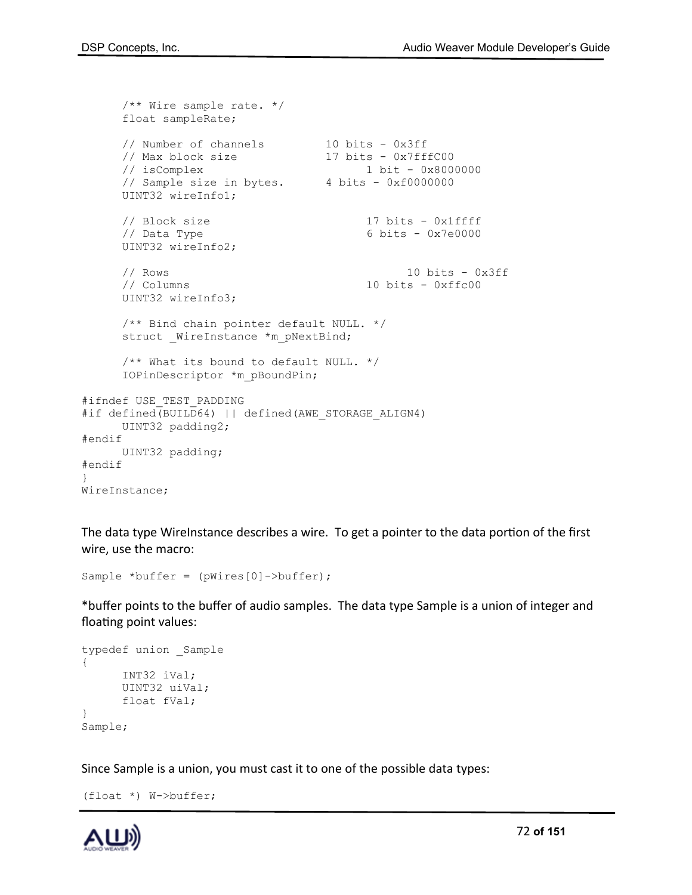```
/** Wire sample rate. */
     float sampleRate;
     // Number of channels 10 bits - 0x3ff
     // Max block size 17 bits - 0x7fffC00
     // isComplex 1 bit - 0x8000000
     // Sample size in bytes. 4 bits - 0xf0000000
     UINT32 wireInfo1;
     // Block size 17 bits - 0x1ffff
     \frac{1}{2} Data Type 6 bits - 0x7e0000
     UINT32 wireInfo2;
     // Rows 10 bits - 0x3ff
                                    10 \text{ bits } - 0 \text{xfc}00UINT32 wireInfo3;
     /** Bind chain pointer default NULL. */
     struct WireInstance *m_pNextBind;
     /** What its bound to default NULL. */
     IOPinDescriptor *m_pBoundPin;
#ifndef USE_TEST_PADDING
#if defined(BUILD64) || defined(AWE_STORAGE_ALIGN4)
     UINT32 padding2;
#endif
     UINT32 padding;
#endif
WireInstance;
```
The data type WireInstance describes a wire. To get a pointer to the data portion of the first wire, use the macro:

Sample \*buffer =  $(pWires[0]->buffer);$ 

\*buffer points to the buffer of audio samples. The data type Sample is a union of integer and floating point values:

```
typedef union _Sample
{
     INT32 iVal;
     UINT32 uiVal;
     float fVal;
}
Sample;
```
Since Sample is a union, you must cast it to one of the possible data types:

```
(float *) W->buffer;
```


}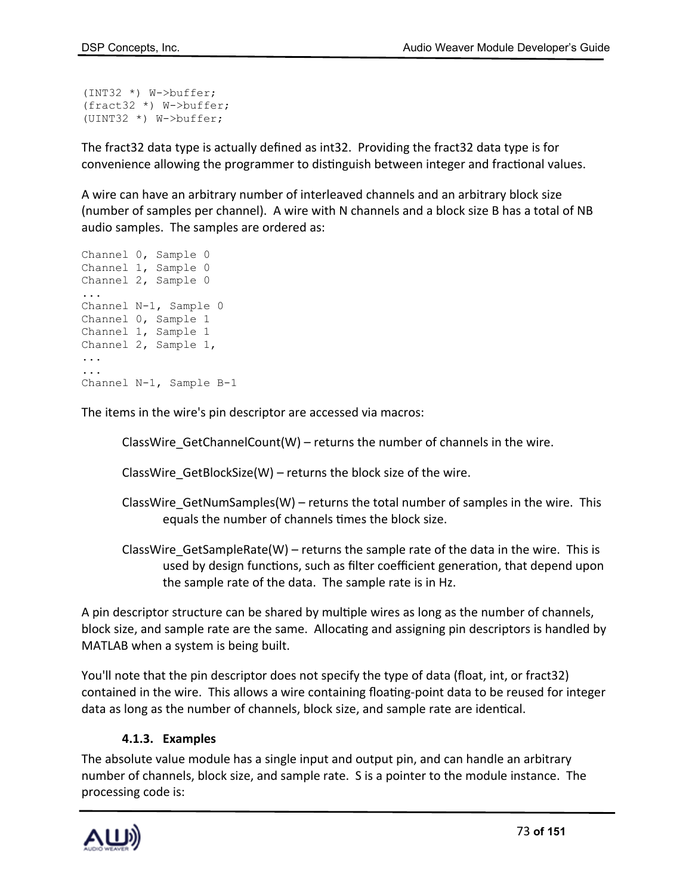```
(INT32 *) W->buffer;
(fract32 *) W->buffer;
(UINT32 *) W->buffer;
```
The fract32 data type is actually defined as int32. Providing the fract32 data type is for convenience allowing the programmer to distinguish between integer and fractional values.

A wire can have an arbitrary number of interleaved channels and an arbitrary block size (number of samples per channel). A wire with N channels and a block size B has a total of NB audio samples. The samples are ordered as:

```
Channel 0, Sample 0
Channel 1, Sample 0
Channel 2, Sample 0
...
Channel N-1, Sample 0
Channel 0, Sample 1
Channel 1, Sample 1
Channel 2, Sample 1,
...
...
Channel N-1, Sample B-1
```
The items in the wire's pin descriptor are accessed via macros:

ClassWire GetChannelCount(W) – returns the number of channels in the wire.

ClassWire GetBlockSize(W) – returns the block size of the wire.

- ClassWire GetNumSamples(W) returns the total number of samples in the wire. This equals the number of channels times the block size.
- ClassWire GetSampleRate(W) returns the sample rate of the data in the wire. This is used by design functions, such as filter coefficient generation, that depend upon the sample rate of the data. The sample rate is in Hz.

A pin descriptor structure can be shared by multiple wires as long as the number of channels, block size, and sample rate are the same. Allocating and assigning pin descriptors is handled by MATLAB when a system is being built.

You'll note that the pin descriptor does not specify the type of data (float, int, or fract32) contained in the wire. This allows a wire containing floating-point data to be reused for integer data as long as the number of channels, block size, and sample rate are identical.

#### **4.1.3. Examples**

The absolute value module has a single input and output pin, and can handle an arbitrary number of channels, block size, and sample rate. S is a pointer to the module instance. The processing code is:

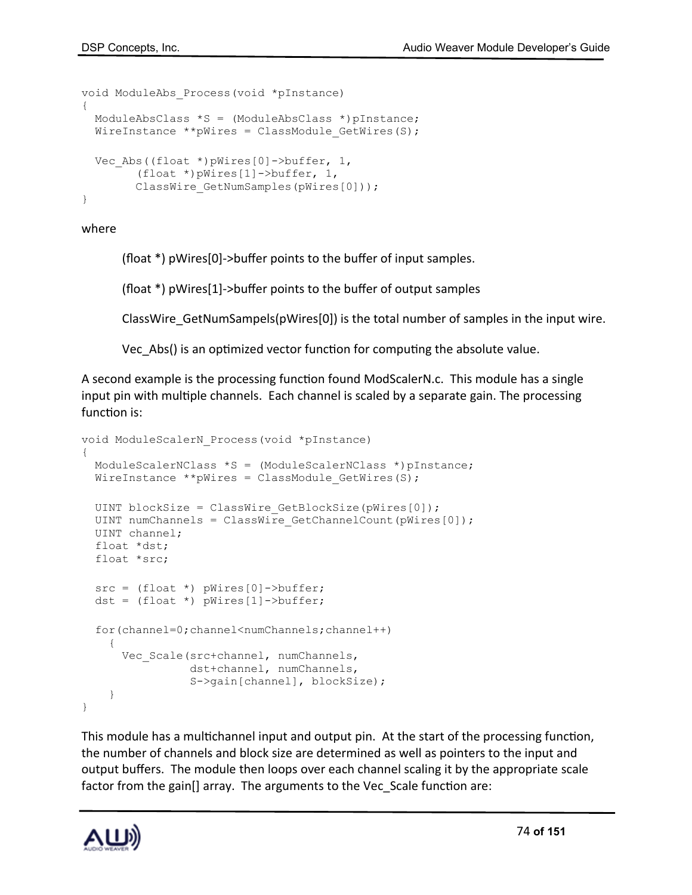```
void ModuleAbs_Process(void *pInstance)
{
  ModuleAbsClass *S = (ModuleAbsClass *)pInstance;
 WireInstance **pWires = ClassModule GetWires(S);
 Vec Abs((float *)pWires[0]->buffer, 1,
         (float *)pWires[1]->buffer, 1, 
        ClassWire GetNumSamples(pWires[0]));
}
```
where

(float \*) pWires[0]->buffer points to the buffer of input samples.

(float \*) pWires[1]->buffer points to the buffer of output samples

ClassWire\_GetNumSampels(pWires[0]) is the total number of samples in the input wire.

Vec\_Abs() is an optimized vector function for computing the absolute value.

A second example is the processing function found ModScalerN.c. This module has a single input pin with multiple channels. Each channel is scaled by a separate gain. The processing function is:

```
void ModuleScalerN_Process(void *pInstance)
{
   ModuleScalerNClass *S = (ModuleScalerNClass *)pInstance;
  WireInstance **pWires = ClassModule GetWires(S);
  UINT blockSize = ClassWire GetBlockSize(pWires[0]);
  UINT numChannels = ClassWire GetChannelCount(pWires[0]);
   UINT channel;
   float *dst;
   float *src;
  src = (float * ) <i>pWires</i>[0] -&gt; buffer;dst = (float *) pWires[1]->buffer;
   for(channel=0;channel<numChannels;channel++)
     {
      Vec Scale(src+channel, numChannels,
                 dst+channel, numChannels, 
                  S->gain[channel], blockSize);
     }
}
```
This module has a multichannel input and output pin. At the start of the processing function, the number of channels and block size are determined as well as pointers to the input and output buffers. The module then loops over each channel scaling it by the appropriate scale factor from the gain[] array. The arguments to the Vec\_Scale function are:

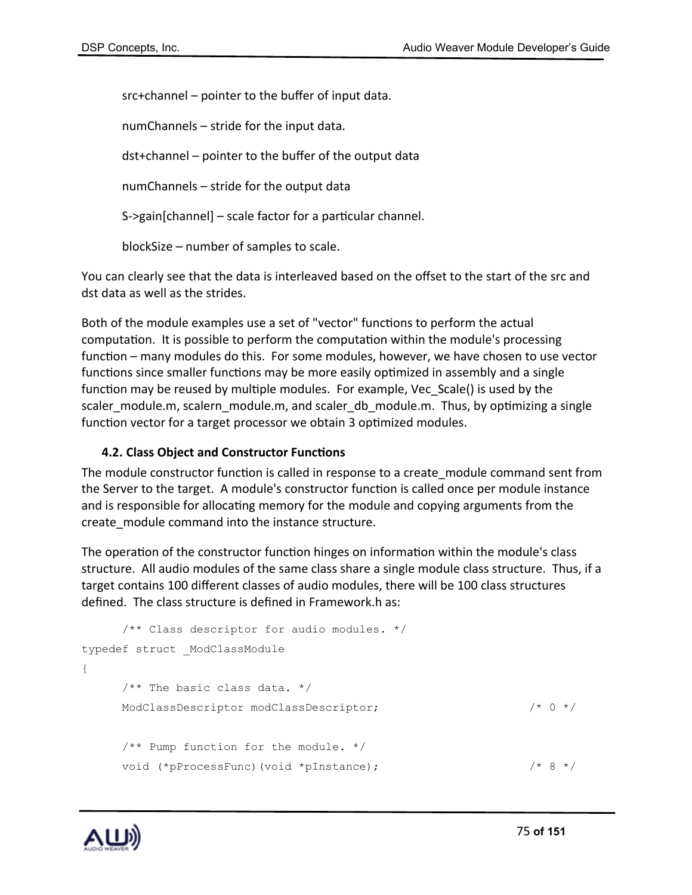src+channel – pointer to the buffer of input data.

numChannels – stride for the input data.

dst+channel – pointer to the buffer of the output data

numChannels – stride for the output data

S->gain[channel] – scale factor for a particular channel.

blockSize – number of samples to scale.

You can clearly see that the data is interleaved based on the offset to the start of the src and dst data as well as the strides.

Both of the module examples use a set of "vector" functions to perform the actual computation. It is possible to perform the computation within the module's processing function – many modules do this. For some modules, however, we have chosen to use vector functions since smaller functions may be more easily optimized in assembly and a single function may be reused by multiple modules. For example, Vec\_Scale() is used by the scaler module.m, scalern module.m, and scaler db module.m. Thus, by optimizing a single function vector for a target processor we obtain 3 optimized modules.

#### **4.2. Class Object and Constructor Functions**

The module constructor function is called in response to a create\_module command sent from the Server to the target. A module's constructor function is called once per module instance and is responsible for allocating memory for the module and copying arguments from the create module command into the instance structure.

The operation of the constructor function hinges on information within the module's class structure. All audio modules of the same class share a single module class structure. Thus, if a target contains 100 different classes of audio modules, there will be 100 class structures defined. The class structure is defined in Framework.h as:

```
/** Class descriptor for audio modules. */
typedef struct _ModClassModule
{
     /** The basic class data. */ModClassDescriptor modClassDescriptor; /* 0 */
     /** Pump function for the module. */
     void (*pProcessFunc)(void *pInstance); /* 8 */
```
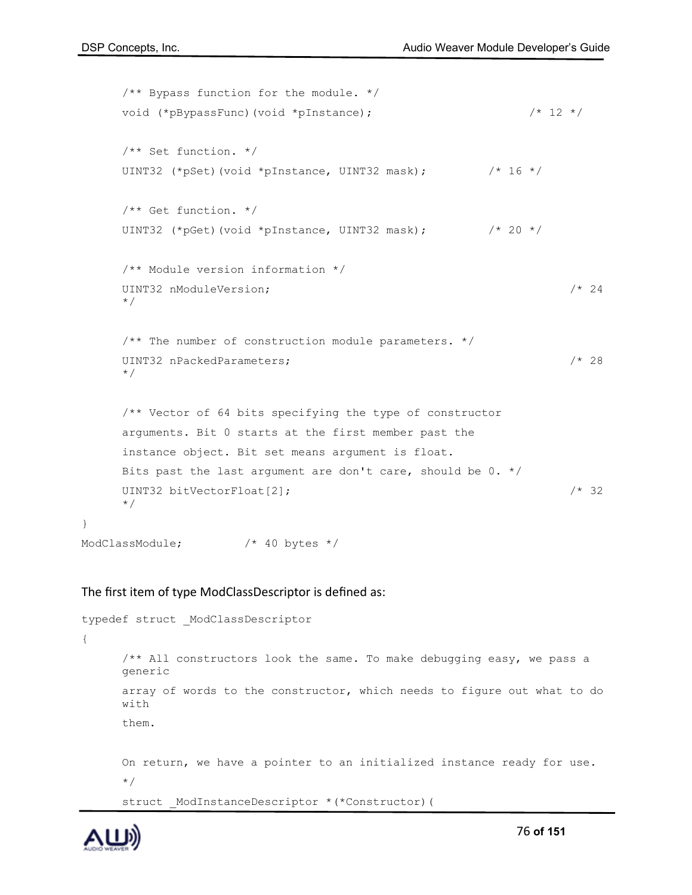```
/** Bypass function for the module. */
     void (*pBypassFunc)(void *pInstance); /* 12 */
     /** Set function. */
     UINT32 (*pSet)(void *pInstance, UINT32 mask); /* 16 */
     /** Get function. */
     UINT32 (*pGet)(void *pInstance, UINT32 mask); /* 20 */
     /** Module version information */
     UINT32 nModuleVersion; /* 24 
     */
     /** The number of construction module parameters. */
     UINT32 nPackedParameters; /* 28 
     */
     /** Vector of 64 bits specifying the type of constructor
     arguments. Bit 0 starts at the first member past the
     instance object. Bit set means argument is float.
     Bits past the last argument are don't care, should be 0. */
     UINT32 bitVectorFloat[2]; \frac{1}{2} /* 32
     */
ModClassModule; /* 40 bytes */
```
#### The first item of type ModClassDescriptor is defined as:

```
typedef struct _ModClassDescriptor
{
      /** All constructors look the same. To make debugging easy, we pass a 
     generic
      array of words to the constructor, which needs to figure out what to do 
      with
      them.
      On return, we have a pointer to an initialized instance ready for use.
      */
      struct ModInstanceDescriptor *(*Constructor)(
```


}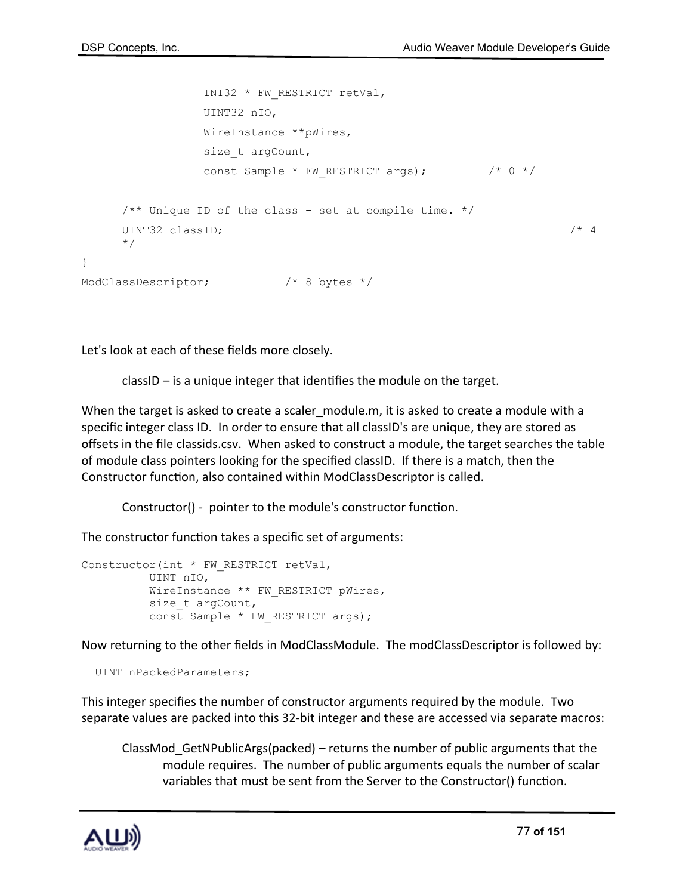```
INT32 * FW_RESTRICT retVal,
              UINT32 nIO,
              WireInstance **pWires,
              size t argCount,
              const Sample * FW_RESTRICT args); / /* 0 */
    /** Unique ID of the class - set at compile time. */
    UINT32 classID; /* 4 
    */
}
ModClassDescriptor; /* 8 bytes */
```
Let's look at each of these fields more closely.

classID – is a unique integer that identifies the module on the target.

When the target is asked to create a scaler module.m, it is asked to create a module with a specific integer class ID. In order to ensure that all classID's are unique, they are stored as offsets in the file classids.csv. When asked to construct a module, the target searches the table of module class pointers looking for the specified classID. If there is a match, then the Constructor function, also contained within ModClassDescriptor is called.

Constructor() - pointer to the module's constructor function.

The constructor function takes a specific set of arguments:

```
Constructor(int * FW_RESTRICT retVal,
          UINT nIO,
          WireInstance ** FW_RESTRICT pWires,
          size t argCount,
          const Sample * FW RESTRICT args);
```
Now returning to the other fields in ModClassModule. The modClassDescriptor is followed by:

UINT nPackedParameters;

This integer specifies the number of constructor arguments required by the module. Two separate values are packed into this 32-bit integer and these are accessed via separate macros:

ClassMod\_GetNPublicArgs(packed) – returns the number of public arguments that the module requires. The number of public arguments equals the number of scalar variables that must be sent from the Server to the Constructor() function.

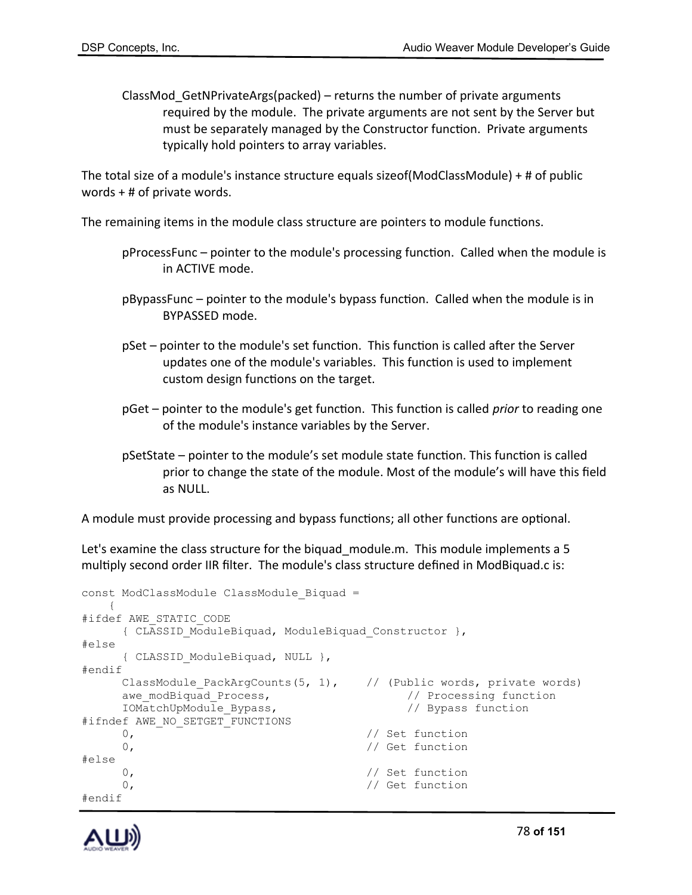ClassMod\_GetNPrivateArgs(packed) – returns the number of private arguments required by the module. The private arguments are not sent by the Server but must be separately managed by the Constructor function. Private arguments typically hold pointers to array variables.

The total size of a module's instance structure equals sizeof(ModClassModule) + # of public words + # of private words.

The remaining items in the module class structure are pointers to module functions.

- pProcessFunc pointer to the module's processing function. Called when the module is in ACTIVE mode.
- pBypassFunc pointer to the module's bypass function. Called when the module is in BYPASSED mode.
- pSet pointer to the module's set function. This function is called after the Server updates one of the module's variables. This function is used to implement custom design functions on the target.
- pGet pointer to the module's get function. This function is called *prior* to reading one of the module's instance variables by the Server.
- pSetState pointer to the module's set module state function. This function is called prior to change the state of the module. Most of the module's will have this field as NULL.

A module must provide processing and bypass functions; all other functions are optional.

Let's examine the class structure for the biquad module.m. This module implements a 5 multiply second order IIR filter. The module's class structure defined in ModBiquad.c is:

```
const ModClassModule ClassModule_Biquad =
      \left\{ \right.#ifdef AWE_STATIC_CODE
          { CLASSID_ModuleBiquad, ModuleBiquad_Constructor },
#else
           { CLASSID_ModuleBiquad, NULL },
#endif
          ClassModule PackArgCounts(5, 1), // (Public words, private words)
          awe_modBiquad_Process, // Processing function
          IOMatchUpModule Bypass, // Bypass function
#ifndef AWE NO SETGET FUNCTIONS
          0, \frac{1}{\sqrt{8\pi}} 0, \frac{1}{\sqrt{8\pi}} 0, \frac{1}{\sqrt{8\pi}} 0, \frac{1}{\sqrt{8\pi}} 0, \frac{1}{\sqrt{8\pi}} 0, \frac{1}{\sqrt{8\pi}} 0, \frac{1}{\sqrt{8\pi}} 0, \frac{1}{\sqrt{8\pi}} 0, \frac{1}{\sqrt{8\pi}} 0, \frac{1}{\sqrt{8\pi}} 0, \frac{1}{\sqrt{8\pi}} 0, \frac{1}{\sqrt{8\pi}} 0, \frac 0, // Get function
#else
          0, \frac{1}{\sqrt{8\pi}} 0, \frac{1}{\sqrt{8\pi}} 0, \frac{1}{\sqrt{8\pi}} 0, \frac{1}{\sqrt{8\pi}} 0, \frac{1}{\sqrt{8\pi}} 0, \frac{1}{\sqrt{8\pi}} 0, \frac{1}{\sqrt{8\pi}} 0, \frac{1}{\sqrt{8\pi}} 0, \frac{1}{\sqrt{8\pi}} 0, \frac{1}{\sqrt{8\pi}} 0, \frac{1}{\sqrt{8\pi}} 0, \frac{1}{\sqrt{8\pi}} 0, \frac0, \sqrt{6} contracts the contract of \sqrt{6} Get function
#endif
```
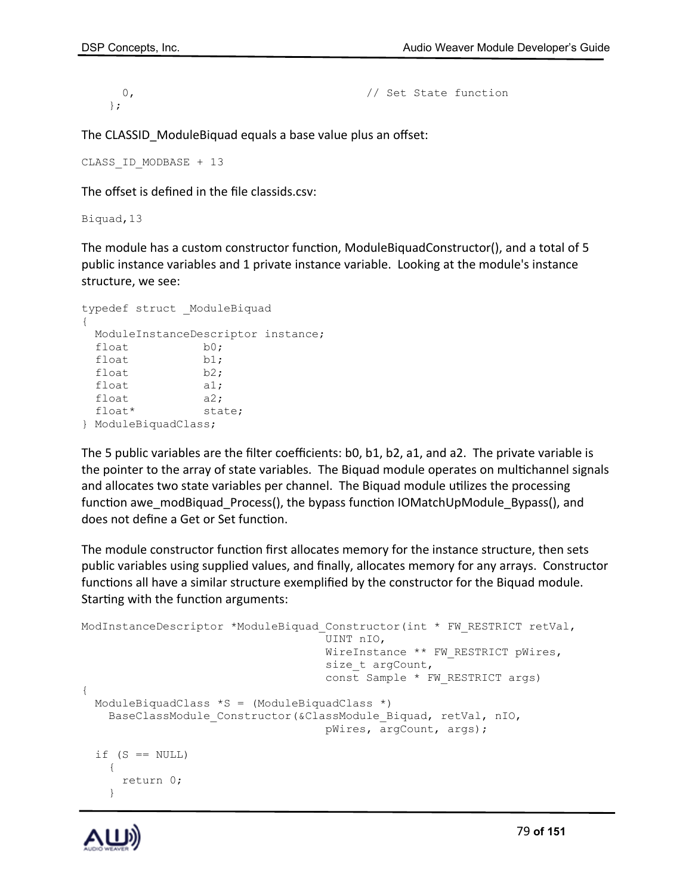};

0, // Set State function

The CLASSID ModuleBiquad equals a base value plus an offset:

CLASS\_ID\_MODBASE + 13

The offset is defined in the file classids.csv:

Biquad,13

The module has a custom constructor function, ModuleBiquadConstructor(), and a total of 5 public instance variables and 1 private instance variable. Looking at the module's instance structure, we see:

```
typedef struct _ModuleBiquad
{
  ModuleInstanceDescriptor instance;
 float b0;
 float b1;
 float b2;
 float al;
 float a2;
 float* state;
} ModuleBiquadClass;
```
The 5 public variables are the filter coefficients: b0, b1, b2, a1, and a2. The private variable is the pointer to the array of state variables. The Biquad module operates on multichannel signals and allocates two state variables per channel. The Biquad module utilizes the processing function awe modBiquad Process(), the bypass function IOMatchUpModule Bypass(), and does not define a Get or Set function.

The module constructor function first allocates memory for the instance structure, then sets public variables using supplied values, and finally, allocates memory for any arrays. Constructor functions all have a similar structure exemplified by the constructor for the Biquad module. Starting with the function arguments:

```
ModInstanceDescriptor *ModuleBiquad Constructor(int * FW RESTRICT retVal,
                                     UINT nIO, 
                                     WireInstance ** FW_RESTRICT pWires,
                                     size t argCount,
                                     const Sample * FW_RESTRICT args)
{
   ModuleBiquadClass *S = (ModuleBiquadClass *) 
    BaseClassModule Constructor(&ClassModule Biquad, retVal, nIO,
                                     pWires, argCount, args);
  if (S == NULL) {
       return 0;
     }
```
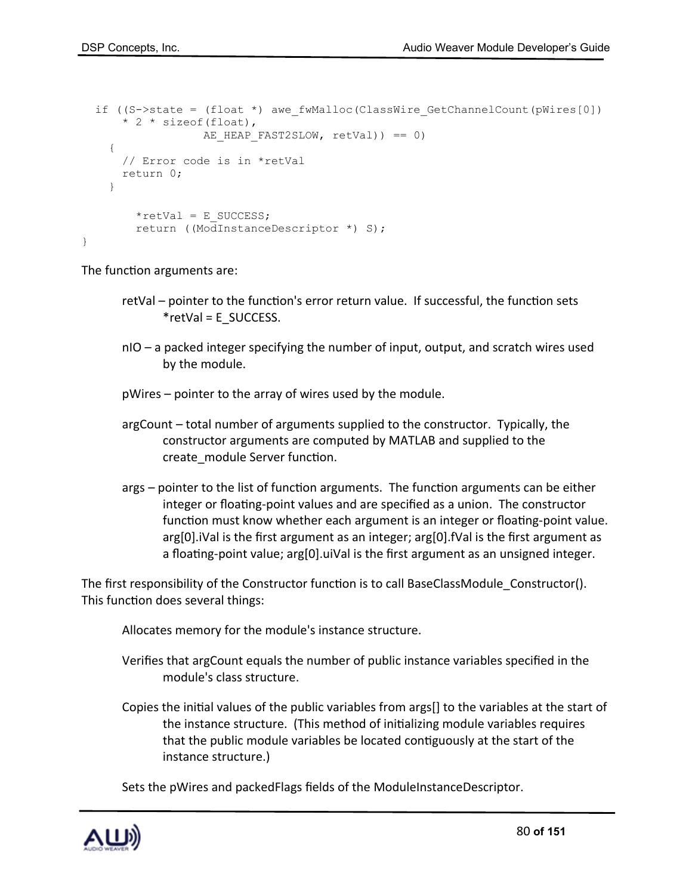```
if ((S-)state = (float * ) awe fwMalloc(ClassWire GetChannelCount(pWires[0])
    * 2 * sizeof(float),
               AE HEAP FAST2SLOW, retVal)) == 0)
   {
     // Error code is in *retVal
     return 0;
   }
      *retVal = E SUCCESS;
      return ((ModInstanceDescriptor *) S);
```
The function arguments are:

}

- retVal pointer to the function's error return value. If successful, the function sets \*retVal = E\_SUCCESS.
- nIO a packed integer specifying the number of input, output, and scratch wires used by the module.
- pWires pointer to the array of wires used by the module.
- argCount total number of arguments supplied to the constructor. Typically, the constructor arguments are computed by MATLAB and supplied to the create\_module Server function.
- args pointer to the list of function arguments. The function arguments can be either integer or floating-point values and are specified as a union. The constructor function must know whether each argument is an integer or floating-point value. arg[0].iVal is the first argument as an integer; arg[0].fVal is the first argument as a floating-point value; arg[0].uiVal is the first argument as an unsigned integer.

The first responsibility of the Constructor function is to call BaseClassModule\_Constructor(). This function does several things:

- Allocates memory for the module's instance structure.
- Verifies that argCount equals the number of public instance variables specified in the module's class structure.
- Copies the initial values of the public variables from args[] to the variables at the start of the instance structure. (This method of initializing module variables requires that the public module variables be located contiguously at the start of the instance structure.)

Sets the pWires and packedFlags fields of the ModuleInstanceDescriptor.

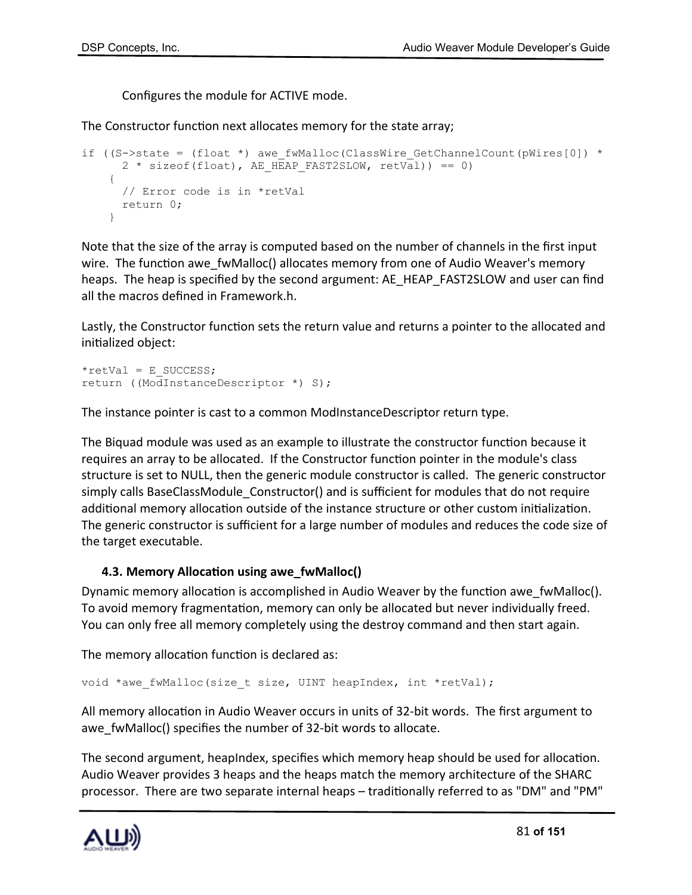Configures the module for ACTIVE mode.

The Constructor function next allocates memory for the state array;

```
if ((S->state = (float *) awe fwMalloc(ClassWire GetChannelCount(pWires[0]) *
      2 * sizeof(float), AE HEAP FAST2SLOW, retVal)) == 0)
     {
       // Error code is in *retVal
       return 0;
     }
```
Note that the size of the array is computed based on the number of channels in the first input wire. The function awe fwMalloc() allocates memory from one of Audio Weaver's memory heaps. The heap is specified by the second argument: AE\_HEAP\_FAST2SLOW and user can find all the macros defined in Framework.h.

Lastly, the Constructor function sets the return value and returns a pointer to the allocated and initialized object:

```
*retVal = E_SUCCESS;
return ((ModInstanceDescriptor *) S);
```
The instance pointer is cast to a common ModInstanceDescriptor return type.

The Biquad module was used as an example to illustrate the constructor function because it requires an array to be allocated. If the Constructor function pointer in the module's class structure is set to NULL, then the generic module constructor is called. The generic constructor simply calls BaseClassModule\_Constructor() and is sufficient for modules that do not require additional memory allocation outside of the instance structure or other custom initialization. The generic constructor is sufficient for a large number of modules and reduces the code size of the target executable.

## **4.3. Memory Allocation using awe\_fwMalloc()**

Dynamic memory allocation is accomplished in Audio Weaver by the function awe\_fwMalloc(). To avoid memory fragmentation, memory can only be allocated but never individually freed. You can only free all memory completely using the destroy command and then start again.

The memory allocation function is declared as:

```
void *awe fwMalloc(size t size, UINT heapIndex, int *retVal);
```
All memory allocation in Audio Weaver occurs in units of 32-bit words. The first argument to awe fwMalloc() specifies the number of 32-bit words to allocate.

The second argument, heapIndex, specifies which memory heap should be used for allocation. Audio Weaver provides 3 heaps and the heaps match the memory architecture of the SHARC processor. There are two separate internal heaps – traditionally referred to as "DM" and "PM"

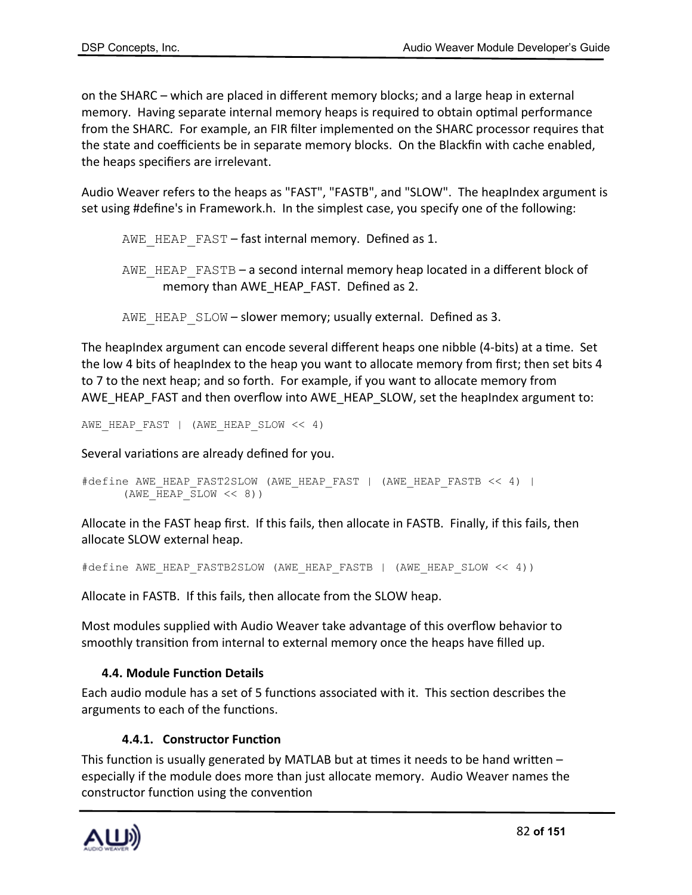on the SHARC – which are placed in different memory blocks; and a large heap in external memory. Having separate internal memory heaps is required to obtain optimal performance from the SHARC. For example, an FIR filter implemented on the SHARC processor requires that the state and coefficients be in separate memory blocks. On the Blackfin with cache enabled, the heaps specifiers are irrelevant.

Audio Weaver refers to the heaps as "FAST", "FASTB", and "SLOW". The heapIndex argument is set using #define's in Framework.h. In the simplest case, you specify one of the following:

AWE HEAP FAST – fast internal memory. Defined as 1.

- AWE HEAP FASTB a second internal memory heap located in a different block of memory than AWE\_HEAP\_FAST. Defined as 2.
- AWE HEAP SLOW slower memory; usually external. Defined as 3.

The heapIndex argument can encode several different heaps one nibble (4-bits) at a time. Set the low 4 bits of heapIndex to the heap you want to allocate memory from first; then set bits 4 to 7 to the next heap; and so forth. For example, if you want to allocate memory from AWE\_HEAP\_FAST and then overflow into AWE\_HEAP\_SLOW, set the heapIndex argument to:

AWE\_HEAP\_FAST | (AWE\_HEAP\_SLOW << 4)

Several variations are already defined for you.

```
#define AWE_HEAP_FAST2SLOW (AWE_HEAP_FAST | (AWE_HEAP_FASTB << 4) | 
      (AWE_HEAP_SLOW << 8))
```
Allocate in the FAST heap first. If this fails, then allocate in FASTB. Finally, if this fails, then allocate SLOW external heap.

#define AWE\_HEAP\_FASTB2SLOW (AWE\_HEAP\_FASTB | (AWE\_HEAP\_SLOW << 4))

Allocate in FASTB. If this fails, then allocate from the SLOW heap.

Most modules supplied with Audio Weaver take advantage of this overflow behavior to smoothly transition from internal to external memory once the heaps have filled up.

## **4.4. Module Function Details**

Each audio module has a set of 5 functions associated with it. This section describes the arguments to each of the functions.

## **4.4.1. Constructor Function**

This function is usually generated by MATLAB but at times it needs to be hand written  $$ especially if the module does more than just allocate memory. Audio Weaver names the constructor function using the convention

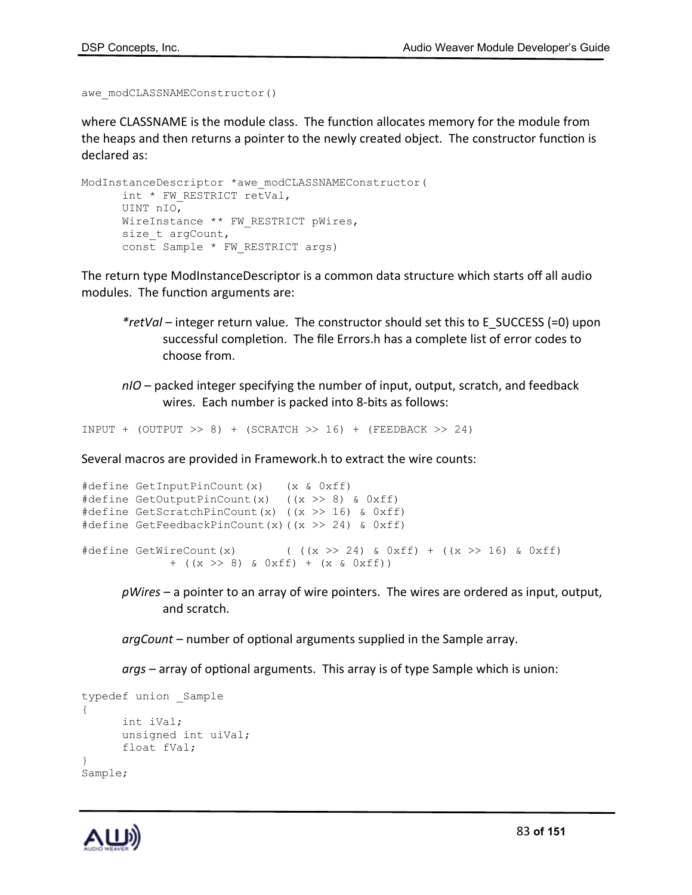awe\_modCLASSNAMEConstructor()

where CLASSNAME is the module class. The function allocates memory for the module from the heaps and then returns a pointer to the newly created object. The constructor function is declared as:

```
ModInstanceDescriptor *awe_modCLASSNAMEConstructor(
      int * FW_RESTRICT retVal,
      UINT nIO, 
     WireInstance ** FW_RESTRICT pWires,
      size t argCount,
      const Sample * FW_RESTRICT args)
```
The return type ModInstanceDescriptor is a common data structure which starts off all audio modules. The function arguments are:

- *\*retVal* integer return value. The constructor should set this to E\_SUCCESS (=0) upon successful completion. The file Errors.h has a complete list of error codes to choose from.
- *nIO* packed integer specifying the number of input, output, scratch, and feedback wires. Each number is packed into 8-bits as follows:

INPUT +  $(OUTPUT >> 8)$  +  $(SCRATCH >> 16)$  +  $(FEEDBACK >> 24)$ 

Several macros are provided in Framework.h to extract the wire counts:

```
#define GetInputPinCount(x) (x & 0xff)
#define GetOutputPinCount(x) ((x >> 8) & 0xff)
#define GetScratchPinCount(x) ((x >> 16) & 0xff)
#define GetFeedbackPinCount(x)((x >> 24) & 0xff)
#define GetWireCount(x) ((x \gt{>} 24) \& 0xff) + ((x \gt{>} 16) \& 0xff) + ((x >> 8) & 0xff) + (x & 0xff))
```
*pWires* – a pointer to an array of wire pointers. The wires are ordered as input, output, and scratch.

*argCount* – number of optional arguments supplied in the Sample array.

*args* – array of optional arguments. This array is of type Sample which is union:

```
typedef union _Sample
{
      int iVal;
      unsigned int uiVal;
      float fVal;
}
Sample;
```
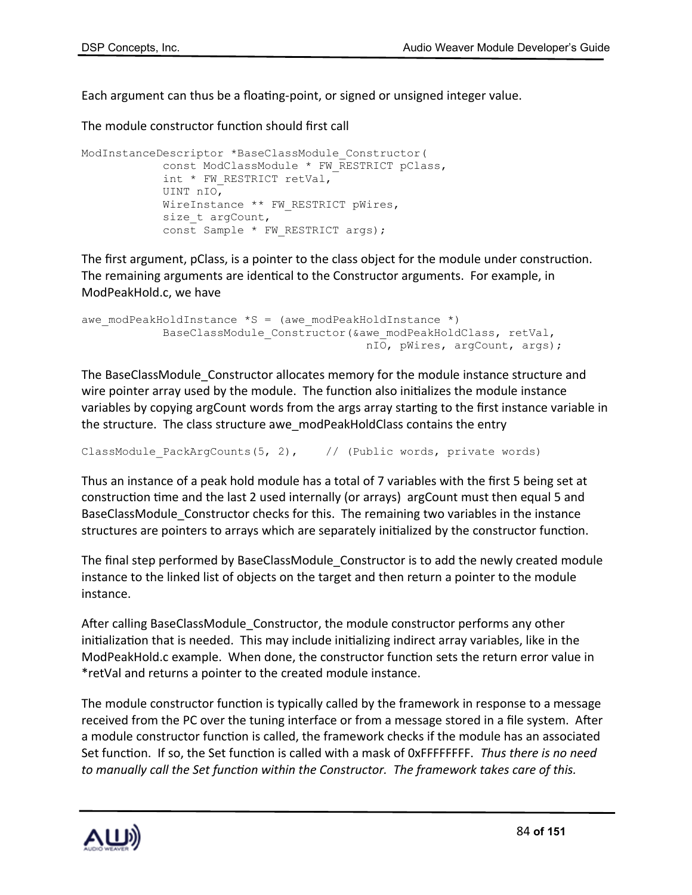Each argument can thus be a floating-point, or signed or unsigned integer value.

The module constructor function should first call

```
ModInstanceDescriptor *BaseClassModule_Constructor(
            const ModClassModule * FW RESTRICT pClass,
            int * FW RESTRICT retVal,
            UINT nIO,
            WireInstance ** FW_RESTRICT pWires,
            size t argCount,
            const Sample * FW RESTRICT args);
```
The first argument, pClass, is a pointer to the class object for the module under construction. The remaining arguments are identical to the Constructor arguments. For example, in ModPeakHold.c, we have

```
awe modPeakHoldInstance *S = (awe modPeakHoldInstance *)
            BaseClassModule Constructor(&awe modPeakHoldClass, retVal,
                                          nIO, pWires, argCount, args);
```
The BaseClassModule Constructor allocates memory for the module instance structure and wire pointer array used by the module. The function also initializes the module instance variables by copying argCount words from the args array starting to the first instance variable in the structure. The class structure awe\_modPeakHoldClass contains the entry

```
ClassModule PackArgCounts(5, 2), // (Public words, private words)
```
Thus an instance of a peak hold module has a total of 7 variables with the first 5 being set at construction time and the last 2 used internally (or arrays) argCount must then equal 5 and BaseClassModule\_Constructor checks for this. The remaining two variables in the instance structures are pointers to arrays which are separately initialized by the constructor function.

The final step performed by BaseClassModule\_Constructor is to add the newly created module instance to the linked list of objects on the target and then return a pointer to the module instance.

After calling BaseClassModule\_Constructor, the module constructor performs any other initialization that is needed. This may include initializing indirect array variables, like in the ModPeakHold.c example. When done, the constructor function sets the return error value in \*retVal and returns a pointer to the created module instance.

The module constructor function is typically called by the framework in response to a message received from the PC over the tuning interface or from a message stored in a file system. After a module constructor function is called, the framework checks if the module has an associated Set function. If so, the Set function is called with a mask of 0xFFFFFFFF. *Thus there is no need to manually call the Set function within the Constructor. The framework takes care of this.*

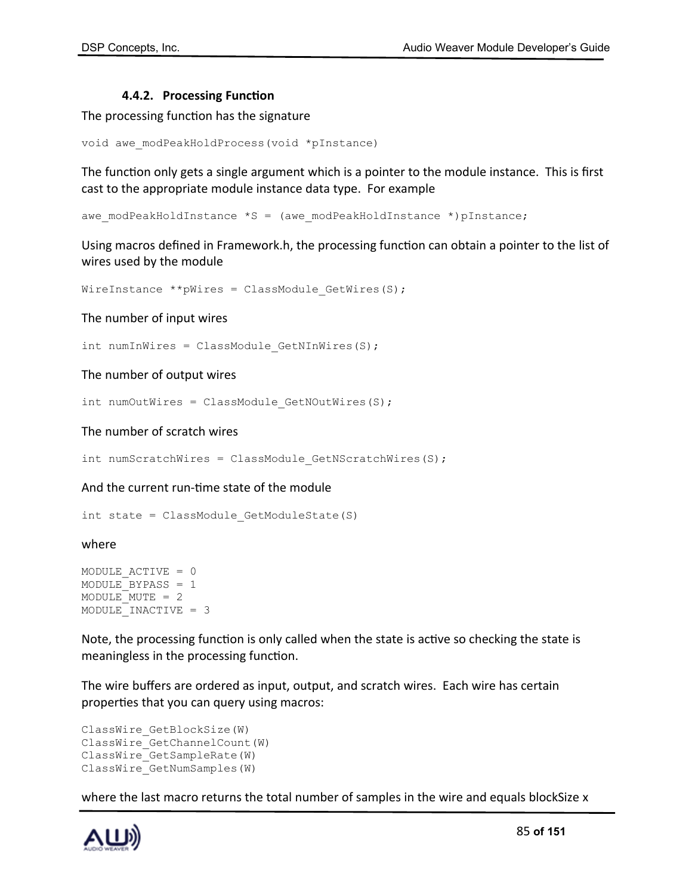## **4.4.2. Processing Function**

The processing function has the signature

void awe modPeakHoldProcess(void \*pInstance)

The function only gets a single argument which is a pointer to the module instance. This is first cast to the appropriate module instance data type. For example

awe modPeakHoldInstance \*S = (awe modPeakHoldInstance \*)pInstance;

Using macros defined in Framework.h, the processing function can obtain a pointer to the list of wires used by the module

WireInstance \*\*pWires = ClassModule GetWires(S);

The number of input wires

int numInWires =  $ClassModule GetNINWires(S);$ 

The number of output wires

int numOutWires = ClassModule GetNOutWires(S);

The number of scratch wires

int numScratchWires = ClassModule GetNScratchWires(S);

And the current run-time state of the module

 $int state = ClassModule GetModuleState(S)$ 

where

MODULE\_ACTIVE = 0 MODULE\_BYPASS = 1 MODULE  $MUTE = 2$ MODULE\_INACTIVE = 3

Note, the processing function is only called when the state is active so checking the state is meaningless in the processing function.

The wire buffers are ordered as input, output, and scratch wires. Each wire has certain properties that you can query using macros:

```
ClassWire GetBlockSize(W)
ClassWire GetChannelCount(W)
ClassWire GetSampleRate(W)
ClassWire_GetNumSamples(W)
```
where the last macro returns the total number of samples in the wire and equals blockSize x

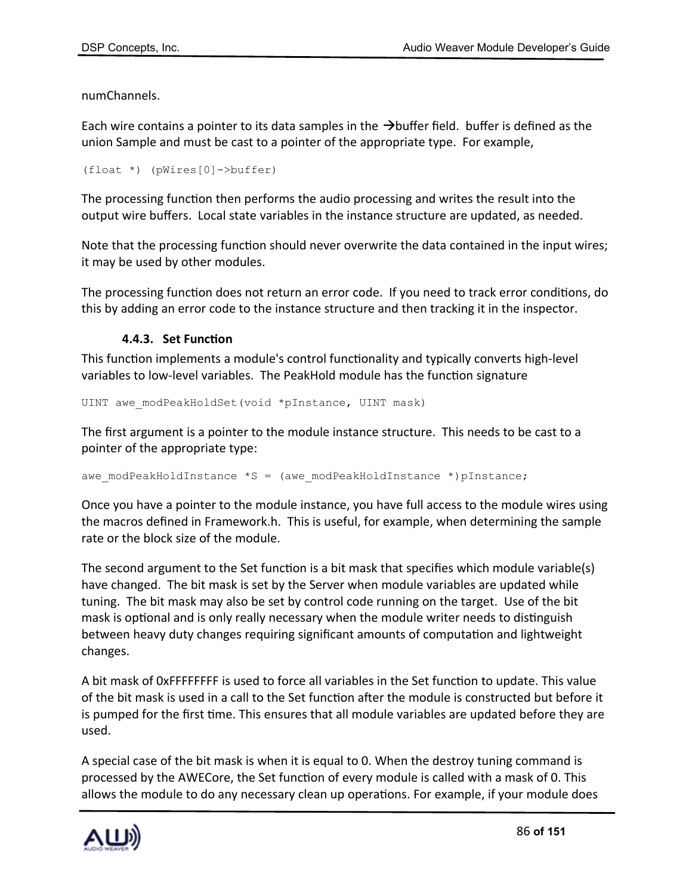numChannels.

Each wire contains a pointer to its data samples in the  $\rightarrow$ buffer field. buffer is defined as the union Sample and must be cast to a pointer of the appropriate type. For example,

```
(float *) (pWires[0]->buffer)
```
The processing function then performs the audio processing and writes the result into the output wire buffers. Local state variables in the instance structure are updated, as needed.

Note that the processing function should never overwrite the data contained in the input wires; it may be used by other modules.

The processing function does not return an error code. If you need to track error conditions, do this by adding an error code to the instance structure and then tracking it in the inspector.

#### **4.4.3. Set Function**

This function implements a module's control functionality and typically converts high-level variables to low-level variables. The PeakHold module has the function signature

UINT awe modPeakHoldSet(void \*pInstance, UINT mask)

The first argument is a pointer to the module instance structure. This needs to be cast to a pointer of the appropriate type:

awe modPeakHoldInstance \*S = (awe modPeakHoldInstance \*)pInstance;

Once you have a pointer to the module instance, you have full access to the module wires using the macros defined in Framework.h. This is useful, for example, when determining the sample rate or the block size of the module.

The second argument to the Set function is a bit mask that specifies which module variable(s) have changed. The bit mask is set by the Server when module variables are updated while tuning. The bit mask may also be set by control code running on the target. Use of the bit mask is optional and is only really necessary when the module writer needs to distinguish between heavy duty changes requiring significant amounts of computation and lightweight changes.

A bit mask of 0xFFFFFFFF is used to force all variables in the Set function to update. This value of the bit mask is used in a call to the Set function after the module is constructed but before it is pumped for the first time. This ensures that all module variables are updated before they are used.

A special case of the bit mask is when it is equal to 0. When the destroy tuning command is processed by the AWECore, the Set function of every module is called with a mask of 0. This allows the module to do any necessary clean up operations. For example, if your module does

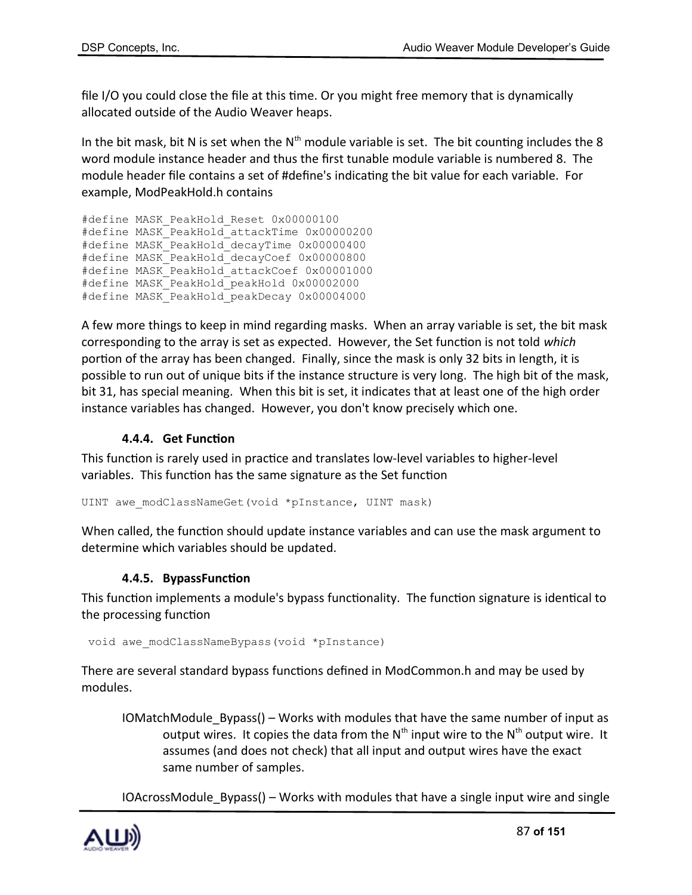file I/O you could close the file at this time. Or you might free memory that is dynamically allocated outside of the Audio Weaver heaps.

In the bit mask, bit N is set when the  $N<sup>th</sup>$  module variable is set. The bit counting includes the 8 word module instance header and thus the first tunable module variable is numbered 8. The module header file contains a set of #define's indicating the bit value for each variable. For example, ModPeakHold.h contains

```
#define MASK_PeakHold_Reset 0x00000100
#define MASK_PeakHold_attackTime 0x00000200
#define MASK_PeakHold_decayTime 0x00000400
#define MASK_PeakHold_decayCoef 0x00000800
#define MASK_PeakHold_attackCoef 0x00001000
#define MASK_PeakHold_peakHold 0x00002000
#define MASK_PeakHold_peakDecay 0x00004000
```
A few more things to keep in mind regarding masks. When an array variable is set, the bit mask corresponding to the array is set as expected. However, the Set function is not told *which* portion of the array has been changed. Finally, since the mask is only 32 bits in length, it is possible to run out of unique bits if the instance structure is very long. The high bit of the mask, bit 31, has special meaning. When this bit is set, it indicates that at least one of the high order instance variables has changed. However, you don't know precisely which one.

#### **4.4.4. Get Function**

This function is rarely used in practice and translates low-level variables to higher-level variables. This function has the same signature as the Set function

UINT awe modClassNameGet(void \*pInstance, UINT mask)

When called, the function should update instance variables and can use the mask argument to determine which variables should be updated.

#### **4.4.5. BypassFunction**

This function implements a module's bypass functionality. The function signature is identical to the processing function

void awe modClassNameBypass(void \*pInstance)

There are several standard bypass functions defined in ModCommon.h and may be used by modules.

IOMatchModule\_Bypass() – Works with modules that have the same number of input as output wires. It copies the data from the  $N<sup>th</sup>$  input wire to the  $N<sup>th</sup>$  output wire. It assumes (and does not check) that all input and output wires have the exact same number of samples.

IOAcrossModule\_Bypass() – Works with modules that have a single input wire and single

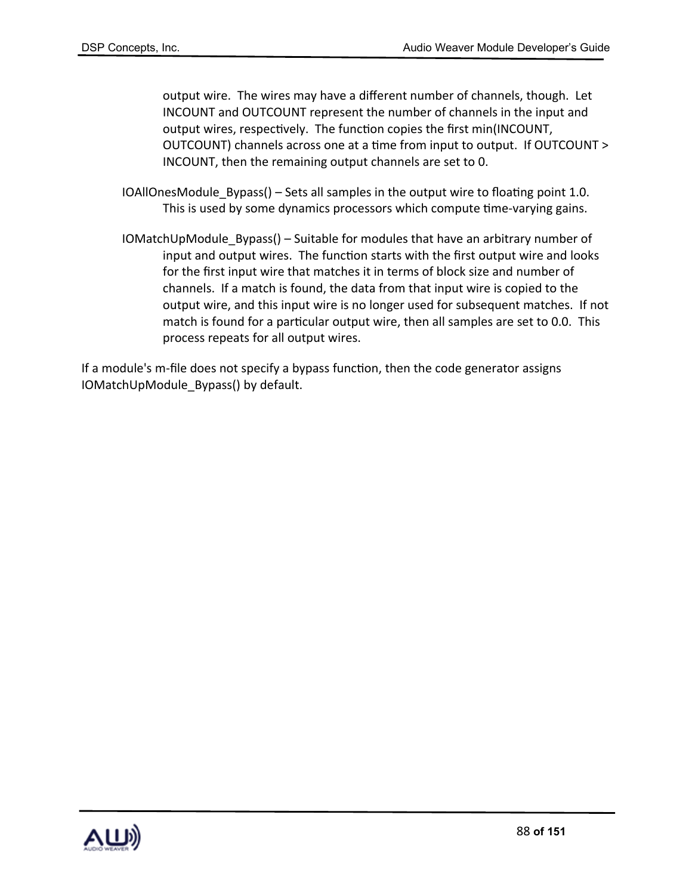output wire. The wires may have a different number of channels, though. Let INCOUNT and OUTCOUNT represent the number of channels in the input and output wires, respectively. The function copies the first min(INCOUNT, OUTCOUNT) channels across one at a time from input to output. If OUTCOUNT > INCOUNT, then the remaining output channels are set to 0.

- IOAllOnesModule\_Bypass() Sets all samples in the output wire to floating point 1.0. This is used by some dynamics processors which compute time-varying gains.
- IOMatchUpModule\_Bypass() Suitable for modules that have an arbitrary number of input and output wires. The function starts with the first output wire and looks for the first input wire that matches it in terms of block size and number of channels. If a match is found, the data from that input wire is copied to the output wire, and this input wire is no longer used for subsequent matches. If not match is found for a particular output wire, then all samples are set to 0.0. This process repeats for all output wires.

If a module's m-file does not specify a bypass function, then the code generator assigns IOMatchUpModule\_Bypass() by default.

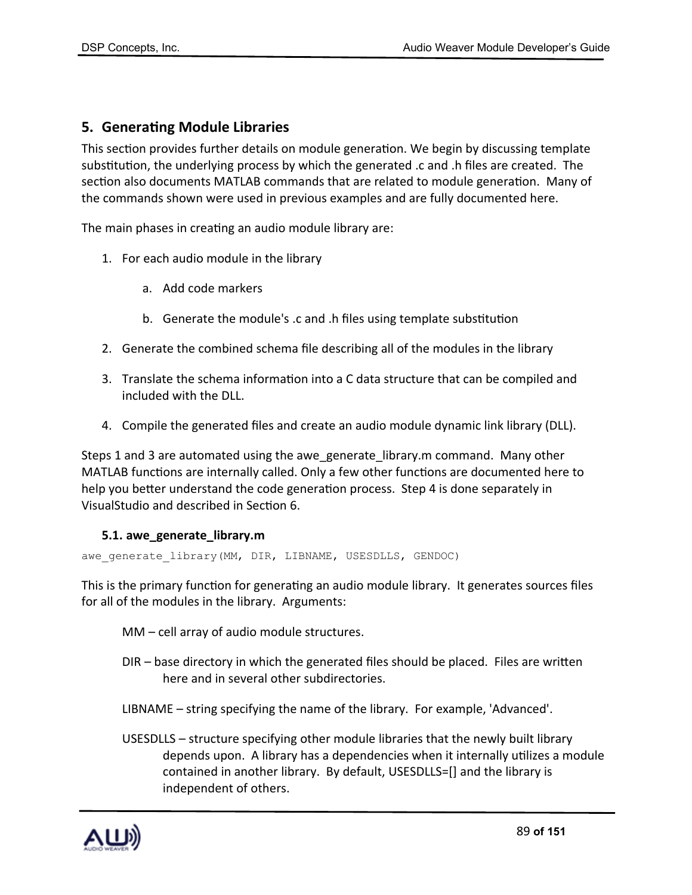## **5. Generating Module Libraries**

This section provides further details on module generation. We begin by discussing template substitution, the underlying process by which the generated .c and .h files are created. The section also documents MATLAB commands that are related to module generation. Many of the commands shown were used in previous examples and are fully documented here.

The main phases in creating an audio module library are:

- 1. For each audio module in the library
	- a. Add code markers
	- b. Generate the module's .c and .h files using template substitution
- 2. Generate the combined schema file describing all of the modules in the library
- 3. Translate the schema information into a C data structure that can be compiled and included with the DLL.
- 4. Compile the generated files and create an audio module dynamic link library (DLL).

Steps 1 and 3 are automated using the awe\_generate\_library.m command. Many other MATLAB functions are internally called. Only a few other functions are documented here to help you better understand the code generation process. Step 4 is done separately in VisualStudio and described in Section 6.

#### **5.1. awe\_generate\_library.m**

```
awe generate library(MM, DIR, LIBNAME, USESDLLS, GENDOC)
```
This is the primary function for generating an audio module library. It generates sources files for all of the modules in the library. Arguments:

- MM cell array of audio module structures.
- DIR base directory in which the generated files should be placed. Files are written here and in several other subdirectories.
- LIBNAME string specifying the name of the library. For example, 'Advanced'.
- USESDLLS structure specifying other module libraries that the newly built library depends upon. A library has a dependencies when it internally utilizes a module contained in another library. By default, USESDLLS=[] and the library is independent of others.

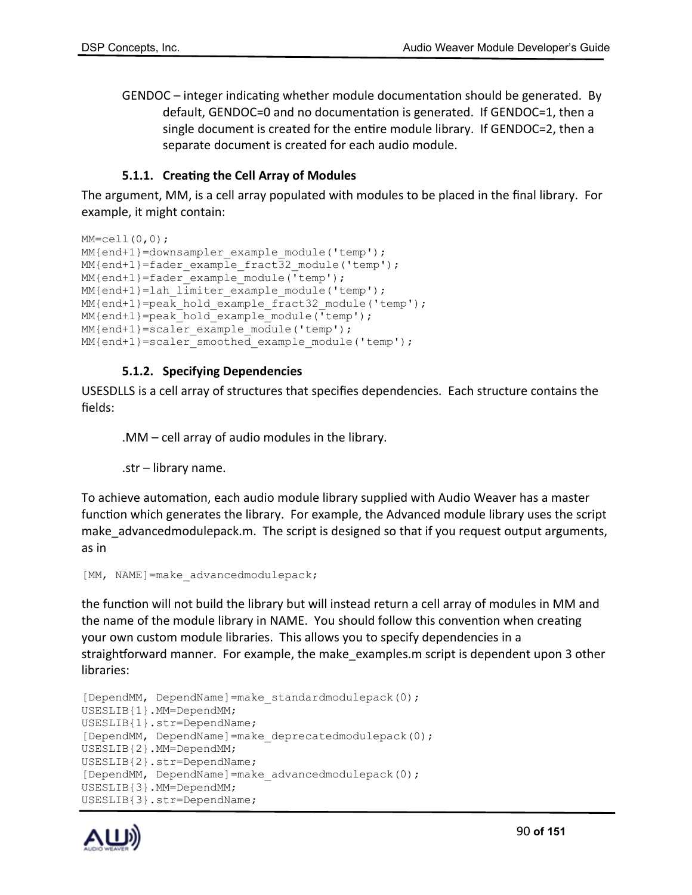GENDOC – integer indicating whether module documentation should be generated. By default, GENDOC=0 and no documentation is generated. If GENDOC=1, then a single document is created for the entire module library. If GENDOC=2, then a separate document is created for each audio module.

#### **5.1.1. Creating the Cell Array of Modules**

The argument, MM, is a cell array populated with modules to be placed in the final library. For example, it might contain:

```
MM=cell(0,0);MM{end+1}=downsampler example module('temp');
MM{end+1}=fader_example_fract32_module('temp');
MM{end+1}=fader_example_module('temp');
MM{end+1}=lah_limiter_example_module('temp');
MM{end+1}=peak_hold_example_fract32_module('temp');
MM{end+1}=peak hold example module('temp');
MM{end+1}=scaler_example_module('temp');
MM{end+1}=scaler smoothed example module('temp');
```
#### **5.1.2. Specifying Dependencies**

USESDLLS is a cell array of structures that specifies dependencies. Each structure contains the fields:

.MM – cell array of audio modules in the library.

.str – library name.

To achieve automation, each audio module library supplied with Audio Weaver has a master function which generates the library. For example, the Advanced module library uses the script make\_advancedmodulepack.m. The script is designed so that if you request output arguments, as in

```
[MM, NAME]=make advancedmodulepack;
```
the function will not build the library but will instead return a cell array of modules in MM and the name of the module library in NAME. You should follow this convention when creating your own custom module libraries. This allows you to specify dependencies in a straightforward manner. For example, the make\_examples.m script is dependent upon 3 other libraries:

```
[DependMM, DependName]=make_standardmodulepack(0);
USESLIB{1}.MM=DependMM;
USESLIB{1}.str=DependName;
[DependMM, DependName]=make_deprecatedmodulepack(0);
USESLIB{2}.MM=DependMM;
USESLIB{2}.str=DependName;
[DependMM, DependName]=make advancedmodulepack(0);
USESLIB{3}.MM=DependMM;
USESLIB{3}.str=DependName;
```
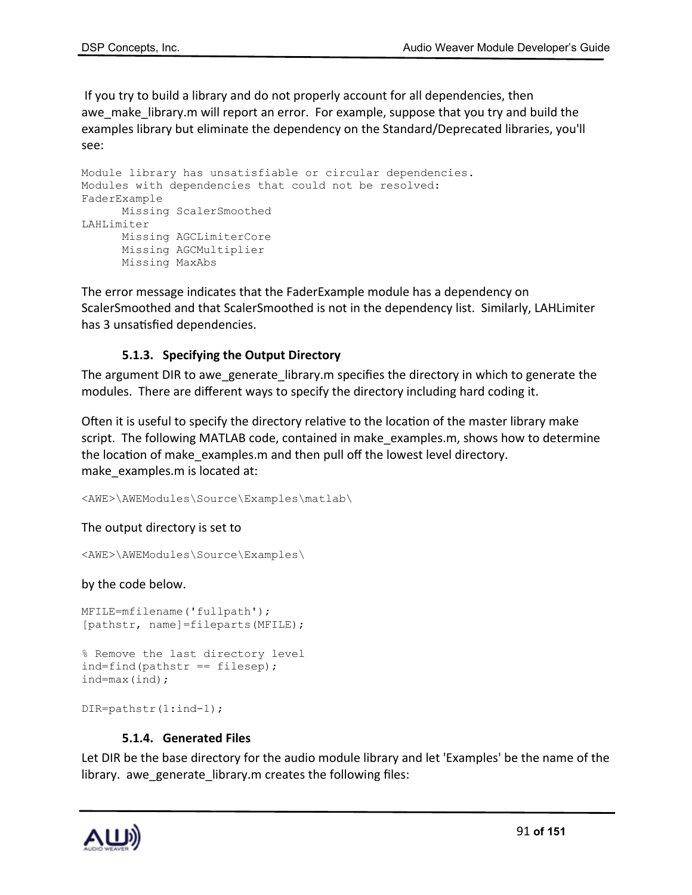If you try to build a library and do not properly account for all dependencies, then awe make library.m will report an error. For example, suppose that you try and build the examples library but eliminate the dependency on the Standard/Deprecated libraries, you'll see:

```
Module library has unsatisfiable or circular dependencies.
Modules with dependencies that could not be resolved:
FaderExample
     Missing ScalerSmoothed
LAHLimiter
     Missing AGCLimiterCore
     Missing AGCMultiplier
     Missing MaxAbs
```
The error message indicates that the FaderExample module has a dependency on ScalerSmoothed and that ScalerSmoothed is not in the dependency list. Similarly, LAHLimiter has 3 unsatisfied dependencies.

#### **5.1.3. Specifying the Output Directory**

The argument DIR to awe generate library.m specifies the directory in which to generate the modules. There are different ways to specify the directory including hard coding it.

Often it is useful to specify the directory relative to the location of the master library make script. The following MATLAB code, contained in make examples.m, shows how to determine the location of make\_examples.m and then pull off the lowest level directory. make examples.m is located at:

<AWE>\AWEModules\Source\Examples\matlab\

The output directory is set to

<AWE>\AWEModules\Source\Examples\

by the code below.

```
MFILE=mfilename('fullpath');
[pathstr, name]=fileparts(MFILE);
```

```
% Remove the last directory level
ind=find(pathstr == filesep);ind=max(ind);
```
DIR=pathstr(1:ind-1);

#### **5.1.4. Generated Files**

Let DIR be the base directory for the audio module library and let 'Examples' be the name of the library. awe generate library.m creates the following files:

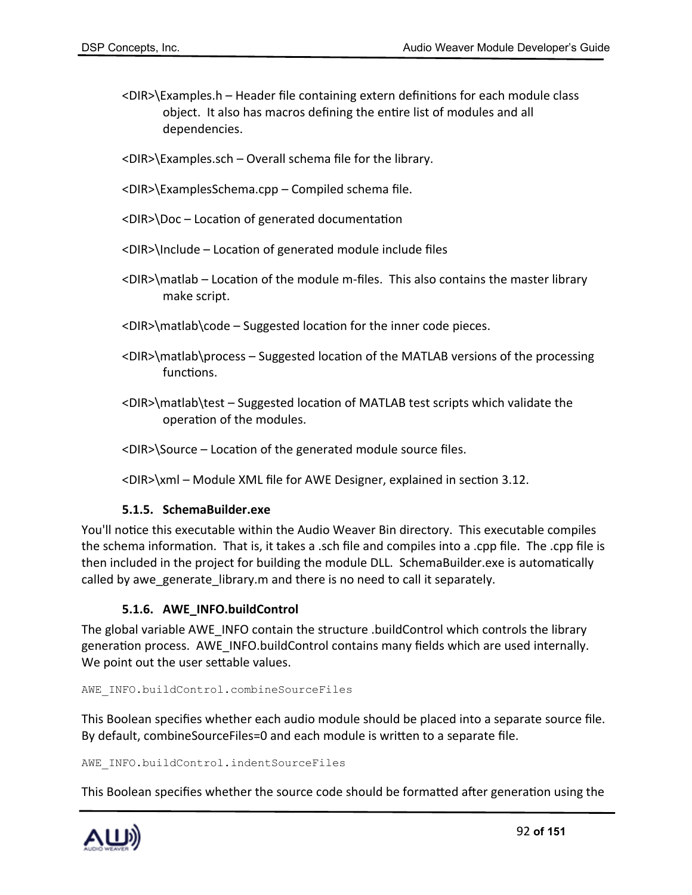- <DIR>\Examples.h Header file containing extern definitions for each module class object. It also has macros defining the entire list of modules and all dependencies.
- <DIR>\Examples.sch Overall schema file for the library.
- <DIR>\ExamplesSchema.cpp Compiled schema file.
- <DIR>\Doc Location of generated documentation
- <DIR>\Include Location of generated module include files
- <DIR>\matlab Location of the module m-files. This also contains the master library make script.
- <DIR>\matlab\code Suggested location for the inner code pieces.
- <DIR>\matlab\process Suggested location of the MATLAB versions of the processing functions.
- <DIR>\matlab\test Suggested location of MATLAB test scripts which validate the operation of the modules.
- <DIR>\Source Location of the generated module source files.
- <DIR>\xml Module XML file for AWE Designer, explained in section 3.12.

#### **5.1.5. SchemaBuilder.exe**

You'll notice this executable within the Audio Weaver Bin directory. This executable compiles the schema information. That is, it takes a .sch file and compiles into a .cpp file. The .cpp file is then included in the project for building the module DLL. SchemaBuilder.exe is automatically called by awe\_generate\_library.m and there is no need to call it separately.

#### **5.1.6. AWE\_INFO.buildControl**

The global variable AWE\_INFO contain the structure .buildControl which controls the library generation process. AWE\_INFO.buildControl contains many fields which are used internally. We point out the user settable values.

```
AWE_INFO.buildControl.combineSourceFiles
```
This Boolean specifies whether each audio module should be placed into a separate source file. By default, combineSourceFiles=0 and each module is written to a separate file.

#### AWE\_INFO.buildControl.indentSourceFiles

This Boolean specifies whether the source code should be formatted after generation using the

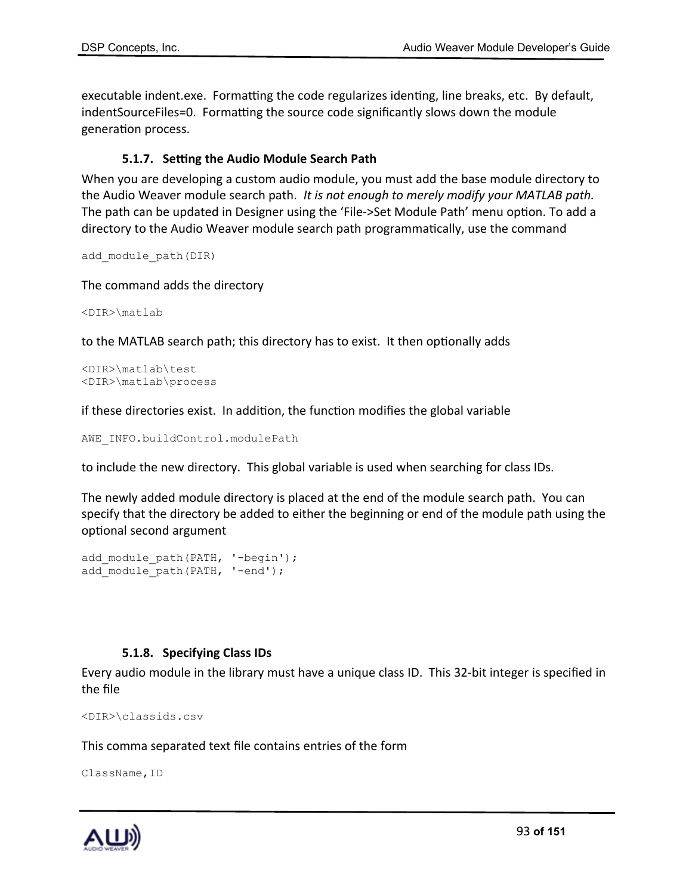executable indent.exe. Formatting the code regularizes identing, line breaks, etc. By default, indentSourceFiles=0. Formatting the source code significantly slows down the module generation process.

## **5.1.7. Setting the Audio Module Search Path**

When you are developing a custom audio module, you must add the base module directory to the Audio Weaver module search path. *It is not enough to merely modify your MATLAB path.* The path can be updated in Designer using the 'File->Set Module Path' menu option. To add a directory to the Audio Weaver module search path programmatically, use the command

```
add_module_path(DIR)
```
The command adds the directory

<DIR>\matlab

to the MATLAB search path; this directory has to exist. It then optionally adds

<DIR>\matlab\test <DIR>\matlab\process

if these directories exist. In addition, the function modifies the global variable

AWE\_INFO.buildControl.modulePath

to include the new directory. This global variable is used when searching for class IDs.

The newly added module directory is placed at the end of the module search path. You can specify that the directory be added to either the beginning or end of the module path using the optional second argument

```
add module path(PATH, '-begin');
add_module_path(PATH, '-end');
```
## **5.1.8. Specifying Class IDs**

Every audio module in the library must have a unique class ID. This 32-bit integer is specified in the file

```
<DIR>\classids.csv
```
## This comma separated text file contains entries of the form

ClassName,ID

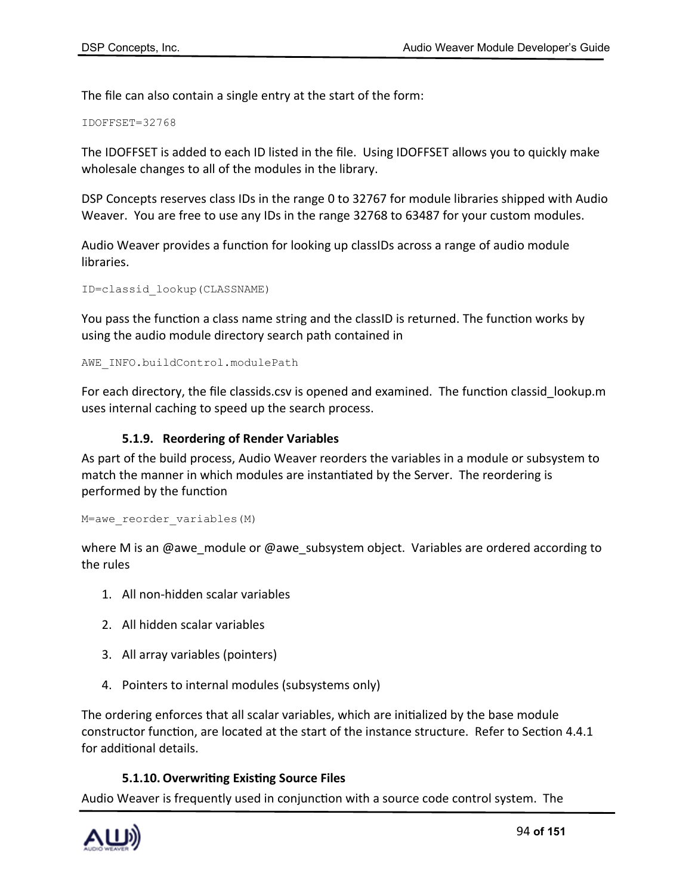The file can also contain a single entry at the start of the form:

IDOFFSET=32768

The IDOFFSET is added to each ID listed in the file. Using IDOFFSET allows you to quickly make wholesale changes to all of the modules in the library.

DSP Concepts reserves class IDs in the range 0 to 32767 for module libraries shipped with Audio Weaver. You are free to use any IDs in the range 32768 to 63487 for your custom modules.

Audio Weaver provides a function for looking up classIDs across a range of audio module libraries.

ID=classid\_lookup(CLASSNAME)

You pass the function a class name string and the classID is returned. The function works by using the audio module directory search path contained in

AWE\_INFO.buildControl.modulePath

For each directory, the file classids.csv is opened and examined. The function classid lookup.m uses internal caching to speed up the search process.

## **5.1.9. Reordering of Render Variables**

As part of the build process, Audio Weaver reorders the variables in a module or subsystem to match the manner in which modules are instantiated by the Server. The reordering is performed by the function

M=awe\_reorder\_variables(M)

where M is an @awe\_module or @awe\_subsystem object. Variables are ordered according to the rules

- 1. All non-hidden scalar variables
- 2. All hidden scalar variables
- 3. All array variables (pointers)
- 4. Pointers to internal modules (subsystems only)

The ordering enforces that all scalar variables, which are initialized by the base module constructor function, are located at the start of the instance structure. Refer to Section 4.4.1 for additional details.

## **5.1.10. Overwriting Existing Source Files**

Audio Weaver is frequently used in conjunction with a source code control system. The

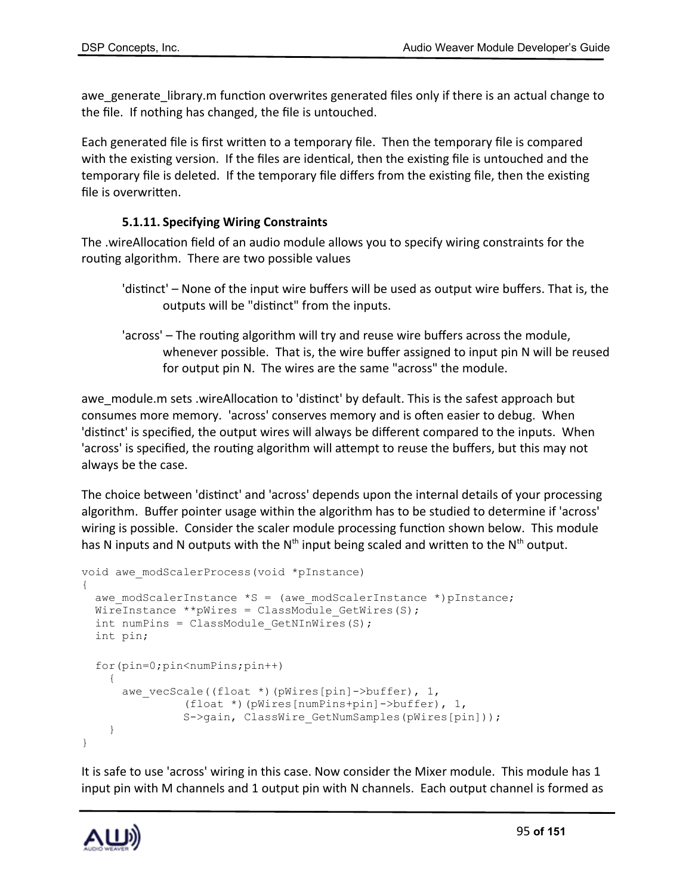awe generate library.m function overwrites generated files only if there is an actual change to the file. If nothing has changed, the file is untouched.

Each generated file is first written to a temporary file. Then the temporary file is compared with the existing version. If the files are identical, then the existing file is untouched and the temporary file is deleted. If the temporary file differs from the existing file, then the existing file is overwritten.

#### **5.1.11. Specifying Wiring Constraints**

The .wireAllocation field of an audio module allows you to specify wiring constraints for the routing algorithm. There are two possible values

- 'distinct' None of the input wire buffers will be used as output wire buffers. That is, the outputs will be "distinct" from the inputs.
- 'across' The routing algorithm will try and reuse wire buffers across the module, whenever possible. That is, the wire buffer assigned to input pin N will be reused for output pin N. The wires are the same "across" the module.

awe module.m sets .wireAllocation to 'distinct' by default. This is the safest approach but consumes more memory. 'across' conserves memory and is often easier to debug. When 'distinct' is specified, the output wires will always be different compared to the inputs. When 'across' is specified, the routing algorithm will attempt to reuse the buffers, but this may not always be the case.

The choice between 'distinct' and 'across' depends upon the internal details of your processing algorithm. Buffer pointer usage within the algorithm has to be studied to determine if 'across' wiring is possible. Consider the scaler module processing function shown below. This module has N inputs and N outputs with the  $N^{th}$  input being scaled and written to the  $N^{th}$  output.

```
void awe modScalerProcess(void *pInstance)
{
  awe modScalerInstance *S = (awe modScalerInstance *)pInstance;
  WireInstance **pWires = ClassModule GetWires(S);
  int numPins = ClassModule GetNInWires(S);
   int pin;
   for(pin=0;pin<numPins;pin++)
     {
      awe vecScale((float *)(pWires[pin]->buffer), 1,
                (float *)(pWires[numPins+pin]->buffer), 1, 
               S->gain, ClassWire GetNumSamples(pWires[pin]));
     }
}
```
It is safe to use 'across' wiring in this case. Now consider the Mixer module. This module has 1 input pin with M channels and 1 output pin with N channels. Each output channel is formed as

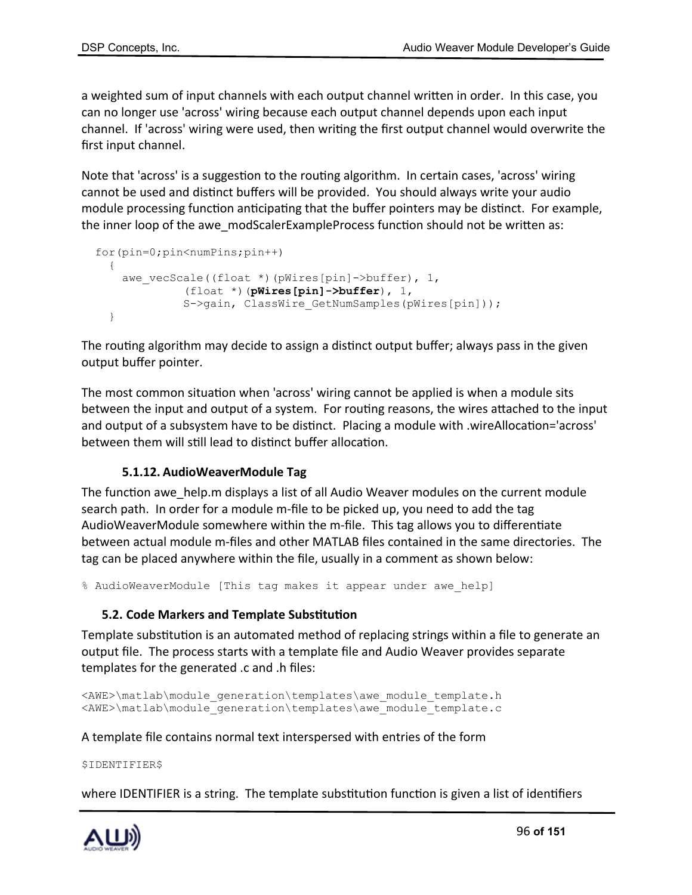a weighted sum of input channels with each output channel written in order. In this case, you can no longer use 'across' wiring because each output channel depends upon each input channel. If 'across' wiring were used, then writing the first output channel would overwrite the first input channel.

Note that 'across' is a suggestion to the routing algorithm. In certain cases, 'across' wiring cannot be used and distinct buffers will be provided. You should always write your audio module processing function anticipating that the buffer pointers may be distinct. For example, the inner loop of the awe modScalerExampleProcess function should not be written as:

```
 for(pin=0;pin<numPins;pin++)
   {
    awe vecScale((float *)(pWires[pin]->buffer), 1,
               (float *)(pWires[pin]->buffer), 1, 
             S->gain, ClassWire GetNumSamples(pWires[pin]));
   }
```
The routing algorithm may decide to assign a distinct output buffer; always pass in the given output buffer pointer.

The most common situation when 'across' wiring cannot be applied is when a module sits between the input and output of a system. For routing reasons, the wires attached to the input and output of a subsystem have to be distinct. Placing a module with .wireAllocation='across' between them will still lead to distinct buffer allocation.

## **5.1.12. AudioWeaverModule Tag**

The function awe help.m displays a list of all Audio Weaver modules on the current module search path. In order for a module m-file to be picked up, you need to add the tag AudioWeaverModule somewhere within the m-file. This tag allows you to differentiate between actual module m-files and other MATLAB files contained in the same directories. The tag can be placed anywhere within the file, usually in a comment as shown below:

% AudioWeaverModule [This tag makes it appear under awe help]

#### **5.2. Code Markers and Template Substitution**

Template substitution is an automated method of replacing strings within a file to generate an output file. The process starts with a template file and Audio Weaver provides separate templates for the generated .c and .h files:

```
<AWE>\matlab\module_generation\templates\awe_module_template.h
<AWE>\matlab\module_generation\templates\awe_module_template.c
```
A template file contains normal text interspersed with entries of the form

\$IDENTIFIER\$

where IDENTIFIER is a string. The template substitution function is given a list of identifiers

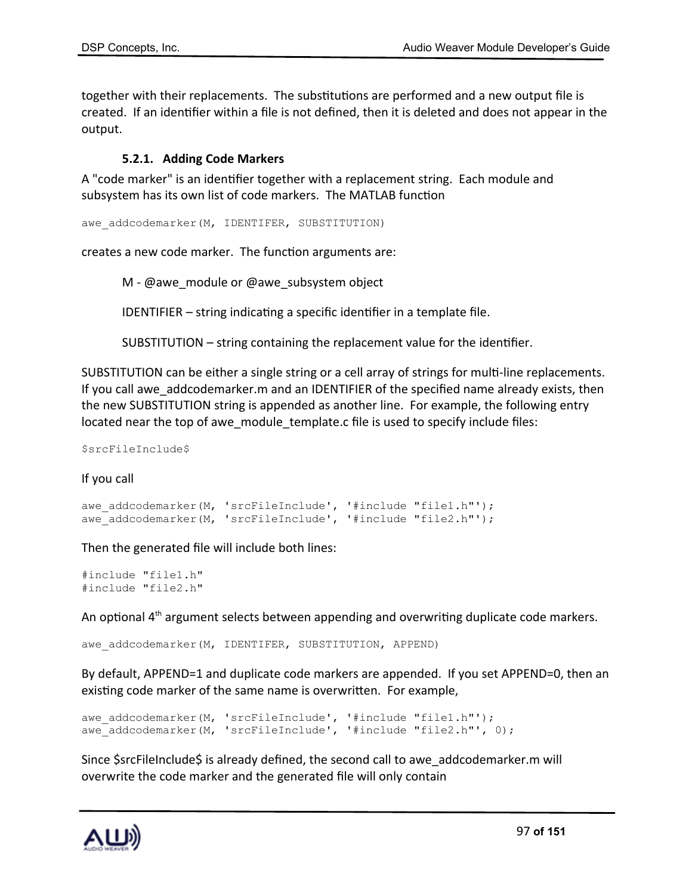together with their replacements. The substitutions are performed and a new output file is created. If an identifier within a file is not defined, then it is deleted and does not appear in the output.

## **5.2.1. Adding Code Markers**

A "code marker" is an identifier together with a replacement string. Each module and subsystem has its own list of code markers. The MATLAB function

```
awe_addcodemarker(M, IDENTIFER, SUBSTITUTION)
```
creates a new code marker. The function arguments are:

M - @awe\_module or @awe\_subsystem object

IDENTIFIER – string indicating a specific identifier in a template file.

SUBSTITUTION – string containing the replacement value for the identifier.

SUBSTITUTION can be either a single string or a cell array of strings for multi-line replacements. If you call awe addcodemarker.m and an IDENTIFIER of the specified name already exists, then the new SUBSTITUTION string is appended as another line. For example, the following entry located near the top of awe module template.c file is used to specify include files:

\$srcFileInclude\$

## If you call

```
awe addcodemarker(M, 'srcFileInclude', '#include "file1.h"');
awe_addcodemarker(M, 'srcFileInclude', '#include "file2.h"');
```
Then the generated file will include both lines:

```
#include "file1.h"
#include "file2.h"
```
An optional  $4<sup>th</sup>$  argument selects between appending and overwriting duplicate code markers.

awe\_addcodemarker(M, IDENTIFER, SUBSTITUTION, APPEND)

By default, APPEND=1 and duplicate code markers are appended. If you set APPEND=0, then an existing code marker of the same name is overwritten. For example,

```
awe addcodemarker(M, 'srcFileInclude', '#include "file1.h"');
awe_addcodemarker(M, 'srcFileInclude', '#include "file2.h"', 0);
```
Since \$srcFileInclude\$ is already defined, the second call to awe\_addcodemarker.m will overwrite the code marker and the generated file will only contain

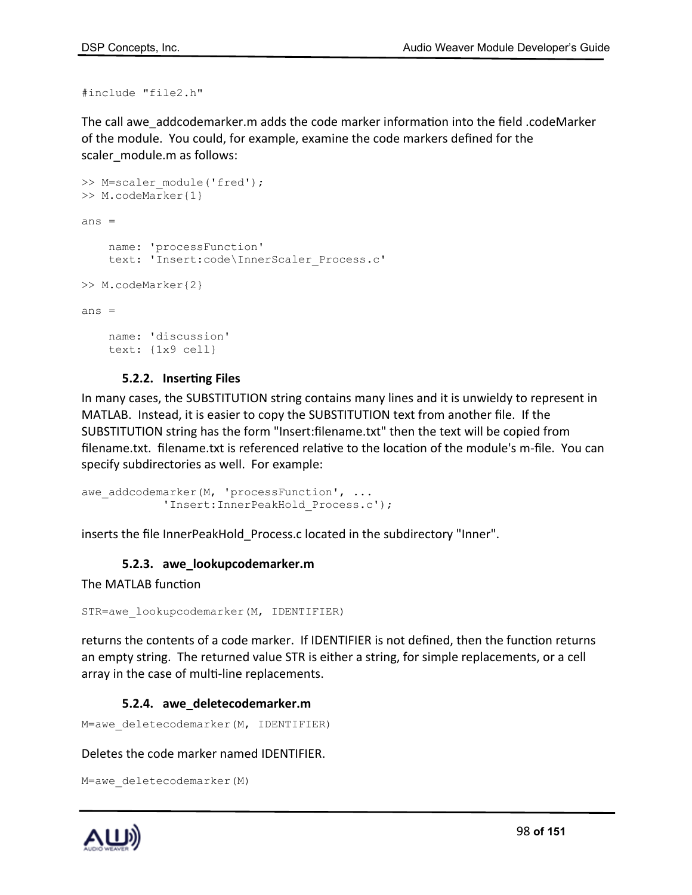#include "file2.h"

The call awe\_addcodemarker.m adds the code marker information into the field .codeMarker of the module. You could, for example, examine the code markers defined for the scaler\_module.m as follows:

```
>> M=scaler module('fred');
>> M.codeMarker{1}
ans = name: 'processFunction'
     text: 'Insert:code\InnerScaler_Process.c'
>> M.codeMarker{2}
ans = name: 'discussion'
     text: {1x9 cell}
```
#### **5.2.2. Inserting Files**

In many cases, the SUBSTITUTION string contains many lines and it is unwieldy to represent in MATLAB. Instead, it is easier to copy the SUBSTITUTION text from another file. If the SUBSTITUTION string has the form "Insert:filename.txt" then the text will be copied from filename.txt. filename.txt is referenced relative to the location of the module's m-file. You can specify subdirectories as well. For example:

```
awe addcodemarker(M, 'processFunction', ...
            'Insert:InnerPeakHold_Process.c');
```
inserts the file InnerPeakHold Process.c located in the subdirectory "Inner".

#### **5.2.3. awe\_lookupcodemarker.m**

The MATLAB function

STR=awe\_lookupcodemarker(M, IDENTIFIER)

returns the contents of a code marker. If IDENTIFIER is not defined, then the function returns an empty string. The returned value STR is either a string, for simple replacements, or a cell array in the case of multi-line replacements.

#### **5.2.4. awe\_deletecodemarker.m**

M=awe deletecodemarker(M, IDENTIFIER)

Deletes the code marker named IDENTIFIER.

```
M=awe_deletecodemarker(M)
```
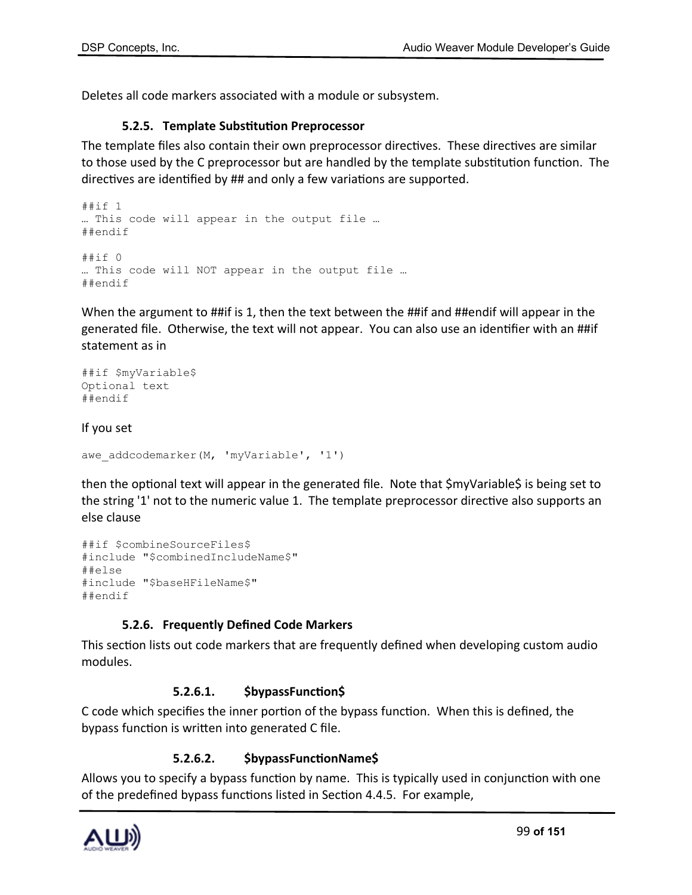Deletes all code markers associated with a module or subsystem.

#### **5.2.5. Template Substitution Preprocessor**

The template files also contain their own preprocessor directives. These directives are similar to those used by the C preprocessor but are handled by the template substitution function. The directives are identified by ## and only a few variations are supported.

```
##if 1
… This code will appear in the output file …
##endif
##if 0
… This code will NOT appear in the output file …
##endif
```
When the argument to ##if is 1, then the text between the ##if and ##endif will appear in the generated file. Otherwise, the text will not appear. You can also use an identifier with an ##if statement as in

```
##if $myVariable$
Optional text
##endif
```
#### If you set

```
awe_addcodemarker(M, 'myVariable', '1')
```
then the optional text will appear in the generated file. Note that \$myVariable\$ is being set to the string '1' not to the numeric value 1. The template preprocessor directive also supports an else clause

```
##if $combineSourceFiles$
#include "$combinedIncludeName$"
##else
#include "$baseHFileName$"
##endif
```
#### **5.2.6. Frequently Defined Code Markers**

This section lists out code markers that are frequently defined when developing custom audio modules.

#### **5.2.6.1. \$bypassFunction\$**

C code which specifies the inner portion of the bypass function. When this is defined, the bypass function is written into generated C file.

#### **5.2.6.2. \$bypassFunctionName\$**

Allows you to specify a bypass function by name. This is typically used in conjunction with one of the predefined bypass functions listed in Section 4.4.5. For example,

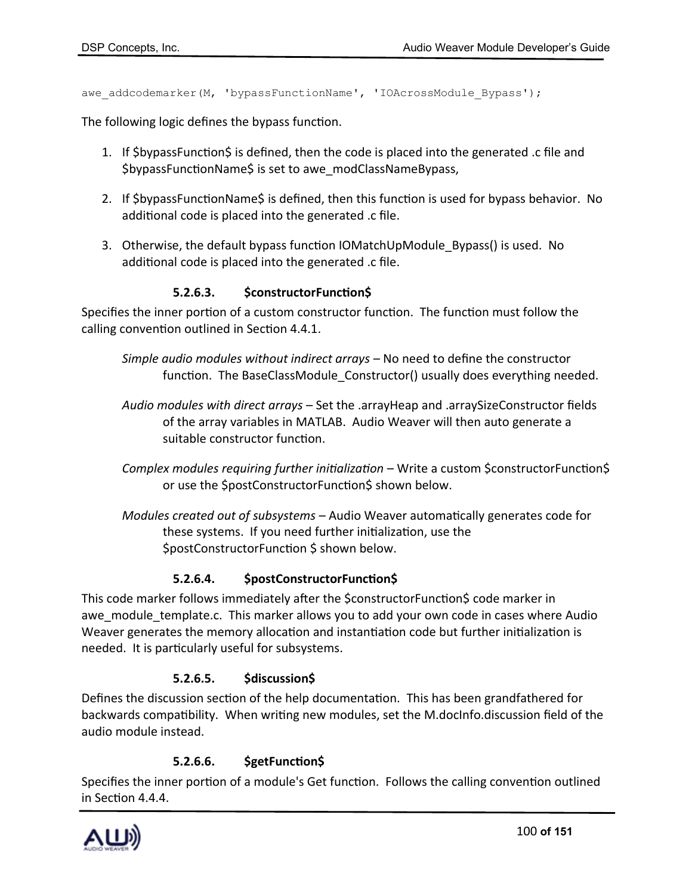```
awe_addcodemarker(M, 'bypassFunctionName', 'IOAcrossModule_Bypass');
```
The following logic defines the bypass function.

- 1. If \$bypassFunction\$ is defined, then the code is placed into the generated .c file and \$bypassFunctionName\$ is set to awe\_modClassNameBypass,
- 2. If \$bypassFunctionName\$ is defined, then this function is used for bypass behavior. No additional code is placed into the generated .c file.
- 3. Otherwise, the default bypass function IOMatchUpModule\_Bypass() is used. No additional code is placed into the generated .c file.

#### **5.2.6.3. \$constructorFunction\$**

Specifies the inner portion of a custom constructor function. The function must follow the calling convention outlined in Section 4.4.1.

- *Simple audio modules without indirect arrays* No need to define the constructor function. The BaseClassModule Constructor() usually does everything needed.
- *Audio modules with direct arrays* Set the .arrayHeap and .arraySizeConstructor fields of the array variables in MATLAB. Audio Weaver will then auto generate a suitable constructor function.
- *Complex modules requiring further initialization* Write a custom \$constructorFunction\$ or use the \$postConstructorFunction\$ shown below.
- *Modules created out of subsystems* Audio Weaver automatically generates code for these systems. If you need further initialization, use the \$postConstructorFunction \$ shown below.

#### **5.2.6.4. \$postConstructorFunction\$**

This code marker follows immediately after the SconstructorFunction\$ code marker in awe module template.c. This marker allows you to add your own code in cases where Audio Weaver generates the memory allocation and instantiation code but further initialization is needed. It is particularly useful for subsystems.

#### **5.2.6.5. \$discussion\$**

Defines the discussion section of the help documentation. This has been grandfathered for backwards compatibility. When writing new modules, set the M.docInfo.discussion field of the audio module instead.

#### **5.2.6.6. \$getFunction\$**

Specifies the inner portion of a module's Get function. Follows the calling convention outlined in Section 4.4.4.

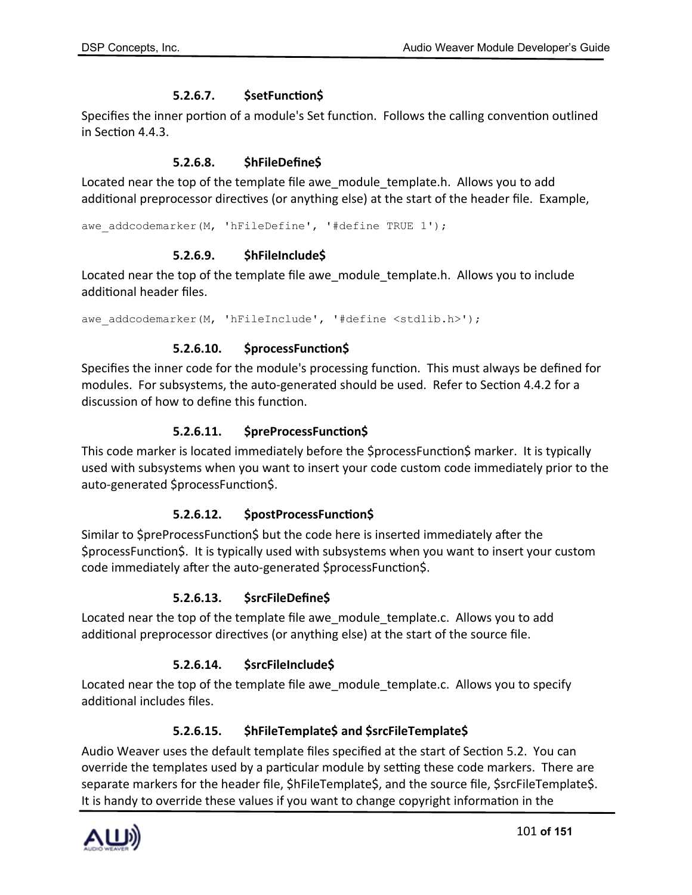#### **5.2.6.7. \$setFunction\$**

Specifies the inner portion of a module's Set function. Follows the calling convention outlined in Section 4.4.3.

#### **5.2.6.8. \$hFileDefine\$**

Located near the top of the template file awe module template.h. Allows you to add additional preprocessor directives (or anything else) at the start of the header file. Example,

awe addcodemarker(M, 'hFileDefine', '#define TRUE 1');

#### **5.2.6.9. \$hFileInclude\$**

Located near the top of the template file awe module template.h. Allows you to include additional header files.

awe addcodemarker(M, 'hFileInclude', '#define <stdlib.h>');

#### **5.2.6.10. \$processFunction\$**

Specifies the inner code for the module's processing function. This must always be defined for modules. For subsystems, the auto-generated should be used. Refer to Section 4.4.2 for a discussion of how to define this function.

#### **5.2.6.11. \$preProcessFunction\$**

This code marker is located immediately before the \$processFunction\$ marker. It is typically used with subsystems when you want to insert your code custom code immediately prior to the auto-generated \$processFunction\$.

#### **5.2.6.12. \$postProcessFunction\$**

Similar to \$preProcessFunction\$ but the code here is inserted immediately after the \$processFunction\$. It is typically used with subsystems when you want to insert your custom code immediately after the auto-generated \$processFunction\$.

#### **5.2.6.13. \$srcFileDefine\$**

Located near the top of the template file awe module template.c. Allows you to add additional preprocessor directives (or anything else) at the start of the source file.

#### **5.2.6.14. \$srcFileInclude\$**

Located near the top of the template file awe\_module\_template.c. Allows you to specify additional includes files.

#### **5.2.6.15. \$hFileTemplate\$ and \$srcFileTemplate\$**

Audio Weaver uses the default template files specified at the start of Section 5.2. You can override the templates used by a particular module by setting these code markers. There are separate markers for the header file, \$hFileTemplate\$, and the source file, \$srcFileTemplate\$. It is handy to override these values if you want to change copyright information in the

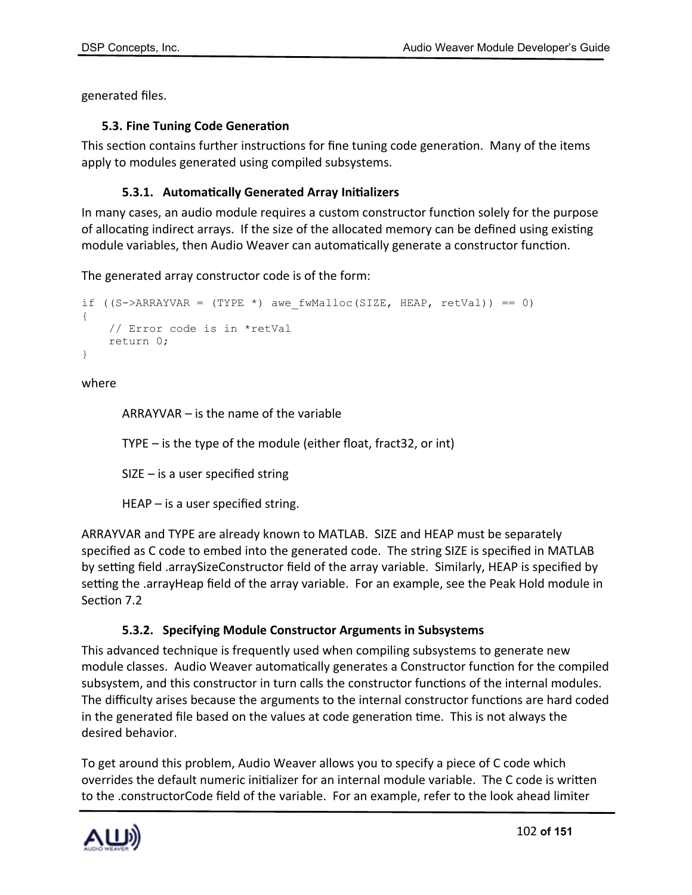generated files.

#### **5.3. Fine Tuning Code Generation**

This section contains further instructions for fine tuning code generation. Many of the items apply to modules generated using compiled subsystems.

#### **5.3.1. Automatically Generated Array Initializers**

In many cases, an audio module requires a custom constructor function solely for the purpose of allocating indirect arrays. If the size of the allocated memory can be defined using existing module variables, then Audio Weaver can automatically generate a constructor function.

The generated array constructor code is of the form:

```
if ((S->ARRAYVAR = (TYPE *) awe fwMalloc(SIZE, HEAP, retVal)) == 0)
{
     // Error code is in *retVal
     return 0;
}
```
where

ARRAYVAR – is the name of the variable

TYPE – is the type of the module (either float, fract32, or int)

 $SIZE - is a user specified string$ 

HEAP – is a user specified string.

ARRAYVAR and TYPE are already known to MATLAB. SIZE and HEAP must be separately specified as C code to embed into the generated code. The string SIZE is specified in MATLAB by setting field .arraySizeConstructor field of the array variable. Similarly, HEAP is specified by setting the .arrayHeap field of the array variable. For an example, see the Peak Hold module in Section 7.2

#### **5.3.2. Specifying Module Constructor Arguments in Subsystems**

This advanced technique is frequently used when compiling subsystems to generate new module classes. Audio Weaver automatically generates a Constructor function for the compiled subsystem, and this constructor in turn calls the constructor functions of the internal modules. The difficulty arises because the arguments to the internal constructor functions are hard coded in the generated file based on the values at code generation time. This is not always the desired behavior.

To get around this problem, Audio Weaver allows you to specify a piece of C code which overrides the default numeric initializer for an internal module variable. The C code is written to the .constructorCode field of the variable. For an example, refer to the look ahead limiter

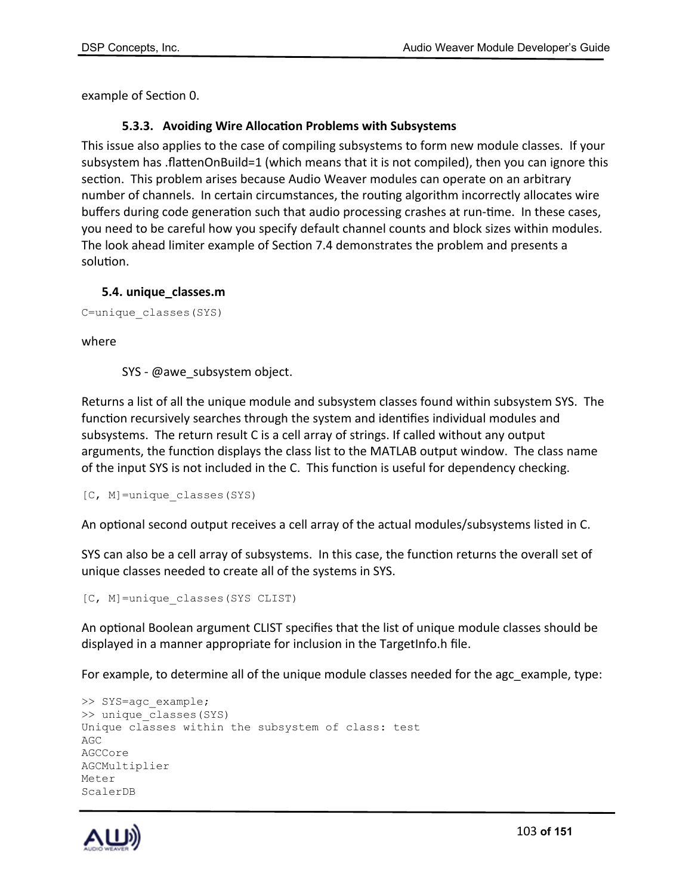example of Section 0.

#### **5.3.3. Avoiding Wire Allocation Problems with Subsystems**

This issue also applies to the case of compiling subsystems to form new module classes. If your subsystem has .flattenOnBuild=1 (which means that it is not compiled), then you can ignore this section. This problem arises because Audio Weaver modules can operate on an arbitrary number of channels. In certain circumstances, the routing algorithm incorrectly allocates wire buffers during code generation such that audio processing crashes at run-time. In these cases, you need to be careful how you specify default channel counts and block sizes within modules. The look ahead limiter example of Section 7.4 demonstrates the problem and presents a solution.

#### **5.4. unique\_classes.m**

```
C=unique_classes(SYS)
```
where

SYS - @awe\_subsystem object.

Returns a list of all the unique module and subsystem classes found within subsystem SYS. The function recursively searches through the system and identifies individual modules and subsystems. The return result C is a cell array of strings. If called without any output arguments, the function displays the class list to the MATLAB output window. The class name of the input SYS is not included in the C. This function is useful for dependency checking.

[C, M]=unique\_classes(SYS)

An optional second output receives a cell array of the actual modules/subsystems listed in C.

SYS can also be a cell array of subsystems. In this case, the function returns the overall set of unique classes needed to create all of the systems in SYS.

[C, M]=unique\_classes(SYS CLIST)

An optional Boolean argument CLIST specifies that the list of unique module classes should be displayed in a manner appropriate for inclusion in the TargetInfo.h file.

For example, to determine all of the unique module classes needed for the agc example, type:

```
>> SYS=agc_example;
>> unique_classes(SYS)
Unique classes within the subsystem of class: test
AGC
AGCCore
AGCMultiplier
Meter
ScalerDB
```
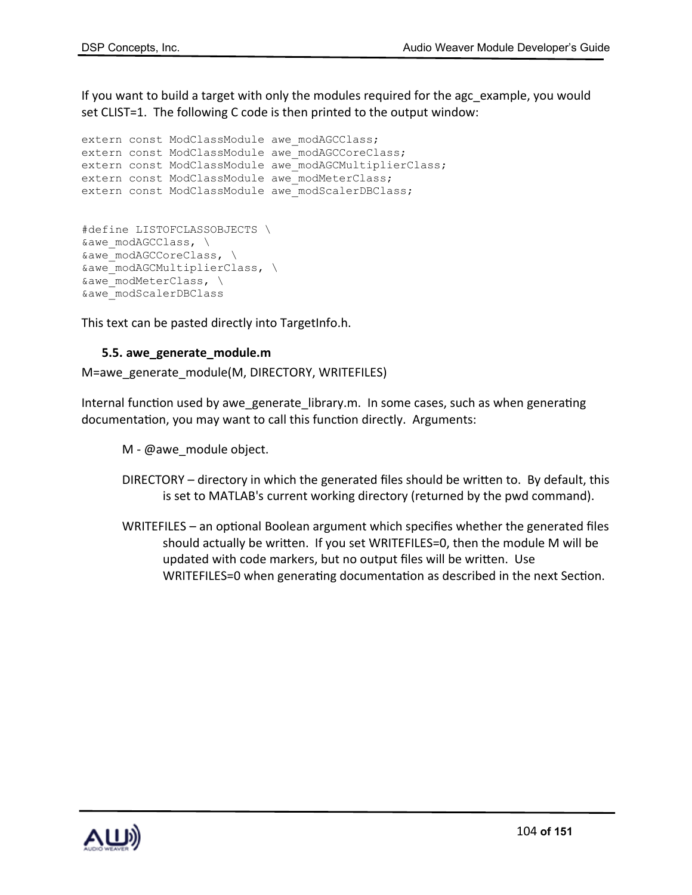If you want to build a target with only the modules required for the agc\_example, you would set CLIST=1. The following C code is then printed to the output window:

```
extern const ModClassModule awe modAGCClass;
extern const ModClassModule awe modAGCCoreClass;
extern const ModClassModule awe modAGCMultiplierClass;
extern const ModClassModule awe modMeterClass;
extern const ModClassModule awe modScalerDBClass;
```

```
#define LISTOFCLASSOBJECTS \
&awe_modAGCClass, \
&awe_modAGCCoreClass, \
&awe_modAGCMultiplierClass, \
&awe_modMeterClass, \
&awe_modScalerDBClass
```
This text can be pasted directly into TargetInfo.h.

#### **5.5. awe\_generate\_module.m**

M=awe\_generate\_module(M, DIRECTORY, WRITEFILES)

Internal function used by awe\_generate\_library.m. In some cases, such as when generating documentation, you may want to call this function directly. Arguments:

M - @awe\_module object.

- DIRECTORY directory in which the generated files should be written to. By default, this is set to MATLAB's current working directory (returned by the pwd command).
- WRITEFILES an optional Boolean argument which specifies whether the generated files should actually be written. If you set WRITEFILES=0, then the module M will be updated with code markers, but no output files will be written. Use WRITEFILES=0 when generating documentation as described in the next Section.

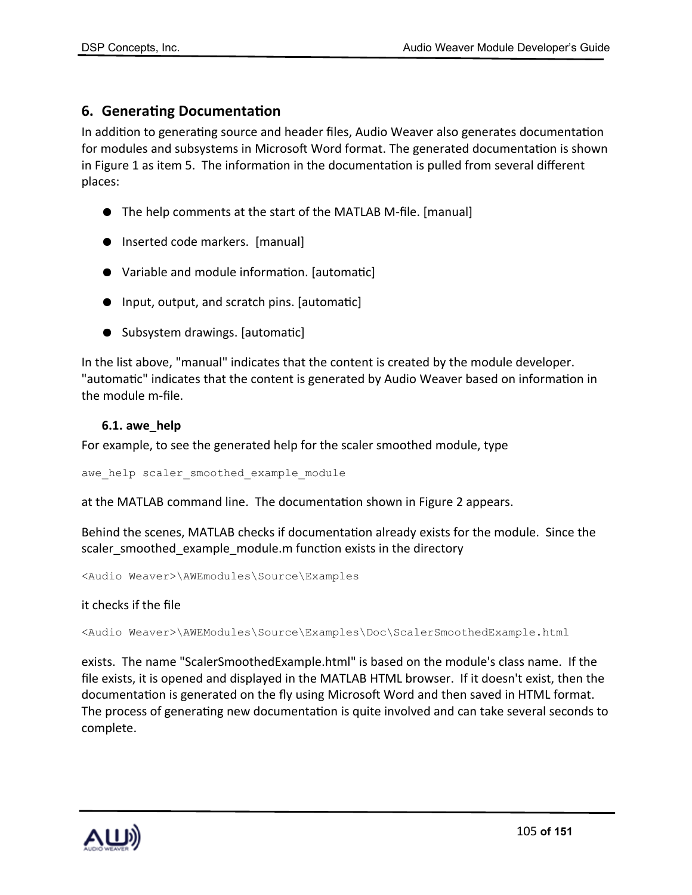# **6. Generating Documentation**

In addition to generating source and header files, Audio Weaver also generates documentation for modules and subsystems in Microsoft Word format. The generated documentation is shown in Figure 1 as item 5. The information in the documentation is pulled from several different places:

- The help comments at the start of the MATLAB M-file. [manual]
- Inserted code markers. [manual]
- Variable and module information. [automatic]
- Input, output, and scratch pins. [automatic]
- Subsystem drawings. [automatic]

In the list above, "manual" indicates that the content is created by the module developer. "automatic" indicates that the content is generated by Audio Weaver based on information in the module m-file.

#### **6.1. awe\_help**

For example, to see the generated help for the scaler smoothed module, type

awe help scaler smoothed example module

at the MATLAB command line. The documentation shown in Figure 2 appears.

Behind the scenes, MATLAB checks if documentation already exists for the module. Since the scaler\_smoothed\_example\_module.m function exists in the directory

<Audio Weaver>\AWEmodules\Source\Examples

it checks if the file

<Audio Weaver>\AWEModules\Source\Examples\Doc\ScalerSmoothedExample.html

exists. The name "ScalerSmoothedExample.html" is based on the module's class name. If the file exists, it is opened and displayed in the MATLAB HTML browser. If it doesn't exist, then the documentation is generated on the fly using Microsoft Word and then saved in HTML format. The process of generating new documentation is quite involved and can take several seconds to complete.

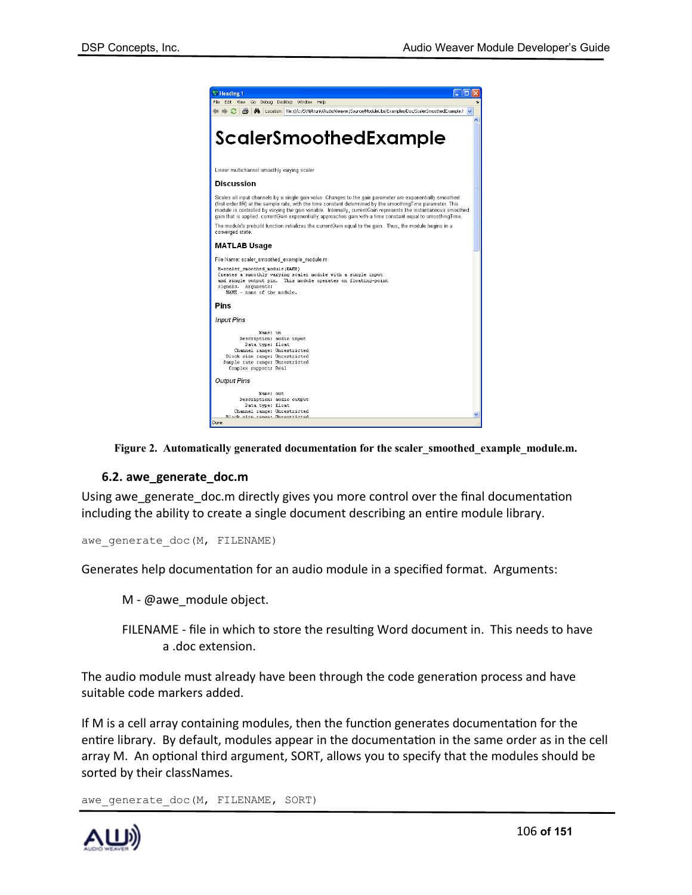

Figure 2. Automatically generated documentation for the scaler smoothed example module.m.

#### **6.2. awe\_generate\_doc.m**

Using awe generate doc.m directly gives you more control over the final documentation including the ability to create a single document describing an entire module library.

awe\_generate\_doc(M, FILENAME)

Generates help documentation for an audio module in a specified format. Arguments:

M - @awe\_module object.

FILENAME - file in which to store the resulting Word document in. This needs to have a .doc extension.

The audio module must already have been through the code generation process and have suitable code markers added.

If M is a cell array containing modules, then the function generates documentation for the entire library. By default, modules appear in the documentation in the same order as in the cell array M. An optional third argument, SORT, allows you to specify that the modules should be sorted by their classNames.

awe generate doc(M, FILENAME, SORT)

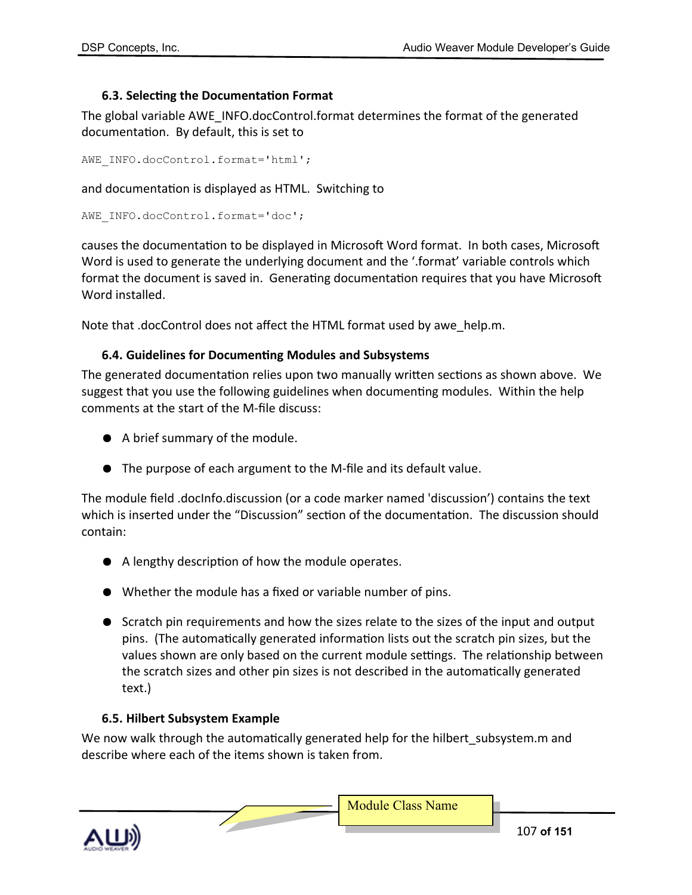#### **6.3. Selecting the Documentation Format**

The global variable AWE\_INFO.docControl.format determines the format of the generated documentation. By default, this is set to

AWE\_INFO.docControl.format='html';

and documentation is displayed as HTML. Switching to

AWE INFO.docControl.format='doc';

causes the documentation to be displayed in Microsoft Word format. In both cases, Microsoft Word is used to generate the underlying document and the '.format' variable controls which format the document is saved in. Generating documentation requires that you have Microsoft Word installed.

Note that .docControl does not affect the HTML format used by awe\_help.m.

#### **6.4. Guidelines for Documenting Modules and Subsystems**

The generated documentation relies upon two manually written sections as shown above. We suggest that you use the following guidelines when documenting modules. Within the help comments at the start of the M-file discuss:

- A brief summary of the module.
- The purpose of each argument to the M-file and its default value.

The module field .docInfo.discussion (or a code marker named 'discussion') contains the text which is inserted under the "Discussion" section of the documentation. The discussion should contain:

- A lengthy description of how the module operates.
- Whether the module has a fixed or variable number of pins.
- Scratch pin requirements and how the sizes relate to the sizes of the input and output pins. (The automatically generated information lists out the scratch pin sizes, but the values shown are only based on the current module settings. The relationship between the scratch sizes and other pin sizes is not described in the automatically generated text.)

#### **6.5. Hilbert Subsystem Example**

We now walk through the automatically generated help for the hilbert subsystem.m and describe where each of the items shown is taken from.

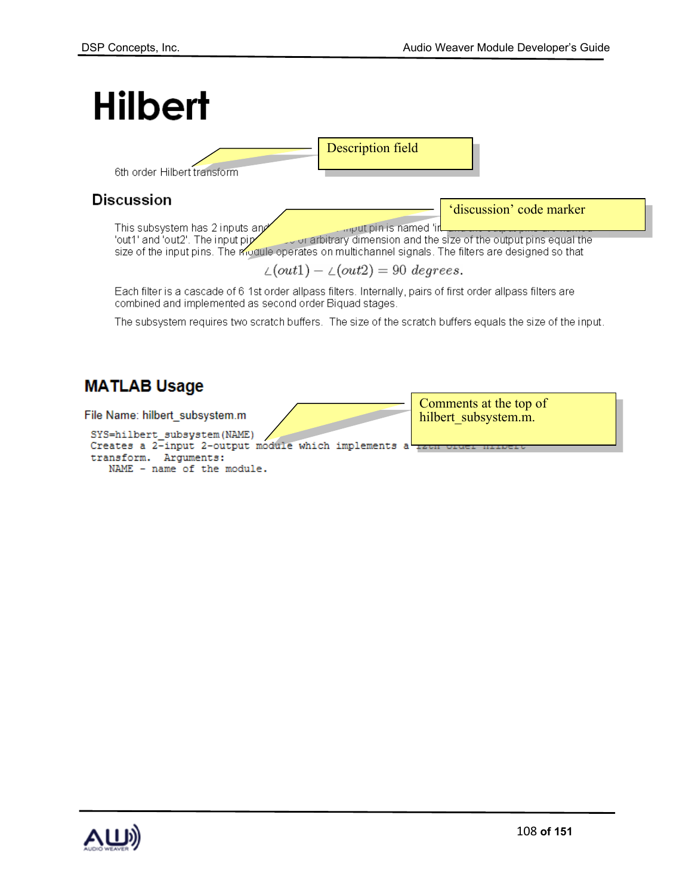'discussion' code marker

# **Hilbert**

Description field

**Discussion** 

This subsystem has 2 inputs are

6th order Hilbert transform

aput pin is named 'in of arbitrary dimension and the size of the output pins equal the<br>size of the input pins. The module operates on multichannel signals. The filters are designed so that

 $\angle(\text{out1}) - \angle(\text{out2}) = 90 \text{ degrees}.$ 

Each filter is a cascade of 6 1st order allpass filters. Internally, pairs of first order allpass filters are combined and implemented as second order Biquad stages.

The subsystem requires two scratch buffers. The size of the scratch buffers equals the size of the input.

# **MATLAB Usage**

| File Name: hilbert subsystem.m                                      | Comments at the top of<br>hilbert subsystem.m. |
|---------------------------------------------------------------------|------------------------------------------------|
| SYS=hilbert subsystem (NAME)                                        |                                                |
| Creates a 2-input 2-output module which implements a $\frac{1}{12}$ |                                                |
| transform. Arquments:                                               |                                                |
| NAME - name of the module.                                          |                                                |

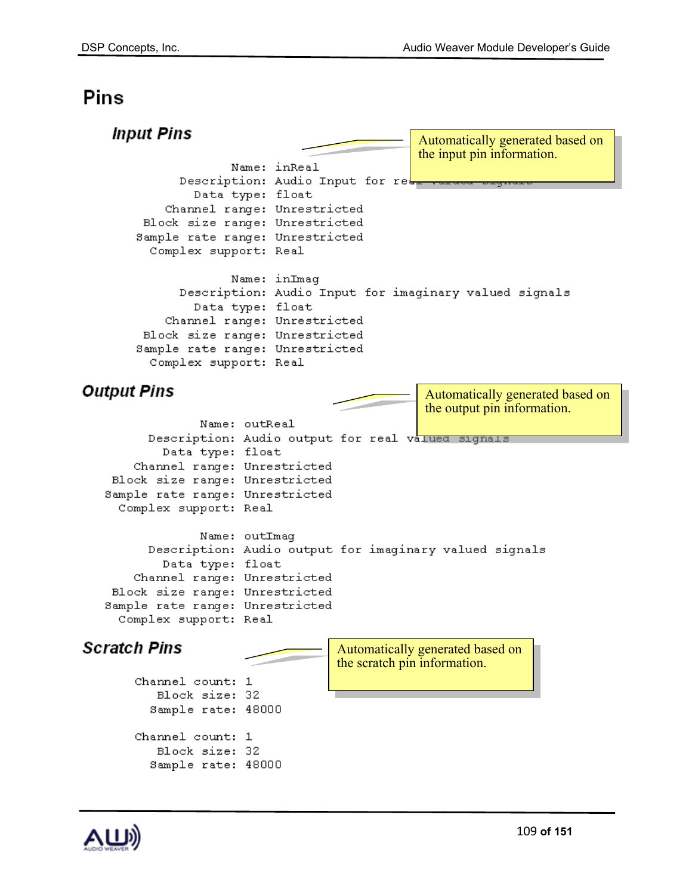# Pins

| <b>Input Pins</b>                                                                                                                                                                                                                                                                                                                |                                                                                                                                                                                               | Automatically generated based on<br>the input pin information.  |
|----------------------------------------------------------------------------------------------------------------------------------------------------------------------------------------------------------------------------------------------------------------------------------------------------------------------------------|-----------------------------------------------------------------------------------------------------------------------------------------------------------------------------------------------|-----------------------------------------------------------------|
| Complex support: Real                                                                                                                                                                                                                                                                                                            | Name: inReal<br>Description: Audio Input for ret<br>Data type: float<br>Channel range: Unrestricted<br>Block size range: Unrestricted<br>Sample rate range: Unrestricted                      |                                                                 |
| Complex support: Real                                                                                                                                                                                                                                                                                                            | Name: inImag<br>Description: Audio Input for imaginary valued signals<br>Data type: float<br>Channel range: Unrestricted<br>Block size range: Unrestricted<br>Sample rate range: Unrestricted |                                                                 |
| <b>Output Pins</b>                                                                                                                                                                                                                                                                                                               |                                                                                                                                                                                               | Automatically generated based on<br>the output pin information. |
| Name: outReal<br>Data type: float<br>Channel range: Unrestricted<br>Block size range: Unrestricted<br>Sample rate range: Unrestricted<br>Complex support: Real<br>Name: outImag<br>Data type: float<br>Channel range: Unrestricted<br>Block size range: Unrestricted<br>Sample rate range: Unrestricted<br>Complex support: Real | Description: Audio output for real valued signals<br>Description: Audio output for imaginary valued signals                                                                                   |                                                                 |
| <b>Scratch Pins</b><br>Channel count: 1<br>Block size: 32<br>Sample rate: 48000                                                                                                                                                                                                                                                  | the scratch pin information.                                                                                                                                                                  | Automatically generated based on                                |
| Channel count: 1<br>Block size: 32<br>Sample rate: 48000                                                                                                                                                                                                                                                                         |                                                                                                                                                                                               |                                                                 |

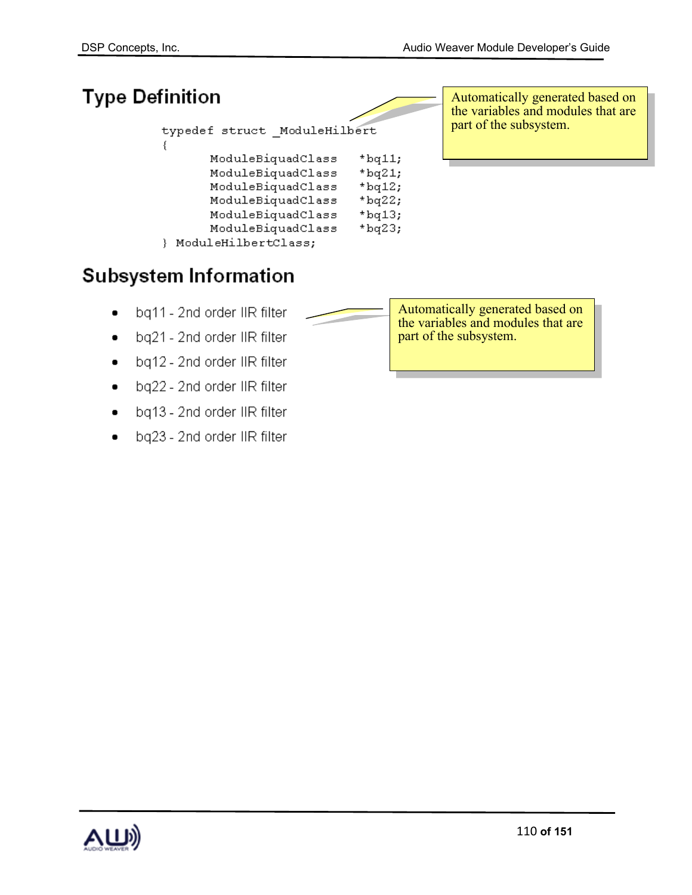# **Type Definition**

```
typedef struct ModuleHilbert
€
      ModuleBiquadClass
                           *bq11;
      ModuleBiquadClass
                           *bq21;
      ModuleBiquadClass
                           *bq12;
      ModuleBiquadClass
                           *bq22;
```
ModuleBiquadClass ModuleBiquadClass

} ModuleHilbertClass;

 $*$ bq13;

 $*$ bq23;

Automatically generated based on the variables and modules that are part of the subsystem.

# **Subsystem Information**

- bq11 2nd order IIR filter
- bq21 2nd order IIR filter
- bq12 2nd order IIR filter  $\bullet$
- bq22 2nd order IIR filter
- bq13 2nd order IIR filter
- bq23 2nd order IIR filter

Automatically generated based on the variables and modules that are part of the subsystem.

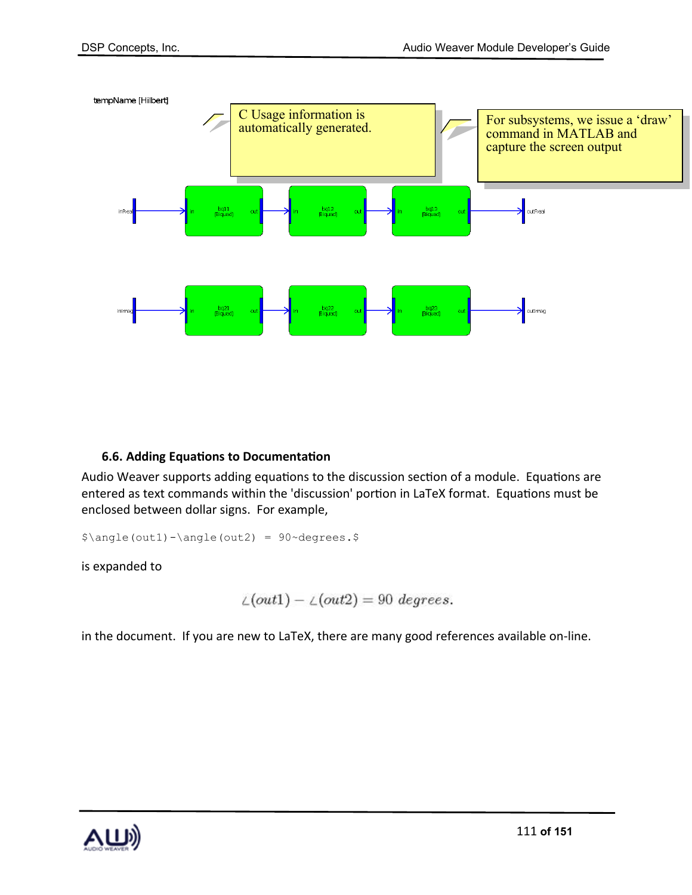

### **6.6. Adding Equations to Documentation**

Audio Weaver supports adding equations to the discussion section of a module. Equations are entered as text commands within the 'discussion' portion in LaTeX format. Equations must be enclosed between dollar signs. For example,

 $\langle\$ 

is expanded to

 $\angle(out1) - \angle(out2) = 90 degrees.$ 

in the document. If you are new to LaTeX, there are many good references available on-line.

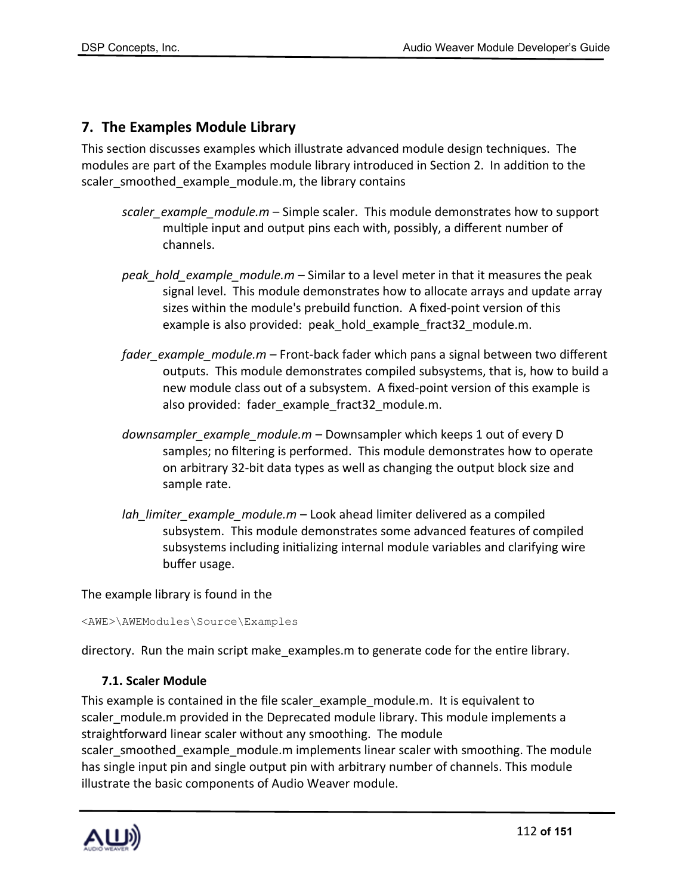## **7. The Examples Module Library**

This section discusses examples which illustrate advanced module design techniques. The modules are part of the Examples module library introduced in Section 2. In addition to the scaler\_smoothed\_example\_module.m, the library contains

- *scaler\_example\_module.m* Simple scaler. This module demonstrates how to support multiple input and output pins each with, possibly, a different number of channels.
- *peak\_hold\_example\_module.m* Similar to a level meter in that it measures the peak signal level. This module demonstrates how to allocate arrays and update array sizes within the module's prebuild function. A fixed-point version of this example is also provided: peak hold example fract32 module.m.
- *fader\_example\_module.m* Front-back fader which pans a signal between two different outputs. This module demonstrates compiled subsystems, that is, how to build a new module class out of a subsystem. A fixed-point version of this example is also provided: fader example fract32 module.m.
- *downsampler\_example\_module.m* Downsampler which keeps 1 out of every D samples; no filtering is performed. This module demonstrates how to operate on arbitrary 32-bit data types as well as changing the output block size and sample rate.
- *lah\_limiter\_example\_module.m* Look ahead limiter delivered as a compiled subsystem. This module demonstrates some advanced features of compiled subsystems including initializing internal module variables and clarifying wire buffer usage.

The example library is found in the

<AWE>\AWEModules\Source\Examples

directory. Run the main script make\_examples.m to generate code for the entire library.

#### **7.1. Scaler Module**

This example is contained in the file scaler example module.m. It is equivalent to scaler module.m provided in the Deprecated module library. This module implements a straightforward linear scaler without any smoothing. The module scaler\_smoothed\_example\_module.m implements linear scaler with smoothing. The module has single input pin and single output pin with arbitrary number of channels. This module illustrate the basic components of Audio Weaver module.

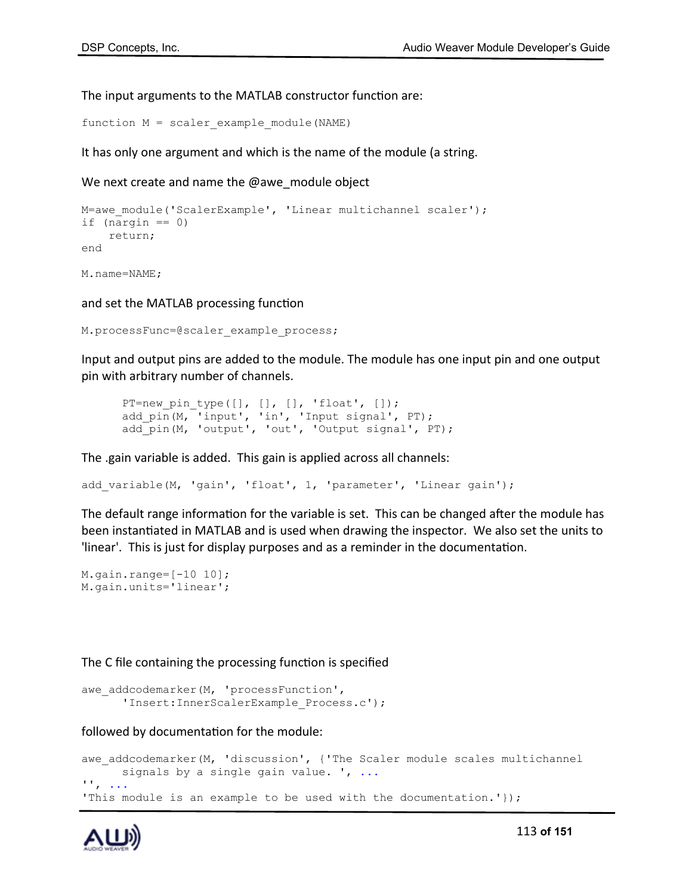The input arguments to the MATLAB constructor function are:

function  $M = scaler$  example module(NAME)

It has only one argument and which is the name of the module (a string.

We next create and name the  $@$  awe module object

```
M=awe module('ScalerExample', 'Linear multichannel scaler');
if (nargin == 0)
     return;
end
M.name=NAME;
```
and set the MATLAB processing function

M.processFunc=@scaler\_example\_process;

Input and output pins are added to the module. The module has one input pin and one output pin with arbitrary number of channels.

```
PT=new_pin_type([], [], [], 'float', []);
add_pin(M, 'input', 'in', 'Input signal', PT);
add_pin(M, 'output', 'out', 'Output signal', PT);
```
The .gain variable is added. This gain is applied across all channels:

```
add variable(M, 'gain', 'float', 1, 'parameter', 'Linear gain');
```
The default range information for the variable is set. This can be changed after the module has been instantiated in MATLAB and is used when drawing the inspector. We also set the units to 'linear'. This is just for display purposes and as a reminder in the documentation.

```
M.gain.range=[-10 10];
M.gain.units='linear';
```
The C file containing the processing function is specified

```
awe_addcodemarker(M, 'processFunction',
      'Insert:InnerScalerExample_Process.c');
```
followed by documentation for the module:

```
awe addcodemarker(M, 'discussion', {'The Scaler module scales multichannel
     signals by a single gain value. ', ...
'', ...
'This module is an example to be used with the documentation.'});
```
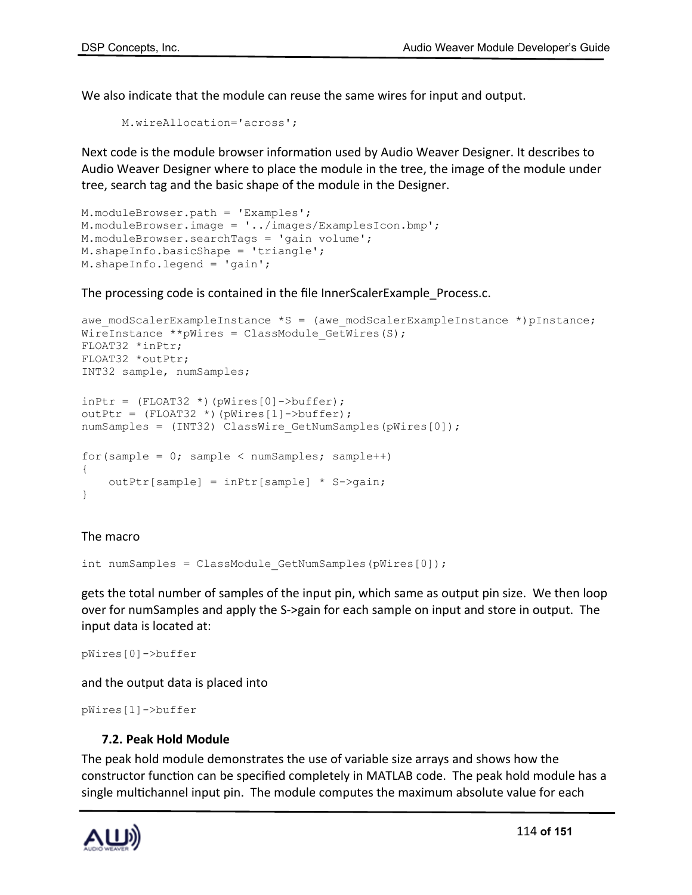We also indicate that the module can reuse the same wires for input and output.

```
M.wireAllocation='across';
```
Next code is the module browser information used by Audio Weaver Designer. It describes to Audio Weaver Designer where to place the module in the tree, the image of the module under tree, search tag and the basic shape of the module in the Designer.

```
M.moduleBrowser.path = 'Examples';
M.moduleBrowser.image = '../images/ExamplesIcon.bmp';
M.moduleBrowser.searchTags = 'gain volume';
M.shapeInfo.basicShape = 'triangle';
M.shapeInfo.legend = 'gain';
```
The processing code is contained in the file InnerScalerExample\_Process.c.

```
awe_modScalerExampleInstance *S = (awe_modScalerExampleInstance *)pInstance;
WireInstance **pWires = ClassModule GetWires(S);
FLOAT32 *inPtr;
FLOAT32 *outPtr;
INT32 sample, numSamples;
inPtr = (FLOAT32 *) (pWires[0] -> buffer);outPtr = (FIOAT32 *) (pWires[1]->buffer);numSamples = (INT32) ClassWire GetNumSamples(pWires[0]);
for(sample = 0; sample < numSamples; sample++)
{
     outPtr[sample] = inPtr[sample] * S->gain;
}
```
The macro

int numSamples = ClassModule GetNumSamples(pWires[0]);

gets the total number of samples of the input pin, which same as output pin size. We then loop over for numSamples and apply the S->gain for each sample on input and store in output. The input data is located at:

```
pWires[0]->buffer
```
and the output data is placed into

pWires[1]->buffer

# **7.2. Peak Hold Module**

The peak hold module demonstrates the use of variable size arrays and shows how the constructor function can be specified completely in MATLAB code. The peak hold module has a single multichannel input pin. The module computes the maximum absolute value for each

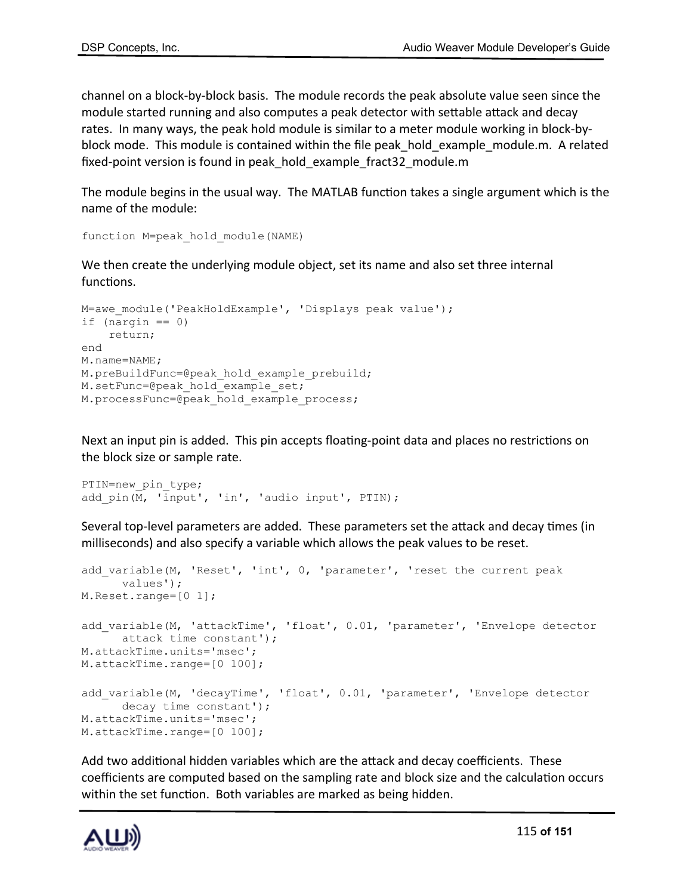channel on a block-by-block basis. The module records the peak absolute value seen since the module started running and also computes a peak detector with settable attack and decay rates. In many ways, the peak hold module is similar to a meter module working in block-byblock mode. This module is contained within the file peak\_hold\_example\_module.m. A related fixed-point version is found in peak hold example fract32 module.m

The module begins in the usual way. The MATLAB function takes a single argument which is the name of the module:

```
function M=peak_hold_module(NAME)
```
We then create the underlying module object, set its name and also set three internal functions.

```
M=awe module('PeakHoldExample', 'Displays peak value');
if (nargin == 0)
     return;
end
M.name=NAME;
M.preBuildFunc=@peak hold example prebuild;
M.setFunc=@peak hold example set;
M.processFunc=@peak hold example process;
```
Next an input pin is added. This pin accepts floating-point data and places no restrictions on the block size or sample rate.

```
PTIN=new pin type;
add pin(M, 'input', 'in', 'audio input', PTIN);
```
Several top-level parameters are added. These parameters set the attack and decay times (in milliseconds) and also specify a variable which allows the peak values to be reset.

```
add variable(M, 'Reset', 'int', 0, 'parameter', 'reset the current peak
     values');
M.Reset.range=[0 1];
add variable(M, 'attackTime', 'float', 0.01, 'parameter', 'Envelope detector
     attack time constant');
M.attackTime.units='msec';
M.attackTime.range=[0 100];
add variable(M, 'decayTime', 'float', 0.01, 'parameter', 'Envelope detector
     decay time constant');
M.attackTime.units='msec';
M.attackTime.range=[0 100];
```
Add two additional hidden variables which are the attack and decay coefficients. These coefficients are computed based on the sampling rate and block size and the calculation occurs within the set function. Both variables are marked as being hidden.

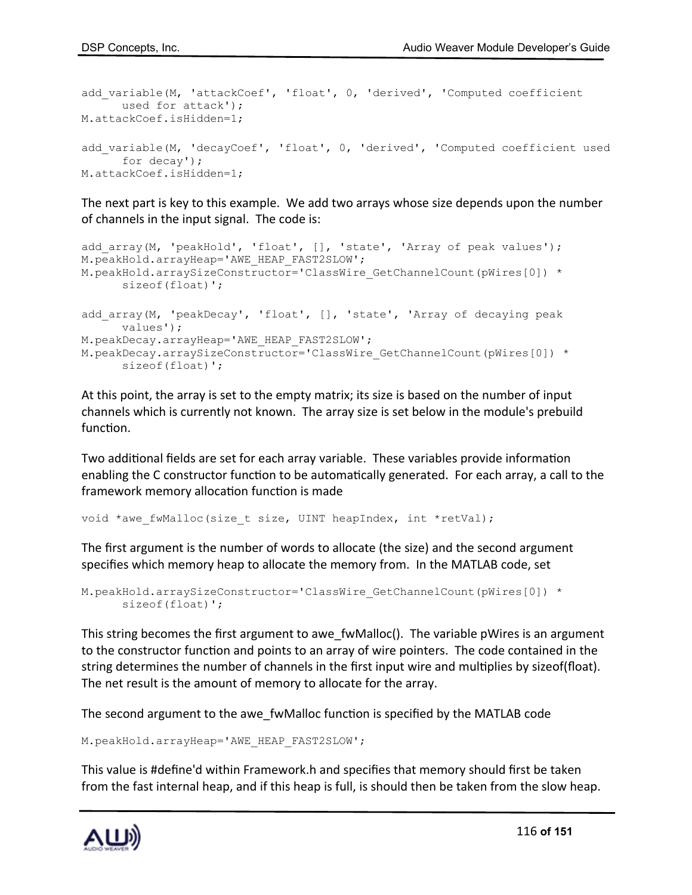```
add_variable(M, 'attackCoef', 'float', 0, 'derived', 'Computed coefficient 
     used for attack');
M.attackCoef.isHidden=1;
add variable(M, 'decayCoef', 'float', 0, 'derived', 'Computed coefficient used
      for decay');
M.attackCoef.isHidden=1;
```
The next part is key to this example. We add two arrays whose size depends upon the number of channels in the input signal. The code is:

```
add array(M, 'peakHold', 'float', [], 'state', 'Array of peak values');
M.peakHold.arrayHeap='AWE_HEAP_FAST2SLOW';
M.peakHold.arraySizeConstructor='ClassWire GetChannelCount(pWires[0]) *
      sizeof(float)';
add array(M, 'peakDecay', 'float', [], 'state', 'Array of decaying peak
      values');
M.peakDecay.arrayHeap='AWE_HEAP_FAST2SLOW';
M.peakDecay.arraySizeConstructor='ClassWire GetChannelCount(pWires[0]) *
      sizeof(float)';
```
At this point, the array is set to the empty matrix; its size is based on the number of input channels which is currently not known. The array size is set below in the module's prebuild function.

Two additional fields are set for each array variable. These variables provide information enabling the C constructor function to be automatically generated. For each array, a call to the framework memory allocation function is made

void \*awe\_fwMalloc(size\_t\_size, UINT heapIndex, int \*retVal);

The first argument is the number of words to allocate (the size) and the second argument specifies which memory heap to allocate the memory from. In the MATLAB code, set

```
M.peakHold.arraySizeConstructor='ClassWire GetChannelCount(pWires[0]) *
      sizeof(float)';
```
This string becomes the first argument to awe fwMalloc(). The variable pWires is an argument to the constructor function and points to an array of wire pointers. The code contained in the string determines the number of channels in the first input wire and multiplies by sizeof(float). The net result is the amount of memory to allocate for the array.

The second argument to the awe\_fwMalloc function is specified by the MATLAB code

M.peakHold.arrayHeap='AWE\_HEAP\_FAST2SLOW';

This value is #define'd within Framework.h and specifies that memory should first be taken from the fast internal heap, and if this heap is full, is should then be taken from the slow heap.

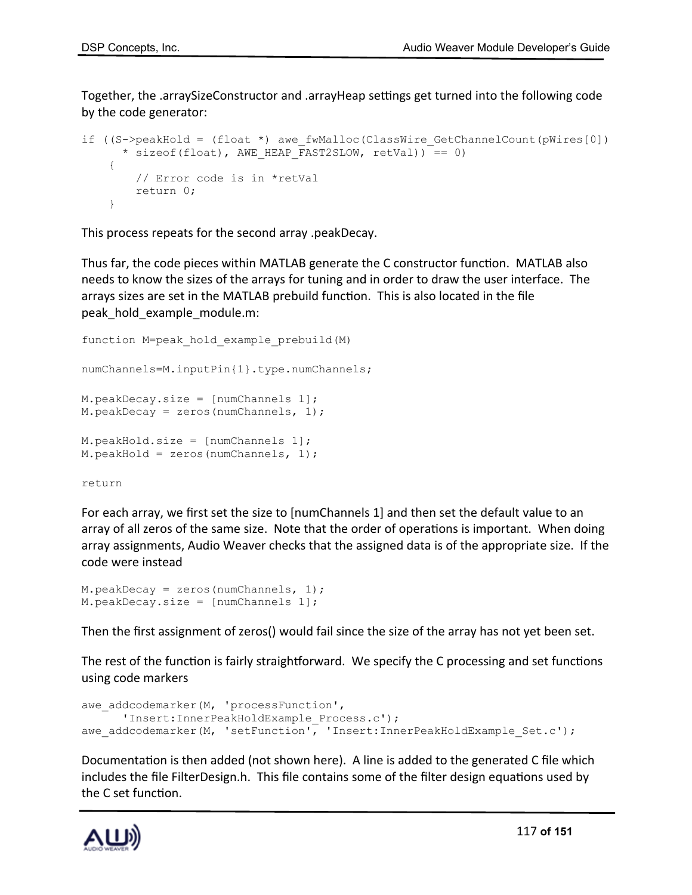Together, the .arraySizeConstructor and .arrayHeap settings get turned into the following code by the code generator:

```
if ((S-)peakHold = (float * ) awe fwMalloc(ClassWire GetChannelCount(pWires[0])
      * sizeof(float), AWE_HEAP FAST2SLOW, retVal)) == 0)
     {
         // Error code is in *retVal
        return 0;
     }
```
This process repeats for the second array .peakDecay.

Thus far, the code pieces within MATLAB generate the C constructor function. MATLAB also needs to know the sizes of the arrays for tuning and in order to draw the user interface. The arrays sizes are set in the MATLAB prebuild function. This is also located in the file peak\_hold\_example\_module.m:

```
function M=peak_hold_example_prebuild(M)
numChannels=M.inputPin{1}.type.numChannels;
M.peakDecay.size = [numChannels 1];M.peakDecay = zeros(numChannels, 1);M.peakHold.size = [numChannels 1];M.peakHold = zeros(numChannels, 1);
```
return

For each array, we first set the size to [numChannels 1] and then set the default value to an array of all zeros of the same size. Note that the order of operations is important. When doing array assignments, Audio Weaver checks that the assigned data is of the appropriate size. If the code were instead

```
M.peakDecay = zeros(numChannels, 1);M.peakDecay.size = [numChannels 1];
```
Then the first assignment of zeros() would fail since the size of the array has not yet been set.

The rest of the function is fairly straightforward. We specify the C processing and set functions using code markers

```
awe_addcodemarker(M, 'processFunction',
      'Insert:InnerPeakHoldExample_Process.c');
awe_addcodemarker(M, 'setFunction', 'Insert:InnerPeakHoldExample Set.c');
```
Documentation is then added (not shown here). A line is added to the generated C file which includes the file FilterDesign.h. This file contains some of the filter design equations used by the C set function.

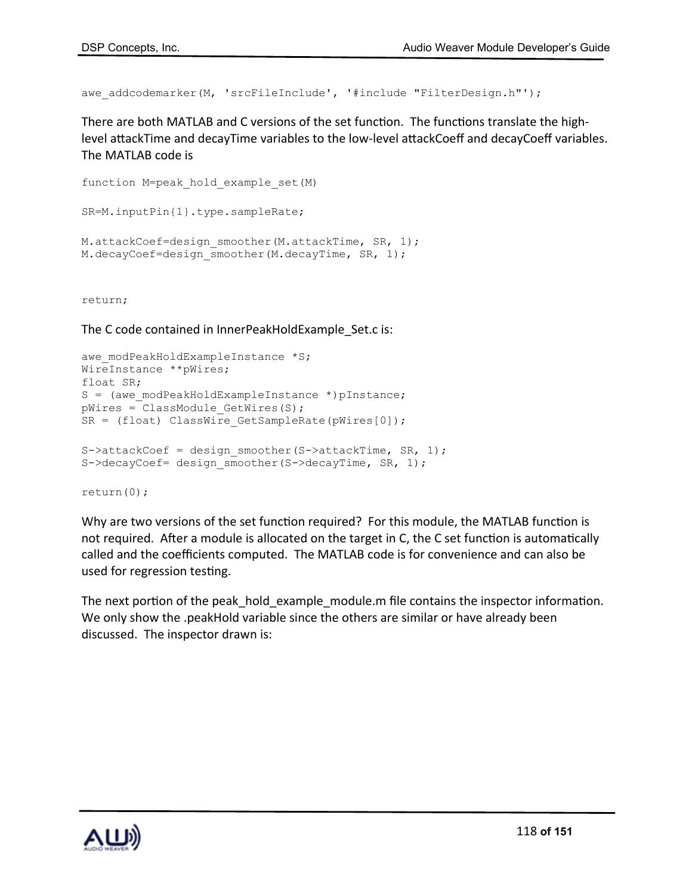awe\_addcodemarker(M, 'srcFileInclude', '#include "FilterDesign.h"');

There are both MATLAB and C versions of the set function. The functions translate the highlevel attackTime and decayTime variables to the low-level attackCoeff and decayCoeff variables. The MATLAB code is

```
function M=peak_hold_example_set(M)
SR=M.inputPin{1}.type.sampleRate;
M.attackCoef=design_smoother(M.attackTime, SR, 1);
M.decayCoef=design_smoother(M.decayTime, SR, 1);
```
return;

The C code contained in InnerPeakHoldExample\_Set.c is:

```
awe modPeakHoldExampleInstance *S;
WireInstance **pWires;
float SR;
S = (awe modPeakHoldExampleInstance *)pInstance;
pWires = ClassModule GetWires(S);
SR = (float) ClassWire GetSampleRate(pWires[0]);S->attackCoef = design smoother(S->attackTime, SR, 1);
S->decayCoef= design smoother(S->decayTime, SR, 1);
return(0);
```
Why are two versions of the set function required? For this module, the MATLAB function is not required. After a module is allocated on the target in C, the C set function is automatically called and the coefficients computed. The MATLAB code is for convenience and can also be used for regression testing.

The next portion of the peak\_hold\_example\_module.m file contains the inspector information. We only show the .peakHold variable since the others are similar or have already been discussed. The inspector drawn is:

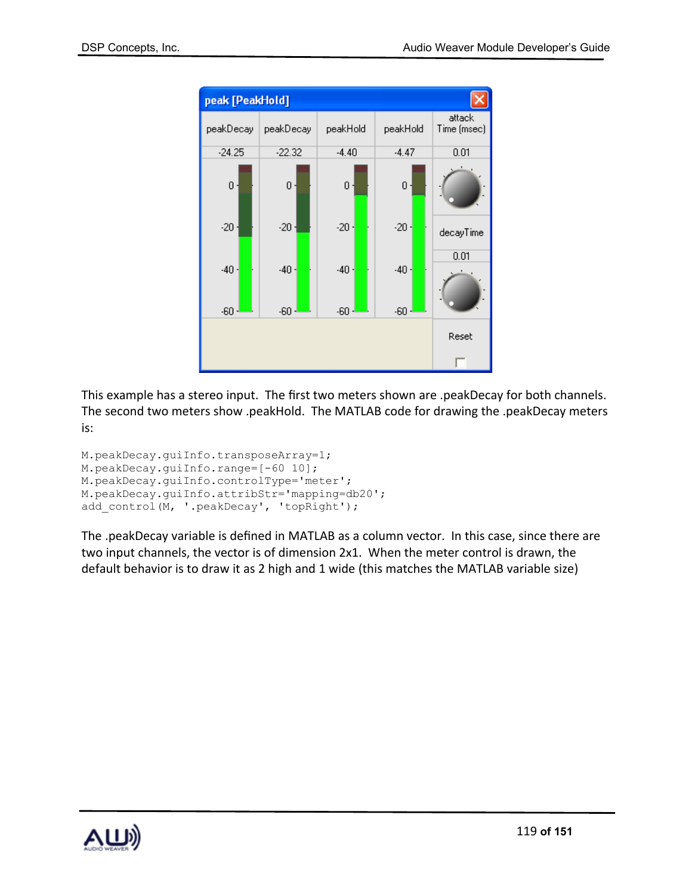| peak [PeakHold] |                |          |          |                       |
|-----------------|----------------|----------|----------|-----------------------|
| peakDecay       | peakDecay      | peakHold | peakHold | attack<br>Time (msec) |
| $-24.25$        | $-22.32$       | $-4.40$  | $-4.47$  | 0.01                  |
| 0               | 0 <sub>1</sub> | 0        | 0        |                       |
| $-20$           | $-20 +$        | $-20 +$  | $-20 -$  | decayTime             |
| $-40 -$         | $-40 -$        | $-40 +$  | $-40 -$  | 0.01                  |
| $-60 -$         | $-60 -$        | $-60 -$  | $-60$    |                       |
|                 |                |          |          | Reset                 |
|                 |                |          |          |                       |

This example has a stereo input. The first two meters shown are .peakDecay for both channels. The second two meters show .peakHold. The MATLAB code for drawing the .peakDecay meters is:

```
M.peakDecay.guiInfo.transposeArray=1;
M.peakDecay.guiInfo.range=[-60 10];
M.peakDecay.guiInfo.controlType='meter';
M.peakDecay.guiInfo.attribStr='mapping=db20';
add_control(M, '.peakDecay', 'topRight');
```
The .peakDecay variable is defined in MATLAB as a column vector. In this case, since there are two input channels, the vector is of dimension 2x1. When the meter control is drawn, the default behavior is to draw it as 2 high and 1 wide (this matches the MATLAB variable size)

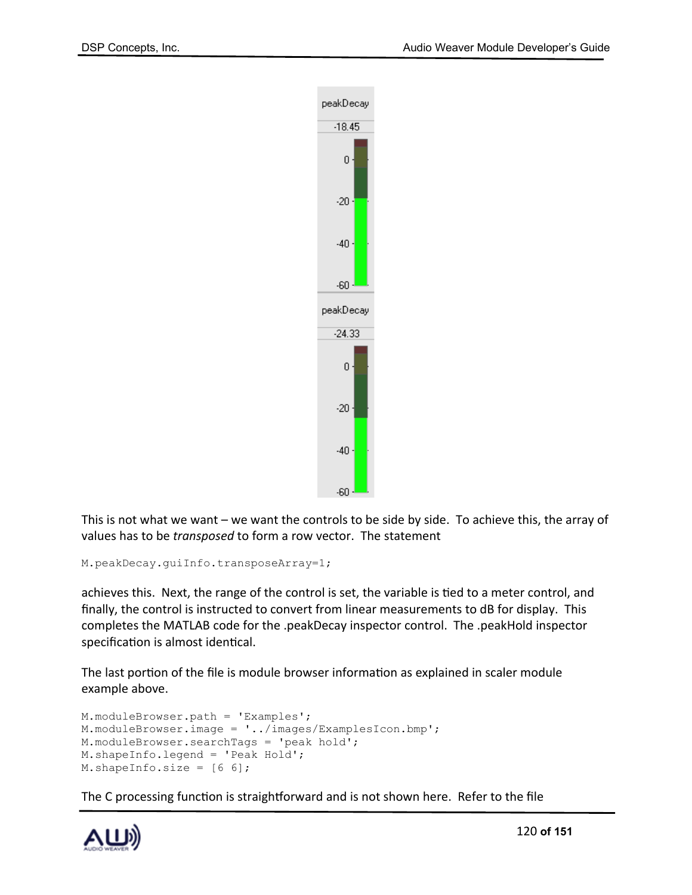

This is not what we want – we want the controls to be side by side. To achieve this, the array of values has to be *transposed* to form a row vector. The statement

```
M.peakDecay.guiInfo.transposeArray=1;
```
achieves this. Next, the range of the control is set, the variable is tied to a meter control, and finally, the control is instructed to convert from linear measurements to dB for display. This completes the MATLAB code for the .peakDecay inspector control. The .peakHold inspector specification is almost identical.

The last portion of the file is module browser information as explained in scaler module example above.

```
M.moduleBrowser.path = 'Examples';
M.moduleBrowser.image = '../images/ExamplesIcon.bmp';
M.moduleBrowser.searchTags = 'peak hold';
M.shapeInfo.legend = 'Peak Hold';
M.shapeInfo.size = [6 6];
```
The C processing function is straightforward and is not shown here. Refer to the file

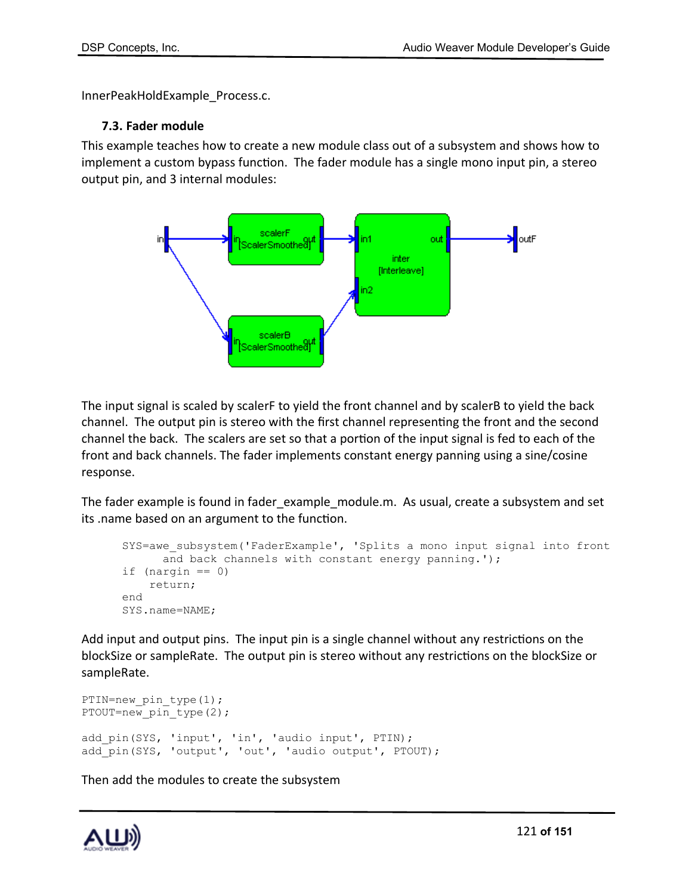InnerPeakHoldExample\_Process.c.

## **7.3. Fader module**

This example teaches how to create a new module class out of a subsystem and shows how to implement a custom bypass function. The fader module has a single mono input pin, a stereo output pin, and 3 internal modules:



The input signal is scaled by scalerF to yield the front channel and by scalerB to yield the back channel. The output pin is stereo with the first channel representing the front and the second channel the back. The scalers are set so that a portion of the input signal is fed to each of the front and back channels. The fader implements constant energy panning using a sine/cosine response.

The fader example is found in fader example module.m. As usual, create a subsystem and set its .name based on an argument to the function.

```
SYS=awe_subsystem('FaderExample', 'Splits a mono input signal into front
      and back channels with constant energy panning.');
if (nargin == 0)
    return;
end
SYS.name=NAME;
```
Add input and output pins. The input pin is a single channel without any restrictions on the blockSize or sampleRate. The output pin is stereo without any restrictions on the blockSize or sampleRate.

```
PTIN=new pin type(1);
PTOUT=new_pin_type(2);
add pin(SYS, 'input', 'in', 'audio input', PTIN);
add pin(SYS, 'output', 'out', 'audio output', PTOUT);
```
Then add the modules to create the subsystem

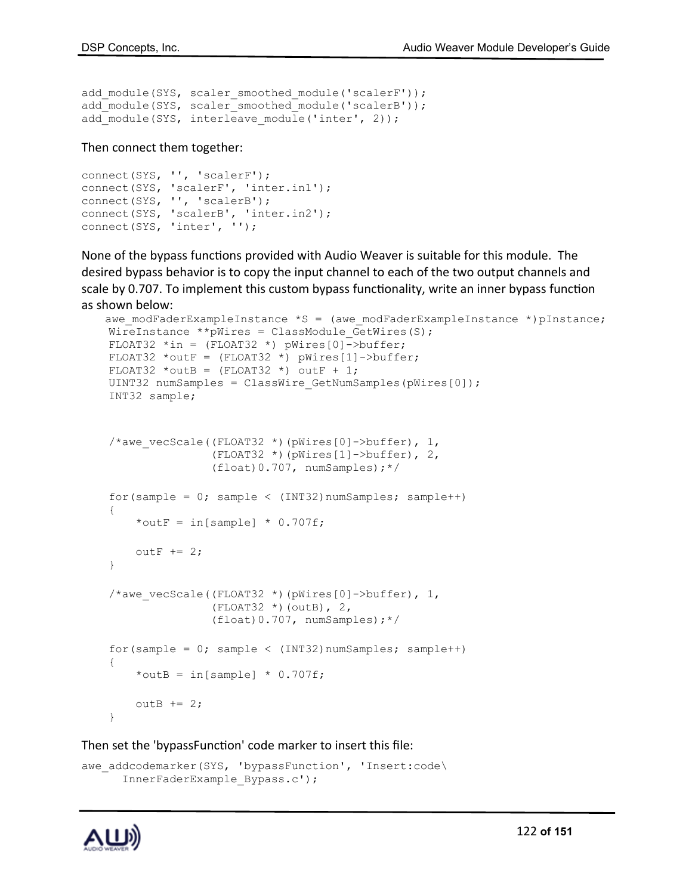```
add_module(SYS, scaler_smoothed_module('scalerF'));
add_module(SYS, scaler_smoothed_module('scalerB'));
add_module(SYS, interleave module('inter', 2));
```
#### Then connect them together:

```
connect(SYS, '', 'scalerF');
connect(SYS, 'scalerF', 'inter.in1');
connect(SYS, '', 'scalerB');
connect(SYS, 'scalerB', 'inter.in2');
connect(SYS, 'inter', '');
```
None of the bypass functions provided with Audio Weaver is suitable for this module. The desired bypass behavior is to copy the input channel to each of the two output channels and scale by 0.707. To implement this custom bypass functionality, write an inner bypass function as shown below:

```
awe modFaderExampleInstance *S = (awe modFaderExampleInstance *)pInstance;
WireInstance **pWires = ClassModule GetWires(S);
FLOAT32 *in = (FDOAT32 *) pWires[0]->buffer;
FLOAT32 *outF = (FLOAT32 *) pWires[1]->buffer;
FLOAT32 *outB = (FLOAT32 *) outF + 1;
UINT32 numSamples = ClassWire GetNumSamples(pWires[0]);
 INT32 sample;
/*awe_vecScale((FLOAT32 *)(pWires[0]->buffer), 1,
                (FLOAT32 *)(pWires[1]->buffer), 2,
                (float) 0.707, numSamples); */
for(sample = 0; sample < (INT32)numSamples; sample++)
 {
    *outF = in[sample] * 0.707f;
    outF += 2; }
/*awe_vecScale((FLOAT32 *)(pWires[0]->buffer), 1,
                (FLOAT32 *) (outB), 2,
                (float)0.707, numSamples);*/
for(sample = 0; sample < (INT32)numSamples; sample++)
 {
    *outB = in[sample] * 0.707f;
    outB += 2; }
```
Then set the 'bypassFunction' code marker to insert this file:

```
awe addcodemarker(SYS, 'bypassFunction', 'Insert:code\
     InnerFaderExample_Bypass.c');
```
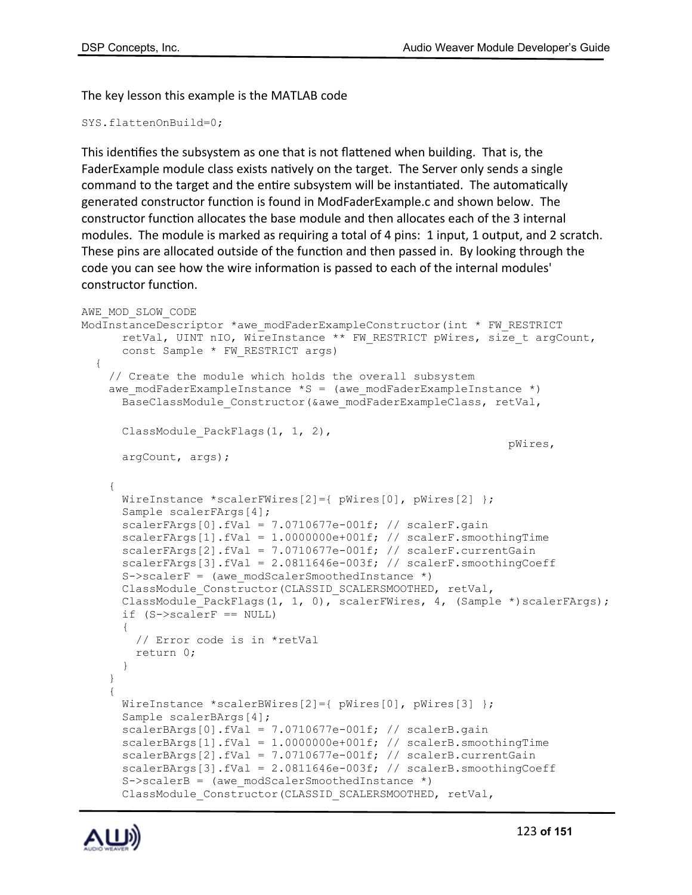The key lesson this example is the MATLAB code

```
SYS.flattenOnBuild=0;
```
This identifies the subsystem as one that is not flattened when building. That is, the FaderExample module class exists natively on the target. The Server only sends a single command to the target and the entire subsystem will be instantiated. The automatically generated constructor function is found in ModFaderExample.c and shown below. The constructor function allocates the base module and then allocates each of the 3 internal modules. The module is marked as requiring a total of 4 pins: 1 input, 1 output, and 2 scratch. These pins are allocated outside of the function and then passed in. By looking through the code you can see how the wire information is passed to each of the internal modules' constructor function.

```
AWE_MOD_SLOW_CODE
ModInstanceDescriptor *awe_modFaderExampleConstructor(int * FW_RESTRICT
      retVal, UINT nIO, WireInstance ** FW_RESTRICT pWires, size_t argCount, 
      const Sample * FW_RESTRICT args)
   {
     // Create the module which holds the overall subsystem
    awe modFaderExampleInstance *S = (awe modFaderExampleInstance *)
      BaseClassModule Constructor(&awe modFaderExampleClass, retVal,
      ClassModule PackFlags(1, 1, 2),
                                                                   pWires, 
      argCount, args);
     {
      WireInstance *scalerFWires[2]={ pWires[0], pWires[2] };
      Sample scalerFArgs[4];
      scalerFArgs[0].fVal = 7.0710677e-001f; // scalerF.gain
       scalerFArgs[1].fVal = 1.0000000e+001f; // scalerF.smoothingTime
       scalerFArgs[2].fVal = 7.0710677e-001f; // scalerF.currentGain
      scalarFArgs[3].fVal = 2.0811646e-003f; // scalerF.smoothingCoeff
      S->scalerF = (awe modScalerSmoothedInstance *)
      ClassModule Constructor(CLASSID SCALERSMOOTHED, retVal,
      ClassModule PackFlags(1, 1, 0), scalerFWires, 4, (Sample *)scalerFArgs);
       if (S->scalerF == NULL)
      {
         // Error code is in *retVal
         return 0;
      }
     }
\left\{\begin{array}{ccc} \end{array}\right\}WireInstance *scalerBWires[2]={ pWires[0], pWires[3] };
       Sample scalerBArgs[4];
      scalerBArg[0].fVal = 7.0710677e-001f; // scalerB.qain
      scalarBArg[1].fVal = 1.0000000e+001f; // scalerB.smoothingTime scalerBArgs[2].fVal = 7.0710677e-001f; // scalerB.currentGain
       scalerBArgs[3].fVal = 2.0811646e-003f; // scalerB.smoothingCoeff
      S->scalerB = (awe modScalerSmoothedInstance *)
      ClassModule Constructor(CLASSID SCALERSMOOTHED, retVal,
```
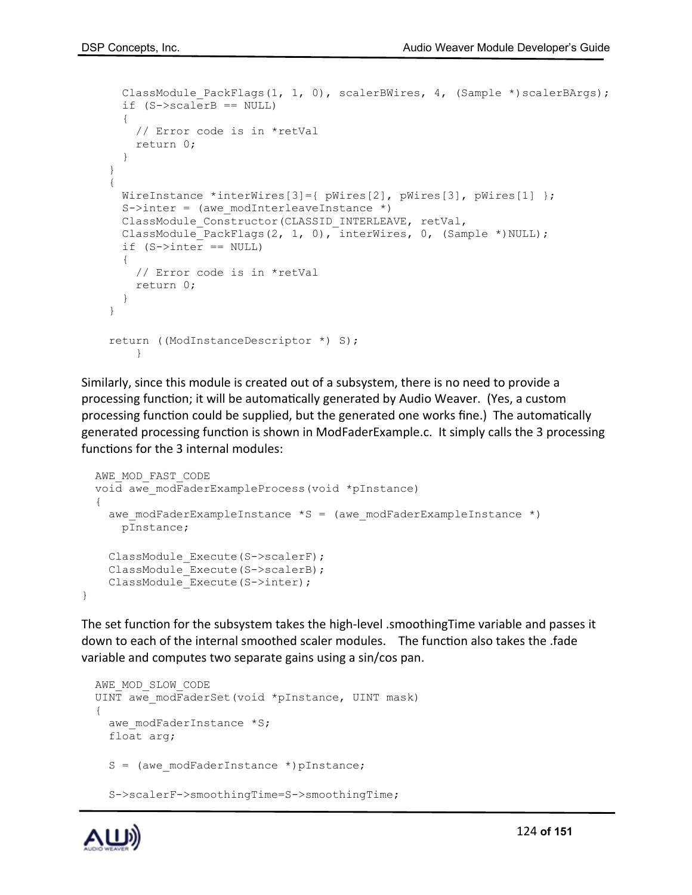```
ClassModule_PackFlags(1, 1, 0), scalerBWires, 4, (Sample *)scalerBArgs);
   if (S->scalerB == NULL)
  {
     // Error code is in *retVal
     return 0;
  }
 }
 {
 WireInstance *interWires[3]={ pWires[2], pWires[3], pWires[1] };
  S\rightarrowinter = (awe modInterleaveInstance *)
 ClassModule Constructor(CLASSID INTERLEAVE, retVal,
  ClassModule PackFlags(2, 1, 0), interWires, 0, (Sample *)NULL);
   if (S->inter == NULL)
  {
     // Error code is in *retVal
     return 0;
  }
 }
 return ((ModInstanceDescriptor *) S);
    }
```
Similarly, since this module is created out of a subsystem, there is no need to provide a processing function; it will be automatically generated by Audio Weaver. (Yes, a custom processing function could be supplied, but the generated one works fine.) The automatically generated processing function is shown in ModFaderExample.c. It simply calls the 3 processing functions for the 3 internal modules:

```
 AWE_MOD_FAST_CODE
  void awe_modFaderExampleProcess(void *pInstance)
   {
    awe modFaderExampleInstance *S = (awe modFaderExampleInstance *)
     pInstance;
   ClassModule Execute(S->scalerF);
   ClassModule Execute(S->scalerB);
   ClassModule Execute(S->inter);
}
```
The set function for the subsystem takes the high-level .smoothingTime variable and passes it down to each of the internal smoothed scaler modules. The function also takes the .fade variable and computes two separate gains using a sin/cos pan.

```
 AWE_MOD_SLOW_CODE
UINT awe modFaderSet(void *pInstance, UINT mask)
 {
  awe_modFaderInstance *S;
  float arg;
  S = (awe modFaderInstance *)pInstance;
   S->scalerF->smoothingTime=S->smoothingTime;
```
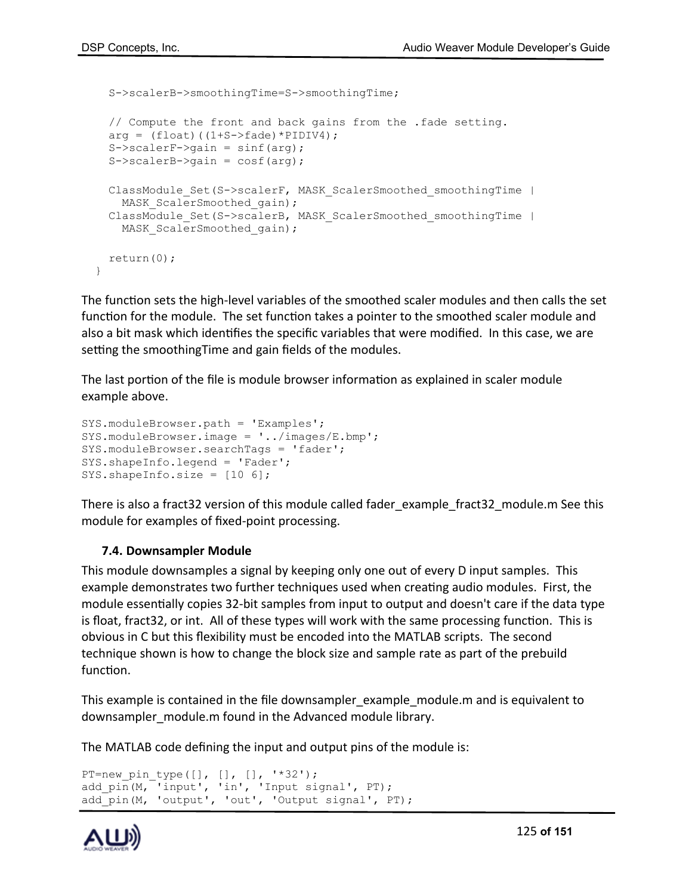```
 S->scalerB->smoothingTime=S->smoothingTime;
   // Compute the front and back gains from the .fade setting.
  arg = (float) ((1+S->fade)*PIDIV4); S->scalerF->gain = sinf(arg);
   S->scalerB->gain = cosf(arg);
 ClassModule Set(S->scalerF, MASK ScalerSmoothed smoothingTime |
   MASK ScalerSmoothed gain);
 ClassModule Set(S->scalerB, MASK ScalerSmoothed smoothingTime |
   MASK ScalerSmoothed gain);
  return(0);
 }
```
The function sets the high-level variables of the smoothed scaler modules and then calls the set function for the module. The set function takes a pointer to the smoothed scaler module and also a bit mask which identifies the specific variables that were modified. In this case, we are setting the smoothingTime and gain fields of the modules.

The last portion of the file is module browser information as explained in scaler module example above.

```
SYS.moduleBrowser.path = 'Examples';
SYS.moduleBrowser.image = '../images/E.bmp';
SYS.moduleBrowser.searchTags = 'fader';
SYS.shapeInfo.legend = 'Fader';
SYS.shapeInfo.size = [10 6];
```
There is also a fract32 version of this module called fader example fract32 module.m See this module for examples of fixed-point processing.

### **7.4. Downsampler Module**

This module downsamples a signal by keeping only one out of every D input samples. This example demonstrates two further techniques used when creating audio modules. First, the module essentially copies 32-bit samples from input to output and doesn't care if the data type is float, fract32, or int. All of these types will work with the same processing function. This is obvious in C but this flexibility must be encoded into the MATLAB scripts. The second technique shown is how to change the block size and sample rate as part of the prebuild function.

This example is contained in the file downsampler example module.m and is equivalent to downsampler\_module.m found in the Advanced module library.

The MATLAB code defining the input and output pins of the module is:

```
PT=new pin type([], [], [], '*32');
add_pin(M, 'input', 'in', 'Input signal', PT);
add pin(M, 'output', 'out', 'Output signal', PT);
```
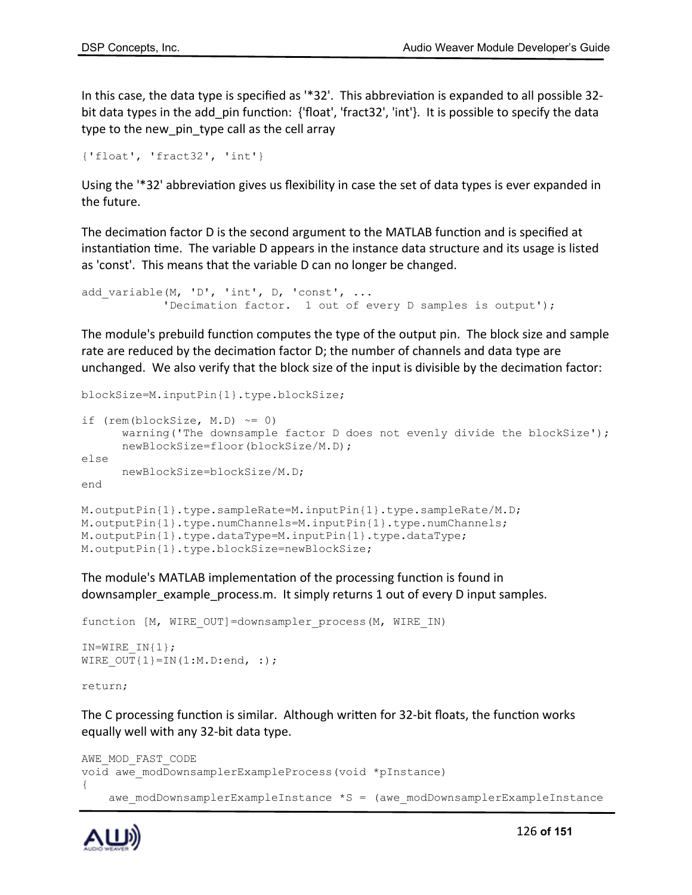In this case, the data type is specified as '\*32'. This abbreviation is expanded to all possible 32 bit data types in the add pin function: {'float', 'fract32', 'int'}. It is possible to specify the data type to the new pin type call as the cell array

```
{'float', 'fract32', 'int'}
```
Using the '\*32' abbreviation gives us flexibility in case the set of data types is ever expanded in the future.

The decimation factor D is the second argument to the MATLAB function and is specified at instantiation time. The variable D appears in the instance data structure and its usage is listed as 'const'. This means that the variable D can no longer be changed.

```
add variable(M, 'D', 'int', D, 'const', ...
            'Decimation factor. 1 out of every D samples is output');
```
The module's prebuild function computes the type of the output pin. The block size and sample rate are reduced by the decimation factor D; the number of channels and data type are unchanged. We also verify that the block size of the input is divisible by the decimation factor:

```
blockSize=M.inputPin{1}.type.blockSize;
if rem(blocksize, M.D) \sim = 0warning('The downsample factor D does not evenly divide the blockSize');
      newBlockSize=floor(blockSize/M.D);
else
      newBlockSize=blockSize/M.D;
end
M.outputPin{1}.type.sampleRate=M.inputPin{1}.type.sampleRate/M.D;
M.outputPin{1}.type.numChannels=M.inputPin{1}.type.numChannels;
M.outputPin{1}.type.dataType=M.inputPin{1}.type.dataType;
M.outputPin{1}.type.blockSize=newBlockSize;
```
The module's MATLAB implementation of the processing function is found in downsampler\_example\_process.m. It simply returns 1 out of every D input samples.

```
function [M, WIRE OUT]=downsampler process(M, WIRE IN)
IN=WIRE IN{1};
WIRE OUT{1} = IN(1:M.D:end, :);
return;
```
The C processing function is similar. Although written for 32-bit floats, the function works equally well with any 32-bit data type.

```
AWE_MOD_FAST_CODE
void awe modDownsamplerExampleProcess(void *pInstance)
{
    awe modDownsamplerExampleInstance *S = (awe modDownsamplerExampleInstance
```
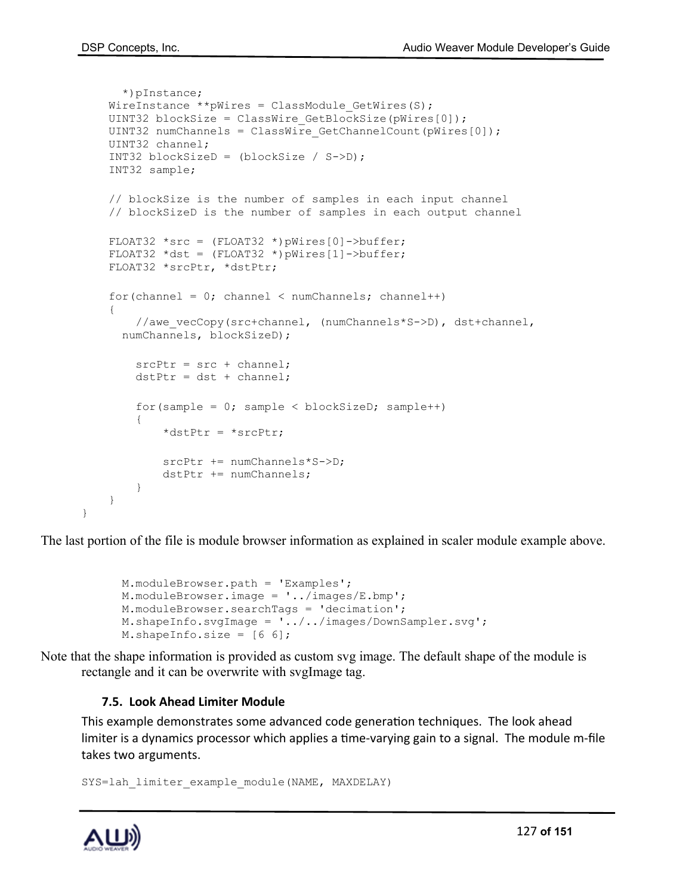```
*)pInstance;
    WireInstance **pWires = ClassModule GetWires(S);
    UINT32 blockSize = ClassWire GetBlockSize(pWires[0]);
    UINT32 numChannels = ClassWire GetChannelCount(pWires[0]);
     UINT32 channel;
     INT32 blockSizeD = (blockSize / S->D);
     INT32 sample;
     // blockSize is the number of samples in each input channel
     // blockSizeD is the number of samples in each output channel
    FLOAT32 *src = (FLOAT32 *)pWires[0]->buffer;FLOAT32 *dist = (FLOAT32 *) pWires[1]->buffer;
     FLOAT32 *srcPtr, *dstPtr;
    for(channel = 0; channel < numChannels; channel++)
\left\{\begin{array}{ccc} \end{array}\right\} //awe_vecCopy(src+channel, (numChannels*S->D), dst+channel, 
      numChannels, blockSizeD);
         srcPtr = src + channel;
        dstPtr = dst + channel;for(sample = 0; sample < blockSizeD; sample++)
 {
            *dstPtr = *srcPtr;
            srcPtr += numChannels*S->D;
             dstPtr += numChannels;
 }
     }
```
The last portion of the file is module browser information as explained in scaler module example above.

```
M.moduleBrowser.path = 'Examples';
M.moduleBrowser.image = '../images/E.bmp';
M.moduleBrowser.searchTags = 'decimation';
M.shapeInfo.svgImage = '../../images/DownSampler.svg';
M.shapeInfo.size = [6 6];
```
Note that the shape information is provided as custom svg image. The default shape of the module is rectangle and it can be overwrite with svgImage tag.

#### **7.5. Look Ahead Limiter Module**

This example demonstrates some advanced code generation techniques. The look ahead limiter is a dynamics processor which applies a time-varying gain to a signal. The module m-file takes two arguments.

```
SYS=lah_limiter_example_module(NAME, MAXDELAY)
```


}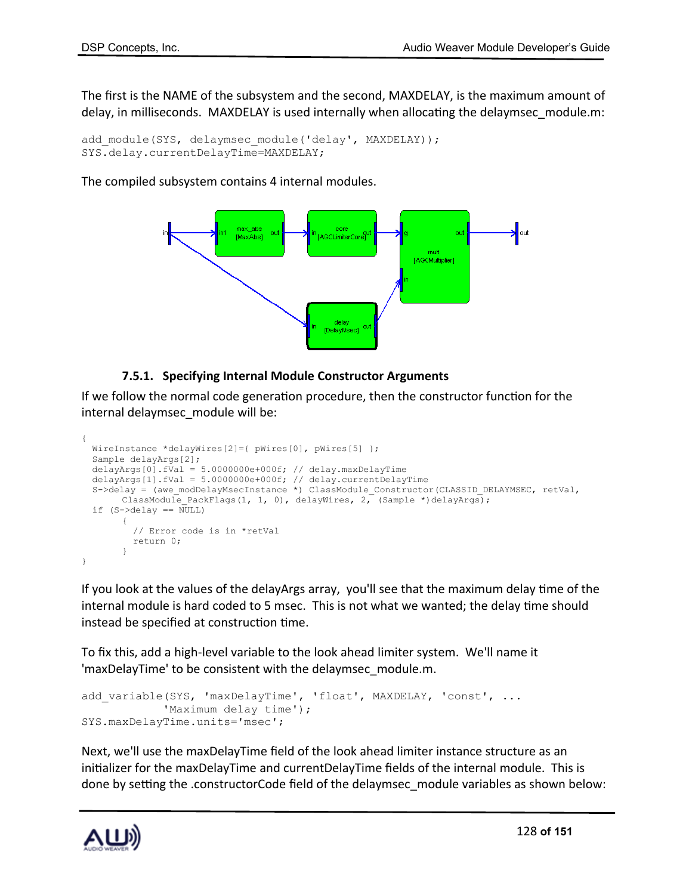The first is the NAME of the subsystem and the second, MAXDELAY, is the maximum amount of delay, in milliseconds. MAXDELAY is used internally when allocating the delaymsec\_module.m:

```
add_module(SYS,_delaymsec_module('delay', MAXDELAY));
SYS.delay.currentDelayTime=MAXDELAY;
```
The compiled subsystem contains 4 internal modules.



# **7.5.1. Specifying Internal Module Constructor Arguments**

If we follow the normal code generation procedure, then the constructor function for the internal delaymsec\_module will be:

```
{
 WireInstance *delayWires[2]={ pWires[0], pWires[5] };
  Sample delayArgs[2];
 delayArgs[0].fVal = 5.0000000e+000f; // delay.maxDelayTime
  delayArgs[1].fVal = 5.0000000e+000f; // delay.currentDelayTime
 S->delay = (awe modDelayMsecInstance *) ClassModule Constructor(CLASSID DELAYMSEC, retVal,
       ClassModule PackFlags(1, 1, 0), delayWires, 2, (Sample *)delayArgs);
 if (S->delay == \overline{NULL}){
          // Error code is in *retVal
          return 0;
       }
}
```
If you look at the values of the delayArgs array, you'll see that the maximum delay time of the internal module is hard coded to 5 msec. This is not what we wanted; the delay time should instead be specified at construction time.

To fix this, add a high-level variable to the look ahead limiter system. We'll name it 'maxDelayTime' to be consistent with the delaymsec\_module.m.

```
add variable(SYS, 'maxDelayTime', 'float', MAXDELAY, 'const', ...
            'Maximum delay time');
SYS.maxDelayTime.units='msec';
```
Next, we'll use the maxDelayTime field of the look ahead limiter instance structure as an initializer for the maxDelayTime and currentDelayTime fields of the internal module. This is done by setting the .constructorCode field of the delaymsec\_module variables as shown below:

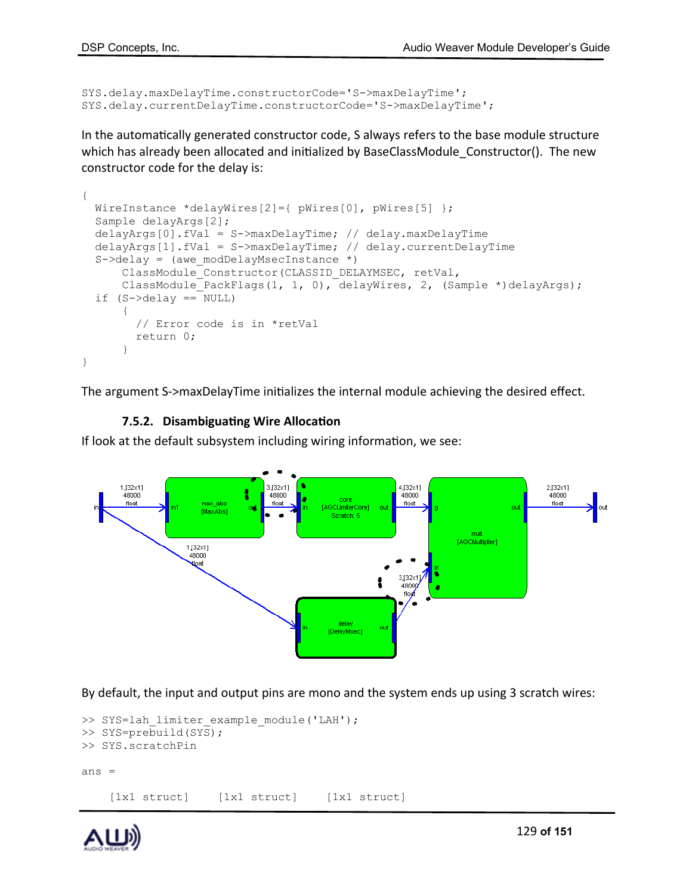```
SYS.delay.maxDelayTime.constructorCode='S->maxDelayTime';
SYS.delay.currentDelayTime.constructorCode='S->maxDelayTime';
```
In the automatically generated constructor code, S always refers to the base module structure which has already been allocated and initialized by BaseClassModule\_Constructor(). The new constructor code for the delay is:

```
{
 WireInstance *delayWires[2]={ pWires[0], pWires[5] };
  Sample delayArgs[2];
  delayArgs[0].fVal = S->maxDelayTime; // delay.maxDelayTime
  delayArgs[1].fVal = S->maxDelayTime; // delay.currentDelayTime
 S-\geqdelay = (awe modDelayMsecInstance *)
      ClassModule Constructor(CLASSID DELAYMSEC, retVal,
      ClassModule PackFlags(1, 1, 0), delayWires, 2, (Sample *)delayArgs);
  if (S->delay == NULL)
      {
         // Error code is in *retVal
        return 0;
      }
}
```
The argument S->maxDelayTime initializes the internal module achieving the desired effect.

#### **7.5.2. Disambiguating Wire Allocation**

If look at the default subsystem including wiring information, we see:



By default, the input and output pins are mono and the system ends up using 3 scratch wires:

```
>> SYS=lah limiter example module('LAH');
>> SYS=prebuild(SYS);
>> SYS.scratchPin
ans = [1x1 struct] [1x1 struct] [1x1 struct]
```
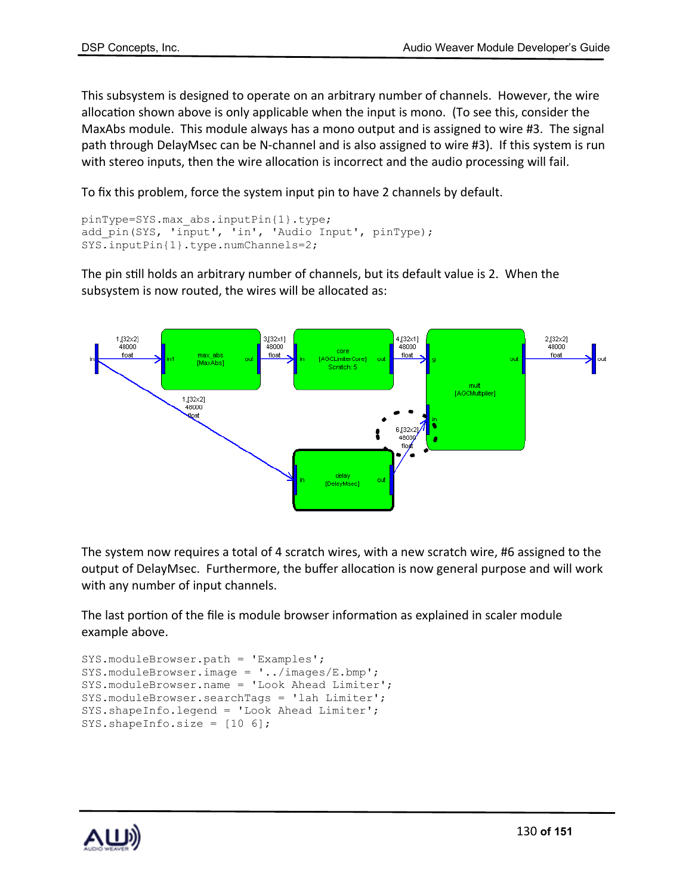This subsystem is designed to operate on an arbitrary number of channels. However, the wire allocation shown above is only applicable when the input is mono. (To see this, consider the MaxAbs module. This module always has a mono output and is assigned to wire #3. The signal path through DelayMsec can be N-channel and is also assigned to wire #3). If this system is run with stereo inputs, then the wire allocation is incorrect and the audio processing will fail.

To fix this problem, force the system input pin to have 2 channels by default.

```
pinType=SYS.max_abs.inputPin{1}.type;
add pin(SYS, 'input', 'in', 'Audio Input', pinType);
SYS.inputPin{1}.type.numChannels=2;
```
The pin still holds an arbitrary number of channels, but its default value is 2. When the subsystem is now routed, the wires will be allocated as:



The system now requires a total of 4 scratch wires, with a new scratch wire, #6 assigned to the output of DelayMsec. Furthermore, the buffer allocation is now general purpose and will work with any number of input channels.

The last portion of the file is module browser information as explained in scaler module example above.

```
SYS.moduleBrowser.path = 'Examples';
SYS.moduleBrowser.image = '../images/E.bmp';
SYS.moduleBrowser.name = 'Look Ahead Limiter';
SYS.moduleBrowser.searchTags = 'lah Limiter';
SYS.shapeInfo.legend = 'Look Ahead Limiter';
SYS.shapeInfo.size = [10 6];
```
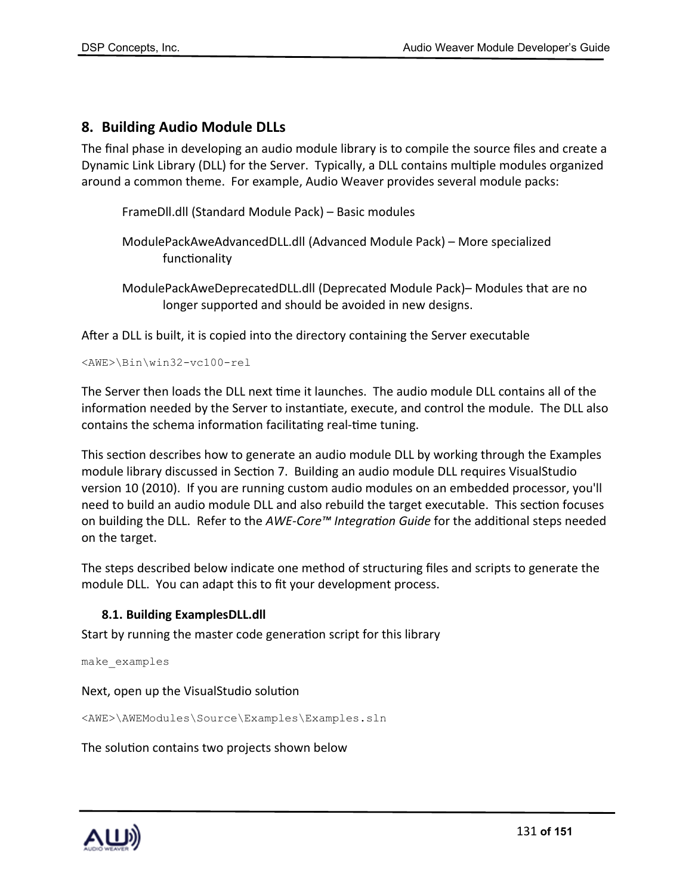### **8. Building Audio Module DLLs**

The final phase in developing an audio module library is to compile the source files and create a Dynamic Link Library (DLL) for the Server. Typically, a DLL contains multiple modules organized around a common theme. For example, Audio Weaver provides several module packs:

FrameDll.dll (Standard Module Pack) – Basic modules

- ModulePackAweAdvancedDLL.dll (Advanced Module Pack) More specialized functionality
- ModulePackAweDeprecatedDLL.dll (Deprecated Module Pack)– Modules that are no longer supported and should be avoided in new designs.

After a DLL is built, it is copied into the directory containing the Server executable

<AWE>\Bin\win32-vc100-rel

The Server then loads the DLL next time it launches. The audio module DLL contains all of the information needed by the Server to instantiate, execute, and control the module. The DLL also contains the schema information facilitating real-time tuning.

This section describes how to generate an audio module DLL by working through the Examples module library discussed in Section 7. Building an audio module DLL requires VisualStudio version 10 (2010). If you are running custom audio modules on an embedded processor, you'll need to build an audio module DLL and also rebuild the target executable. This section focuses on building the DLL. Refer to the *AWE-Core™ Integration Guide* for the additional steps needed on the target.

The steps described below indicate one method of structuring files and scripts to generate the module DLL. You can adapt this to fit your development process.

### **8.1. Building ExamplesDLL.dll**

Start by running the master code generation script for this library

```
make_examples
```
Next, open up the VisualStudio solution

```
<AWE>\AWEModules\Source\Examples\Examples.sln
```
### The solution contains two projects shown below

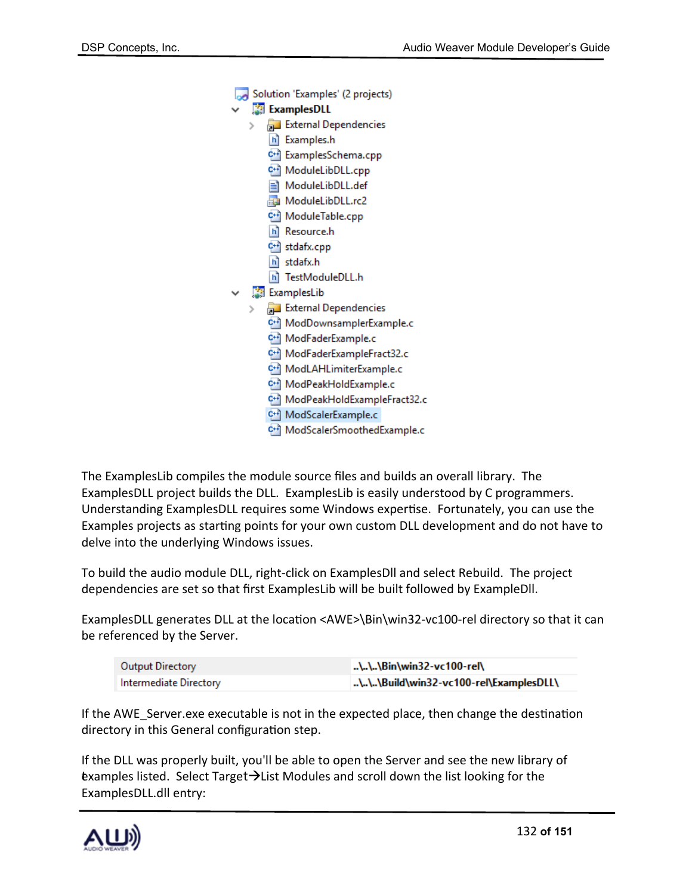```
Solution 'Examples' (2 projects)
   精 ExamplesDLL
   > \frac{1}{60} External Dependencies
       h] Examples.h
       C++ ExamplesSchema.cpp
       아키 ModuleLibDLL.cpp
       ModuleLibDLL.def
       ModuleLibDLL.rc2
       C+<sup>a</sup> ModuleTable.cpp
       h Resource.h
       C^{+1} stdafx.cpp
       h stdafx.h
       h] TestModuleDLL.h
↓ ■ ExamplesLib
      External Dependencies
       C+1 ModDownsamplerExample.c
       C++ ModFaderExample.c
       C+1 ModFaderExampleFract32.c
       C+1 ModLAHLimiterExample.c
       C+1 ModPeakHoldExample.c
       아키 ModPeakHoldExampleFract32.c
       C+1 ModScalerExample.c
       C++ ModScalerSmoothedExample.c
```
The ExamplesLib compiles the module source files and builds an overall library. The ExamplesDLL project builds the DLL. ExamplesLib is easily understood by C programmers. Understanding ExamplesDLL requires some Windows expertise. Fortunately, you can use the Examples projects as starting points for your own custom DLL development and do not have to delve into the underlying Windows issues.

To build the audio module DLL, right-click on ExamplesDll and select Rebuild. The project dependencies are set so that first ExamplesLib will be built followed by ExampleDll.

ExamplesDLL generates DLL at the location <AWE>\Bin\win32-vc100-rel directory so that it can be referenced by the Server.

| Output Directory       | \\\Bin\win32-vc100-rel\               |
|------------------------|---------------------------------------|
| Intermediate Directory | \\\Build\win32-vc100-rel\ExamplesDLL\ |

If the AWE Server.exe executable is not in the expected place, then change the destination directory in this General configuration step.

If the DLL was properly built, you'll be able to open the Server and see the new library of examples listed. Select Target  $\rightarrow$  List Modules and scroll down the list looking for the ExamplesDLL.dll entry:

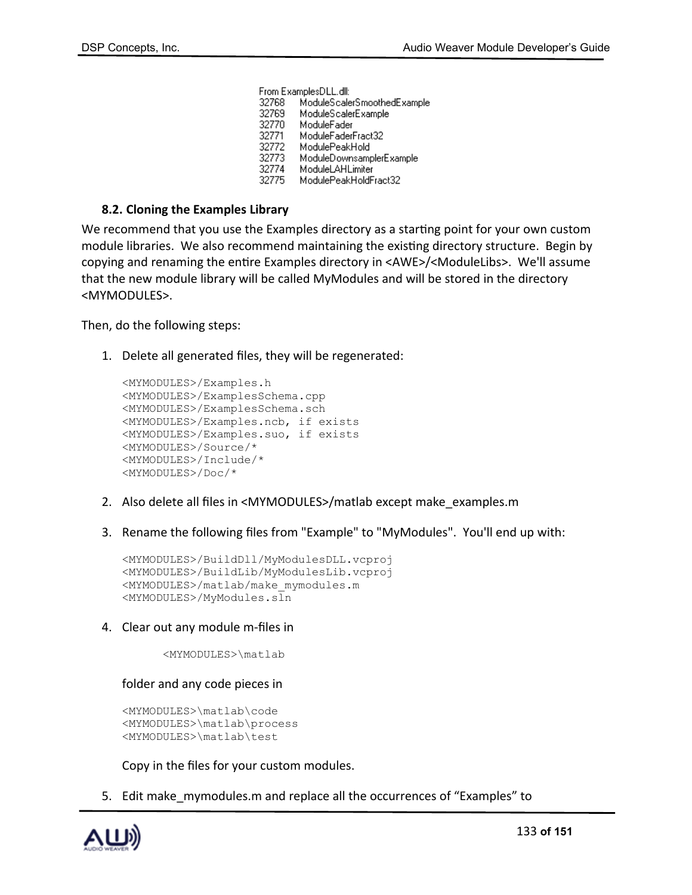From ExamplesDLL.dll: 32768 ModuleScalerSmoothedExample 32769 ModuleScalerExample 32770 ModuleFader 32771 ModuleFaderFract32 32772 ModulePeakHold 32773 ModuleDownsamplerExample ModuleLAHLimiter 32774 ModulePeakHoldFract32 32775

#### **8.2. Cloning the Examples Library**

We recommend that you use the Examples directory as a starting point for your own custom module libraries. We also recommend maintaining the existing directory structure. Begin by copying and renaming the entire Examples directory in <AWE>/<ModuleLibs>. We'll assume that the new module library will be called MyModules and will be stored in the directory <MYMODULES>.

Then, do the following steps:

1. Delete all generated files, they will be regenerated:

```
<MYMODULES>/Examples.h
<MYMODULES>/ExamplesSchema.cpp
<MYMODULES>/ExamplesSchema.sch
<MYMODULES>/Examples.ncb, if exists
<MYMODULES>/Examples.suo, if exists
<MYMODULES>/Source/*
<MYMODULES>/Include/*
<MYMODULES>/Doc/*
```
- 2. Also delete all files in <MYMODULES>/matlab except make\_examples.m
- 3. Rename the following files from "Example" to "MyModules". You'll end up with:

```
<MYMODULES>/BuildDll/MyModulesDLL.vcproj
<MYMODULES>/BuildLib/MyModulesLib.vcproj
<MYMODULES>/matlab/make_mymodules.m
<MYMODULES>/MyModules.sln
```
4. Clear out any module m-files in

```
<MYMODULES>\matlab
```
folder and any code pieces in

```
<MYMODULES>\matlab\code
<MYMODULES>\matlab\process
<MYMODULES>\matlab\test
```
Copy in the files for your custom modules.

5. Edit make mymodules.m and replace all the occurrences of "Examples" to

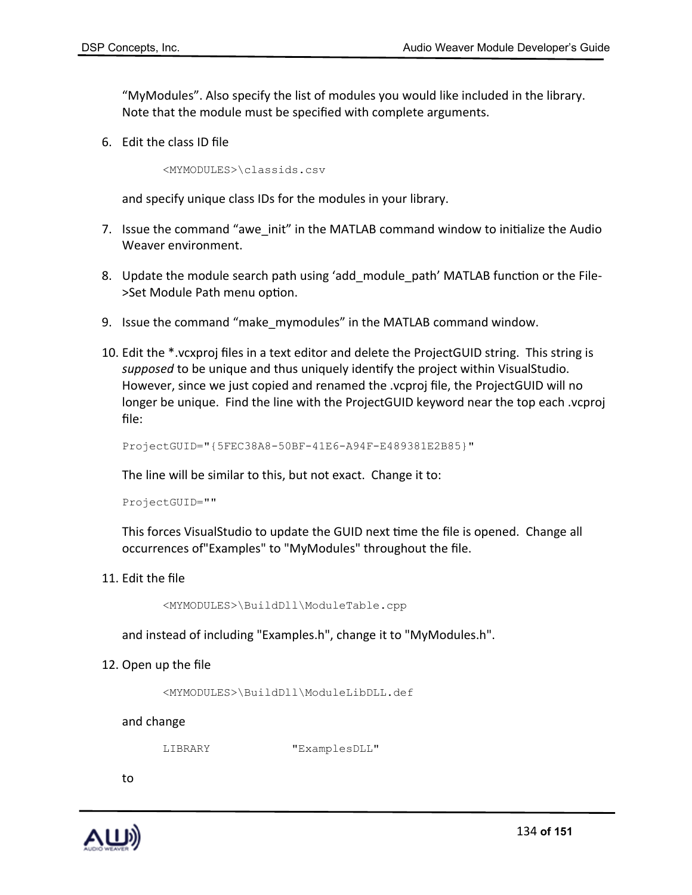"MyModules". Also specify the list of modules you would like included in the library. Note that the module must be specified with complete arguments.

6. Edit the class ID file

<MYMODULES>\classids.csv

and specify unique class IDs for the modules in your library.

- 7. Issue the command "awe init" in the MATLAB command window to initialize the Audio Weaver environment.
- 8. Update the module search path using 'add module path' MATLAB function or the File->Set Module Path menu option.
- 9. Issue the command "make\_mymodules" in the MATLAB command window.
- 10. Edit the \*.vcxproj files in a text editor and delete the ProjectGUID string. This string is *supposed* to be unique and thus uniquely identify the project within VisualStudio. However, since we just copied and renamed the .vcproj file, the ProjectGUID will no longer be unique. Find the line with the ProjectGUID keyword near the top each .vcproj file:

```
ProjectGUID="{5FEC38A8-50BF-41E6-A94F-E489381E2B85}"
```
The line will be similar to this, but not exact. Change it to:

ProjectGUID=""

This forces VisualStudio to update the GUID next time the file is opened. Change all occurrences of"Examples" to "MyModules" throughout the file.

11. Edit the file

<MYMODULES>\BuildDll\ModuleTable.cpp

and instead of including "Examples.h", change it to "MyModules.h".

12. Open up the file

<MYMODULES>\BuildDll\ModuleLibDLL.def

and change

LIBRARY "ExamplesDLL"

to

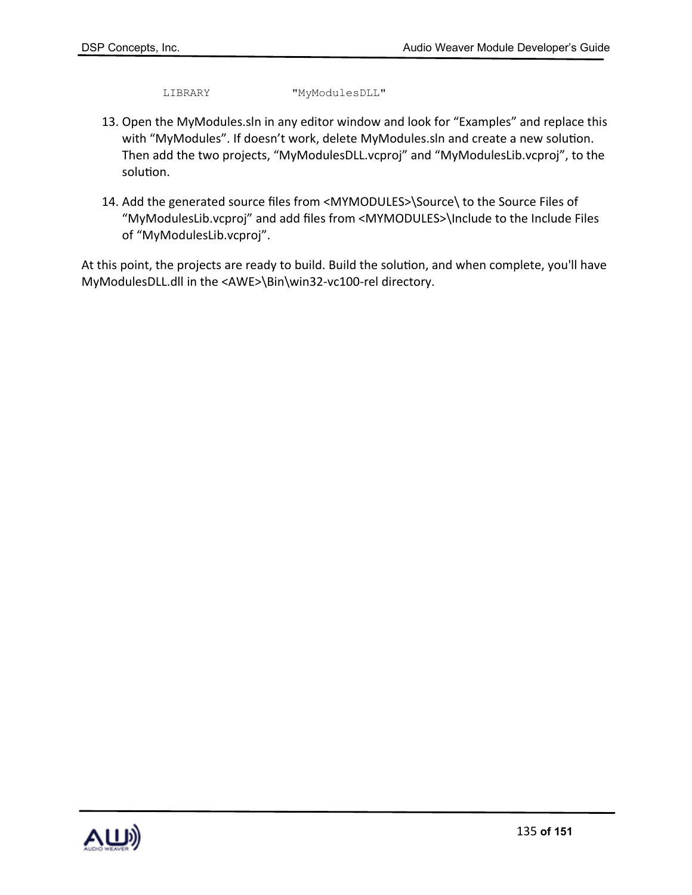LIBRARY "MyModulesDLL"

- 13. Open the MyModules.sln in any editor window and look for "Examples" and replace this with "MyModules". If doesn't work, delete MyModules.sln and create a new solution. Then add the two projects, "MyModulesDLL.vcproj" and "MyModulesLib.vcproj", to the solution.
- 14. Add the generated source files from <MYMODULES>\Source\ to the Source Files of "MyModulesLib.vcproj" and add files from <MYMODULES>\Include to the Include Files of "MyModulesLib.vcproj".

At this point, the projects are ready to build. Build the solution, and when complete, you'll have MyModulesDLL.dll in the <AWE>\Bin\win32-vc100-rel directory.

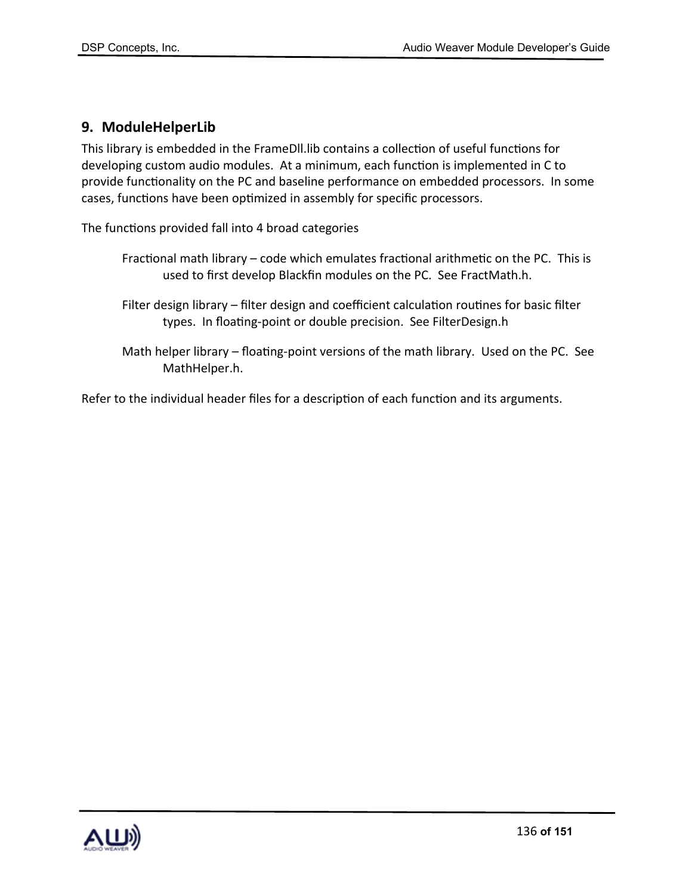## **9. ModuleHelperLib**

This library is embedded in the FrameDll.lib contains a collection of useful functions for developing custom audio modules. At a minimum, each function is implemented in C to provide functionality on the PC and baseline performance on embedded processors. In some cases, functions have been optimized in assembly for specific processors.

The functions provided fall into 4 broad categories

- Fractional math library code which emulates fractional arithmetic on the PC. This is used to first develop Blackfin modules on the PC. See FractMath.h.
- Filter design library filter design and coefficient calculation routines for basic filter types. In floating-point or double precision. See FilterDesign.h
- Math helper library floating-point versions of the math library. Used on the PC. See MathHelper.h.

Refer to the individual header files for a description of each function and its arguments.

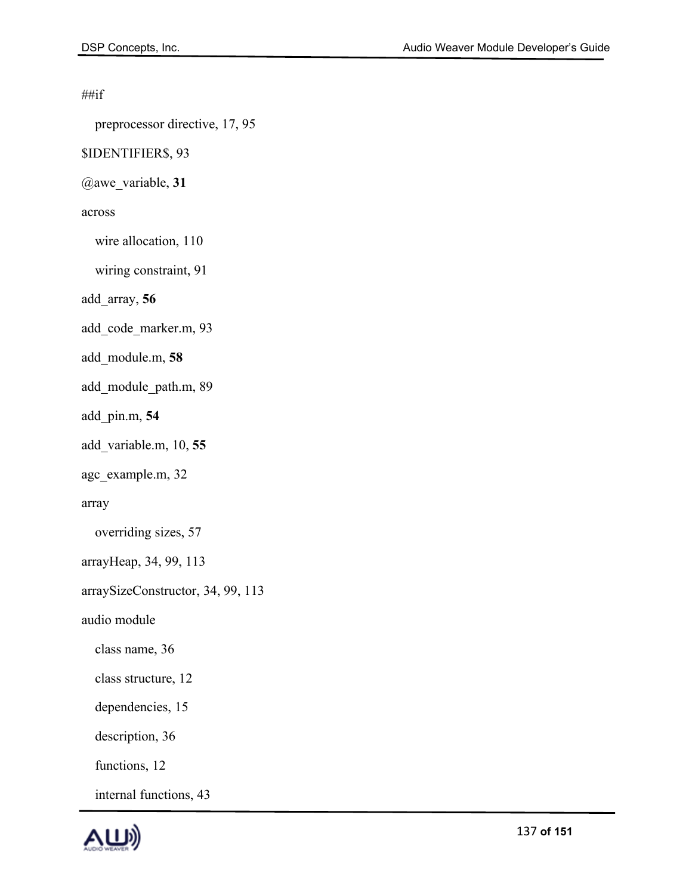### ##if

preprocessor directive, 17, 95

### \$IDENTIFIER\$, 93

@awe\_variable, **31**

### across

wire allocation, 110

wiring constraint, 91

add\_array, **56**

add\_code\_marker.m, 93

add\_module.m, **58**

add\_module\_path.m, 89

add\_pin.m, **54**

add\_variable.m, 10, **55**

agc\_example.m, 32

array

overriding sizes, 57

arrayHeap, 34, 99, 113

arraySizeConstructor, 34, 99, 113

audio module

class name, 36

class structure, 12

dependencies, 15

description, 36

functions, 12

internal functions, 43

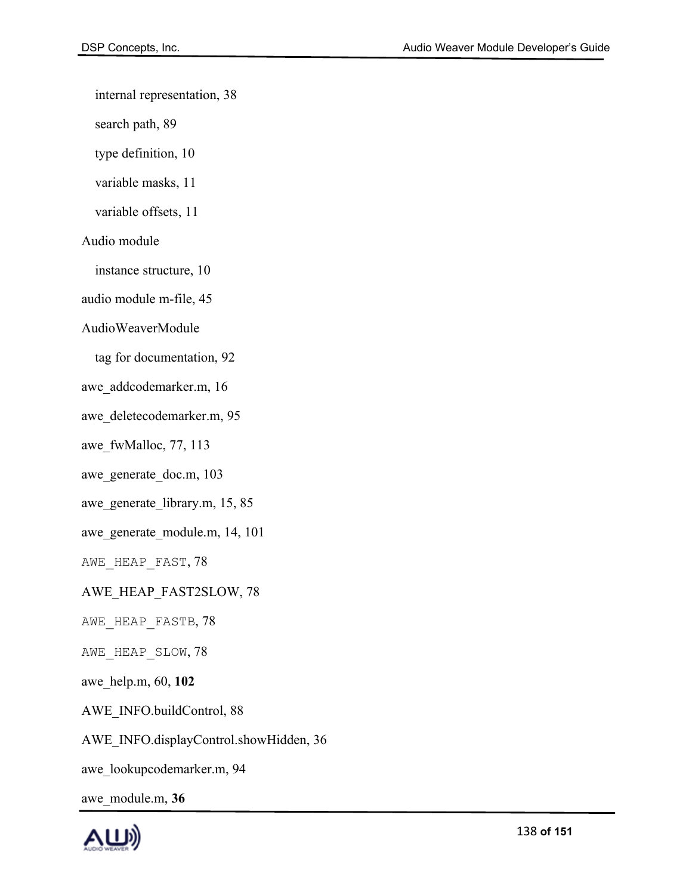internal representation, 38

search path, 89

type definition, 10

variable masks, 11

variable offsets, 11

Audio module

instance structure, 10

audio module m-file, 45

#### AudioWeaverModule

tag for documentation, 92

awe\_addcodemarker.m, 16

awe\_deletecodemarker.m, 95

awe\_fwMalloc, 77, 113

awe generate doc.m, 103

awe generate library.m, 15, 85

awe\_generate\_module.m, 14, 101

AWE HEAP FAST, 78

AWE\_HEAP\_FAST2SLOW, 78

AWE\_HEAP\_FASTB, 78

AWE HEAP SLOW, 78

awe\_help.m, 60, **102**

AWE\_INFO.buildControl, 88

AWE\_INFO.displayControl.showHidden, 36

awe\_lookupcodemarker.m, 94

awe\_module.m, **36**

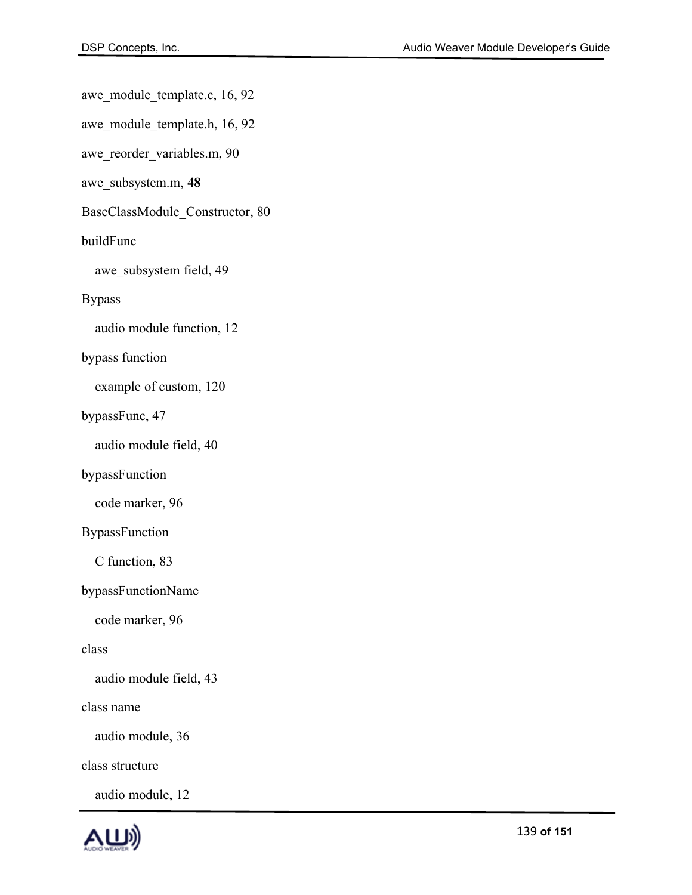awe module template.c, 16, 92

awe\_module\_template.h, 16, 92

awe\_reorder\_variables.m, 90

awe\_subsystem.m, **48**

BaseClassModule\_Constructor, 80

# buildFunc

awe\_subsystem field, 49

### Bypass

audio module function, 12

### bypass function

example of custom, 120

### bypassFunc, 47

audio module field, 40

### bypassFunction

code marker, 96

### BypassFunction

C function, 83

bypassFunctionName

code marker, 96

### class

audio module field, 43

class name

audio module, 36

class structure

audio module, 12

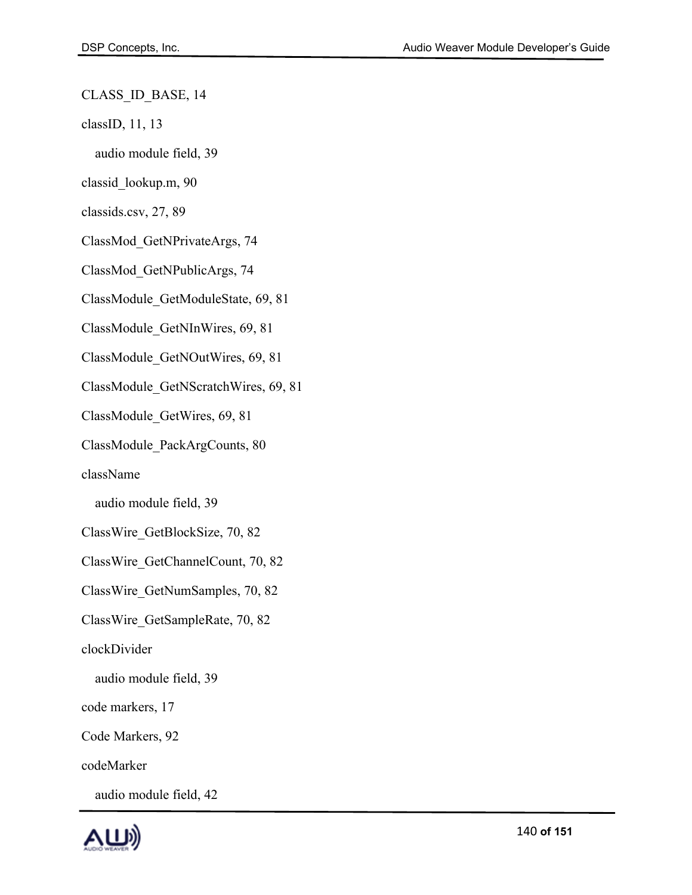CLASS\_ID\_BASE, 14

classID, 11, 13

audio module field, 39

classid\_lookup.m, 90

classids.csv, 27, 89

ClassMod\_GetNPrivateArgs, 74

ClassMod\_GetNPublicArgs, 74

ClassModule\_GetModuleState, 69, 81

ClassModule\_GetNInWires, 69, 81

ClassModule\_GetNOutWires, 69, 81

ClassModule\_GetNScratchWires, 69, 81

ClassModule\_GetWires, 69, 81

ClassModule\_PackArgCounts, 80

className

audio module field, 39

ClassWire\_GetBlockSize, 70, 82

ClassWire\_GetChannelCount, 70, 82

ClassWire\_GetNumSamples, 70, 82

ClassWire\_GetSampleRate, 70, 82

clockDivider

audio module field, 39

code markers, 17

Code Markers, 92

codeMarker

audio module field, 42

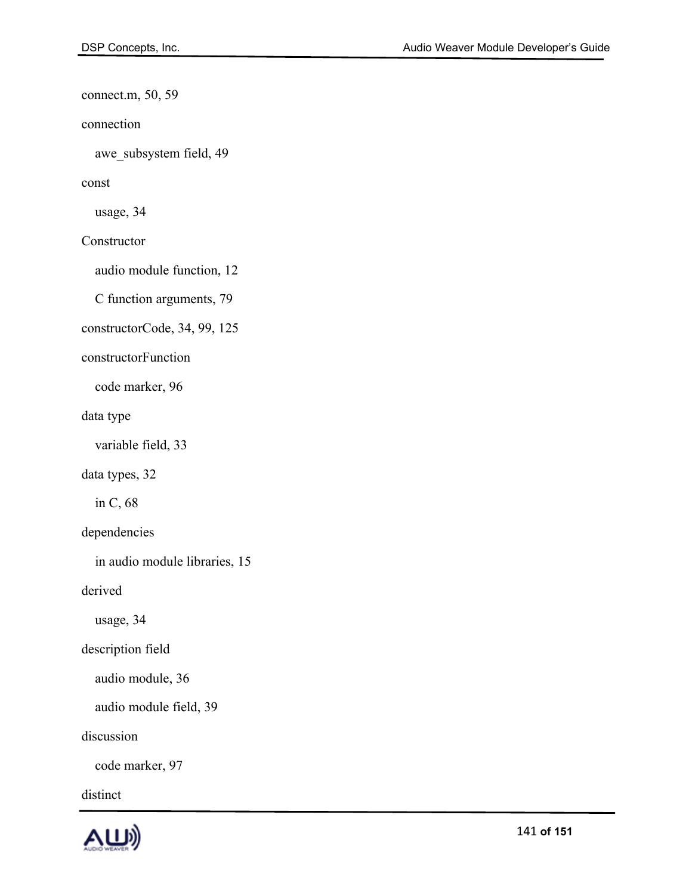connect.m, 50, 59

connection

awe\_subsystem field, 49

const

usage, 34

Constructor

audio module function, 12

C function arguments, 79

constructorCode, 34, 99, 125

#### constructorFunction

code marker, 96

data type

variable field, 33

data types, 32

in C, 68

dependencies

in audio module libraries, 15

derived

usage, 34

description field

audio module, 36

audio module field, 39

discussion

code marker, 97

distinct

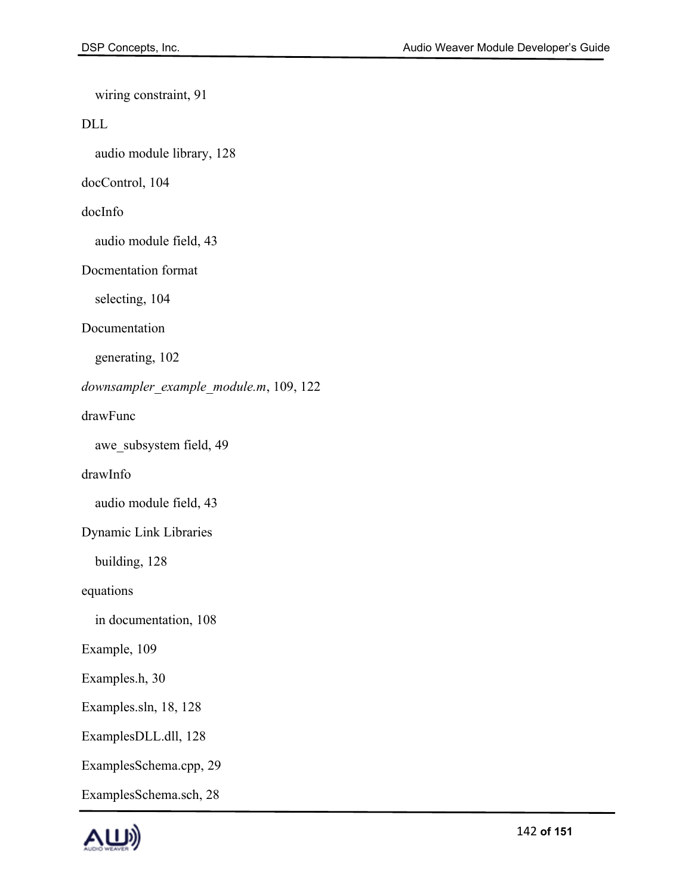wiring constraint, 91

DLL

audio module library, 128

docControl, 104

docInfo

audio module field, 43

Docmentation format

selecting, 104

Documentation

generating, 102

*downsampler\_example\_module.m*, 109, 122

drawFunc

awe\_subsystem field, 49

drawInfo

audio module field, 43

Dynamic Link Libraries

building, 128

equations

in documentation, 108

Example, 109

Examples.h, 30

Examples.sln, 18, 128

ExamplesDLL.dll, 128

ExamplesSchema.cpp, 29

ExamplesSchema.sch, 28

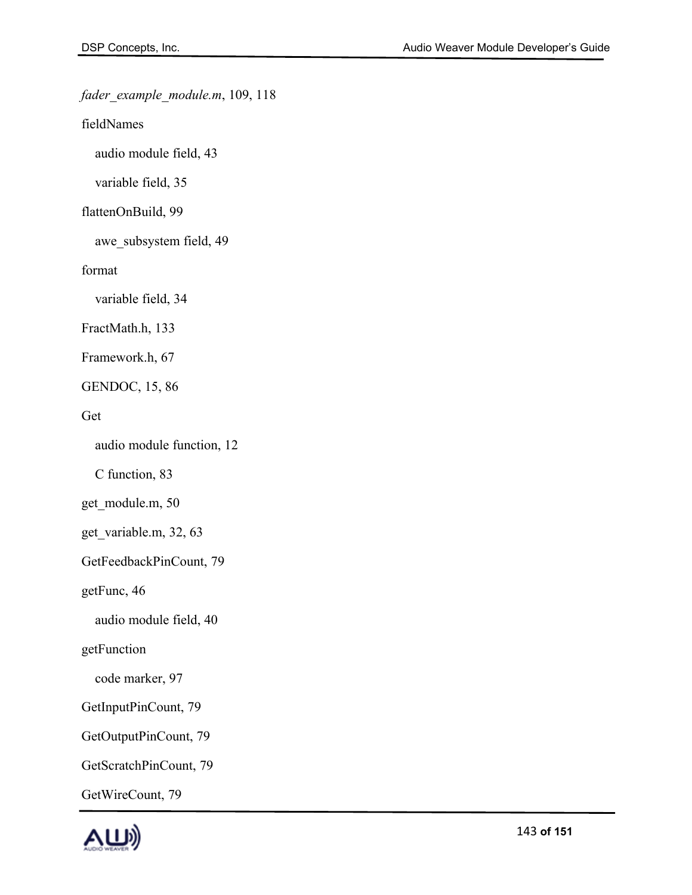# *fader\_example\_module.m*, 109, 118

fieldNames

audio module field, 43

variable field, 35

## flattenOnBuild, 99

awe subsystem field, 49

### format

variable field, 34

### FractMath.h, 133

Framework.h, 67

### GENDOC, 15, 86

Get

audio module function, 12

C function, 83

get module.m, 50

get variable.m, 32, 63

GetFeedbackPinCount, 79

getFunc, 46

audio module field, 40

getFunction

code marker, 97

GetInputPinCount, 79

GetOutputPinCount, 79

GetScratchPinCount, 79

GetWireCount, 79

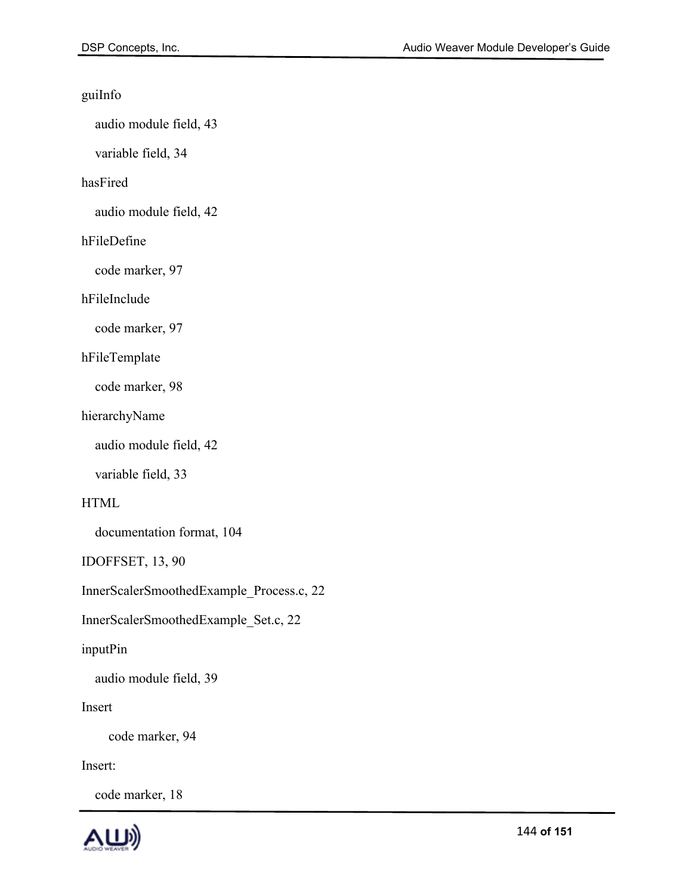### guiInfo

audio module field, 43

variable field, 34

### hasFired

audio module field, 42

### hFileDefine

code marker, 97

hFileInclude

code marker, 97

### hFileTemplate

code marker, 98

### hierarchyName

audio module field, 42

variable field, 33

### HTML

documentation format, 104

IDOFFSET, 13, 90

InnerScalerSmoothedExample\_Process.c, 22

InnerScalerSmoothedExample\_Set.c, 22

inputPin

audio module field, 39

Insert

code marker, 94

Insert:

code marker, 18

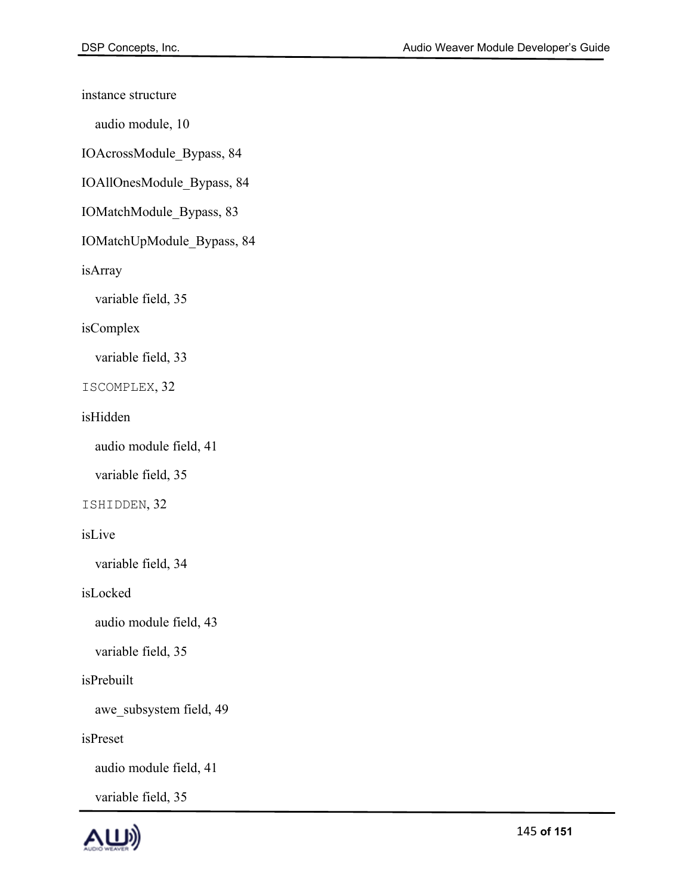instance structure

audio module, 10

IOAcrossModule\_Bypass, 84

IOAllOnesModule\_Bypass, 84

IOMatchModule\_Bypass, 83

IOMatchUpModule\_Bypass, 84

isArray

variable field, 35

### isComplex

variable field, 33

ISCOMPLEX, 32

isHidden

audio module field, 41

variable field, 35

ISHIDDEN, 32

## isLive

variable field, 34

isLocked

audio module field, 43

variable field, 35

## isPrebuilt

awe\_subsystem field, 49

isPreset

audio module field, 41

variable field, 35

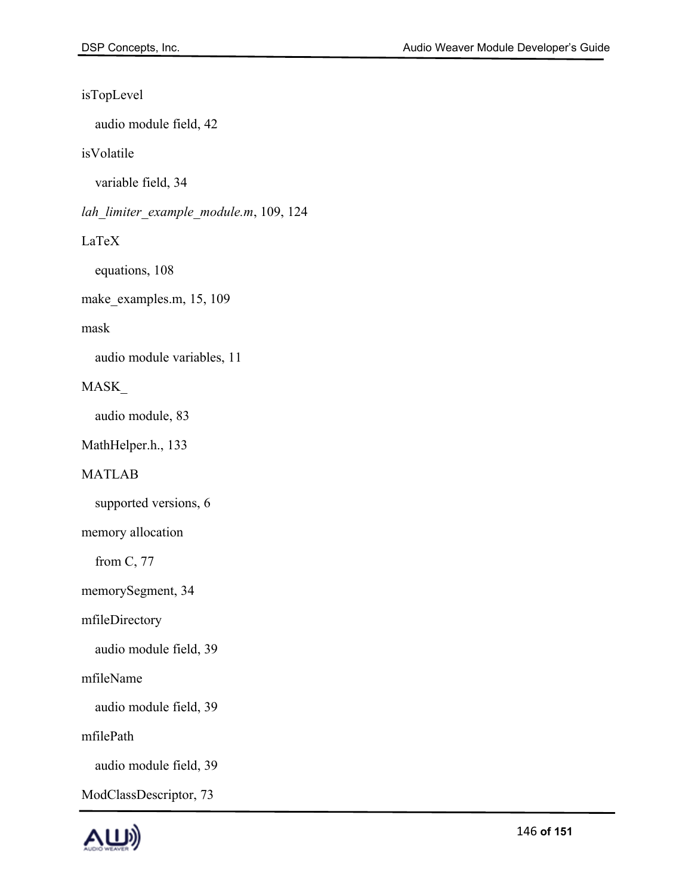# isTopLevel

audio module field, 42

# isVolatile

variable field, 34

*lah\_limiter\_example\_module.m*, 109, 124

# LaTeX

equations, 108

make\_examples.m, 15, 109

# mask

audio module variables, 11

# MASK\_

audio module, 83

MathHelper.h., 133

# MATLAB

supported versions, 6

memory allocation

from C, 77

memorySegment, 34

mfileDirectory

audio module field, 39

mfileName

audio module field, 39

mfilePath

audio module field, 39

ModClassDescriptor, 73

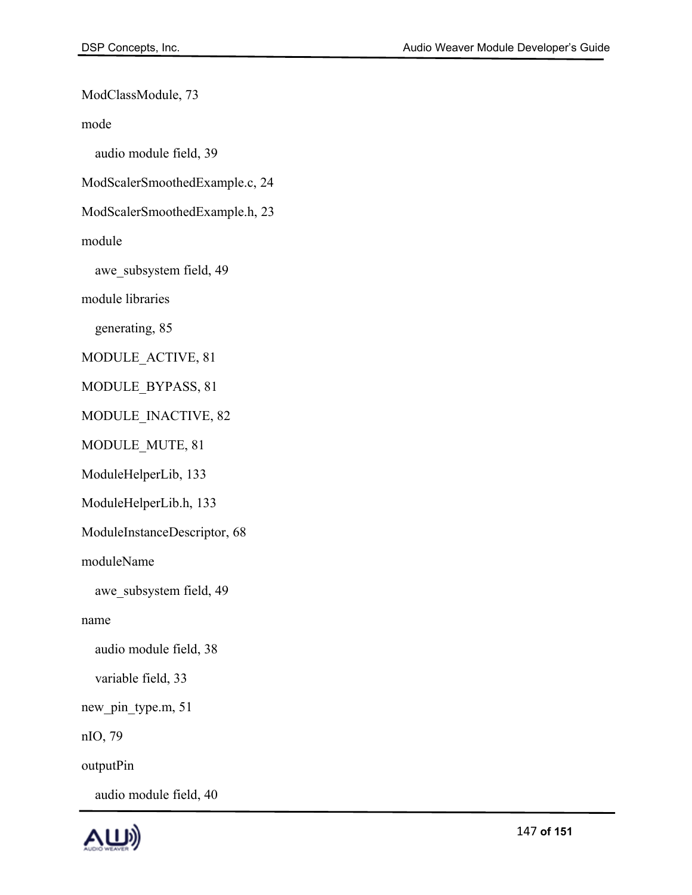ModClassModule, 73

mode

audio module field, 39

ModScalerSmoothedExample.c, 24

ModScalerSmoothedExample.h, 23

module

awe\_subsystem field, 49

module libraries

generating, 85

MODULE\_ACTIVE, 81

MODULE\_BYPASS, 81

MODULE\_INACTIVE, 82

MODULE\_MUTE, 81

ModuleHelperLib, 133

ModuleHelperLib.h, 133

ModuleInstanceDescriptor, 68

moduleName

awe subsystem field, 49

name

audio module field, 38

variable field, 33

new\_pin\_type.m, 51

nIO, 79

outputPin

audio module field, 40

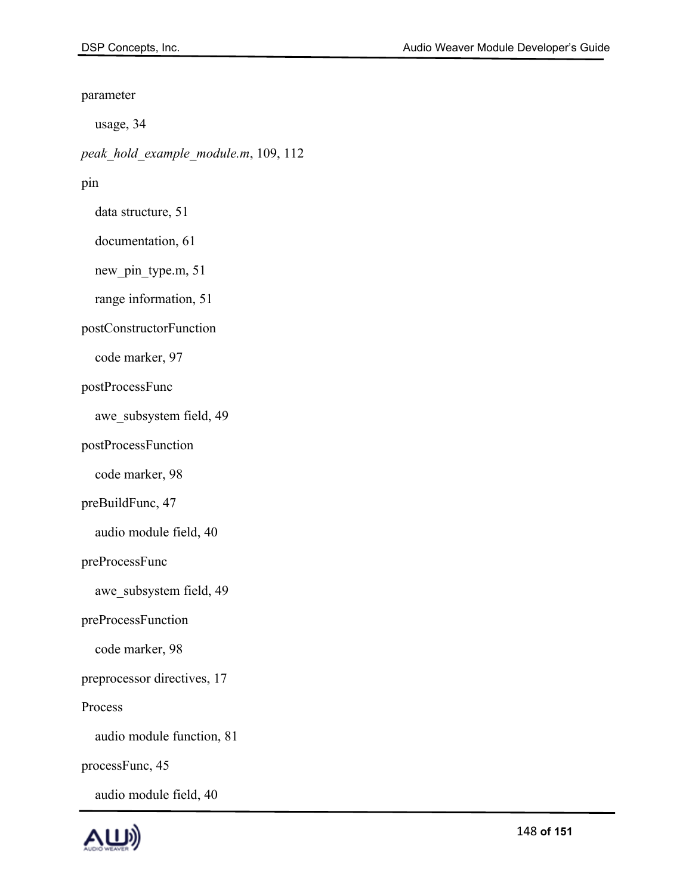#### parameter

usage, 34

*peak\_hold\_example\_module.m*, 109, 112

## pin

data structure, 51

documentation, 61

new\_pin\_type.m, 51

range information, 51

### postConstructorFunction

code marker, 97

### postProcessFunc

awe\_subsystem field, 49

## postProcessFunction

code marker, 98

## preBuildFunc, 47

audio module field, 40

#### preProcessFunc

awe subsystem field, 49

#### preProcessFunction

code marker, 98

preprocessor directives, 17

Process

audio module function, 81

### processFunc, 45

audio module field, 40

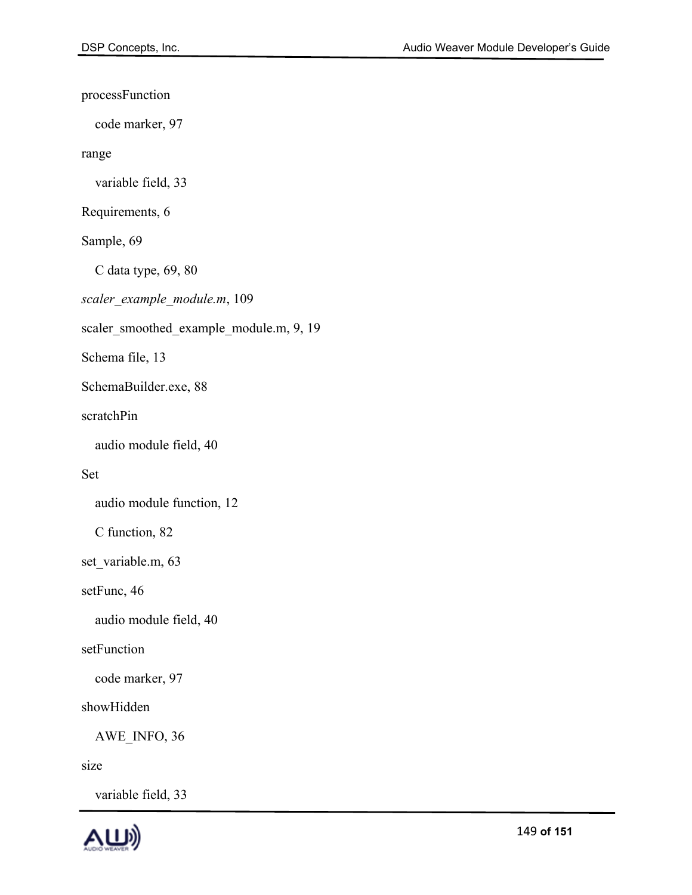processFunction code marker, 97 range variable field, 33 Requirements, 6 Sample, 69 C data type, 69, 80 *scaler\_example\_module.m*, 109 scaler\_smoothed\_example\_module.m, 9, 19 Schema file, 13 SchemaBuilder.exe, 88 scratchPin audio module field, 40 Set audio module function, 12 C function, 82 set\_variable.m, 63 setFunc, 46 audio module field, 40 setFunction code marker, 97 showHidden AWE\_INFO, 36

size

variable field, 33

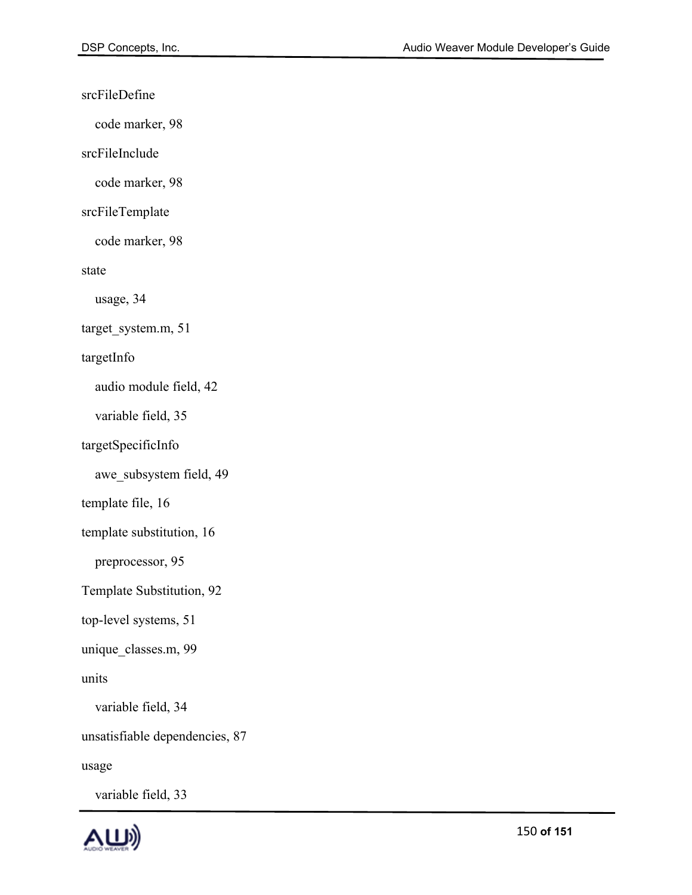srcFileDefine

code marker, 98

srcFileInclude

code marker, 98

## srcFileTemplate

code marker, 98

state

usage, 34

target\_system.m, 51

## targetInfo

audio module field, 42

variable field, 35

## targetSpecificInfo

awe\_subsystem field, 49

template file, 16

template substitution, 16

preprocessor, 95

Template Substitution, 92

top-level systems, 51

unique\_classes.m, 99

units

variable field, 34

unsatisfiable dependencies, 87

usage

variable field, 33